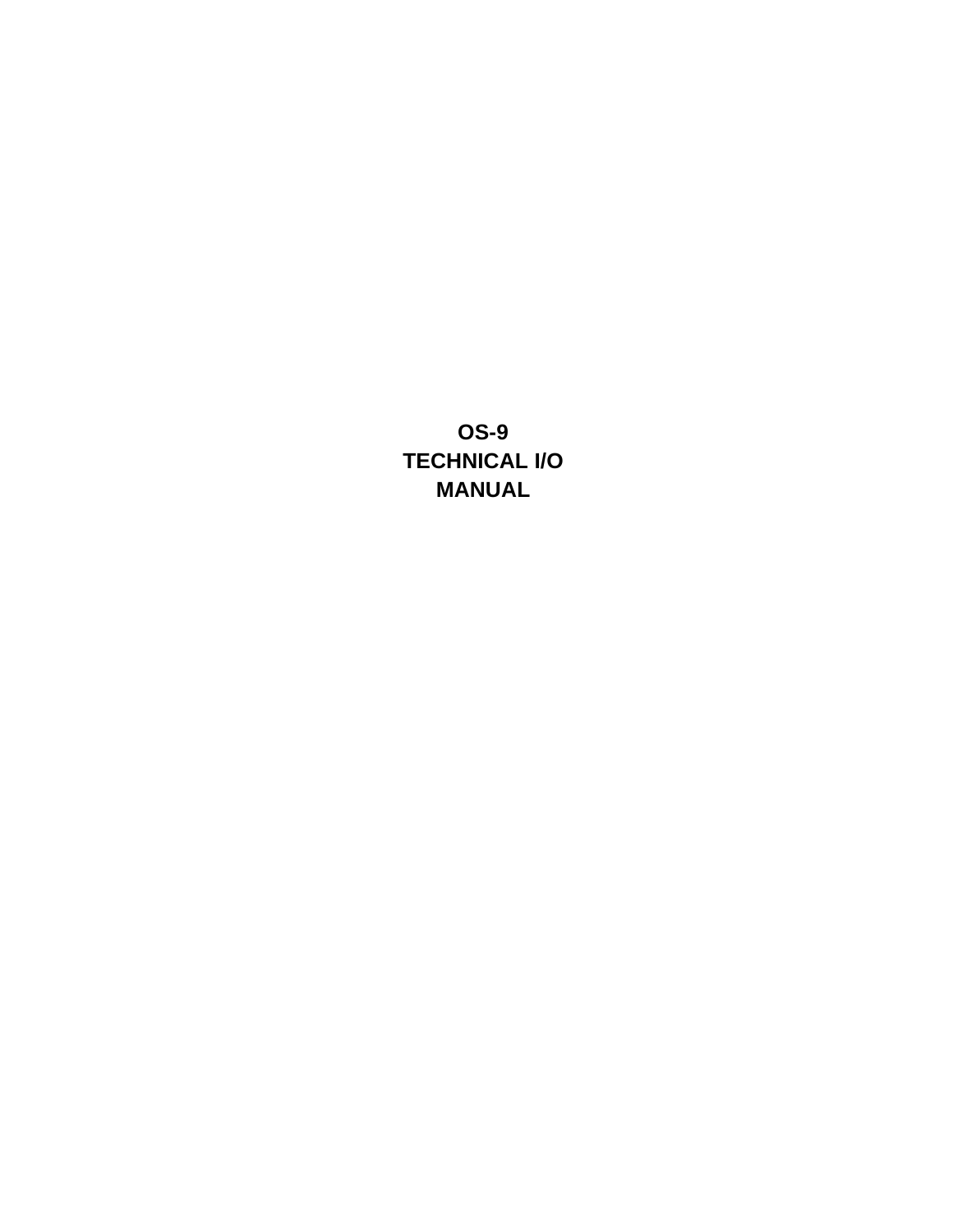**OS-9 TECHNICAL I/O MANUAL**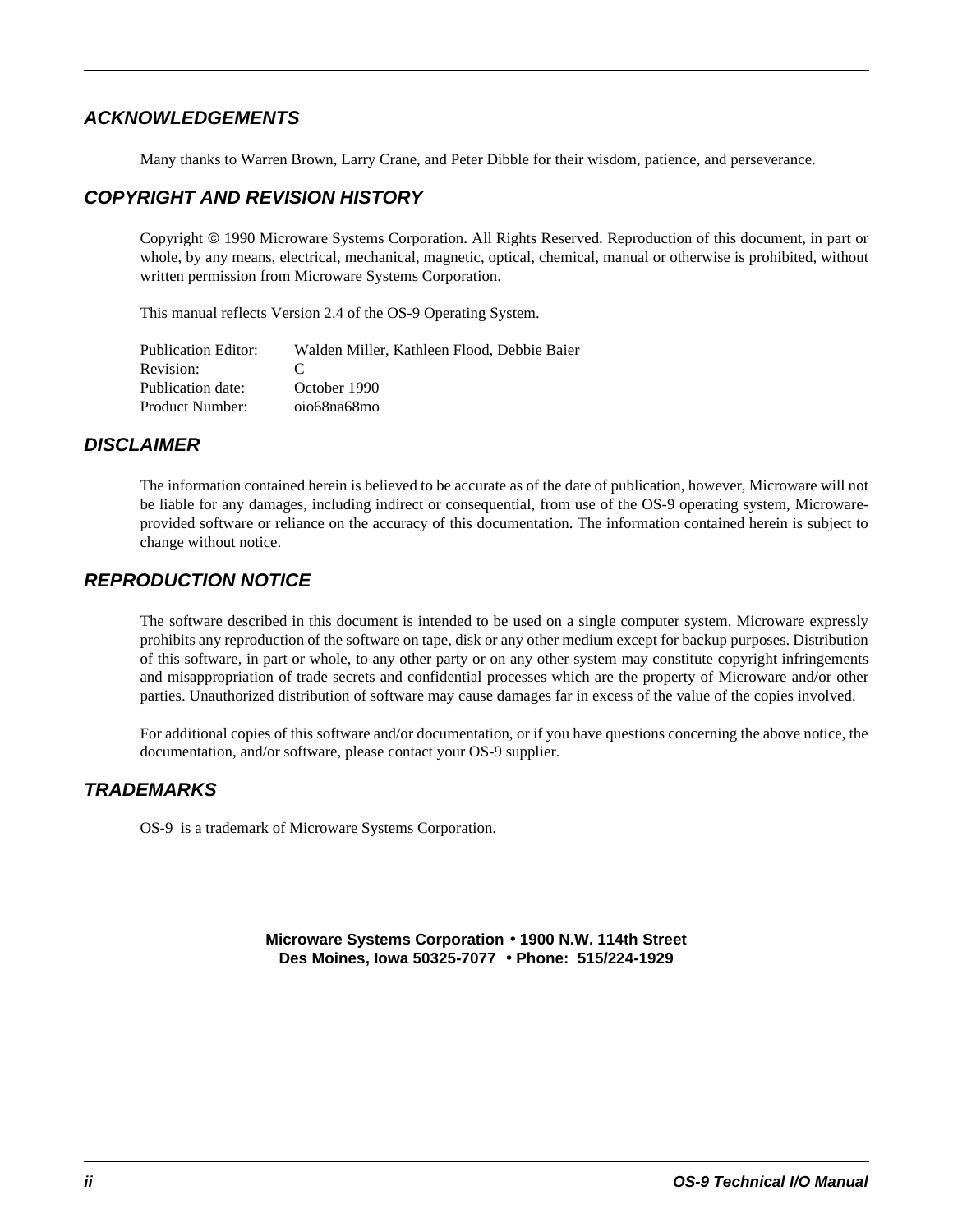#### *ACKNOWLEDGEMENTS*

Many thanks to Warren Brown, Larry Crane, and Peter Dibble for their wisdom, patience, and perseverance.

#### *COPYRIGHT AND REVISION HISTORY*

Copyright 1990 Microware Systems Corporation. All Rights Reserved. Reproduction of this document, in part or whole, by any means, electrical, mechanical, magnetic, optical, chemical, manual or otherwise is prohibited, without written permission from Microware Systems Corporation.

This manual reflects Version 2.4 of the OS-9 Operating System.

| <b>Publication Editor:</b> | Walden Miller. Kathleen Flood. Debbie Baier |
|----------------------------|---------------------------------------------|
| Revision:                  | $\mathbf{C}$                                |
| Publication date:          | October 1990                                |
| Product Number:            | oio68na68mo                                 |

#### *DISCLAIMER*

The information contained herein is believed to be accurate as of the date of publication, however, Microware will not be liable for any damages, including indirect or consequential, from use of the OS-9 operating system, Microwareprovided software or reliance on the accuracy of this documentation. The information contained herein is subject to change without notice.

#### *REPRODUCTION NOTICE*

The software described in this document is intended to be used on a single computer system. Microware expressly prohibits any reproduction of the software on tape, disk or any other medium except for backup purposes. Distribution of this software, in part or whole, to any other party or on any other system may constitute copyright infringements and misappropriation of trade secrets and confidential processes which are the property of Microware and/or other parties. Unauthorized distribution of software may cause damages far in excess of the value of the copies involved.

For additional copies of this software and/or documentation, or if you have questions concerning the above notice, the documentation, and/or software, please contact your OS-9 supplier.

#### *TRADEMARKS*

OS-9 is a trademark of Microware Systems Corporation.

**Microware Systems Corporation** • **1900 N.W. 114th Street Des Moines, Iowa 50325-7077** • **Phone: 515/224-1929**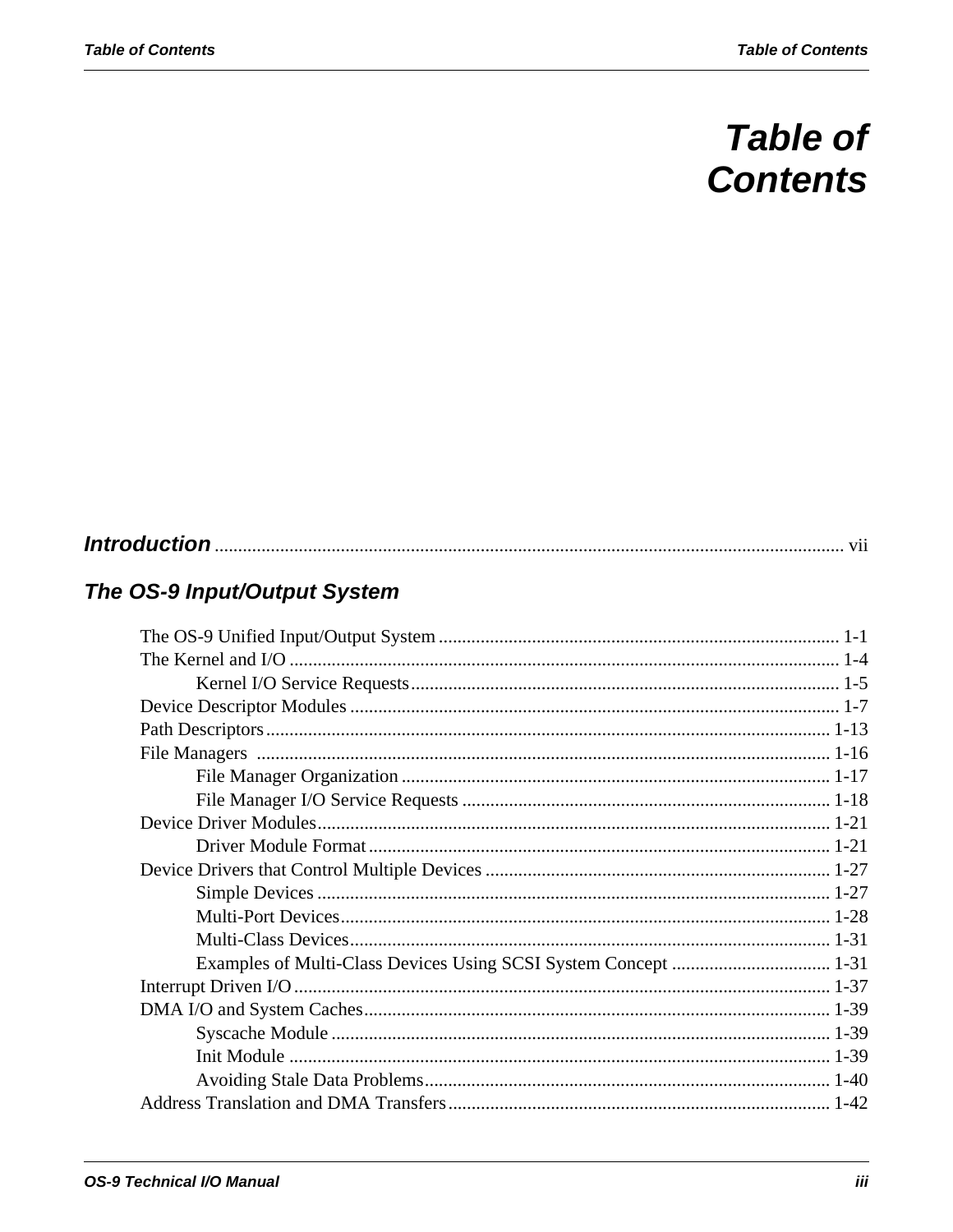# **Table of Contents**

# The OS-9 Input/Output System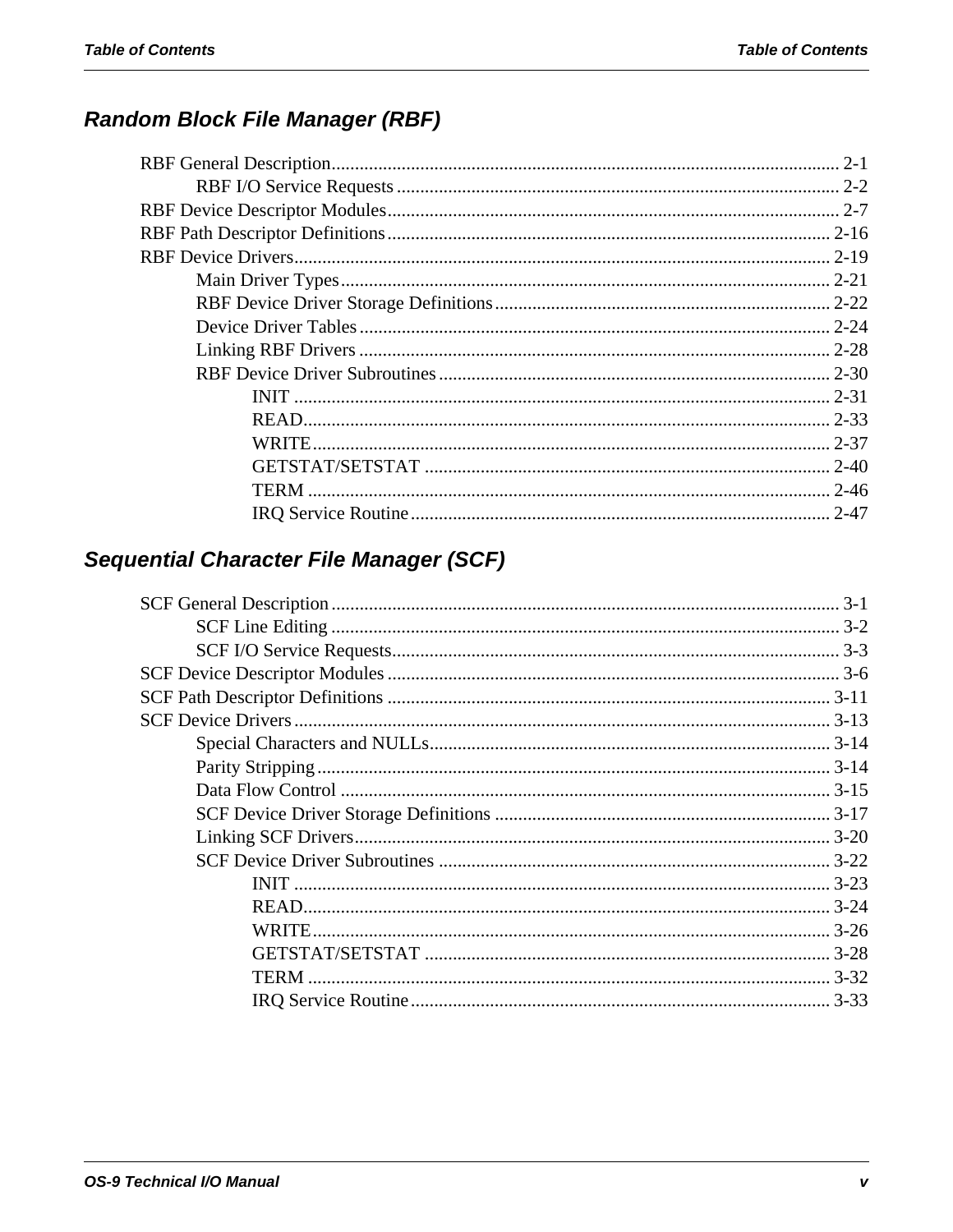# **Random Block File Manager (RBF)**

| TERM |          |
|------|----------|
|      | $2 - 47$ |

# Sequential Character File Manager (SCF)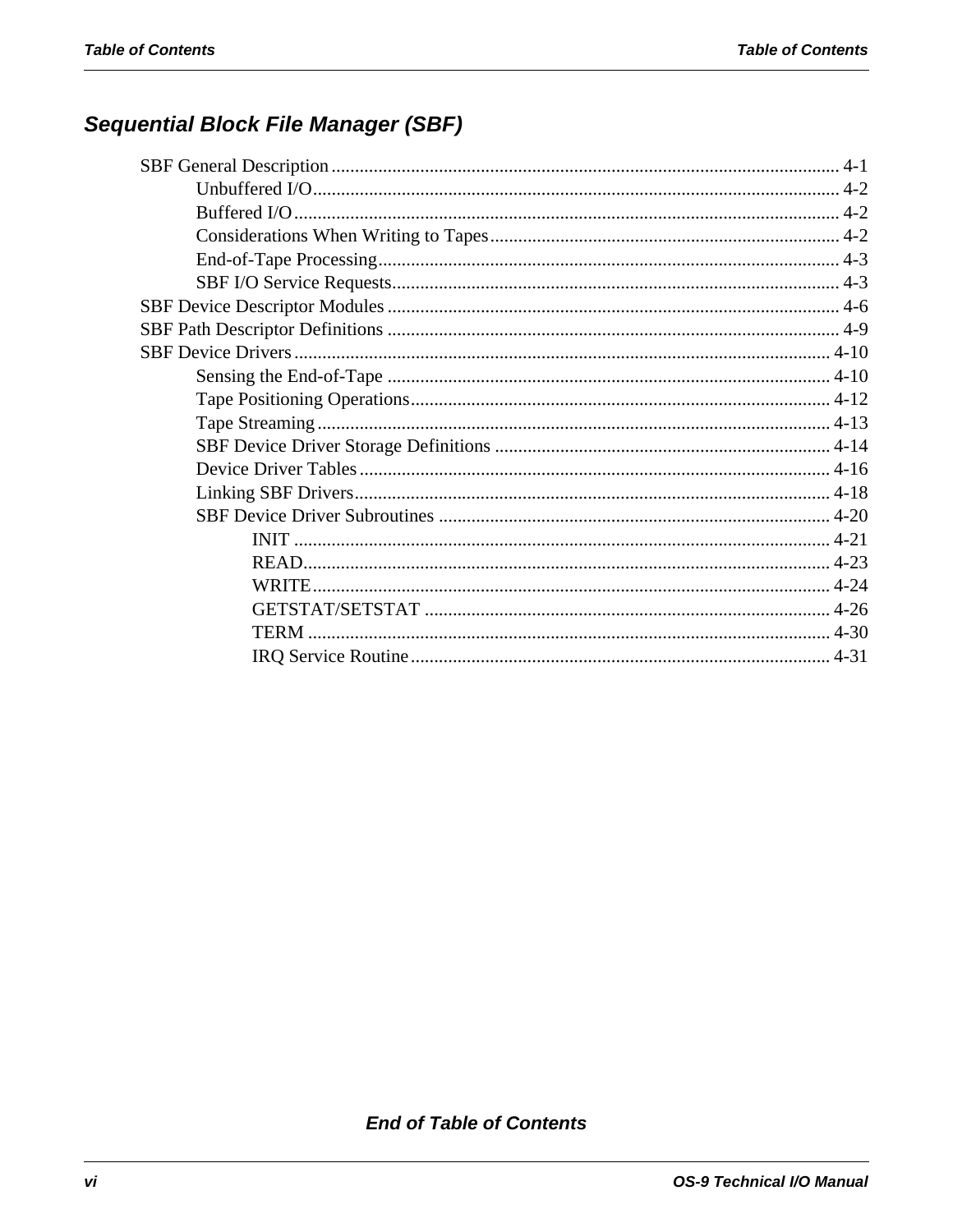# **Sequential Block File Manager (SBF)**

**End of Table of Contents**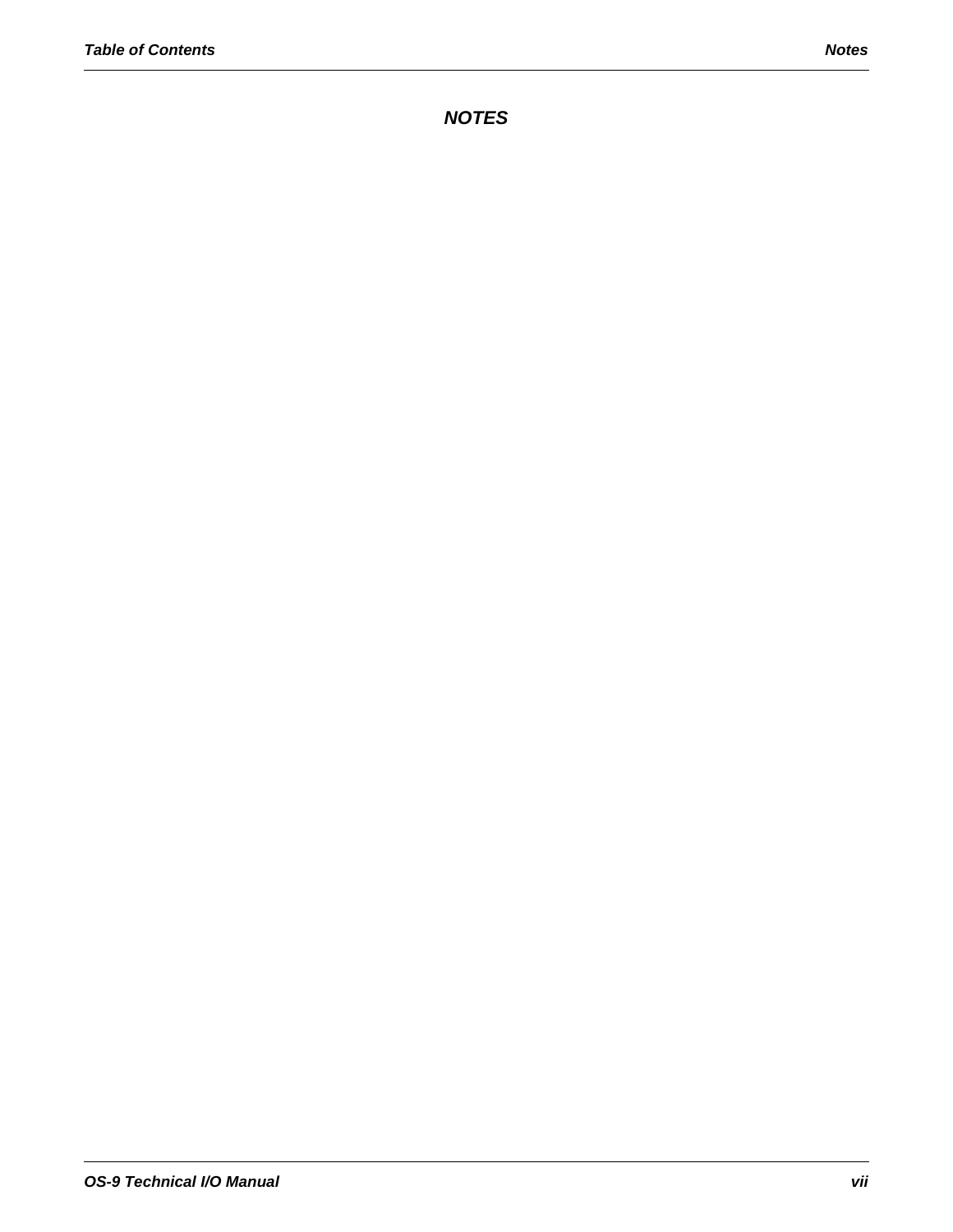*NOTES*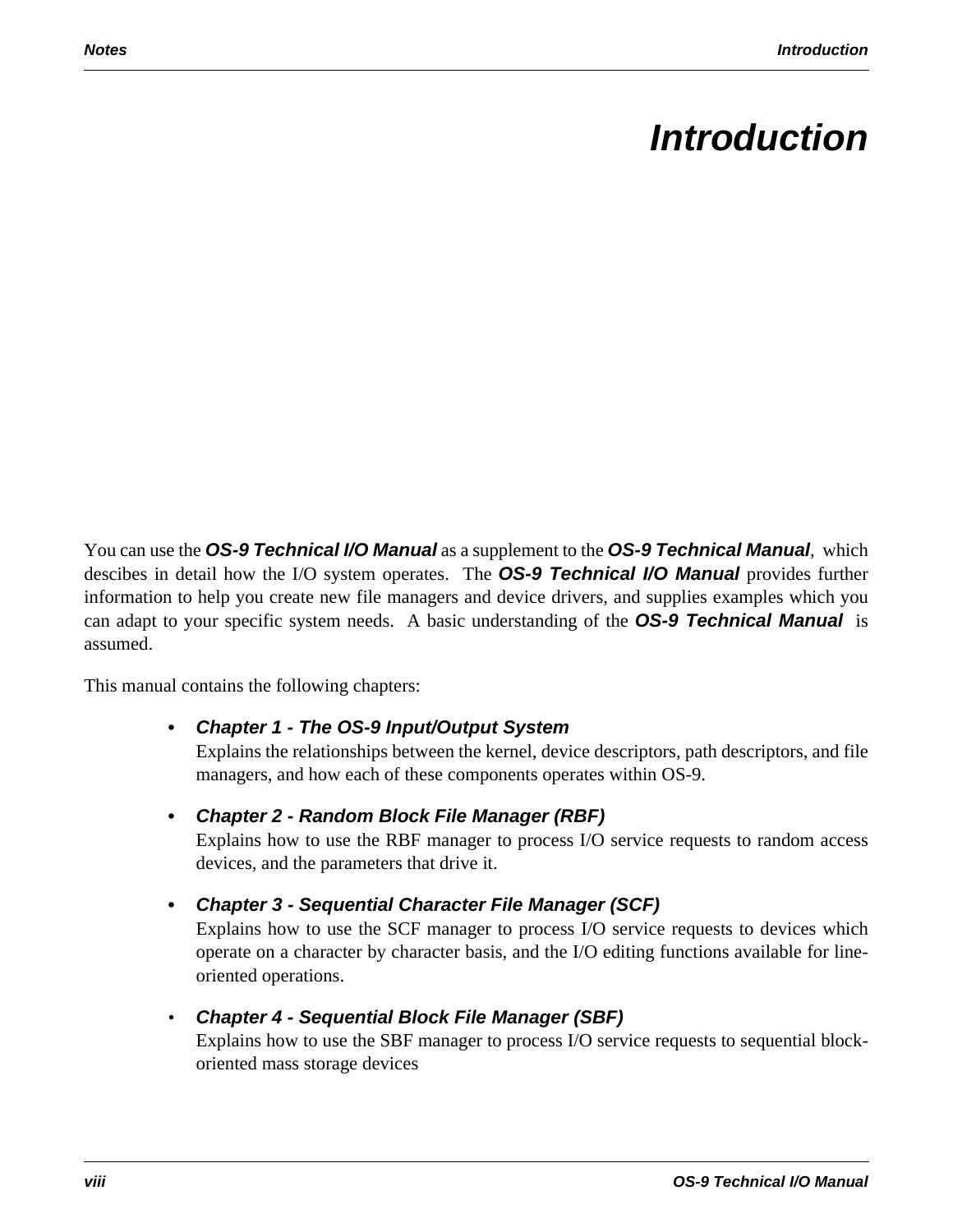# *Introduction*

You can use the *OS-9 Technical I/O Manual* as a supplement to the *OS-9 Technical Manual*, which descibes in detail how the I/O system operates. The *OS-9 Technical I/O Manual* provides further information to help you create new file managers and device drivers, and supplies examples which you can adapt to your specific system needs. A basic understanding of the *OS-9 Technical Manual* is assumed.

This manual contains the following chapters:

# **•** *Chapter 1 - The OS-9 Input/Output System*

Explains the relationships between the kernel, device descriptors, path descriptors, and file managers, and how each of these components operates within OS-9.

# **•** *Chapter 2 - Random Block File Manager (RBF)*

Explains how to use the RBF manager to process I/O service requests to random access devices, and the parameters that drive it.

**•** *Chapter 3 - Sequential Character File Manager (SCF)*

Explains how to use the SCF manager to process I/O service requests to devices which operate on a character by character basis, and the I/O editing functions available for lineoriented operations.

# • *Chapter 4 - Sequential Block File Manager (SBF)*

Explains how to use the SBF manager to process I/O service requests to sequential blockoriented mass storage devices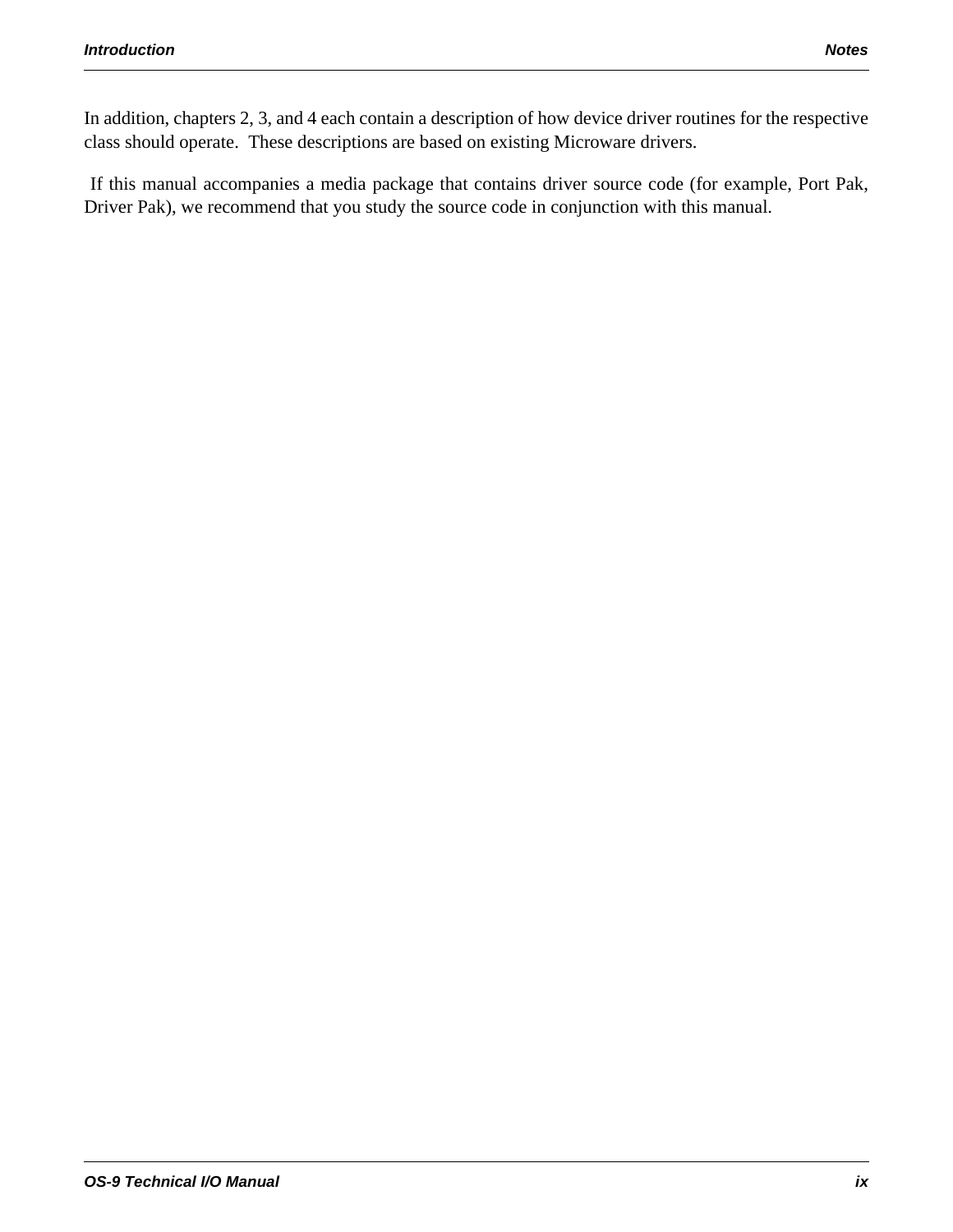In addition, chapters 2, 3, and 4 each contain a description of how device driver routines for the respective class should operate. These descriptions are based on existing Microware drivers.

 If this manual accompanies a media package that contains driver source code (for example, Port Pak, Driver Pak), we recommend that you study the source code in conjunction with this manual.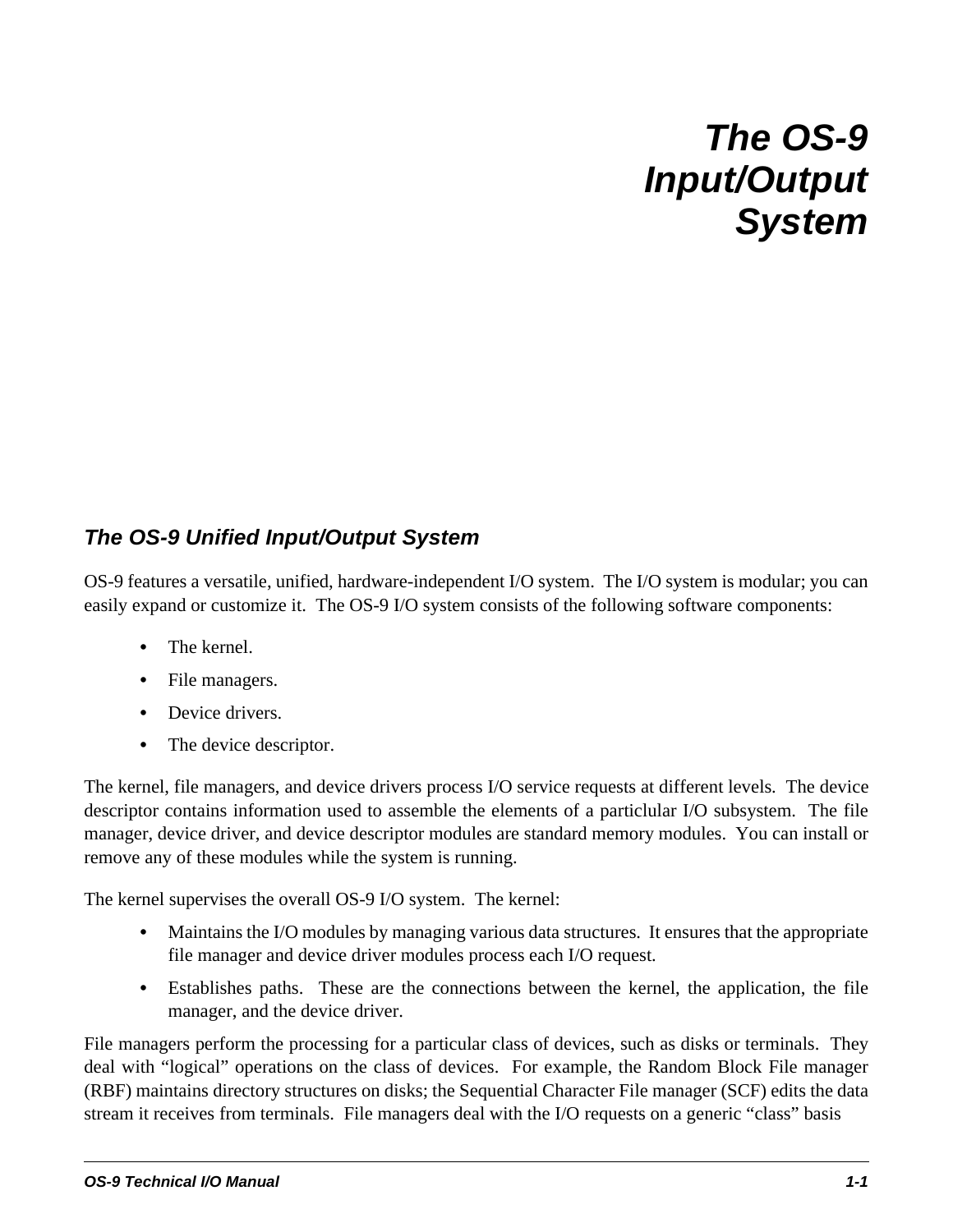# *The OS-9 Input/Output System*

# *The OS-9 Unified Input/Output System*

OS-9 features a versatile, unified, hardware-independent I/O system. The I/O system is modular; you can easily expand or customize it. The OS-9 I/O system consists of the following software components:

- **•** The kernel.
- **•** File managers.
- **•** Device drivers.
- The device descriptor.

The kernel, file managers, and device drivers process I/O service requests at different levels. The device descriptor contains information used to assemble the elements of a particlular I/O subsystem. The file manager, device driver, and device descriptor modules are standard memory modules. You can install or remove any of these modules while the system is running.

The kernel supervises the overall OS-9 I/O system. The kernel:

- **•** Maintains the I/O modules by managing various data structures. It ensures that the appropriate file manager and device driver modules process each I/O request.
- **•** Establishes paths. These are the connections between the kernel, the application, the file manager, and the device driver.

File managers perform the processing for a particular class of devices, such as disks or terminals. They deal with "logical" operations on the class of devices. For example, the Random Block File manager (RBF) maintains directory structures on disks; the Sequential Character File manager (SCF) edits the data stream it receives from terminals. File managers deal with the I/O requests on a generic "class" basis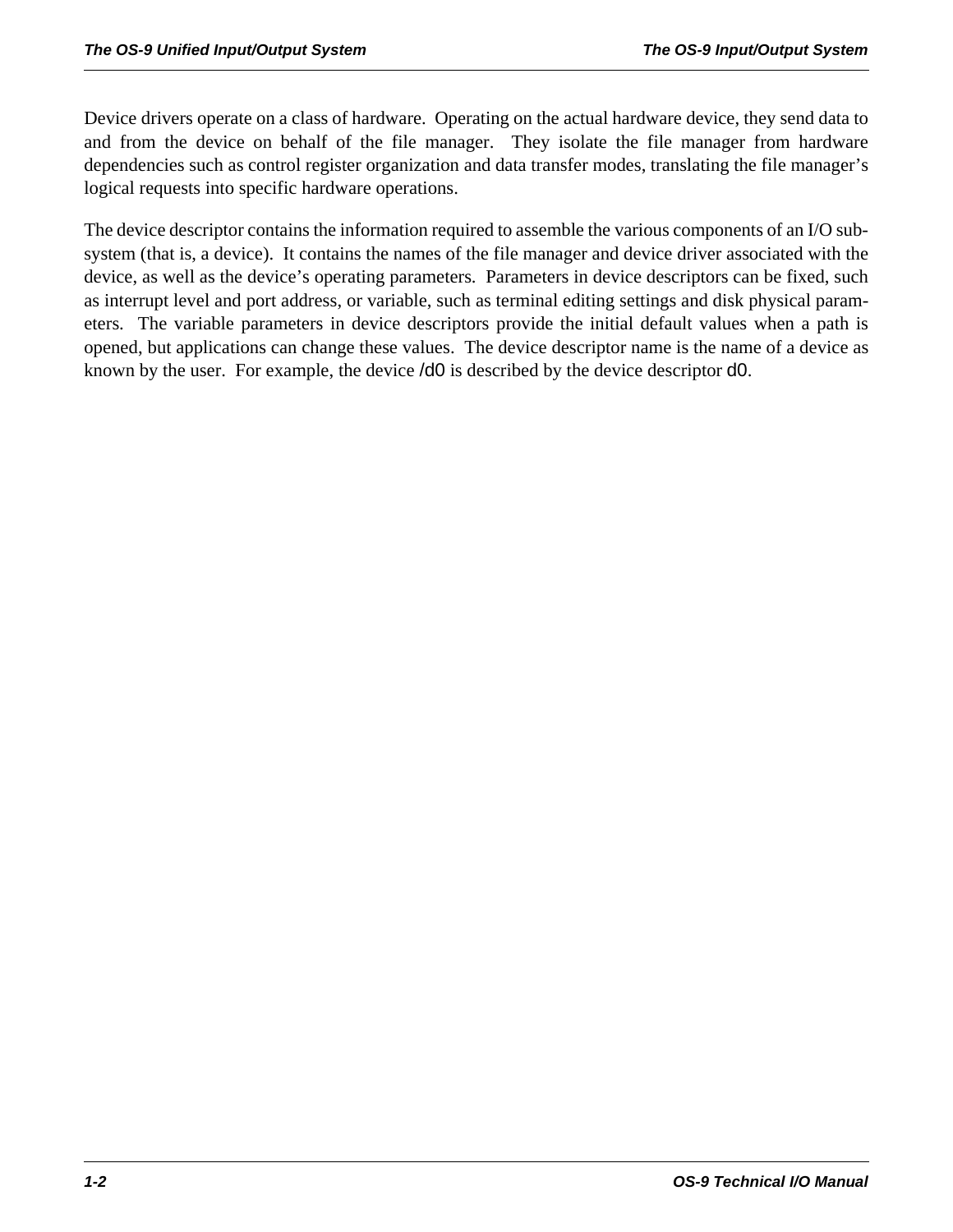Device drivers operate on a class of hardware. Operating on the actual hardware device, they send data to and from the device on behalf of the file manager. They isolate the file manager from hardware dependencies such as control register organization and data transfer modes, translating the file manager's logical requests into specific hardware operations.

The device descriptor contains the information required to assemble the various components of an I/O subsystem (that is, a device). It contains the names of the file manager and device driver associated with the device, as well as the device's operating parameters. Parameters in device descriptors can be fixed, such as interrupt level and port address, or variable, such as terminal editing settings and disk physical parameters. The variable parameters in device descriptors provide the initial default values when a path is opened, but applications can change these values. The device descriptor name is the name of a device as known by the user. For example, the device /d0 is described by the device descriptor d0.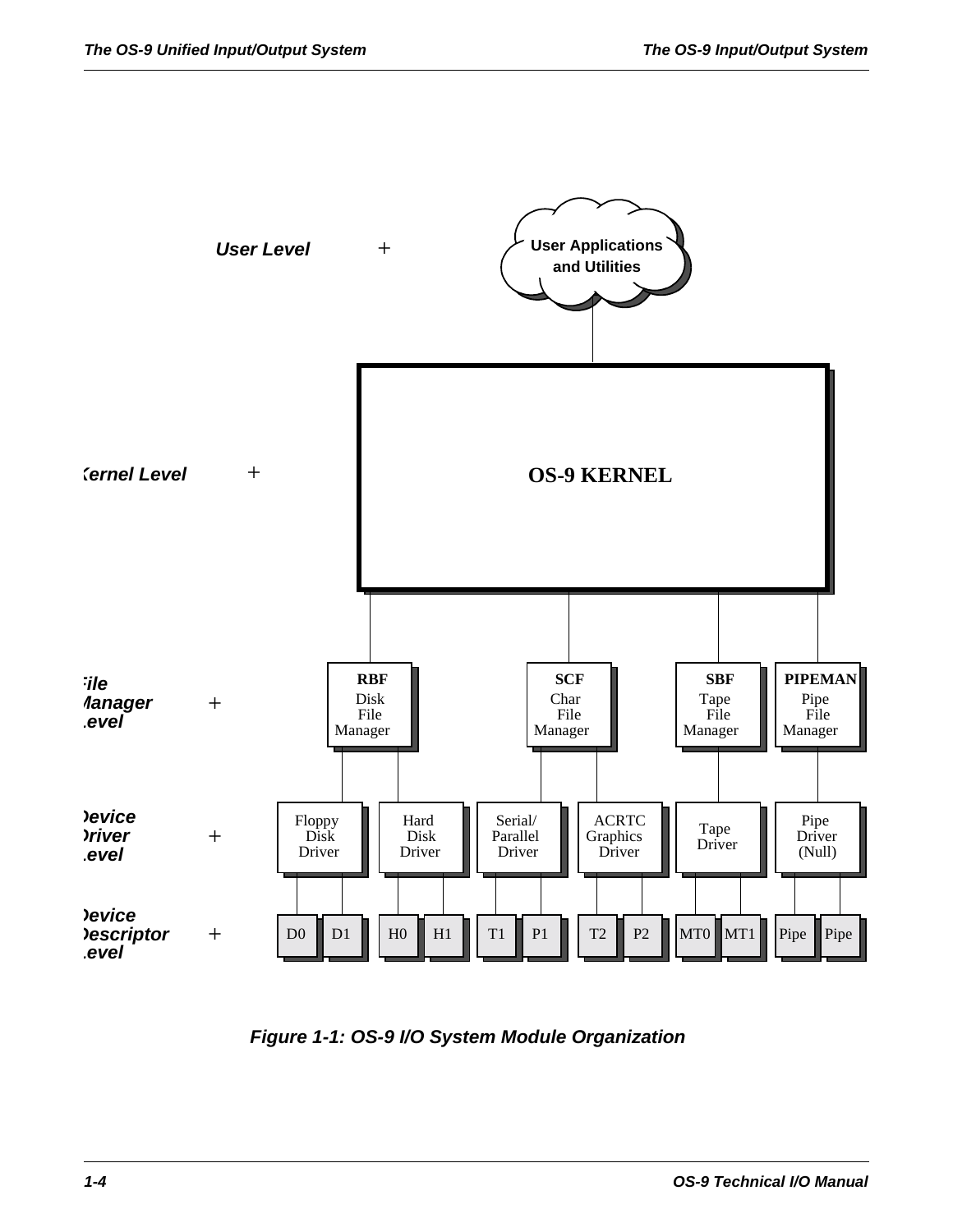

*Figure 1-1: OS-9 I/O System Module Organization*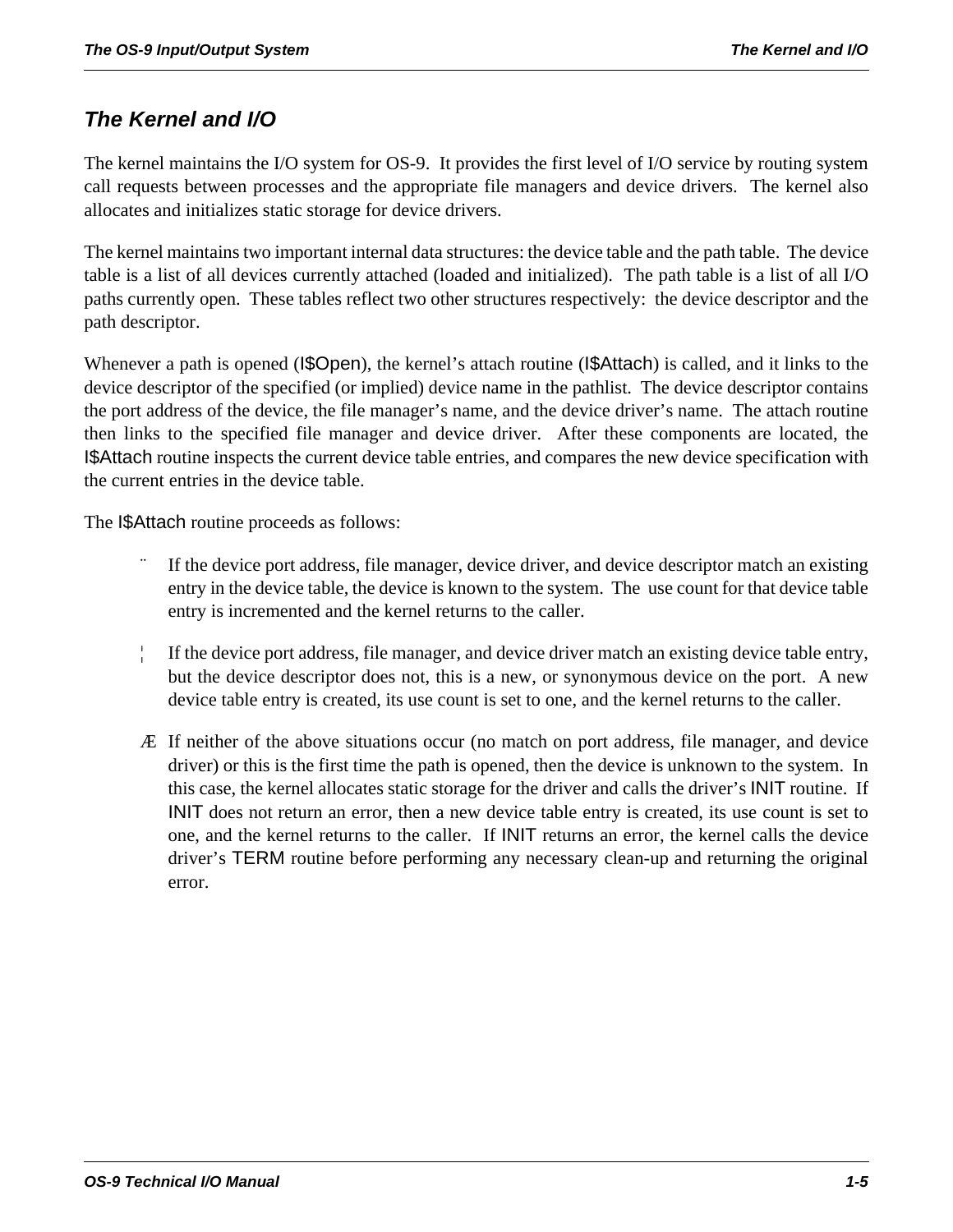# *The Kernel and I/O*

The kernel maintains the I/O system for OS-9. It provides the first level of I/O service by routing system call requests between processes and the appropriate file managers and device drivers. The kernel also allocates and initializes static storage for device drivers.

The kernel maintains two important internal data structures: the device table and the path table. The device table is a list of all devices currently attached (loaded and initialized). The path table is a list of all I/O paths currently open. These tables reflect two other structures respectively: the device descriptor and the path descriptor.

Whenever a path is opened (I\$Open), the kernel's attach routine (I\$Attach) is called, and it links to the device descriptor of the specified (or implied) device name in the pathlist. The device descriptor contains the port address of the device, the file manager's name, and the device driver's name. The attach routine then links to the specified file manager and device driver. After these components are located, the I\$Attach routine inspects the current device table entries, and compares the new device specification with the current entries in the device table.

The I\$Attach routine proceeds as follows:

- If the device port address, file manager, device driver, and device descriptor match an existing entry in the device table, the device is known to the system. The use count for that device table entry is incremented and the kernel returns to the caller.
- ¦ If the device port address, file manager, and device driver match an existing device table entry, but the device descriptor does not, this is a new, or synonymous device on the port. A new device table entry is created, its use count is set to one, and the kernel returns to the caller.
- Æ If neither of the above situations occur (no match on port address, file manager, and device driver) or this is the first time the path is opened, then the device is unknown to the system. In this case, the kernel allocates static storage for the driver and calls the driver's INIT routine. If INIT does not return an error, then a new device table entry is created, its use count is set to one, and the kernel returns to the caller. If INIT returns an error, the kernel calls the device driver's TERM routine before performing any necessary clean-up and returning the original error.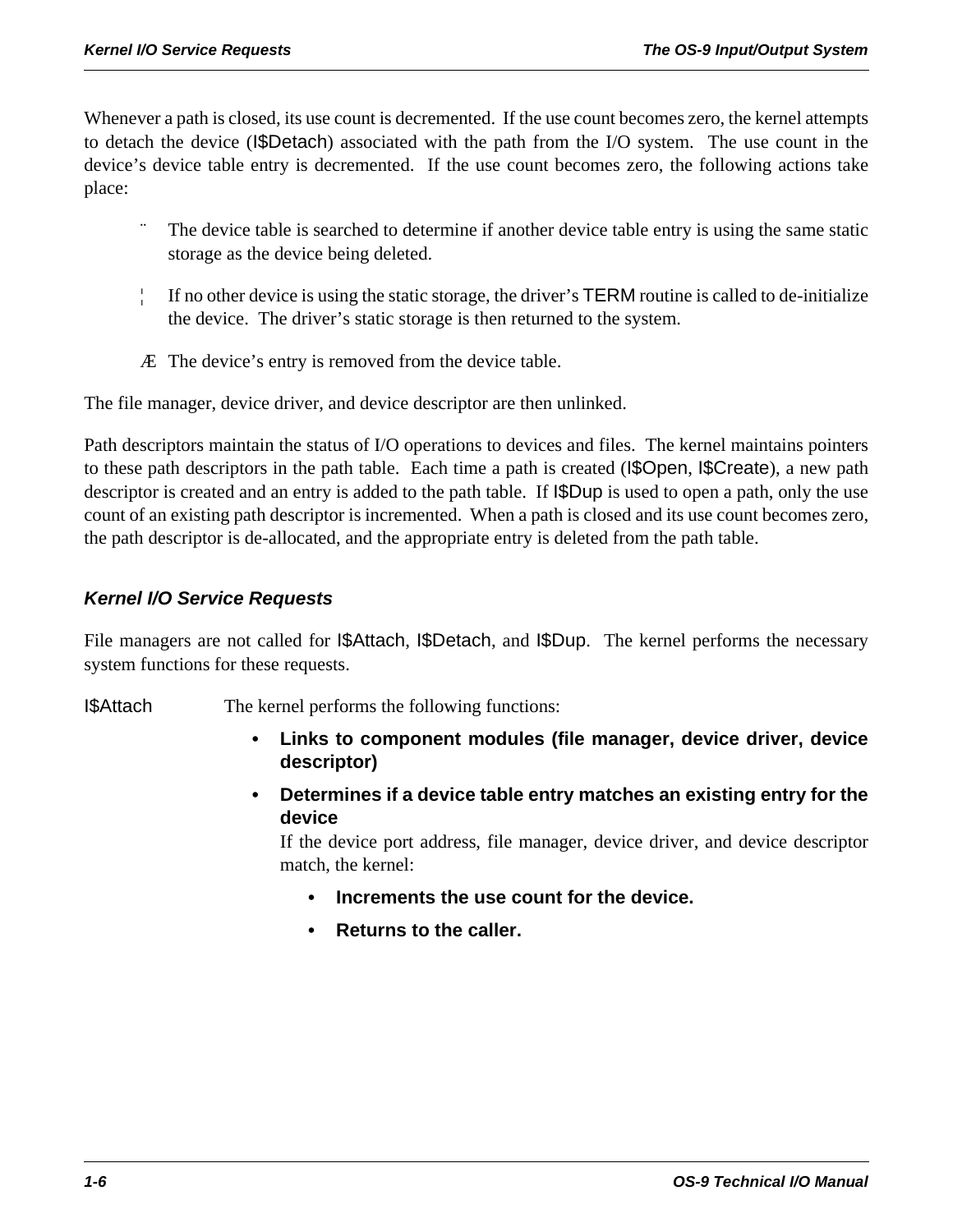Whenever a path is closed, its use count is decremented. If the use count becomes zero, the kernel attempts to detach the device (I\$Detach) associated with the path from the I/O system. The use count in the device's device table entry is decremented. If the use count becomes zero, the following actions take place:

- The device table is searched to determine if another device table entry is using the same static storage as the device being deleted.
- ¦ If no other device is using the static storage, the driver's TERM routine is called to de-initialize the device. The driver's static storage is then returned to the system.
- Æ The device's entry is removed from the device table.

The file manager, device driver, and device descriptor are then unlinked.

Path descriptors maintain the status of I/O operations to devices and files. The kernel maintains pointers to these path descriptors in the path table. Each time a path is created (I\$Open, I\$Create), a new path descriptor is created and an entry is added to the path table. If  $\beta$ Dup is used to open a path, only the use count of an existing path descriptor is incremented. When a path is closed and its use count becomes zero, the path descriptor is de-allocated, and the appropriate entry is deleted from the path table.

# *Kernel I/O Service Requests*

File managers are not called for **I\$Attach**, **I\$Detach**, and **I\$Dup**. The kernel performs the necessary system functions for these requests.

I\$Attach The kernel performs the following functions:

- **Links to component modules (file manager, device driver, device descriptor)**
- **Determines if a device table entry matches an existing entry for the device**

If the device port address, file manager, device driver, and device descriptor match, the kernel:

- **Increments the use count for the device.**
- **Returns to the caller.**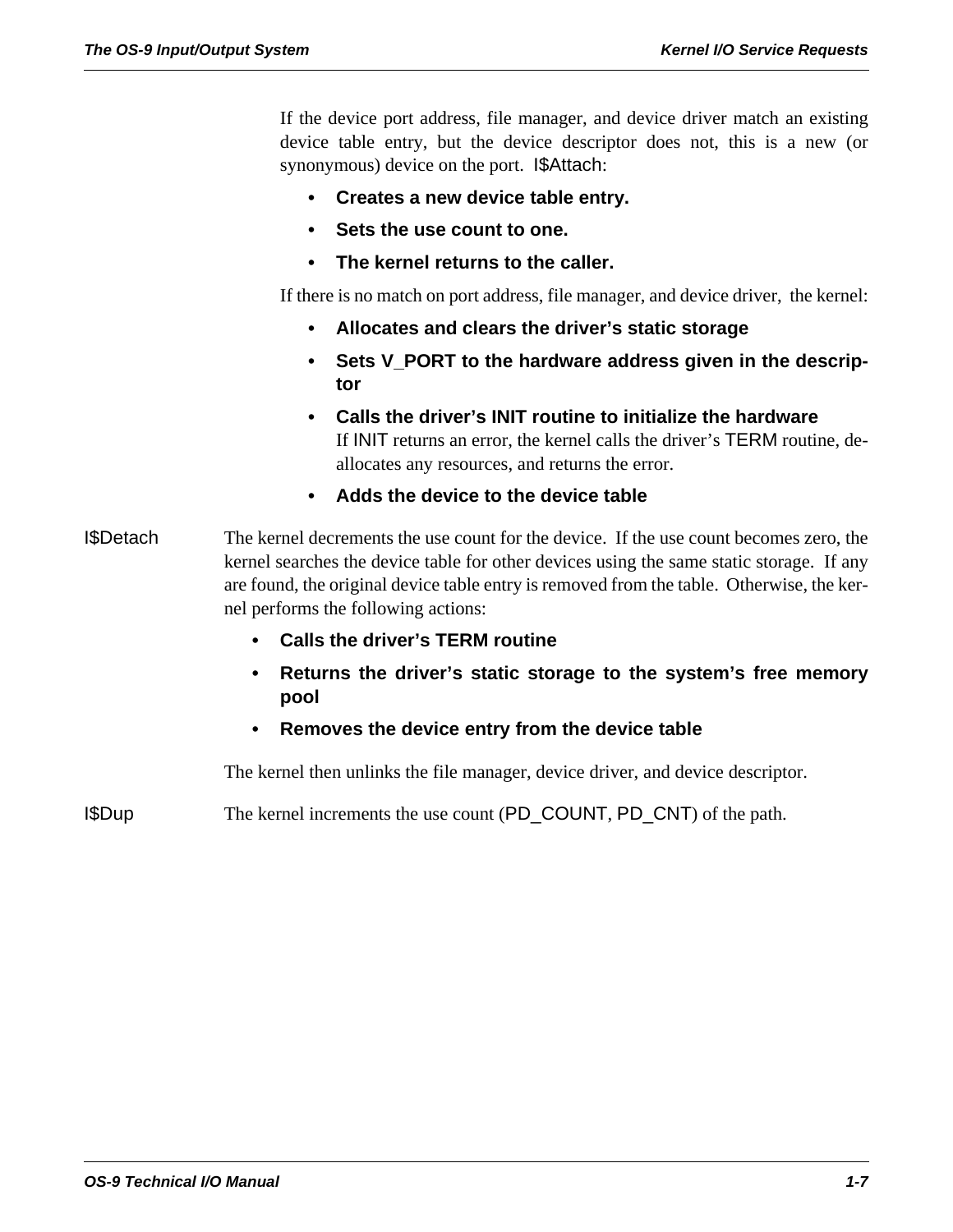If the device port address, file manager, and device driver match an existing device table entry, but the device descriptor does not, this is a new (or synonymous) device on the port. I\$Attach:

- **Creates a new device table entry.**
- **Sets the use count to one.**
- **The kernel returns to the caller.**

If there is no match on port address, file manager, and device driver, the kernel:

- **Allocates and clears the driver's static storage**
- **Sets V\_PORT to the hardware address given in the descriptor**
- **Calls the driver's INIT routine to initialize the hardware**  If INIT returns an error, the kernel calls the driver's TERM routine, deallocates any resources, and returns the error.
- **Adds the device to the device table**
- I\$Detach The kernel decrements the use count for the device. If the use count becomes zero, the kernel searches the device table for other devices using the same static storage. If any are found, the original device table entry is removed from the table. Otherwise, the kernel performs the following actions:
	- **Calls the driver's TERM routine**
	- **Returns the driver's static storage to the system's free memory pool**
	- **Removes the device entry from the device table**

The kernel then unlinks the file manager, device driver, and device descriptor.

I\$Dup The kernel increments the use count (PD\_COUNT, PD\_CNT) of the path.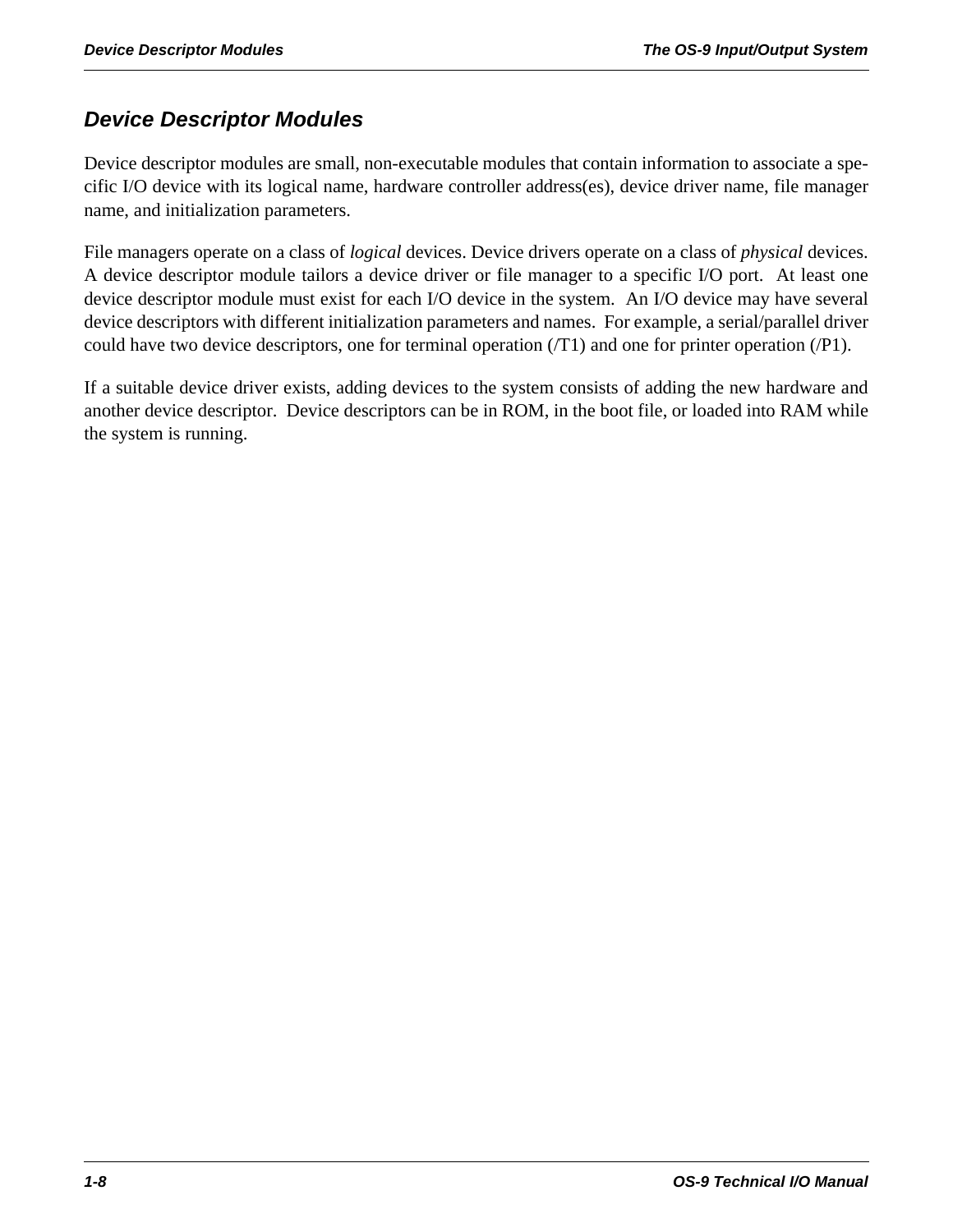# *Device Descriptor Modules*

Device descriptor modules are small, non-executable modules that contain information to associate a specific I/O device with its logical name, hardware controller address(es), device driver name, file manager name, and initialization parameters.

File managers operate on a class of *logical* devices. Device drivers operate on a class of *physical* devices. A device descriptor module tailors a device driver or file manager to a specific I/O port. At least one device descriptor module must exist for each I/O device in the system. An I/O device may have several device descriptors with different initialization parameters and names. For example, a serial/parallel driver could have two device descriptors, one for terminal operation (/T1) and one for printer operation (/P1).

If a suitable device driver exists, adding devices to the system consists of adding the new hardware and another device descriptor. Device descriptors can be in ROM, in the boot file, or loaded into RAM while the system is running.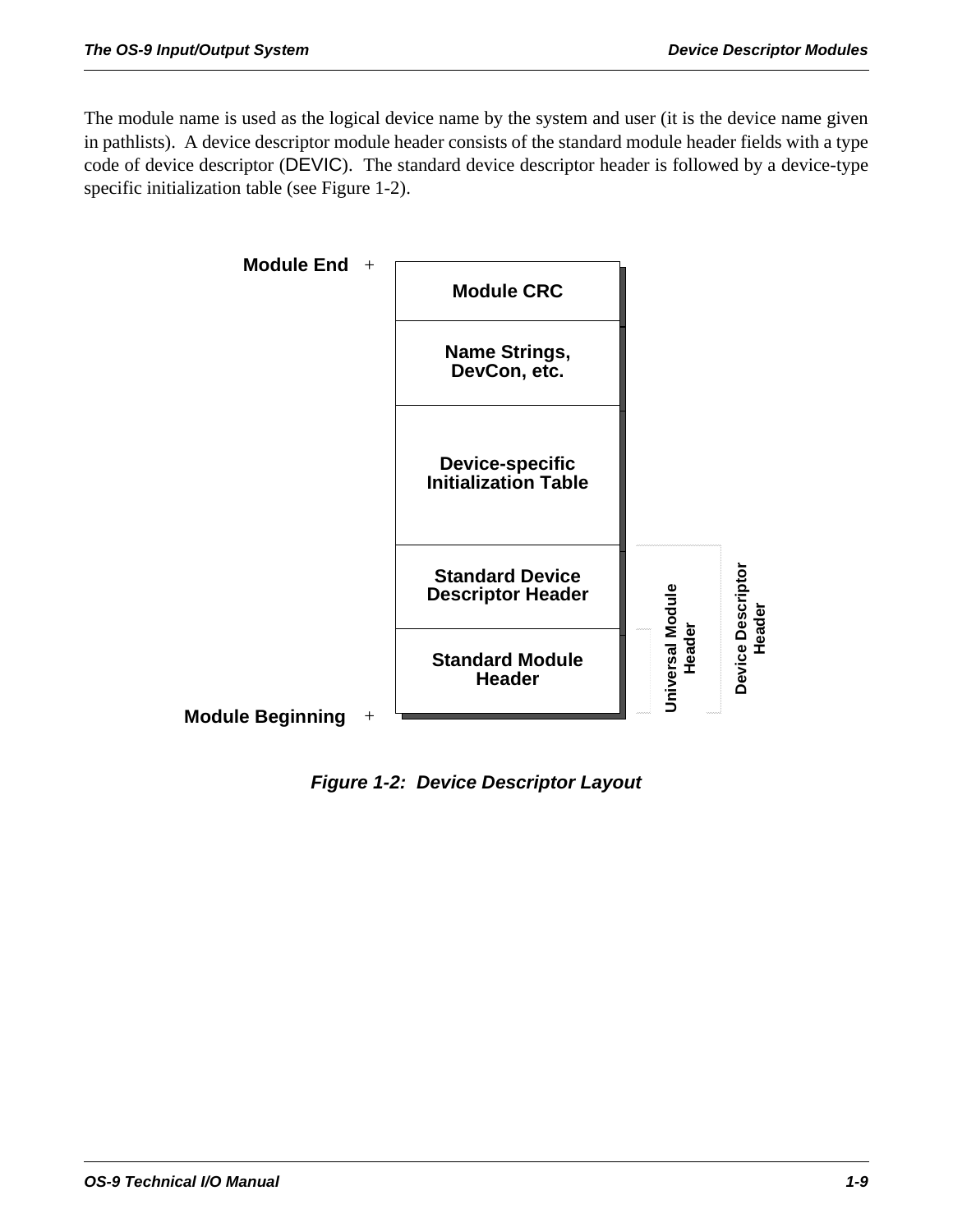The module name is used as the logical device name by the system and user (it is the device name given in pathlists). A device descriptor module header consists of the standard module header fields with a type code of device descriptor (DEVIC). The standard device descriptor header is followed by a device-type specific initialization table (see Figure 1-2).



*Figure 1-2: Device Descriptor Layout*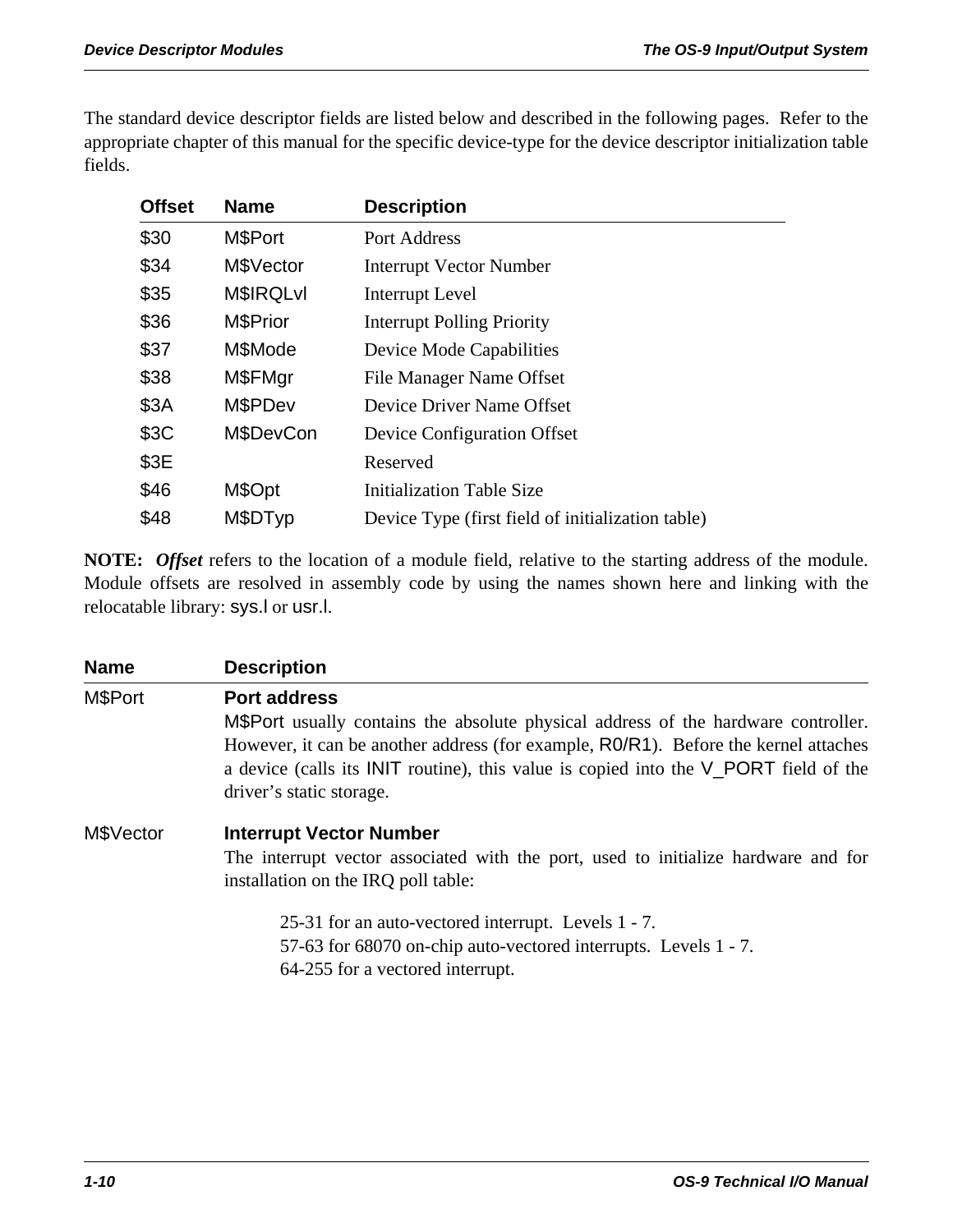The standard device descriptor fields are listed below and described in the following pages. Refer to the appropriate chapter of this manual for the specific device-type for the device descriptor initialization table fields.

| <b>Offset</b> | <b>Name</b>      | <b>Description</b>                                |
|---------------|------------------|---------------------------------------------------|
| \$30          | M\$Port          | Port Address                                      |
| \$34          | M\$Vector        | <b>Interrupt Vector Number</b>                    |
| \$35          | <b>M\$IRQLvI</b> | Interrupt Level                                   |
| \$36          | M\$Prior         | <b>Interrupt Polling Priority</b>                 |
| \$37          | M\$Mode          | Device Mode Capabilities                          |
| \$38          | M\$FMgr          | <b>File Manager Name Offset</b>                   |
| \$3A          | M\$PDev          | Device Driver Name Offset                         |
| \$3C          | M\$DevCon        | Device Configuration Offset                       |
| \$3E          |                  | Reserved                                          |
| \$46          | M\$Opt           | <b>Initialization Table Size</b>                  |
| \$48          | M\$DTyp          | Device Type (first field of initialization table) |

**NOTE:** *Offset* refers to the location of a module field, relative to the starting address of the module. Module offsets are resolved in assembly code by using the names shown here and linking with the relocatable library: sys.l or usr.l.

| <b>Name</b> | <b>Description</b>                                                                                                                                                                               |  |  |
|-------------|--------------------------------------------------------------------------------------------------------------------------------------------------------------------------------------------------|--|--|
| M\$Port     | <b>Port address</b><br>M\$Port usually contains the absolute physical address of the hardware controller.<br>However, it can be another address (for example, RO/R1). Before the kernel attaches |  |  |
|             | a device (calls its INIT routine), this value is copied into the V_PORT field of the<br>driver's static storage.                                                                                 |  |  |
| M\$Vector   | <b>Interrupt Vector Number</b><br>The interrupt vector associated with the port, used to initialize hardware and for<br>installation on the IRQ poll table:                                      |  |  |
|             | 25-31 for an auto-vectored interrupt. Levels 1 - 7.<br>57-63 for 68070 on-chip auto-vectored interrupts. Levels 1 - 7.<br>64-255 for a vectored interrupt.                                       |  |  |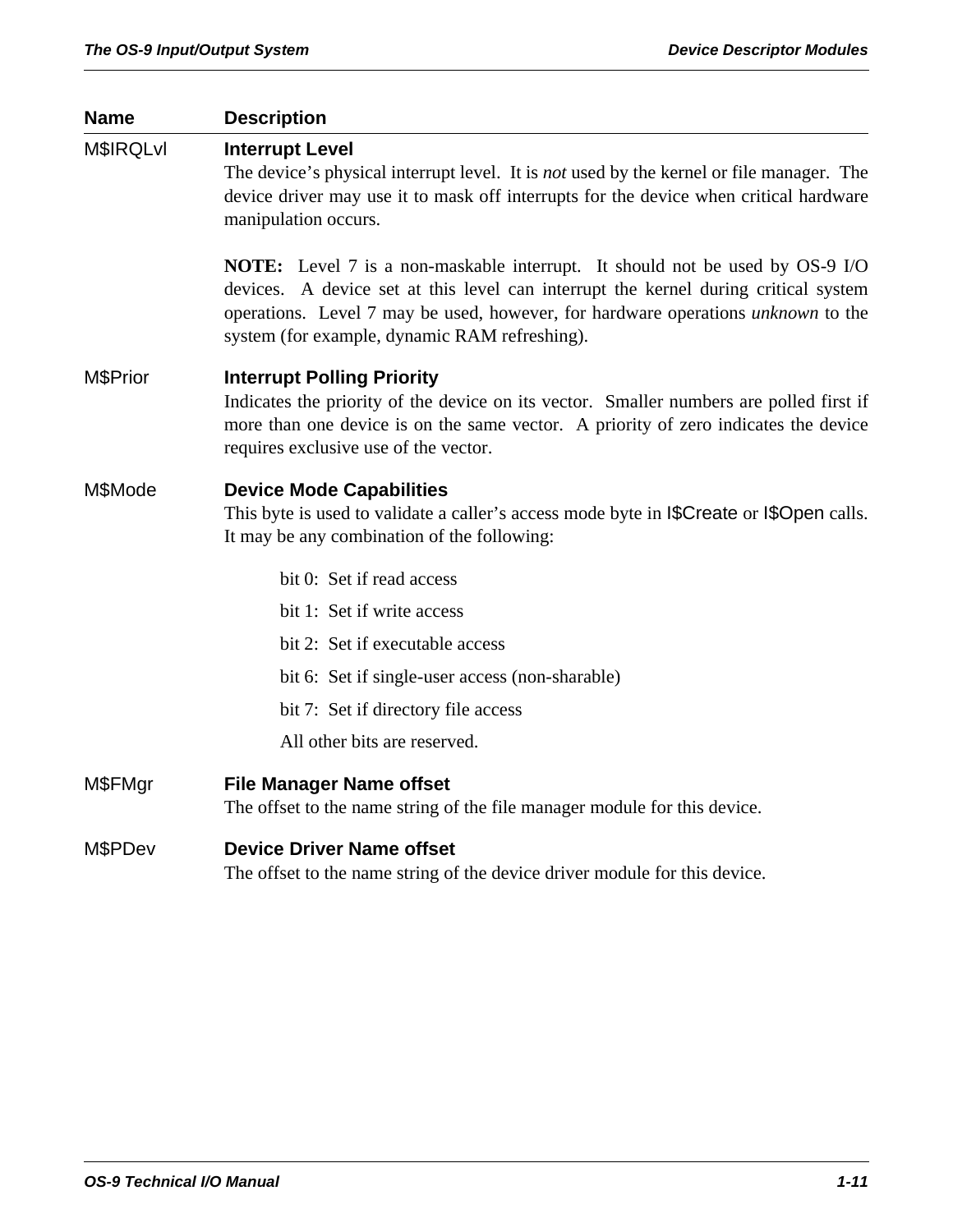# **Name Description**  M\$IRQLvl **Interrupt Level** The device's physical interrupt level. It is *not* used by the kernel or file manager. The device driver may use it to mask off interrupts for the device when critical hardware manipulation occurs. **NOTE:** Level 7 is a non-maskable interrupt. It should not be used by OS-9 I/O devices. A device set at this level can interrupt the kernel during critical system operations. Level 7 may be used, however, for hardware operations *unknown* to the system (for example, dynamic RAM refreshing). M\$Prior **Interrupt Polling Priority** Indicates the priority of the device on its vector. Smaller numbers are polled first if more than one device is on the same vector. A priority of zero indicates the device requires exclusive use of the vector. M\$Mode **Device Mode Capabilities** This byte is used to validate a caller's access mode byte in I\$Create or I\$Open calls. It may be any combination of the following: bit 0: Set if read access bit 1: Set if write access bit 2: Set if executable access bit 6: Set if single-user access (non-sharable) bit 7: Set if directory file access All other bits are reserved. M\$FMgr **File Manager Name offset** The offset to the name string of the file manager module for this device. M\$PDev **Device Driver Name offset**

The offset to the name string of the device driver module for this device.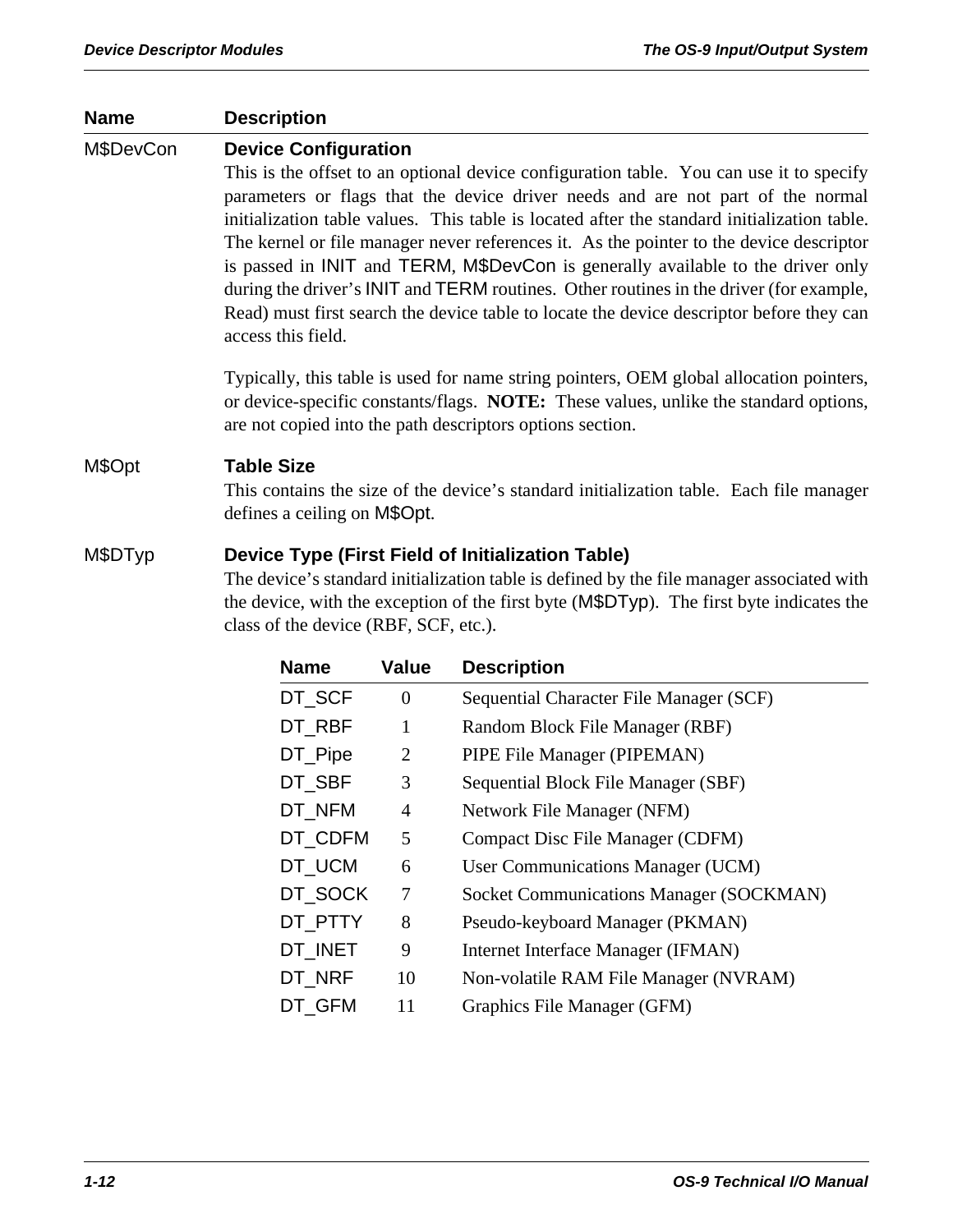# **Name Description**  M\$DevCon **Device Configuration**  This is the offset to an optional device configuration table. You can use it to specify parameters or flags that the device driver needs and are not part of the normal initialization table values. This table is located after the standard initialization table. The kernel or file manager never references it. As the pointer to the device descriptor is passed in INIT and TERM, M\$DevCon is generally available to the driver only during the driver's INIT and TERM routines. Other routines in the driver (for example, Read) must first search the device table to locate the device descriptor before they can access this field. Typically, this table is used for name string pointers, OEM global allocation pointers, or device-specific constants/flags. **NOTE:** These values, unlike the standard options, are not copied into the path descriptors options section. M\$Opt **Table Size** This contains the size of the device's standard initialization table. Each file manager defines a ceiling on M\$Opt. M\$DTyp **Device Type (First Field of Initialization Table)** The device's standard initialization table is defined by the file manager associated with the device, with the exception of the first byte (M\$DTyp). The first byte indicates the class of the device (RBF, SCF, etc.).

| <b>Name</b> | <b>Value</b>   | <b>Description</b>                      |
|-------------|----------------|-----------------------------------------|
| DT SCF      | $\overline{0}$ | Sequential Character File Manager (SCF) |
| DT RBF      | 1              | Random Block File Manager (RBF)         |
| DT_Pipe     | $\overline{2}$ | PIPE File Manager (PIPEMAN)             |
| DT SBF      | 3              | Sequential Block File Manager (SBF)     |
| DT NFM      | 4              | Network File Manager (NFM)              |
| DT CDFM     | 5              | <b>Compact Disc File Manager (CDFM)</b> |
| DT_UCM      | 6              | User Communications Manager (UCM)       |
| DT SOCK     | 7              | Socket Communications Manager (SOCKMAN) |
| DT PTTY     | 8              | Pseudo-keyboard Manager (PKMAN)         |
| DT INET     | 9              | Internet Interface Manager (IFMAN)      |
| DT NRF      | 10             | Non-volatile RAM File Manager (NVRAM)   |
| DT GFM      | 11             | Graphics File Manager (GFM)             |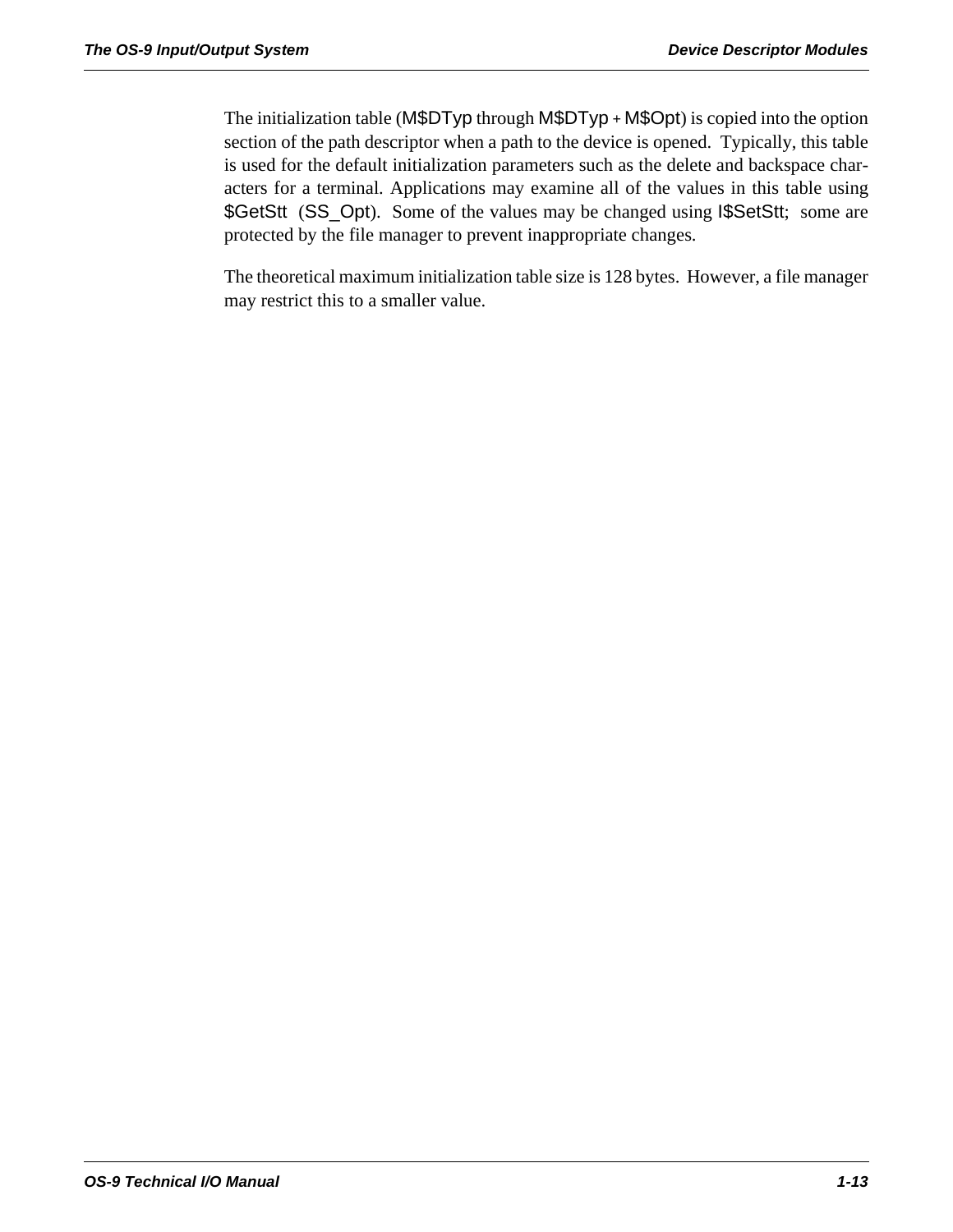The initialization table (M\$DTyp through M\$DTyp *+* M\$Opt) is copied into the option section of the path descriptor when a path to the device is opened. Typically, this table is used for the default initialization parameters such as the delete and backspace characters for a terminal. Applications may examine all of the values in this table using \$GetStt (SS\_Opt). Some of the values may be changed using I\$SetStt; some are protected by the file manager to prevent inappropriate changes.

The theoretical maximum initialization table size is 128 bytes. However, a file manager may restrict this to a smaller value.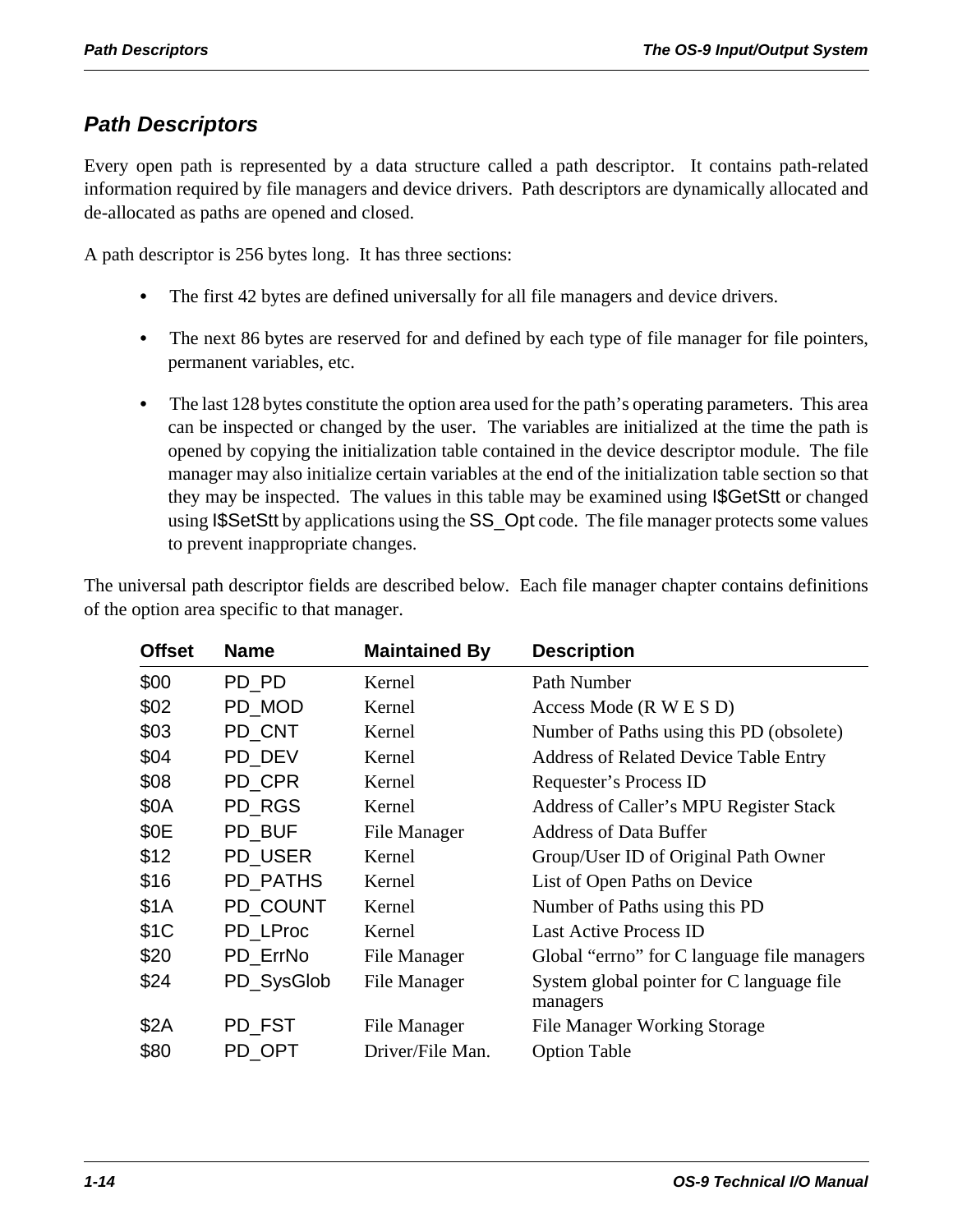# *Path Descriptors*

Every open path is represented by a data structure called a path descriptor. It contains path-related information required by file managers and device drivers. Path descriptors are dynamically allocated and de-allocated as paths are opened and closed.

A path descriptor is 256 bytes long. It has three sections:

- The first 42 bytes are defined universally for all file managers and device drivers.
- The next 86 bytes are reserved for and defined by each type of file manager for file pointers, permanent variables, etc.
- The last 128 bytes constitute the option area used for the path's operating parameters. This area can be inspected or changed by the user. The variables are initialized at the time the path is opened by copying the initialization table contained in the device descriptor module. The file manager may also initialize certain variables at the end of the initialization table section so that they may be inspected. The values in this table may be examined using I\$GetStt or changed using I\$SetStt by applications using the SS\_Opt code. The file manager protects some values to prevent inappropriate changes.

The universal path descriptor fields are described below. Each file manager chapter contains definitions of the option area specific to that manager.

| <b>Offset</b> | <b>Name</b> | <b>Maintained By</b> | <b>Description</b>                                    |
|---------------|-------------|----------------------|-------------------------------------------------------|
| \$00          | PD PD       | Kernel               | Path Number                                           |
| \$02          | PD MOD      | Kernel               | Access Mode (R W E S D)                               |
| \$03          | PD CNT      | Kernel               | Number of Paths using this PD (obsolete)              |
| \$04          | PD DEV      | Kernel               | <b>Address of Related Device Table Entry</b>          |
| \$08          | PD CPR      | Kernel               | Requester's Process ID                                |
| \$0A          | PD RGS      | Kernel               | Address of Caller's MPU Register Stack                |
| \$0E          | PD_BUF      | File Manager         | <b>Address of Data Buffer</b>                         |
| \$12          | PD USER     | Kernel               | Group/User ID of Original Path Owner                  |
| \$16          | PD PATHS    | Kernel               | List of Open Paths on Device                          |
| \$1A          | PD COUNT    | Kernel               | Number of Paths using this PD                         |
| \$1C          | PD_LProc    | Kernel               | <b>Last Active Process ID</b>                         |
| \$20          | PD ErrNo    | File Manager         | Global "errno" for C language file managers           |
| \$24          | PD_SysGlob  | File Manager         | System global pointer for C language file<br>managers |
| \$2A          | PD_FST      | File Manager         | <b>File Manager Working Storage</b>                   |
| \$80          | PD_OPT      | Driver/File Man.     | <b>Option Table</b>                                   |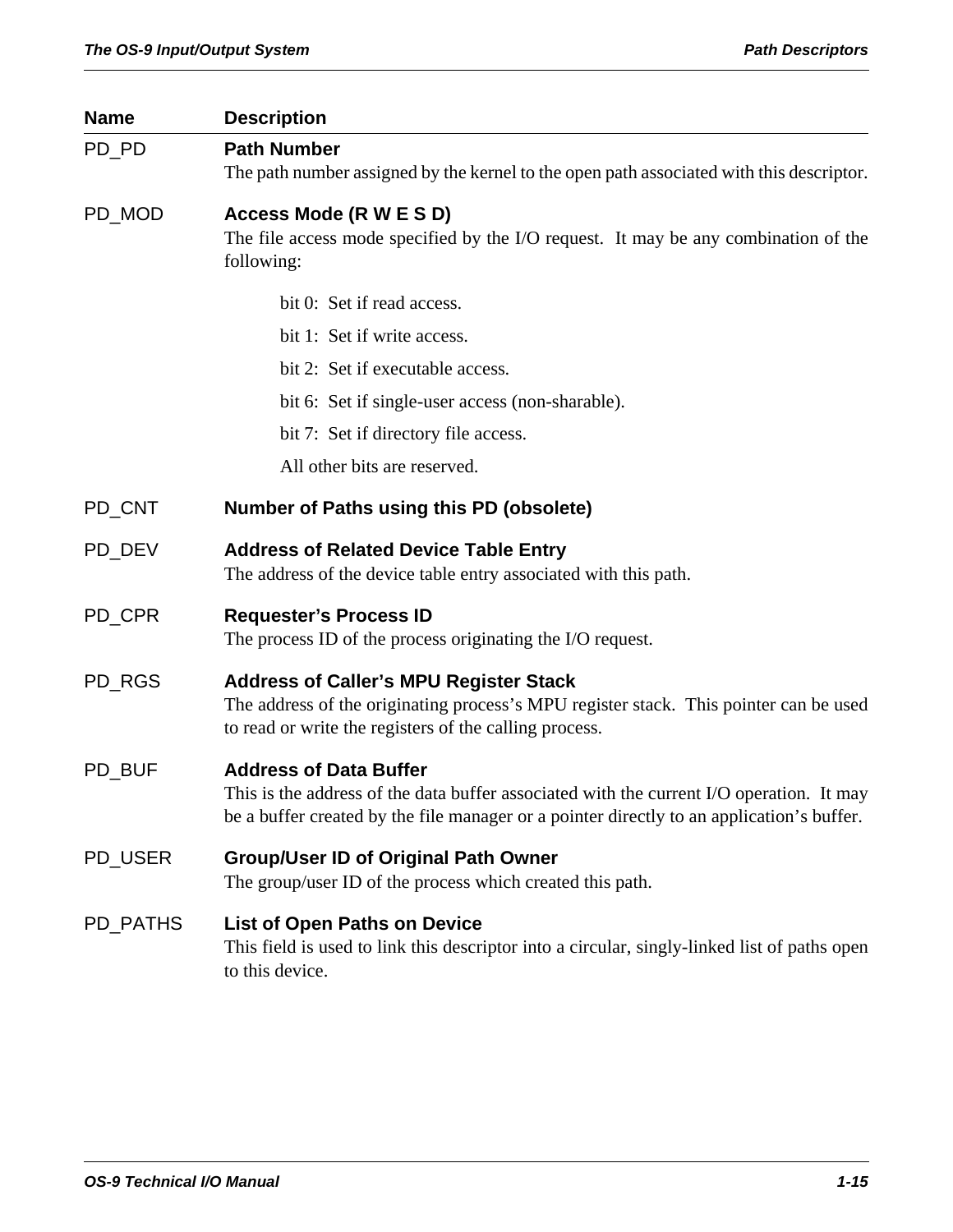| <b>Name</b> | <b>Description</b>                                                                                                                                                                               |  |
|-------------|--------------------------------------------------------------------------------------------------------------------------------------------------------------------------------------------------|--|
| PD_PD       | <b>Path Number</b>                                                                                                                                                                               |  |
|             | The path number assigned by the kernel to the open path associated with this descriptor.                                                                                                         |  |
| PD_MOD      | Access Mode (R W E S D)                                                                                                                                                                          |  |
|             | The file access mode specified by the I/O request. It may be any combination of the<br>following:                                                                                                |  |
|             | bit 0: Set if read access.                                                                                                                                                                       |  |
|             | bit 1: Set if write access.                                                                                                                                                                      |  |
|             | bit 2: Set if executable access.                                                                                                                                                                 |  |
|             | bit 6: Set if single-user access (non-sharable).                                                                                                                                                 |  |
|             | bit 7: Set if directory file access.                                                                                                                                                             |  |
|             | All other bits are reserved.                                                                                                                                                                     |  |
| PD_CNT      | <b>Number of Paths using this PD (obsolete)</b>                                                                                                                                                  |  |
| PD DEV      | <b>Address of Related Device Table Entry</b><br>The address of the device table entry associated with this path.                                                                                 |  |
| PD_CPR      | <b>Requester's Process ID</b><br>The process ID of the process originating the I/O request.                                                                                                      |  |
|             |                                                                                                                                                                                                  |  |
| PD_RGS      | <b>Address of Caller's MPU Register Stack</b><br>The address of the originating process's MPU register stack. This pointer can be used<br>to read or write the registers of the calling process. |  |
| PD BUF      | <b>Address of Data Buffer</b>                                                                                                                                                                    |  |
|             | This is the address of the data buffer associated with the current I/O operation. It may<br>be a buffer created by the file manager or a pointer directly to an application's buffer.            |  |
| PD_USER     | <b>Group/User ID of Original Path Owner</b><br>The group/user ID of the process which created this path.                                                                                         |  |
| PD_PATHS    | <b>List of Open Paths on Device</b><br>This field is used to link this descriptor into a circular, singly-linked list of paths open<br>to this device.                                           |  |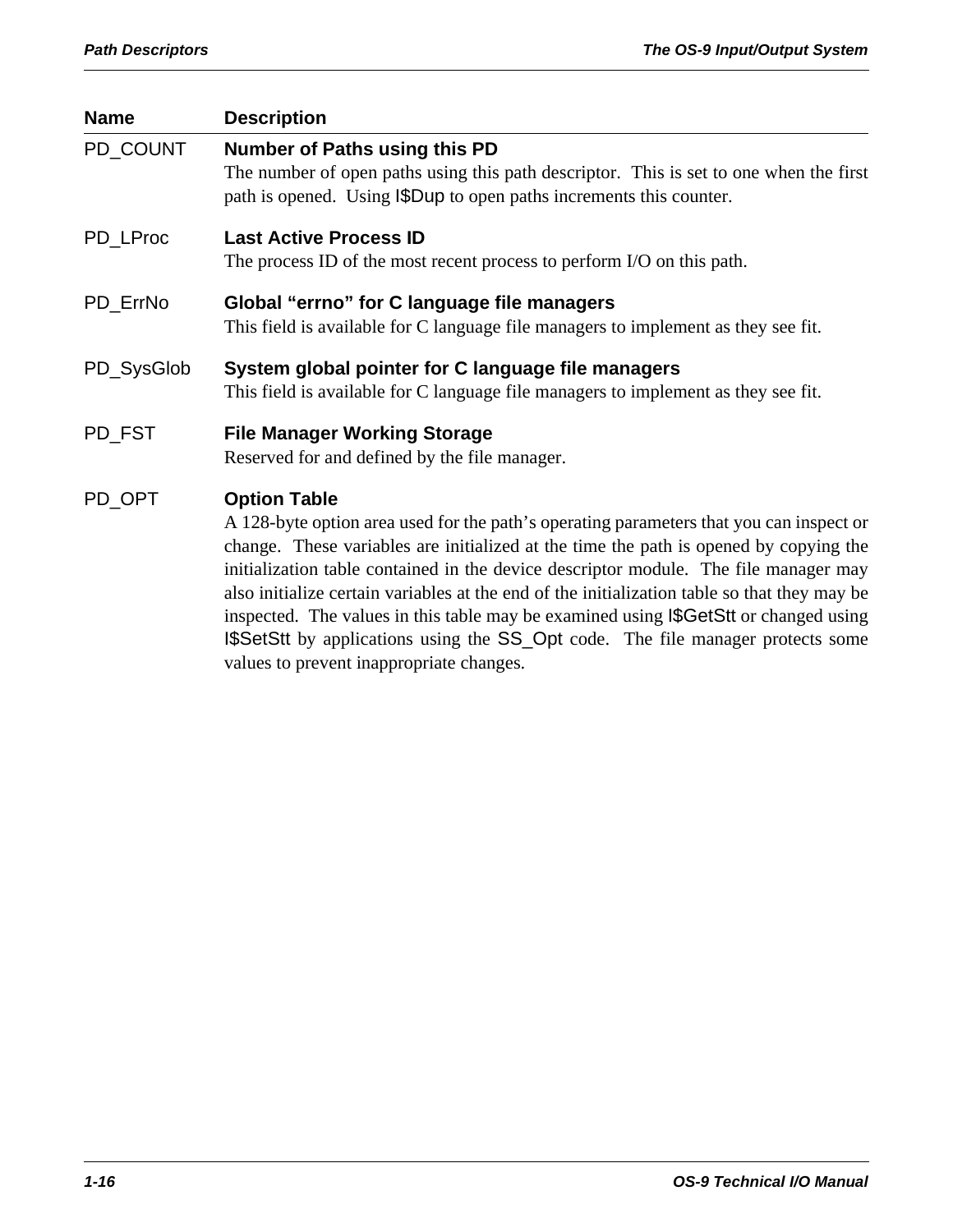| <b>Name</b> | <b>Description</b>                                                                                                                                                                                                                                                                                                                                                                                                                                                                                                                                                               |  |  |
|-------------|----------------------------------------------------------------------------------------------------------------------------------------------------------------------------------------------------------------------------------------------------------------------------------------------------------------------------------------------------------------------------------------------------------------------------------------------------------------------------------------------------------------------------------------------------------------------------------|--|--|
| PD_COUNT    | <b>Number of Paths using this PD</b><br>The number of open paths using this path descriptor. This is set to one when the first<br>path is opened. Using SpDup to open paths increments this counter.                                                                                                                                                                                                                                                                                                                                                                             |  |  |
| PD_LProc    | <b>Last Active Process ID</b><br>The process ID of the most recent process to perform I/O on this path.                                                                                                                                                                                                                                                                                                                                                                                                                                                                          |  |  |
| PD_ErrNo    | Global "errno" for C language file managers<br>This field is available for C language file managers to implement as they see fit.                                                                                                                                                                                                                                                                                                                                                                                                                                                |  |  |
| PD_SysGlob  | System global pointer for C language file managers<br>This field is available for C language file managers to implement as they see fit.                                                                                                                                                                                                                                                                                                                                                                                                                                         |  |  |
| PD_FST      | <b>File Manager Working Storage</b><br>Reserved for and defined by the file manager.                                                                                                                                                                                                                                                                                                                                                                                                                                                                                             |  |  |
| PD_OPT      | <b>Option Table</b><br>A 128-byte option area used for the path's operating parameters that you can inspect or<br>change. These variables are initialized at the time the path is opened by copying the<br>initialization table contained in the device descriptor module. The file manager may<br>also initialize certain variables at the end of the initialization table so that they may be<br>inspected. The values in this table may be examined using I\$GetStt or changed using<br><b>ISSetStt</b> by applications using the SS_Opt code. The file manager protects some |  |  |

values to prevent inappropriate changes.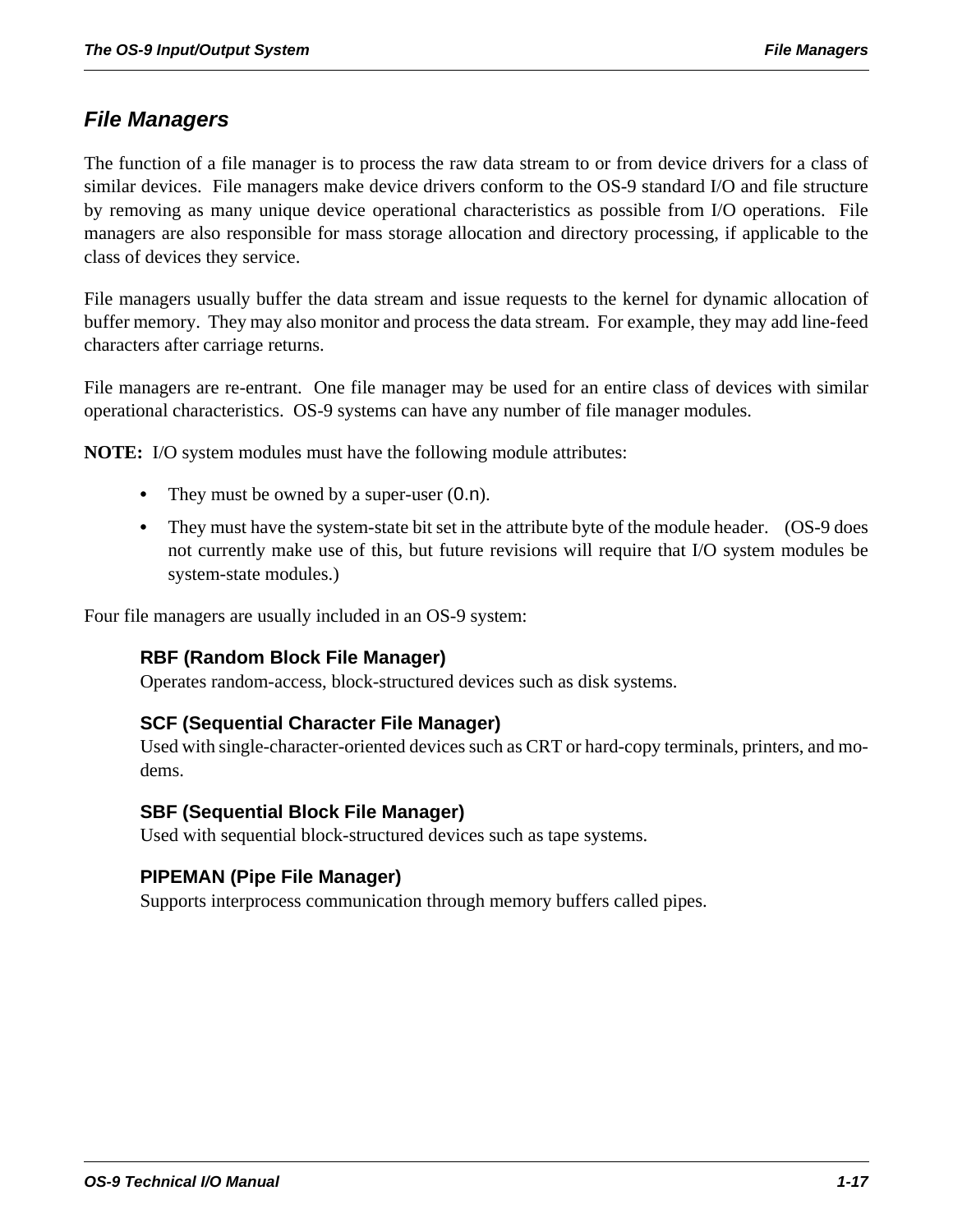# *File Managers*

The function of a file manager is to process the raw data stream to or from device drivers for a class of similar devices. File managers make device drivers conform to the OS-9 standard I/O and file structure by removing as many unique device operational characteristics as possible from I/O operations. File managers are also responsible for mass storage allocation and directory processing, if applicable to the class of devices they service.

File managers usually buffer the data stream and issue requests to the kernel for dynamic allocation of buffer memory. They may also monitor and process the data stream. For example, they may add line-feed characters after carriage returns.

File managers are re-entrant. One file manager may be used for an entire class of devices with similar operational characteristics. OS-9 systems can have any number of file manager modules.

**NOTE:** I/O system modules must have the following module attributes:

- They must be owned by a super-user  $(0.n)$ .
- They must have the system-state bit set in the attribute byte of the module header. (OS-9 does not currently make use of this, but future revisions will require that I/O system modules be system-state modules.)

Four file managers are usually included in an OS-9 system:

# **RBF (Random Block File Manager)**

Operates random-access, block-structured devices such as disk systems.

#### **SCF (Sequential Character File Manager)**

Used with single-character-oriented devices such as CRT or hard-copy terminals, printers, and modems.

#### **SBF (Sequential Block File Manager)**

Used with sequential block-structured devices such as tape systems.

#### **PIPEMAN (Pipe File Manager)**

Supports interprocess communication through memory buffers called pipes.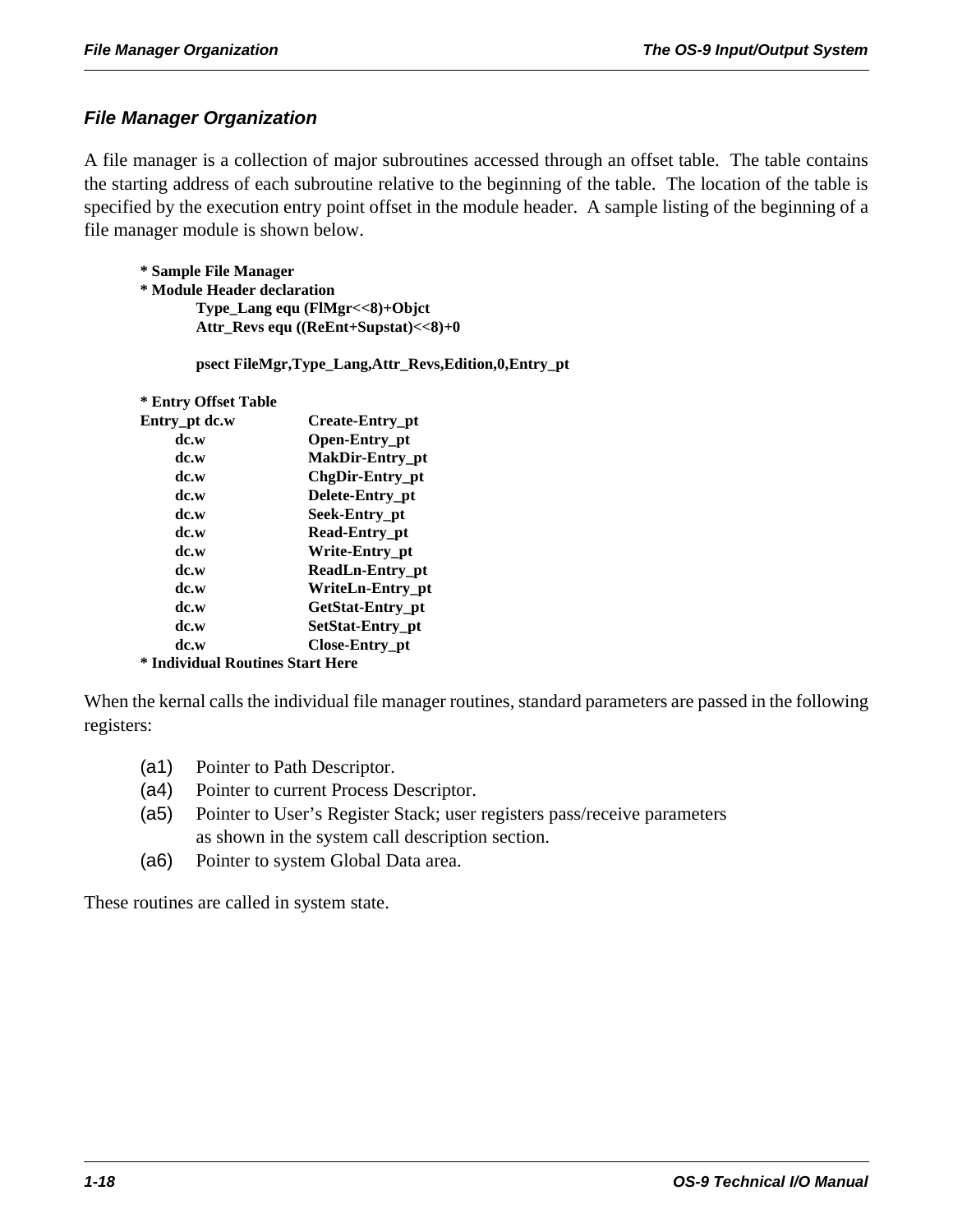# *File Manager Organization*

A file manager is a collection of major subroutines accessed through an offset table. The table contains the starting address of each subroutine relative to the beginning of the table. The location of the table is specified by the execution entry point offset in the module header. A sample listing of the beginning of a file manager module is shown below.

**\* Sample File Manager \* Module Header declaration Type\_Lang equ (FlMgr<<8)+Objct Attr\_Revs equ ((ReEnt+Supstat)<<8)+0**

**psect FileMgr,Type\_Lang,Attr\_Revs,Edition,0,Entry\_pt**

#### **\* Entry Offset Table**

| Entry_pt dc.w                    | Create-Entry_pt      |  |
|----------------------------------|----------------------|--|
| dc.w                             | Open-Entry_pt        |  |
| dc.w                             | MakDir-Entry pt      |  |
| dc.w                             | ChgDir-Entry_pt      |  |
| dc.w                             | Delete-Entry_pt      |  |
| dc.w                             | Seek-Entry pt        |  |
| dc.w                             | <b>Read-Entry pt</b> |  |
| dc.w                             | Write-Entry pt       |  |
| dc.w                             | ReadLn-Entry_pt      |  |
| dc.w                             | WriteLn-Entry pt     |  |
| dc.w                             | GetStat-Entry pt     |  |
| dc.w                             | SetStat-Entry pt     |  |
| dc.w                             | Close-Entry pt       |  |
| * Individual Routines Start Here |                      |  |

When the kernal calls the individual file manager routines, standard parameters are passed in the following registers:

- (a1) Pointer to Path Descriptor.
- (a4) Pointer to current Process Descriptor.
- (a5) Pointer to User's Register Stack; user registers pass/receive parameters as shown in the system call description section.
- (a6) Pointer to system Global Data area.

These routines are called in system state.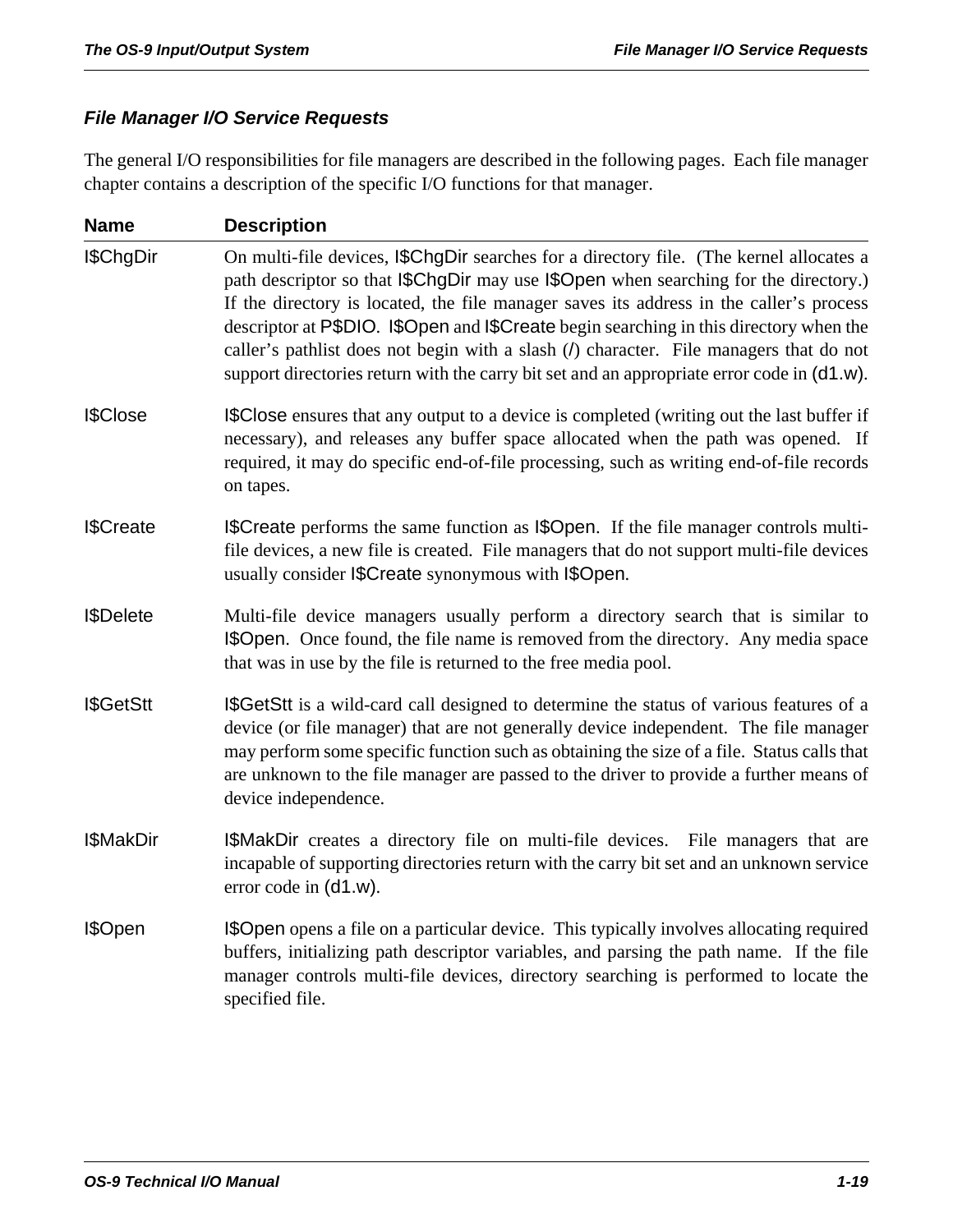# *File Manager I/O Service Requests*

The general I/O responsibilities for file managers are described in the following pages. Each file manager chapter contains a description of the specific I/O functions for that manager.

| <b>Name</b>       | <b>Description</b>                                                                                                                                                                                                                                                                                                                                                                                                                                                                                                                                            |  |
|-------------------|---------------------------------------------------------------------------------------------------------------------------------------------------------------------------------------------------------------------------------------------------------------------------------------------------------------------------------------------------------------------------------------------------------------------------------------------------------------------------------------------------------------------------------------------------------------|--|
| I\$ChgDir         | On multi-file devices, SChgDir searches for a directory file. (The kernel allocates a<br>path descriptor so that <i>SChgDir may use SOpen</i> when searching for the directory.)<br>If the directory is located, the file manager saves its address in the caller's process<br>descriptor at P\$DIO. I\$Open and I\$Create begin searching in this directory when the<br>caller's pathlist does not begin with a slash (/) character. File managers that do not<br>support directories return with the carry bit set and an appropriate error code in (d1.w). |  |
| I\$Close          | <b>I\$Close</b> ensures that any output to a device is completed (writing out the last buffer if<br>necessary), and releases any buffer space allocated when the path was opened. If<br>required, it may do specific end-of-file processing, such as writing end-of-file records<br>on tapes.                                                                                                                                                                                                                                                                 |  |
| <b>I</b> \$Create | <b>I</b> \$Create performs the same function as I\$Open. If the file manager controls multi-<br>file devices, a new file is created. File managers that do not support multi-file devices<br>usually consider I\$Create synonymous with I\$Open.                                                                                                                                                                                                                                                                                                              |  |
| <b>I</b> \$Delete | Multi-file device managers usually perform a directory search that is similar to<br><b>I\$Open.</b> Once found, the file name is removed from the directory. Any media space<br>that was in use by the file is returned to the free media pool.                                                                                                                                                                                                                                                                                                               |  |
| I\$GetStt         | I\$GetStt is a wild-card call designed to determine the status of various features of a<br>device (or file manager) that are not generally device independent. The file manager<br>may perform some specific function such as obtaining the size of a file. Status calls that<br>are unknown to the file manager are passed to the driver to provide a further means of<br>device independence.                                                                                                                                                               |  |
| I\$MakDir         | <b>I\$MakDir</b> creates a directory file on multi-file devices. File managers that are<br>incapable of supporting directories return with the carry bit set and an unknown service<br>error code in $(d1.w)$ .                                                                                                                                                                                                                                                                                                                                               |  |
| I\$Open           | <b>Sopen</b> opens a file on a particular device. This typically involves allocating required<br>buffers, initializing path descriptor variables, and parsing the path name. If the file<br>manager controls multi-file devices, directory searching is performed to locate the<br>specified file.                                                                                                                                                                                                                                                            |  |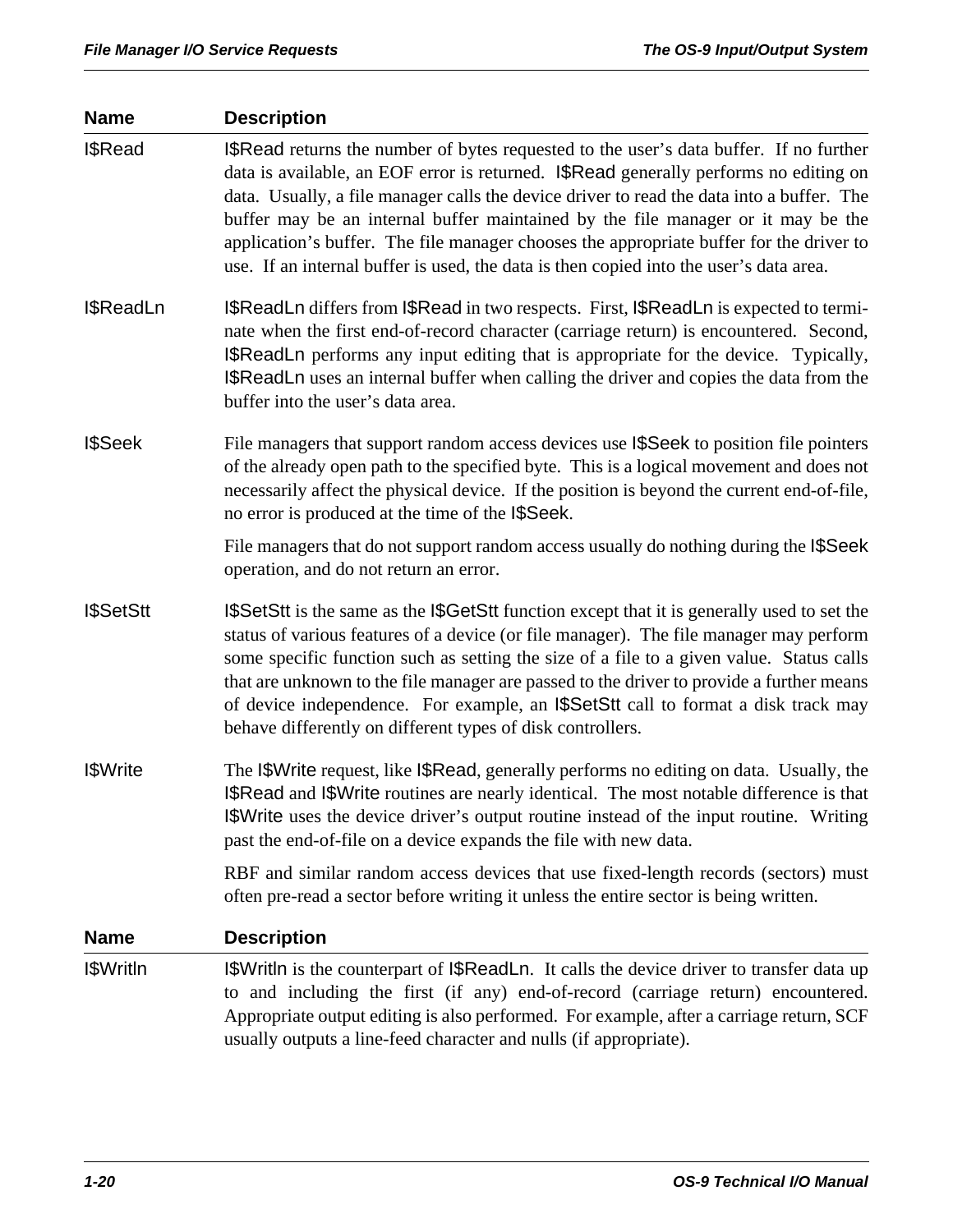| <b>Name</b>       | <b>Description</b>                                                                                                                                                                                                                                                                                                                                                                                                                                                                                                                                            |  |  |
|-------------------|---------------------------------------------------------------------------------------------------------------------------------------------------------------------------------------------------------------------------------------------------------------------------------------------------------------------------------------------------------------------------------------------------------------------------------------------------------------------------------------------------------------------------------------------------------------|--|--|
| I\$Read           | <b>I</b> \$Read returns the number of bytes requested to the user's data buffer. If no further<br>data is available, an EOF error is returned. I\$Read generally performs no editing on<br>data. Usually, a file manager calls the device driver to read the data into a buffer. The<br>buffer may be an internal buffer maintained by the file manager or it may be the<br>application's buffer. The file manager chooses the appropriate buffer for the driver to<br>use. If an internal buffer is used, the data is then copied into the user's data area. |  |  |
| I\$ReadLn         | <b>I\$ReadLn</b> differs from I\$Read in two respects. First, I\$ReadLn is expected to termi-<br>nate when the first end-of-record character (carriage return) is encountered. Second,<br><b>I\$ReadLn</b> performs any input editing that is appropriate for the device. Typically,<br><b>I\$ReadLn</b> uses an internal buffer when calling the driver and copies the data from the<br>buffer into the user's data area.                                                                                                                                    |  |  |
| <b>I</b> \$Seek   | File managers that support random access devices use <b>SSeek</b> to position file pointers<br>of the already open path to the specified byte. This is a logical movement and does not<br>necessarily affect the physical device. If the position is beyond the current end-of-file,<br>no error is produced at the time of the I\$Seek.                                                                                                                                                                                                                      |  |  |
|                   | File managers that do not support random access usually do nothing during the I\$Seek<br>operation, and do not return an error.                                                                                                                                                                                                                                                                                                                                                                                                                               |  |  |
| <b>I</b> \$SetStt | <b>I</b> \$SetStt is the same as the I\$GetStt function except that it is generally used to set the<br>status of various features of a device (or file manager). The file manager may perform<br>some specific function such as setting the size of a file to a given value. Status calls<br>that are unknown to the file manager are passed to the driver to provide a further means<br>of device independence. For example, an I\$SetStt call to format a disk track may<br>behave differently on different types of disk controllers.                      |  |  |
| <b>I</b> \$Write  | The I\$Write request, like I\$Read, generally performs no editing on data. Usually, the<br>I\$Read and I\$Write routines are nearly identical. The most notable difference is that<br>I\$Write uses the device driver's output routine instead of the input routine. Writing<br>past the end-of-file on a device expands the file with new data.                                                                                                                                                                                                              |  |  |
|                   | RBF and similar random access devices that use fixed-length records (sectors) must<br>often pre-read a sector before writing it unless the entire sector is being written.                                                                                                                                                                                                                                                                                                                                                                                    |  |  |
| <b>Name</b>       | <b>Description</b>                                                                                                                                                                                                                                                                                                                                                                                                                                                                                                                                            |  |  |
| I\$Writln         | <b>I</b> \$Writln is the counterpart of I\$ReadLn. It calls the device driver to transfer data up<br>to and including the first (if any) end-of-record (carriage return) encountered.<br>Appropriate output editing is also performed. For example, after a carriage return, SCF<br>usually outputs a line-feed character and nulls (if appropriate).                                                                                                                                                                                                         |  |  |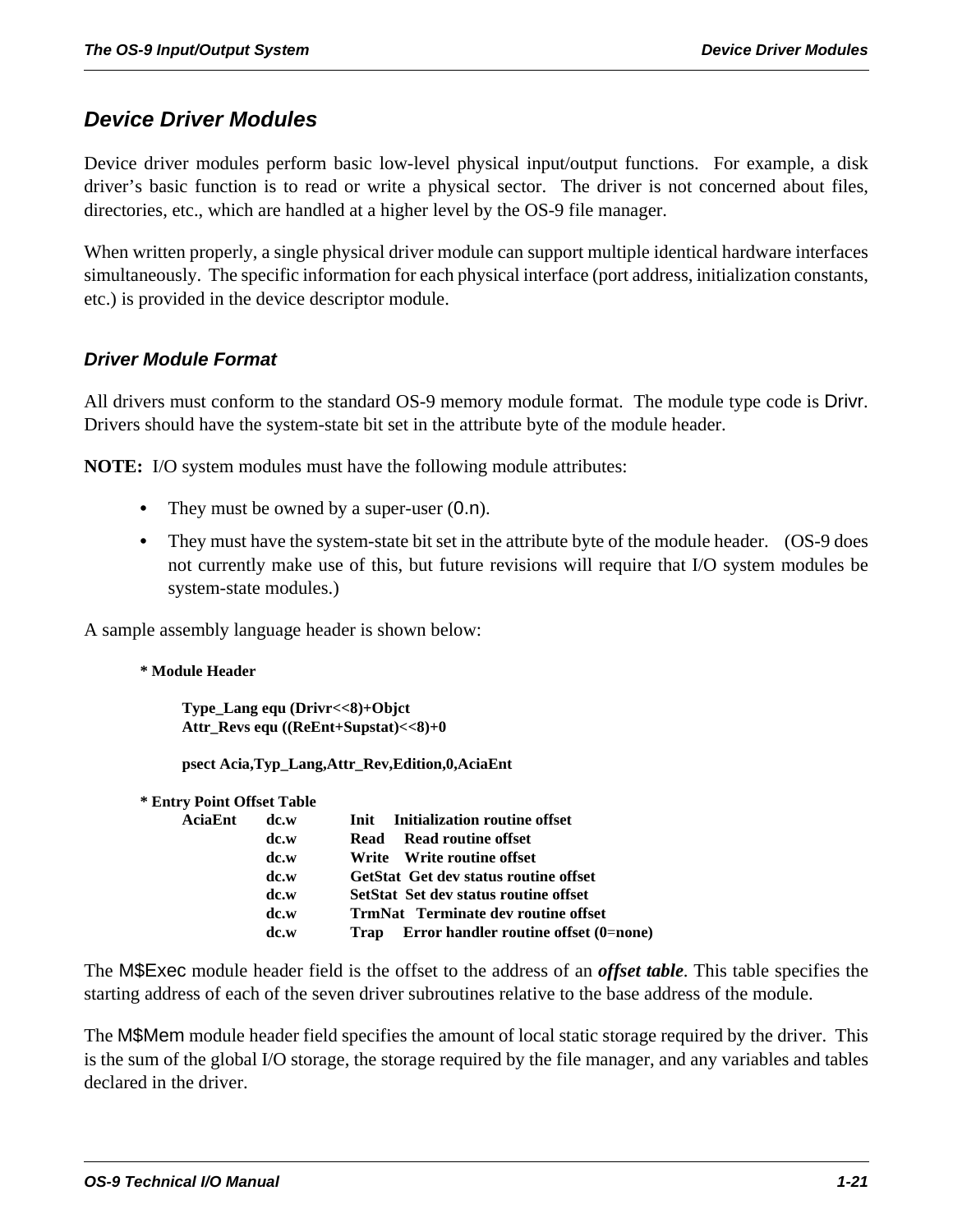# *Device Driver Modules*

Device driver modules perform basic low-level physical input/output functions. For example, a disk driver's basic function is to read or write a physical sector. The driver is not concerned about files, directories, etc., which are handled at a higher level by the OS-9 file manager.

When written properly, a single physical driver module can support multiple identical hardware interfaces simultaneously. The specific information for each physical interface (port address, initialization constants, etc.) is provided in the device descriptor module.

### *Driver Module Format*

All drivers must conform to the standard OS-9 memory module format. The module type code is Drivr. Drivers should have the system-state bit set in the attribute byte of the module header.

**NOTE:** I/O system modules must have the following module attributes:

- They must be owned by a super-user  $(0.n)$ .
- **•** They must have the system-state bit set in the attribute byte of the module header. (OS-9 does not currently make use of this, but future revisions will require that I/O system modules be system-state modules.)

A sample assembly language header is shown below:

**\* Module Header**

**Type\_Lang equ (Drivr<<8)+Objct Attr\_Revs equ ((ReEnt+Supstat)<<8)+0**

**psect Acia,Typ\_Lang,Attr\_Rev,Edition,0,AciaEnt**

| <b>* Entry Point Offset Table</b> |      |                                               |
|-----------------------------------|------|-----------------------------------------------|
| AciaEnt                           | dc.w | Initialization routine offset<br>Init         |
|                                   | dc.w | Read routine offset<br>Read                   |
|                                   | dc.w | Write Write routine offset                    |
|                                   | dc.w | <b>GetStat Get dev status routine offset</b>  |
|                                   | dc.w | SetStat Set dev status routine offset         |
|                                   | dc.w | <b>TrmNat</b> Terminate dev routine offset    |
|                                   | dc.w | Error handler routine offset (0=none)<br>Trap |
|                                   |      |                                               |

The M\$Exec module header field is the offset to the address of an *offset table*. This table specifies the starting address of each of the seven driver subroutines relative to the base address of the module.

The M\$Mem module header field specifies the amount of local static storage required by the driver. This is the sum of the global I/O storage, the storage required by the file manager, and any variables and tables declared in the driver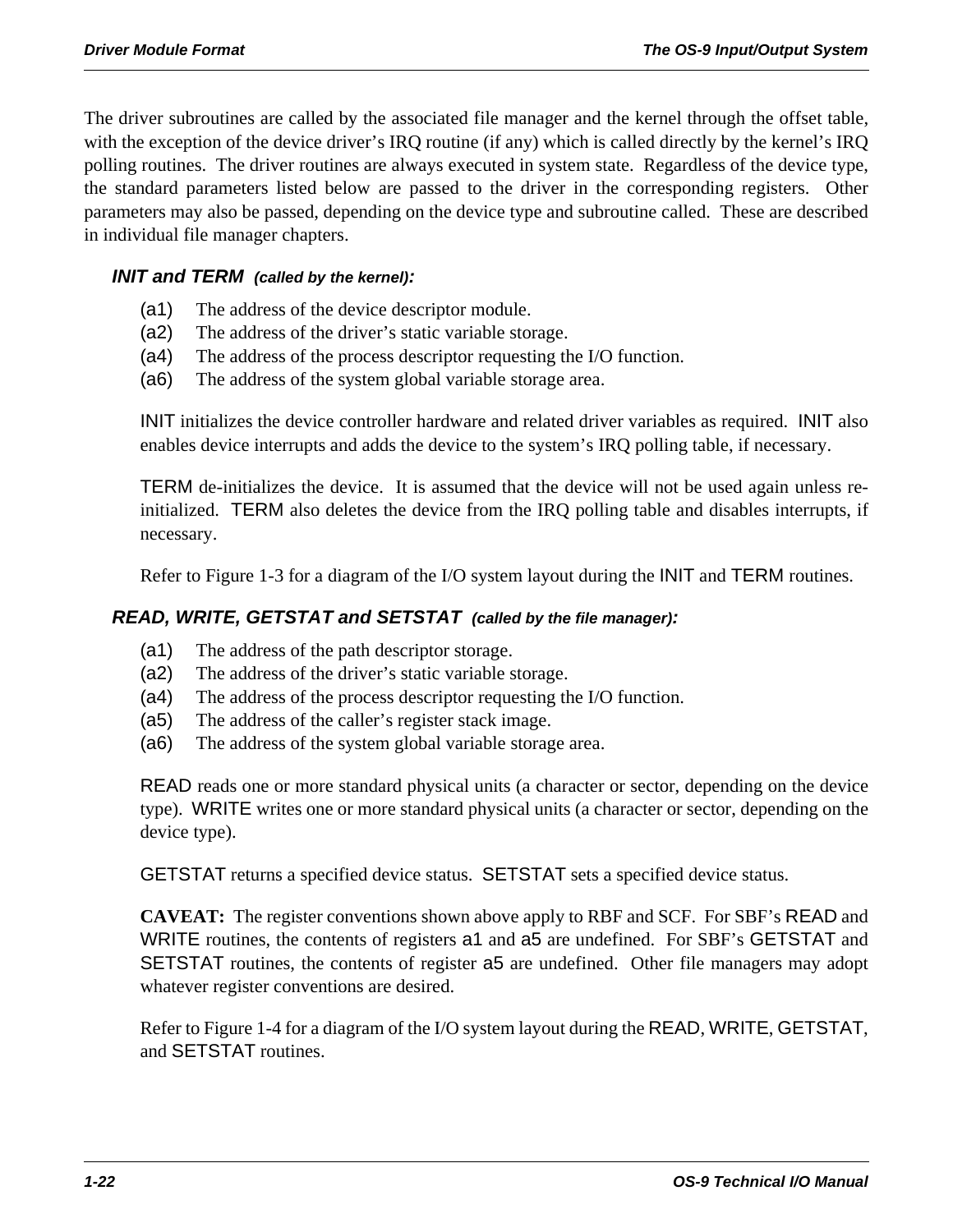The driver subroutines are called by the associated file manager and the kernel through the offset table, with the exception of the device driver's IRQ routine (if any) which is called directly by the kernel's IRQ polling routines. The driver routines are always executed in system state. Regardless of the device type, the standard parameters listed below are passed to the driver in the corresponding registers. Other parameters may also be passed, depending on the device type and subroutine called. These are described in individual file manager chapters.

### *INIT and TERM (called by the kernel):*

- (a1) The address of the device descriptor module.
- (a2) The address of the driver's static variable storage.
- (a4) The address of the process descriptor requesting the I/O function.
- (a6) The address of the system global variable storage area.

INIT initializes the device controller hardware and related driver variables as required. INIT also enables device interrupts and adds the device to the system's IRQ polling table, if necessary.

TERM de-initializes the device. It is assumed that the device will not be used again unless reinitialized. TERM also deletes the device from the IRQ polling table and disables interrupts, if necessary.

Refer to Figure 1-3 for a diagram of the I/O system layout during the INIT and TERM routines.

#### *READ, WRITE, GETSTAT and SETSTAT (called by the file manager):*

- (a1) The address of the path descriptor storage.
- (a2) The address of the driver's static variable storage.
- (a4) The address of the process descriptor requesting the I/O function.
- (a5) The address of the caller's register stack image.
- (a6) The address of the system global variable storage area.

READ reads one or more standard physical units (a character or sector, depending on the device type). WRITE writes one or more standard physical units (a character or sector, depending on the device type).

GETSTAT returns a specified device status. SETSTAT sets a specified device status.

**CAVEAT:** The register conventions shown above apply to RBF and SCF. For SBF's READ and WRITE routines, the contents of registers a1 and a5 are undefined. For SBF's GETSTAT and SETSTAT routines, the contents of register a5 are undefined. Other file managers may adopt whatever register conventions are desired.

Refer to Figure 1-4 for a diagram of the I/O system layout during the READ, WRITE, GETSTAT, and SETSTAT routines.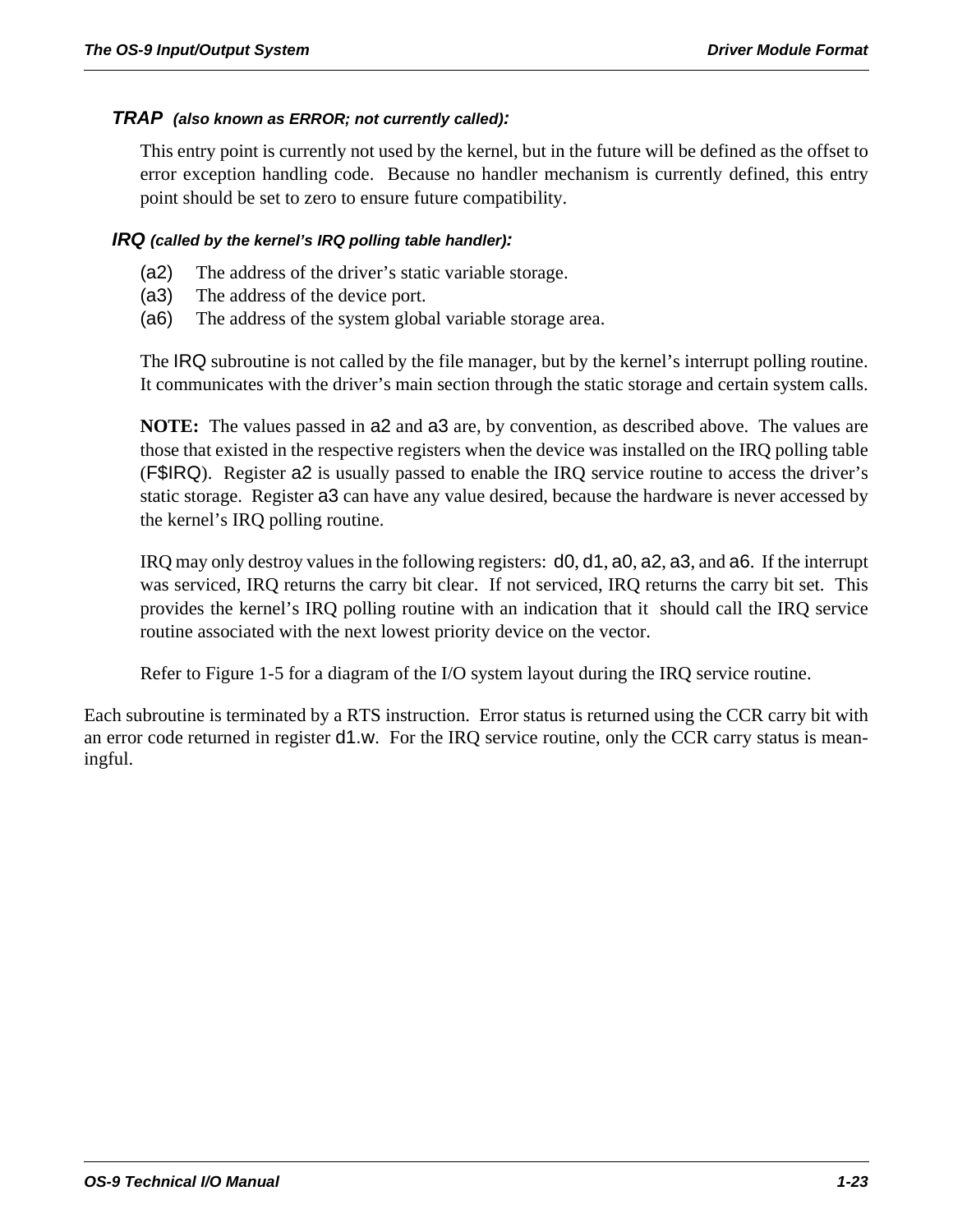#### *TRAP (also known as ERROR; not currently called):*

This entry point is currently not used by the kernel, but in the future will be defined as the offset to error exception handling code. Because no handler mechanism is currently defined, this entry point should be set to zero to ensure future compatibility.

#### *IRQ (called by the kernel's IRQ polling table handler):*

- (a2) The address of the driver's static variable storage.
- (a3) The address of the device port.
- (a6) The address of the system global variable storage area.

The IRQ subroutine is not called by the file manager, but by the kernel's interrupt polling routine. It communicates with the driver's main section through the static storage and certain system calls.

**NOTE:** The values passed in a2 and a3 are, by convention, as described above. The values are those that existed in the respective registers when the device was installed on the IRQ polling table (F\$IRQ). Register a2 is usually passed to enable the IRQ service routine to access the driver's static storage. Register a3 can have any value desired, because the hardware is never accessed by the kernel's IRQ polling routine.

IRQ may only destroy values in the following registers: d0, d1, a0, a2, a3, and a6. If the interrupt was serviced, IRQ returns the carry bit clear. If not serviced, IRQ returns the carry bit set. This provides the kernel's IRQ polling routine with an indication that it should call the IRQ service routine associated with the next lowest priority device on the vector.

Refer to Figure 1-5 for a diagram of the I/O system layout during the IRQ service routine.

Each subroutine is terminated by a RTS instruction. Error status is returned using the CCR carry bit with an error code returned in register d1.w. For the IRQ service routine, only the CCR carry status is meaningful.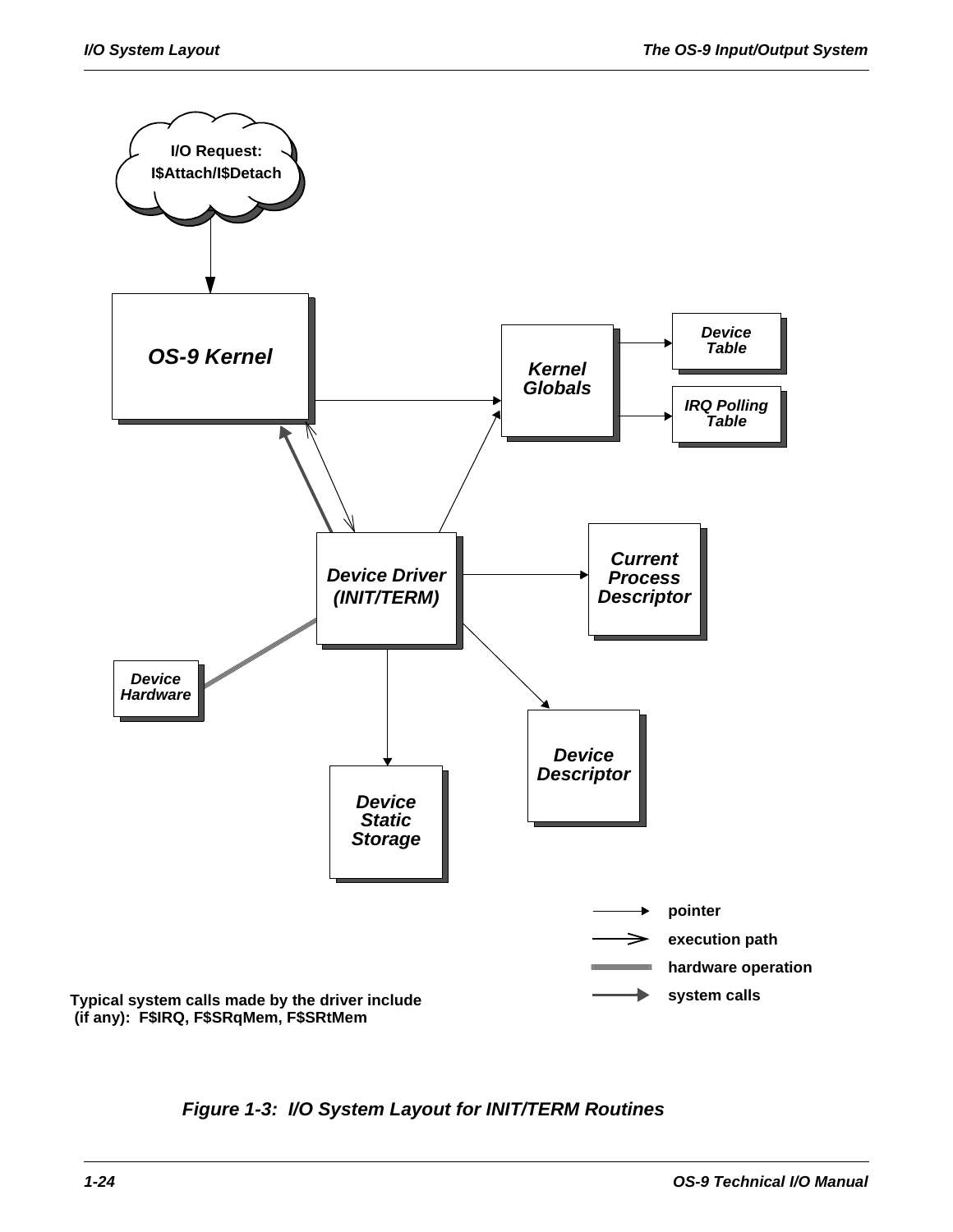

*Figure 1-3: I/O System Layout for INIT/TERM Routines*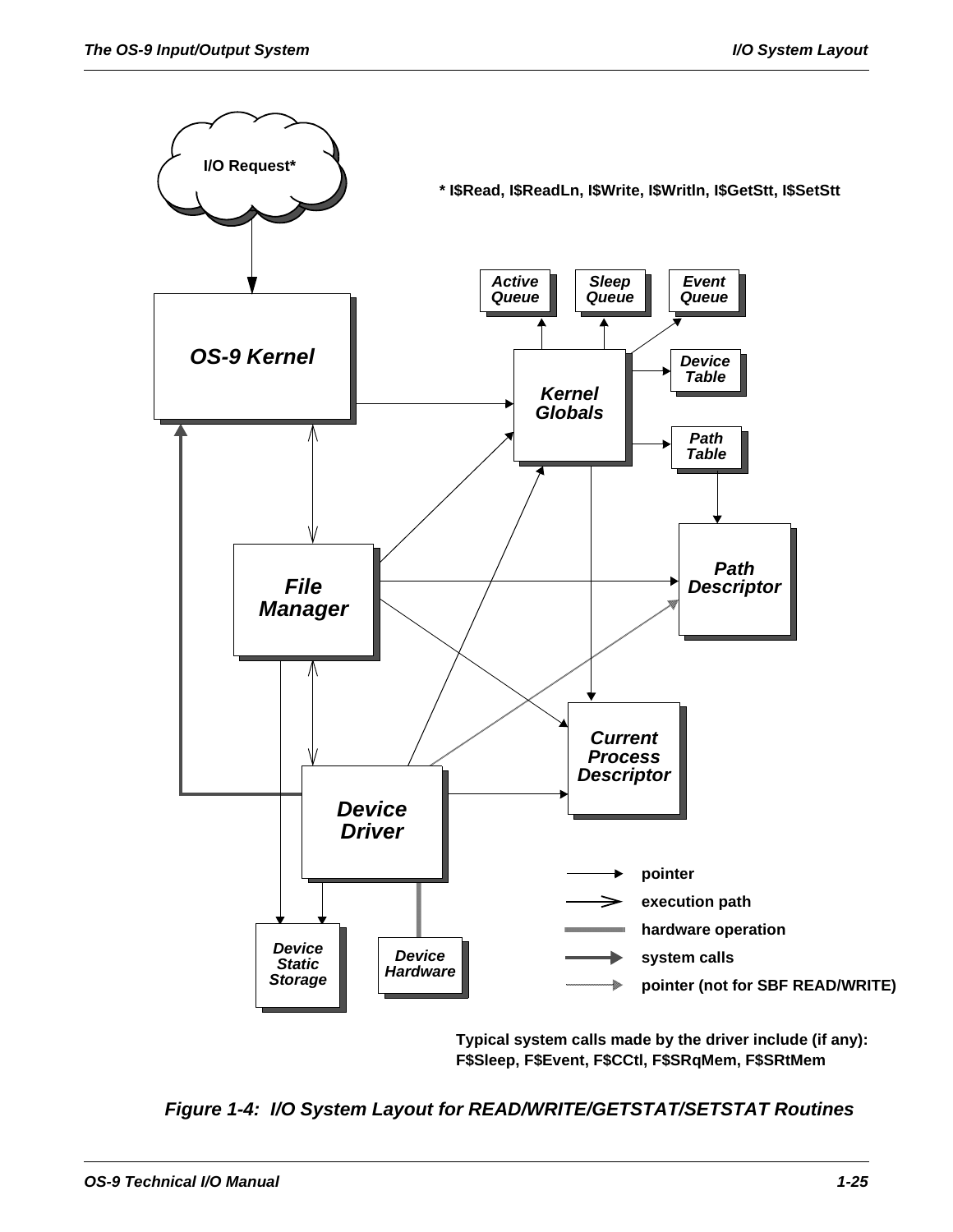

**Typical system calls made by the driver include (if any): F\$Sleep, F\$Event, F\$CCtl, F\$SRqMem, F\$SRtMem** 

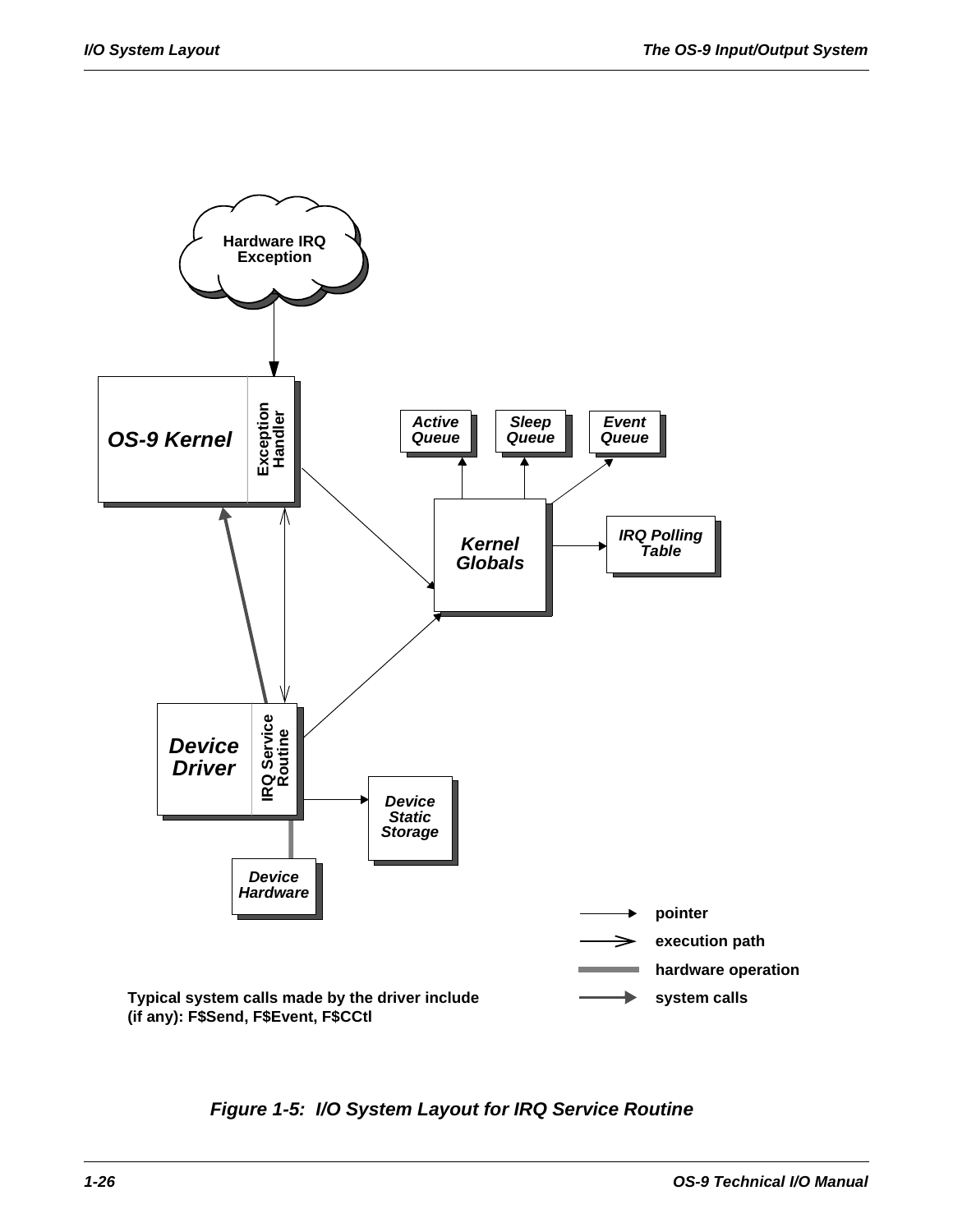

*Figure 1-5: I/O System Layout for IRQ Service Routine*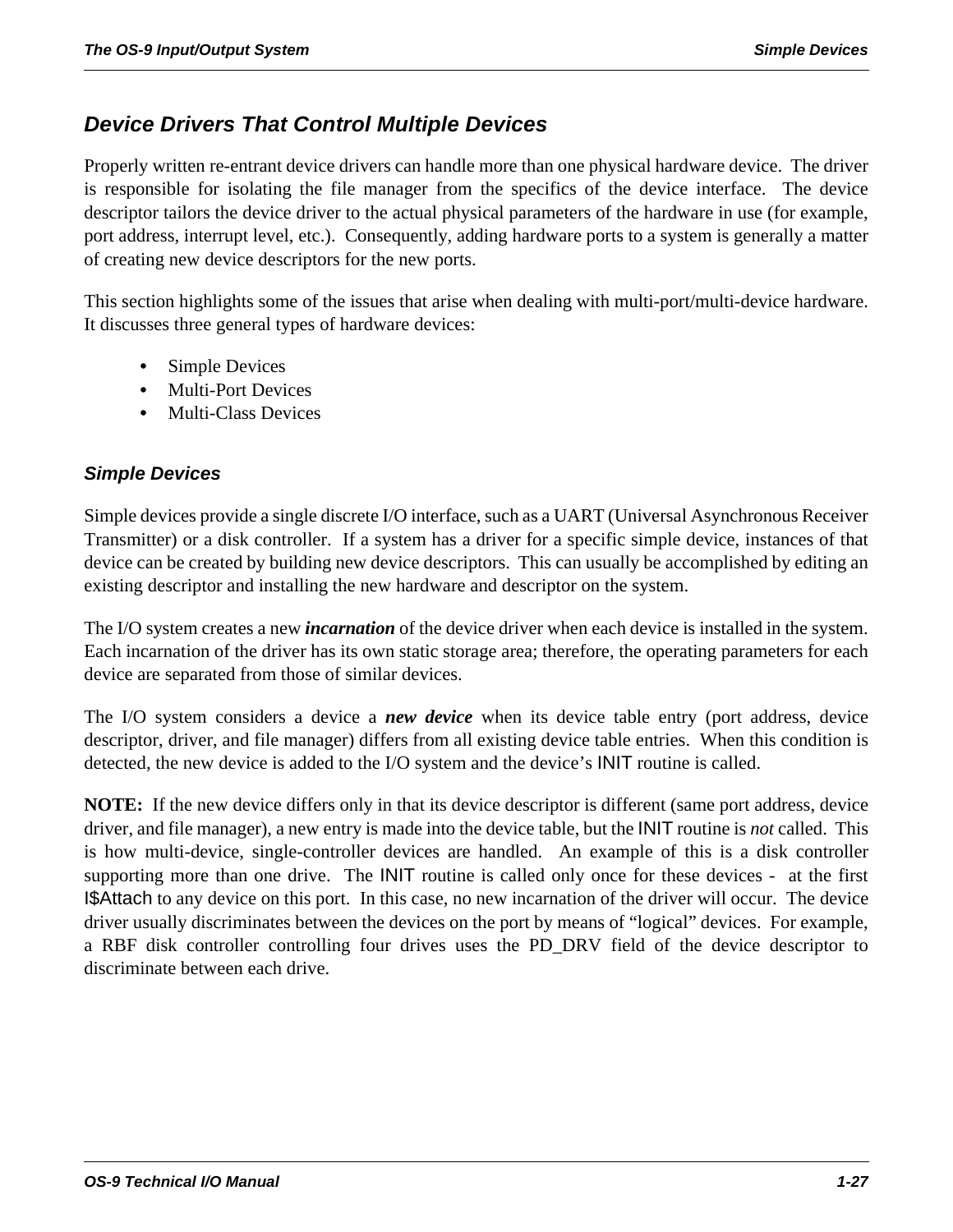# *Device Drivers That Control Multiple Devices*

Properly written re-entrant device drivers can handle more than one physical hardware device. The driver is responsible for isolating the file manager from the specifics of the device interface. The device descriptor tailors the device driver to the actual physical parameters of the hardware in use (for example, port address, interrupt level, etc.). Consequently, adding hardware ports to a system is generally a matter of creating new device descriptors for the new ports.

This section highlights some of the issues that arise when dealing with multi-port/multi-device hardware. It discusses three general types of hardware devices:

- **•** Simple Devices
- **•** Multi-Port Devices
- **•** Multi-Class Devices

### *Simple Devices*

Simple devices provide a single discrete I/O interface, such as a UART (Universal Asynchronous Receiver Transmitter) or a disk controller. If a system has a driver for a specific simple device, instances of that device can be created by building new device descriptors. This can usually be accomplished by editing an existing descriptor and installing the new hardware and descriptor on the system.

The I/O system creates a new *incarnation* of the device driver when each device is installed in the system. Each incarnation of the driver has its own static storage area; therefore, the operating parameters for each device are separated from those of similar devices.

The I/O system considers a device a *new device* when its device table entry (port address, device descriptor, driver, and file manager) differs from all existing device table entries. When this condition is detected, the new device is added to the I/O system and the device's INIT routine is called.

**NOTE:** If the new device differs only in that its device descriptor is different (same port address, device driver, and file manager), a new entry is made into the device table, but the INIT routine is *not* called. This is how multi-device, single-controller devices are handled. An example of this is a disk controller supporting more than one drive. The INIT routine is called only once for these devices - at the first I\$Attach to any device on this port. In this case, no new incarnation of the driver will occur. The device driver usually discriminates between the devices on the port by means of "logical" devices. For example, a RBF disk controller controlling four drives uses the PD\_DRV field of the device descriptor to discriminate between each drive.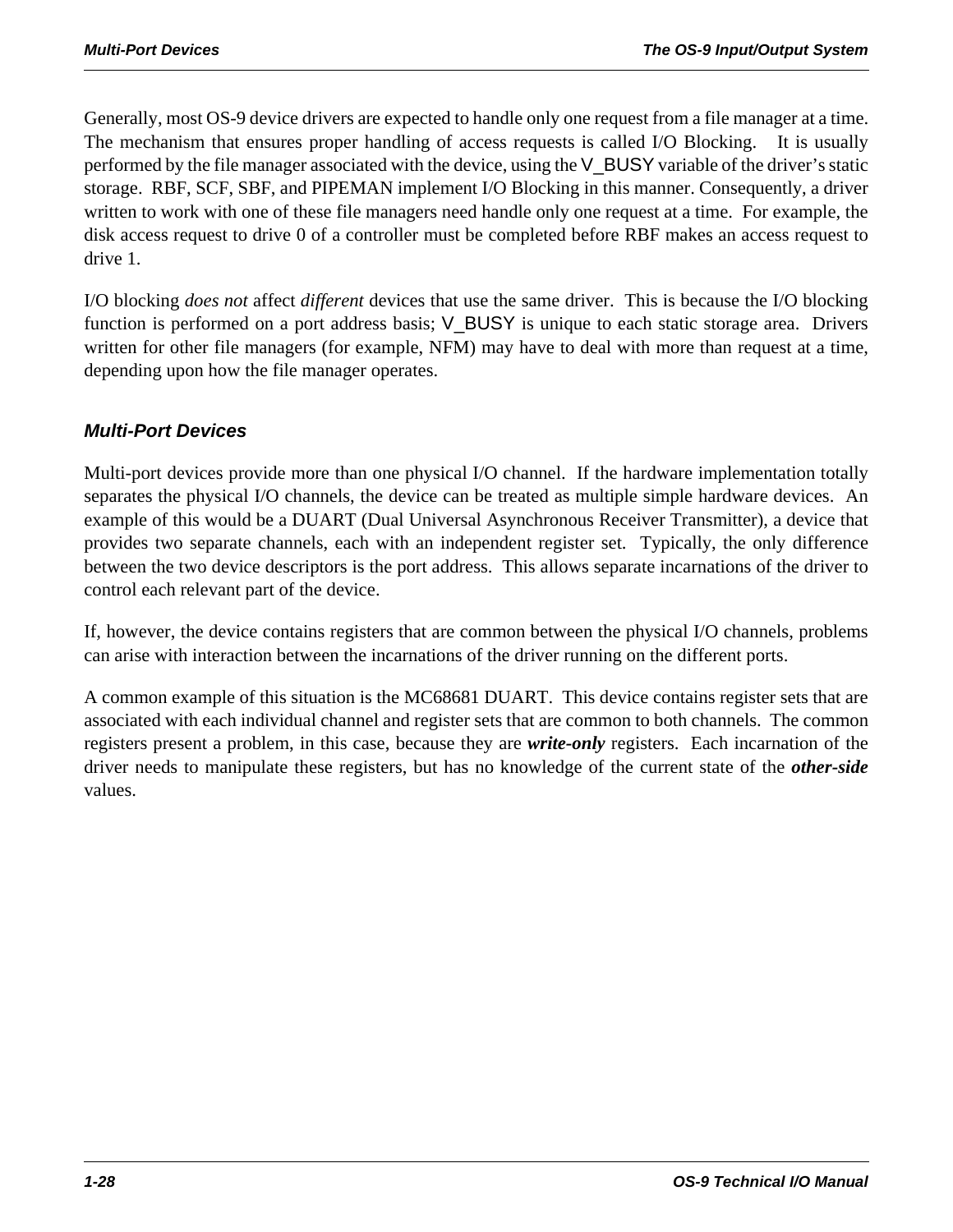Generally, most OS-9 device drivers are expected to handle only one request from a file manager at a time. The mechanism that ensures proper handling of access requests is called I/O Blocking. It is usually performed by the file manager associated with the device, using the V\_BUSY variable of the driver's static storage. RBF, SCF, SBF, and PIPEMAN implement I/O Blocking in this manner. Consequently, a driver written to work with one of these file managers need handle only one request at a time. For example, the disk access request to drive 0 of a controller must be completed before RBF makes an access request to drive 1.

I/O blocking *does not* affect *different* devices that use the same driver. This is because the I/O blocking function is performed on a port address basis; V\_BUSY is unique to each static storage area. Drivers written for other file managers (for example, NFM) may have to deal with more than request at a time, depending upon how the file manager operates.

#### *Multi-Port Devices*

Multi-port devices provide more than one physical I/O channel. If the hardware implementation totally separates the physical I/O channels, the device can be treated as multiple simple hardware devices. An example of this would be a DUART (Dual Universal Asynchronous Receiver Transmitter), a device that provides two separate channels, each with an independent register set. Typically, the only difference between the two device descriptors is the port address. This allows separate incarnations of the driver to control each relevant part of the device.

If, however, the device contains registers that are common between the physical I/O channels, problems can arise with interaction between the incarnations of the driver running on the different ports.

A common example of this situation is the MC68681 DUART. This device contains register sets that are associated with each individual channel and register sets that are common to both channels. The common registers present a problem, in this case, because they are *write-only* registers. Each incarnation of the driver needs to manipulate these registers, but has no knowledge of the current state of the *other-side* values.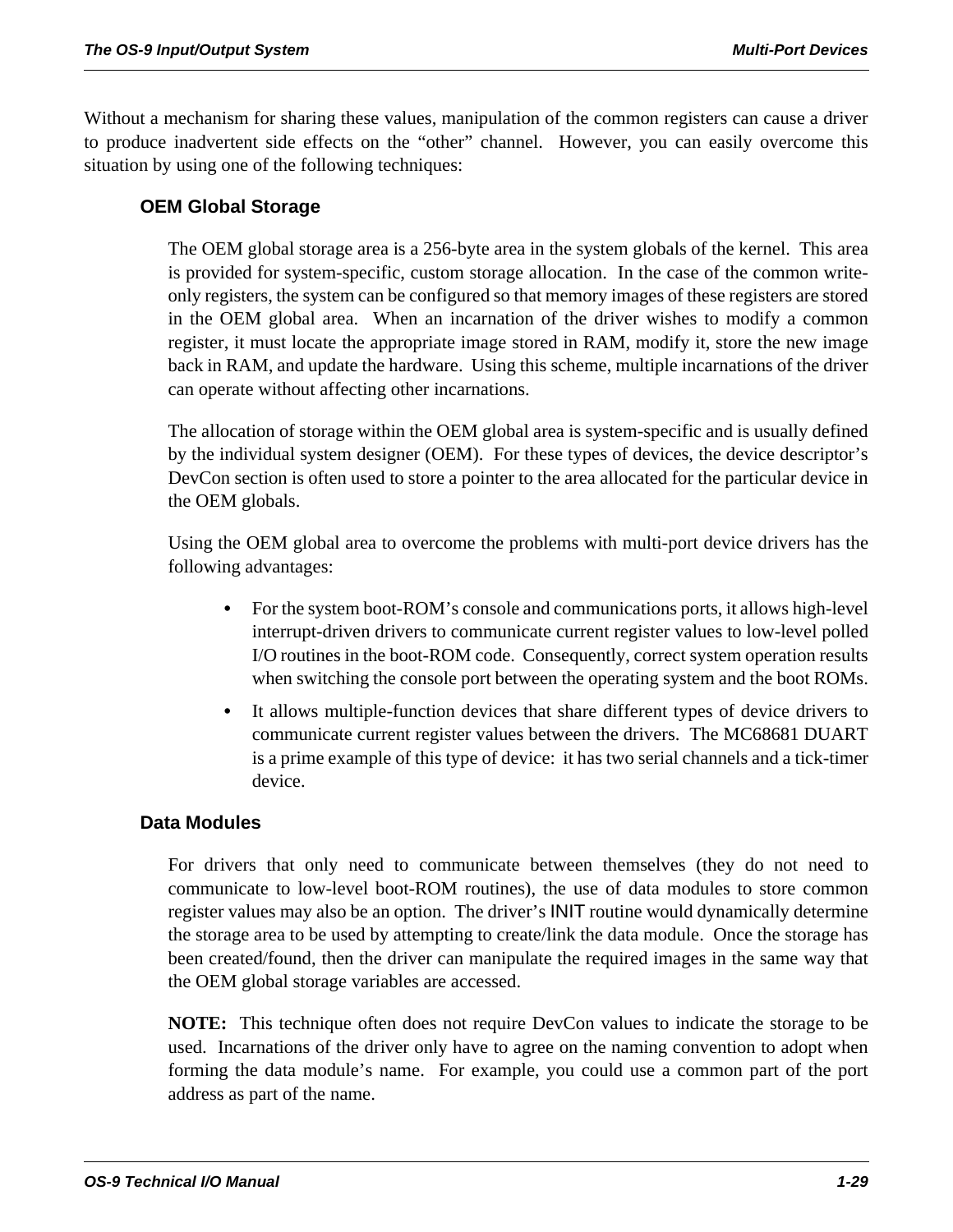Without a mechanism for sharing these values, manipulation of the common registers can cause a driver to produce inadvertent side effects on the "other" channel. However, you can easily overcome this situation by using one of the following techniques:

#### **OEM Global Storage**

The OEM global storage area is a 256-byte area in the system globals of the kernel. This area is provided for system-specific, custom storage allocation. In the case of the common writeonly registers, the system can be configured so that memory images of these registers are stored in the OEM global area. When an incarnation of the driver wishes to modify a common register, it must locate the appropriate image stored in RAM, modify it, store the new image back in RAM, and update the hardware. Using this scheme, multiple incarnations of the driver can operate without affecting other incarnations.

The allocation of storage within the OEM global area is system-specific and is usually defined by the individual system designer (OEM). For these types of devices, the device descriptor's DevCon section is often used to store a pointer to the area allocated for the particular device in the OEM globals.

Using the OEM global area to overcome the problems with multi-port device drivers has the following advantages:

- **•** For the system boot-ROM's console and communications ports, it allows high-level interrupt-driven drivers to communicate current register values to low-level polled I/O routines in the boot-ROM code. Consequently, correct system operation results when switching the console port between the operating system and the boot ROMs.
- **•** It allows multiple-function devices that share different types of device drivers to communicate current register values between the drivers. The MC68681 DUART is a prime example of this type of device: it has two serial channels and a tick-timer device.

#### **Data Modules**

For drivers that only need to communicate between themselves (they do not need to communicate to low-level boot-ROM routines), the use of data modules to store common register values may also be an option. The driver's INIT routine would dynamically determine the storage area to be used by attempting to create/link the data module. Once the storage has been created/found, then the driver can manipulate the required images in the same way that the OEM global storage variables are accessed.

**NOTE:** This technique often does not require DevCon values to indicate the storage to be used. Incarnations of the driver only have to agree on the naming convention to adopt when forming the data module's name. For example, you could use a common part of the port address as part of the name.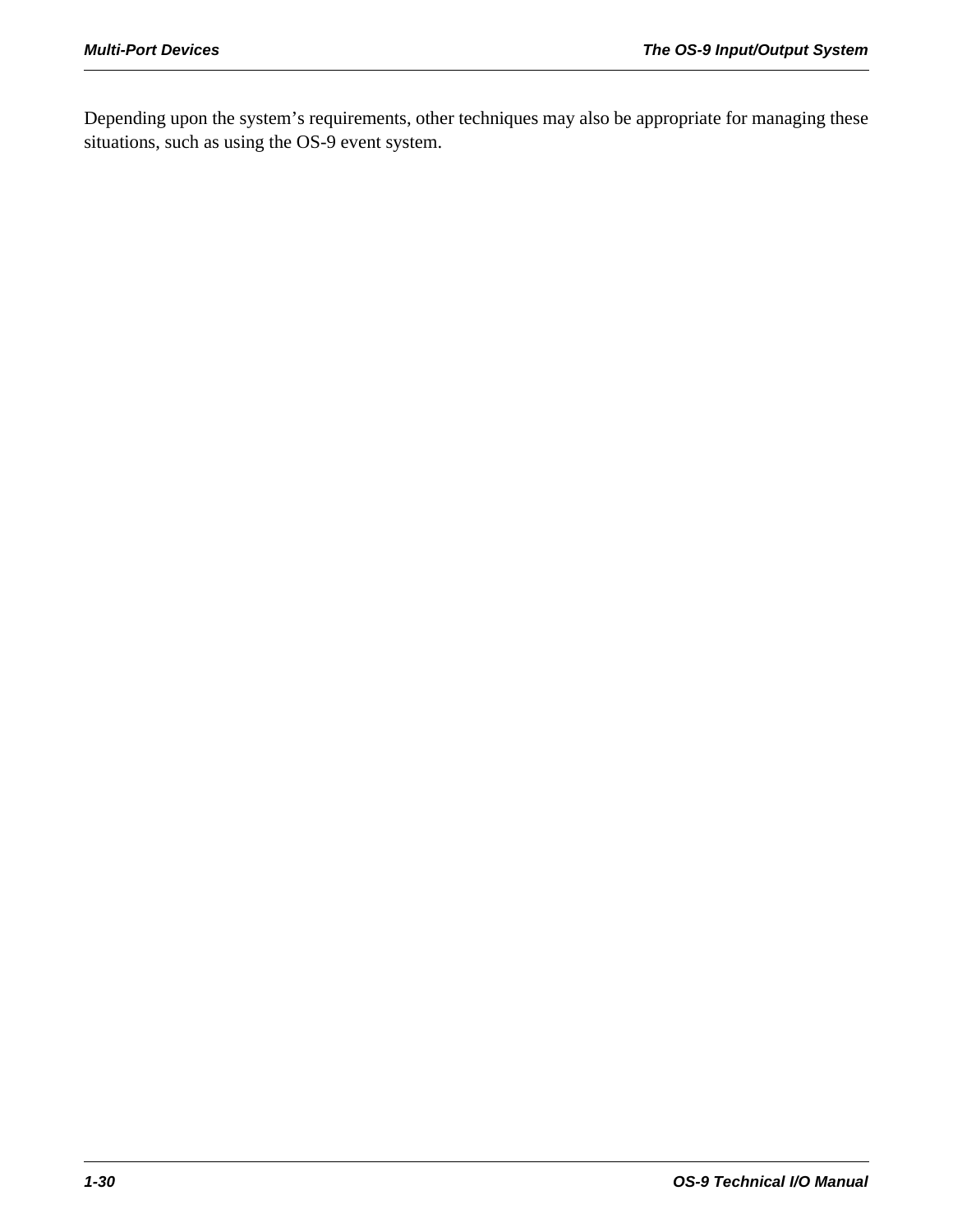Depending upon the system's requirements, other techniques may also be appropriate for managing these situations, such as using the OS-9 event system.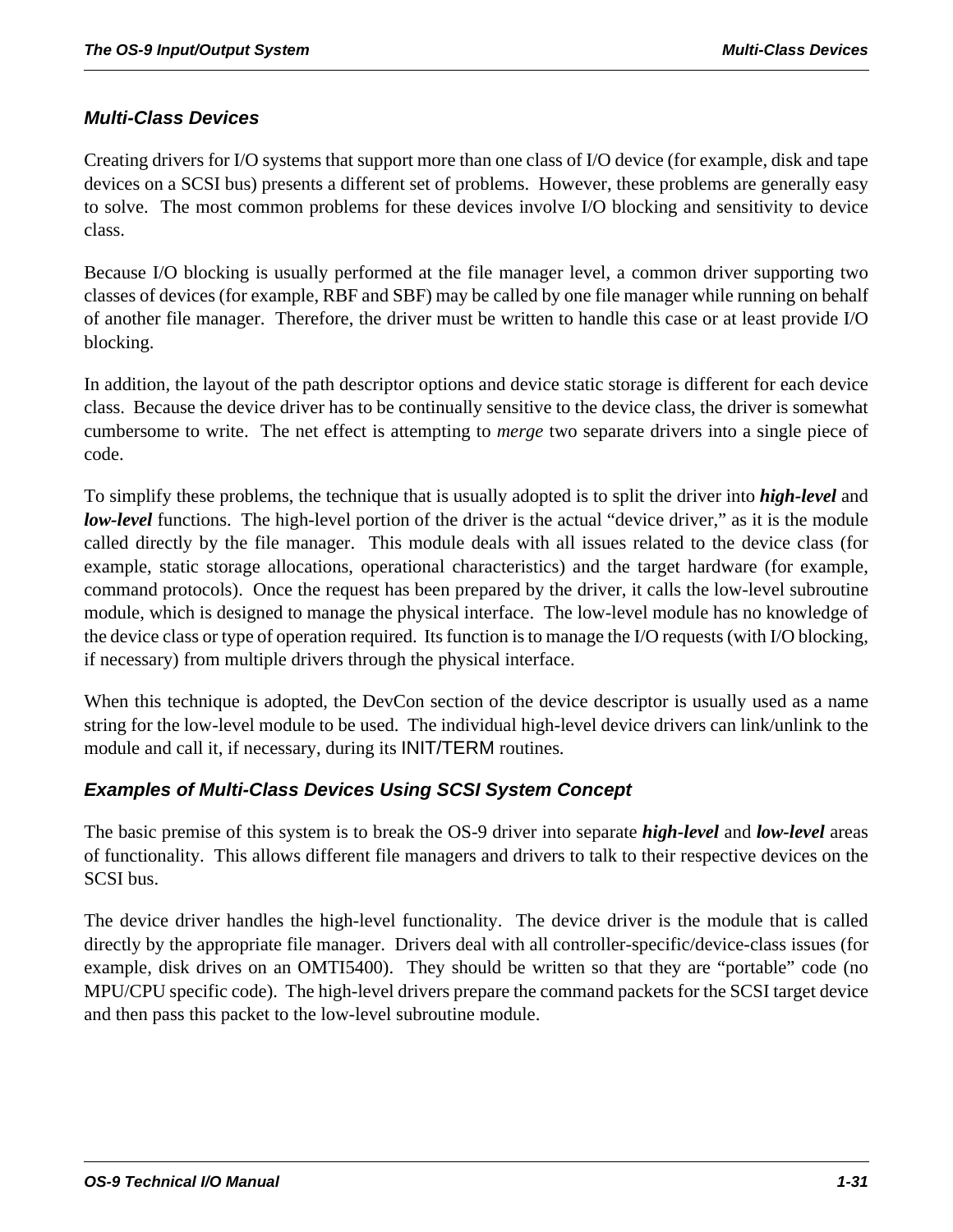#### *Multi-Class Devices*

Creating drivers for I/O systems that support more than one class of I/O device (for example, disk and tape devices on a SCSI bus) presents a different set of problems. However, these problems are generally easy to solve. The most common problems for these devices involve I/O blocking and sensitivity to device class.

Because I/O blocking is usually performed at the file manager level, a common driver supporting two classes of devices (for example, RBF and SBF) may be called by one file manager while running on behalf of another file manager. Therefore, the driver must be written to handle this case or at least provide I/O blocking.

In addition, the layout of the path descriptor options and device static storage is different for each device class. Because the device driver has to be continually sensitive to the device class, the driver is somewhat cumbersome to write. The net effect is attempting to *merge* two separate drivers into a single piece of code.

To simplify these problems, the technique that is usually adopted is to split the driver into *high-level* and *low-level* functions. The high-level portion of the driver is the actual "device driver," as it is the module called directly by the file manager. This module deals with all issues related to the device class (for example, static storage allocations, operational characteristics) and the target hardware (for example, command protocols). Once the request has been prepared by the driver, it calls the low-level subroutine module, which is designed to manage the physical interface. The low-level module has no knowledge of the device class or type of operation required. Its function is to manage the I/O requests (with I/O blocking, if necessary) from multiple drivers through the physical interface.

When this technique is adopted, the DevCon section of the device descriptor is usually used as a name string for the low-level module to be used. The individual high-level device drivers can link/unlink to the module and call it, if necessary, during its INIT/TERM routines.

#### *Examples of Multi-Class Devices Using SCSI System Concept*

The basic premise of this system is to break the OS-9 driver into separate *high-level* and *low-level* areas of functionality. This allows different file managers and drivers to talk to their respective devices on the SCSI bus.

The device driver handles the high-level functionality. The device driver is the module that is called directly by the appropriate file manager. Drivers deal with all controller-specific/device-class issues (for example, disk drives on an OMTI5400). They should be written so that they are "portable" code (no MPU/CPU specific code). The high-level drivers prepare the command packets for the SCSI target device and then pass this packet to the low-level subroutine module.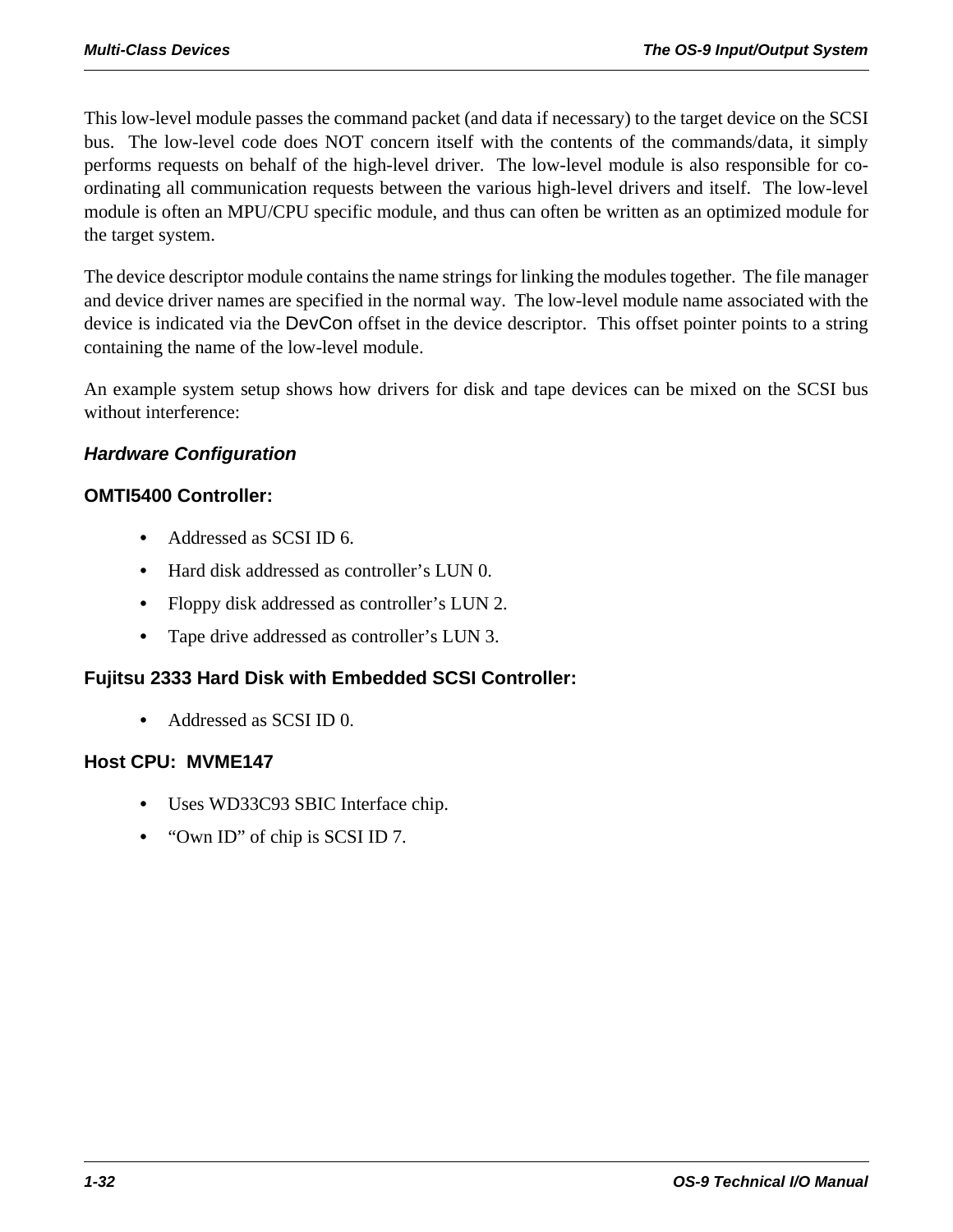This low-level module passes the command packet (and data if necessary) to the target device on the SCSI bus. The low-level code does NOT concern itself with the contents of the commands/data, it simply performs requests on behalf of the high-level driver. The low-level module is also responsible for coordinating all communication requests between the various high-level drivers and itself. The low-level module is often an MPU/CPU specific module, and thus can often be written as an optimized module for the target system.

The device descriptor module contains the name strings for linking the modules together. The file manager and device driver names are specified in the normal way. The low-level module name associated with the device is indicated via the DevCon offset in the device descriptor. This offset pointer points to a string containing the name of the low-level module.

An example system setup shows how drivers for disk and tape devices can be mixed on the SCSI bus without interference:

#### *Hardware Configuration*

#### **OMTI5400 Controller:**

- **•** Addressed as SCSI ID 6.
- **•** Hard disk addressed as controller's LUN 0.
- Floppy disk addressed as controller's LUN 2.
- **•** Tape drive addressed as controller's LUN 3.

#### **Fujitsu 2333 Hard Disk with Embedded SCSI Controller:**

**•** Addressed as SCSI ID 0.

#### **Host CPU: MVME147**

- **•** Uses WD33C93 SBIC Interface chip.
- **•** "Own ID" of chip is SCSI ID 7.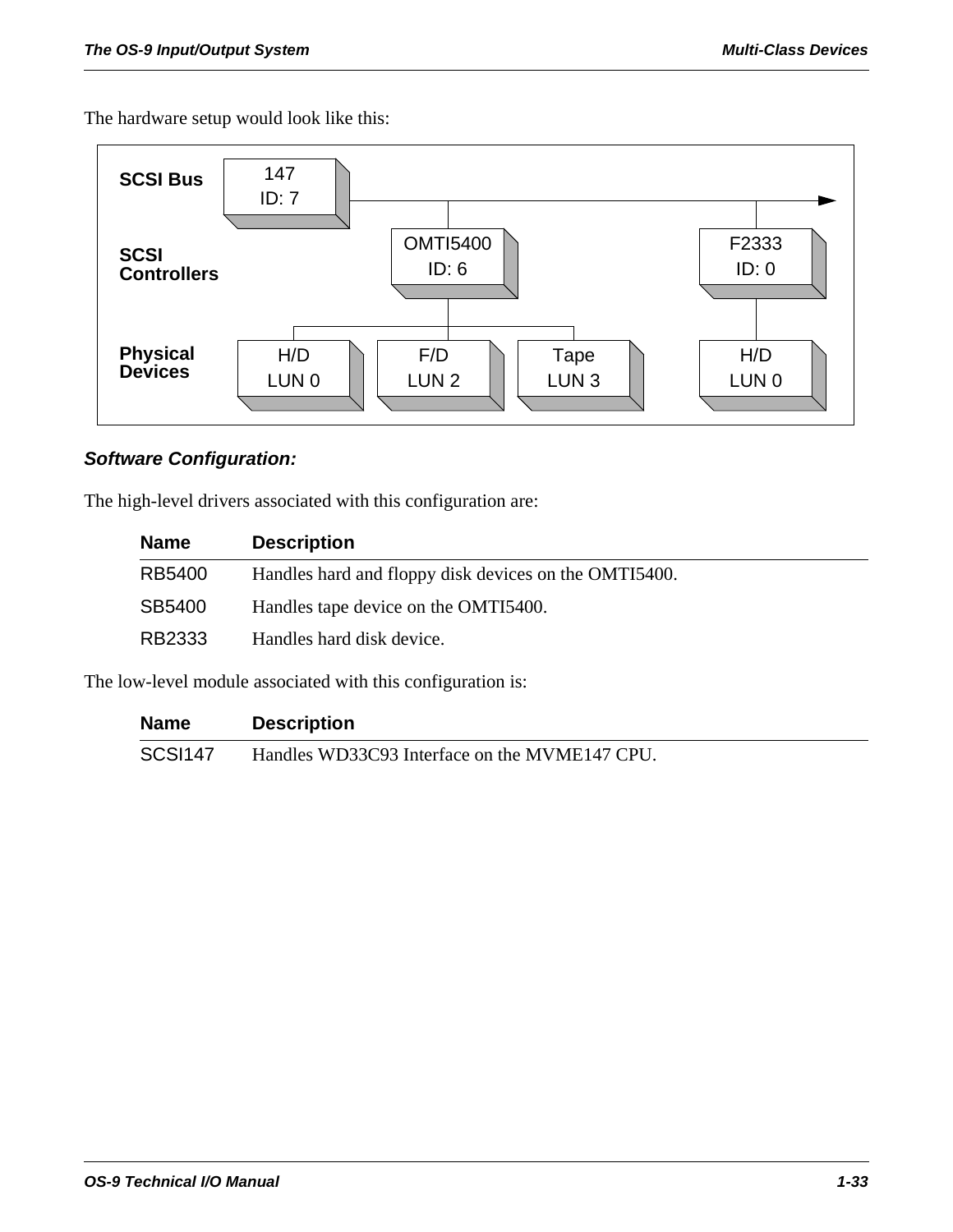The hardware setup would look like this:



#### *Software Configuration:*

The high-level drivers associated with this configuration are:

| <b>Name</b> | <b>Description</b>                                    |
|-------------|-------------------------------------------------------|
| RB5400      | Handles hard and floppy disk devices on the OMTI5400. |
| SB5400      | Handles tape device on the OMTI5400.                  |
| RB2333      | Handles hard disk device.                             |

The low-level module associated with this configuration is:

| <b>Name</b>    | <b>Description</b>                            |
|----------------|-----------------------------------------------|
| <b>SCSI147</b> | Handles WD33C93 Interface on the MVME147 CPU. |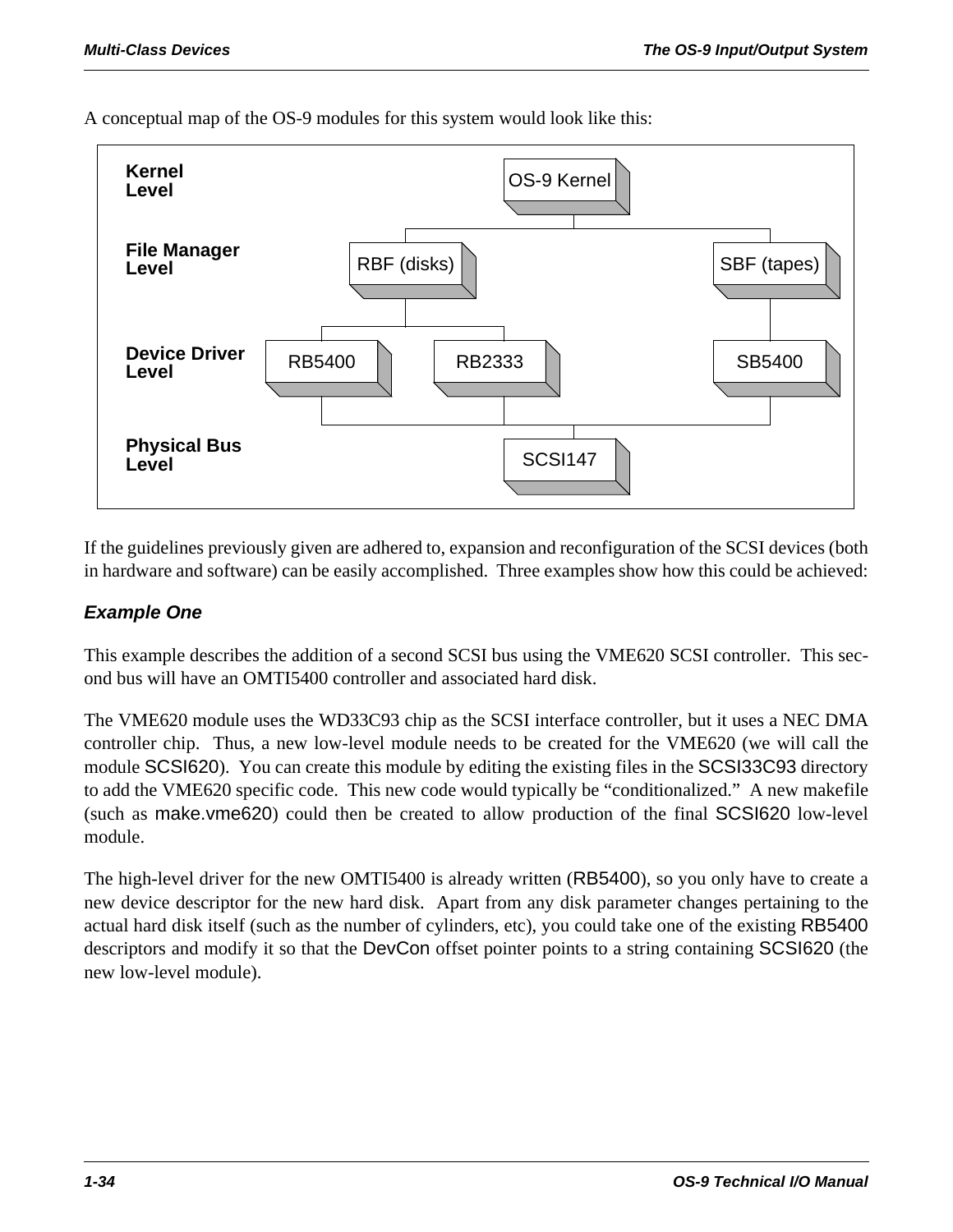A conceptual map of the OS-9 modules for this system would look like this:



If the guidelines previously given are adhered to, expansion and reconfiguration of the SCSI devices (both in hardware and software) can be easily accomplished. Three examples show how this could be achieved:

#### *Example One*

This example describes the addition of a second SCSI bus using the VME620 SCSI controller. This second bus will have an OMTI5400 controller and associated hard disk.

The VME620 module uses the WD33C93 chip as the SCSI interface controller, but it uses a NEC DMA controller chip. Thus, a new low-level module needs to be created for the VME620 (we will call the module SCSI620). You can create this module by editing the existing files in the SCSI33C93 directory to add the VME620 specific code. This new code would typically be "conditionalized." A new makefile (such as make.vme620) could then be created to allow production of the final SCSI620 low-level module.

The high-level driver for the new OMTI5400 is already written (RB5400), so you only have to create a new device descriptor for the new hard disk. Apart from any disk parameter changes pertaining to the actual hard disk itself (such as the number of cylinders, etc), you could take one of the existing RB5400 descriptors and modify it so that the DevCon offset pointer points to a string containing SCSI620 (the new low-level module).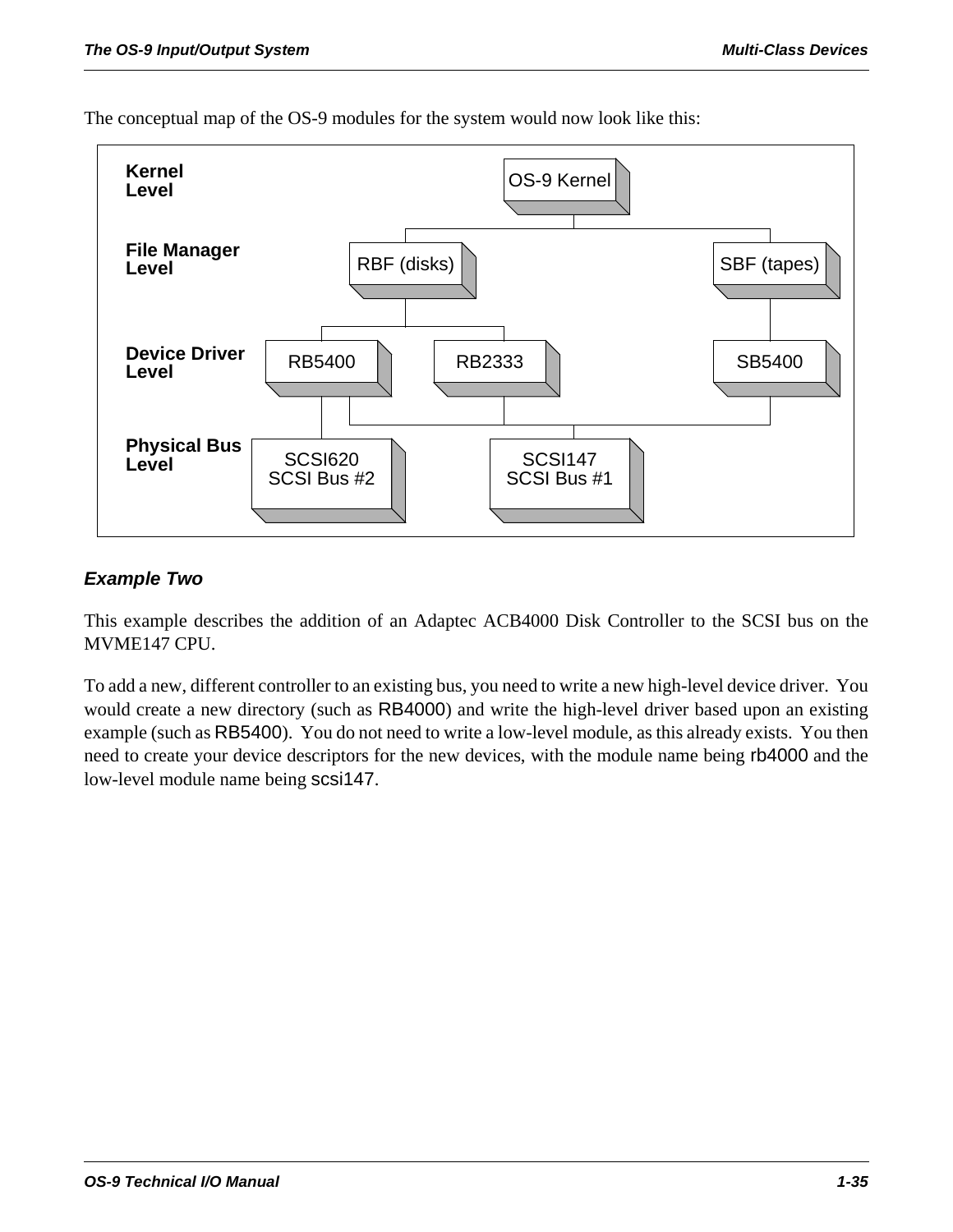

The conceptual map of the OS-9 modules for the system would now look like this:

#### *Example Two*

This example describes the addition of an Adaptec ACB4000 Disk Controller to the SCSI bus on the MVME147 CPU.

To add a new, different controller to an existing bus, you need to write a new high-level device driver. You would create a new directory (such as RB4000) and write the high-level driver based upon an existing example (such as RB5400). You do not need to write a low-level module, as this already exists. You then need to create your device descriptors for the new devices, with the module name being rb4000 and the low-level module name being scsi147.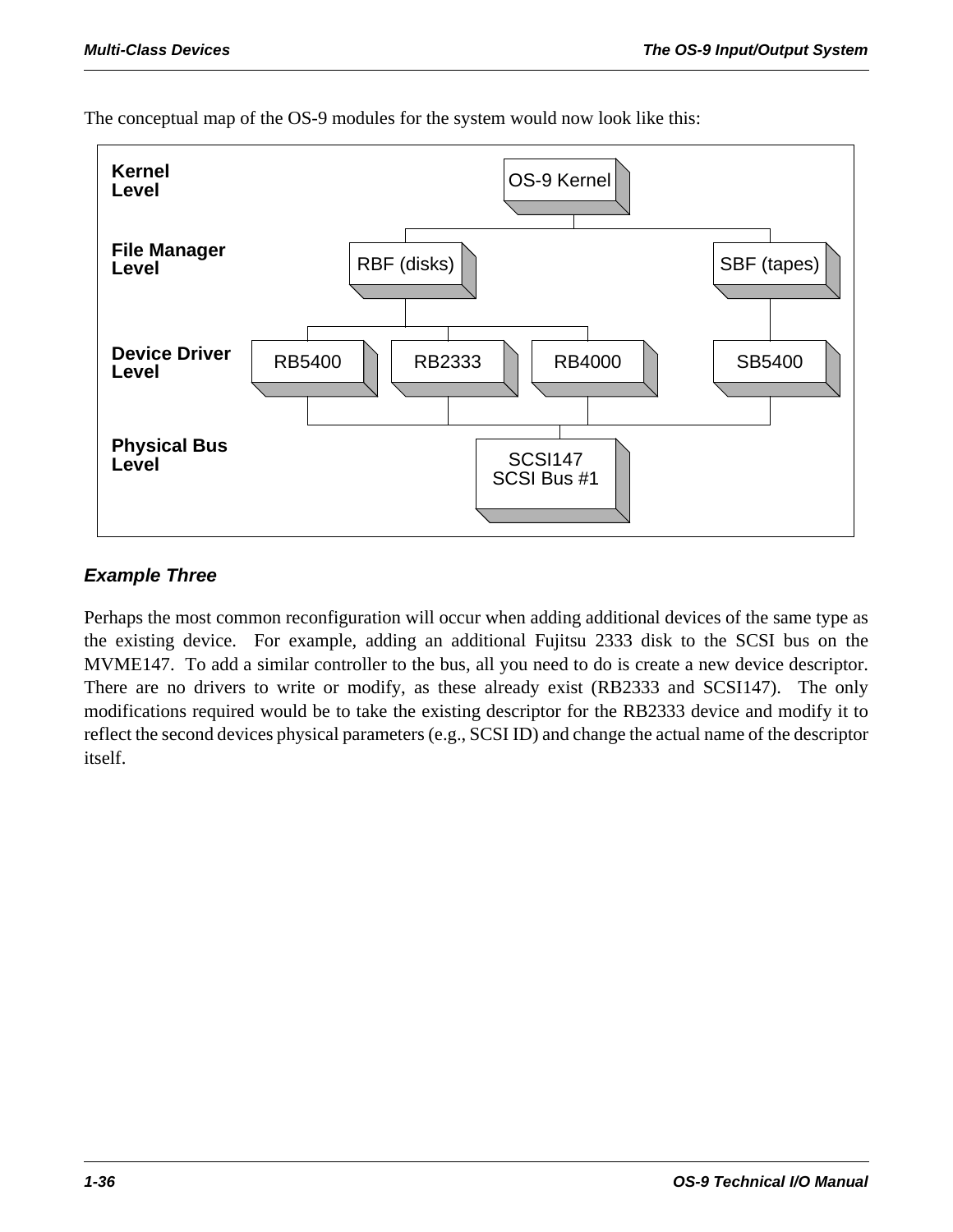

The conceptual map of the OS-9 modules for the system would now look like this:

#### *Example Three*

Perhaps the most common reconfiguration will occur when adding additional devices of the same type as the existing device. For example, adding an additional Fujitsu 2333 disk to the SCSI bus on the MVME147. To add a similar controller to the bus, all you need to do is create a new device descriptor. There are no drivers to write or modify, as these already exist (RB2333 and SCSI147). The only modifications required would be to take the existing descriptor for the RB2333 device and modify it to reflect the second devices physical parameters (e.g., SCSI ID) and change the actual name of the descriptor itself.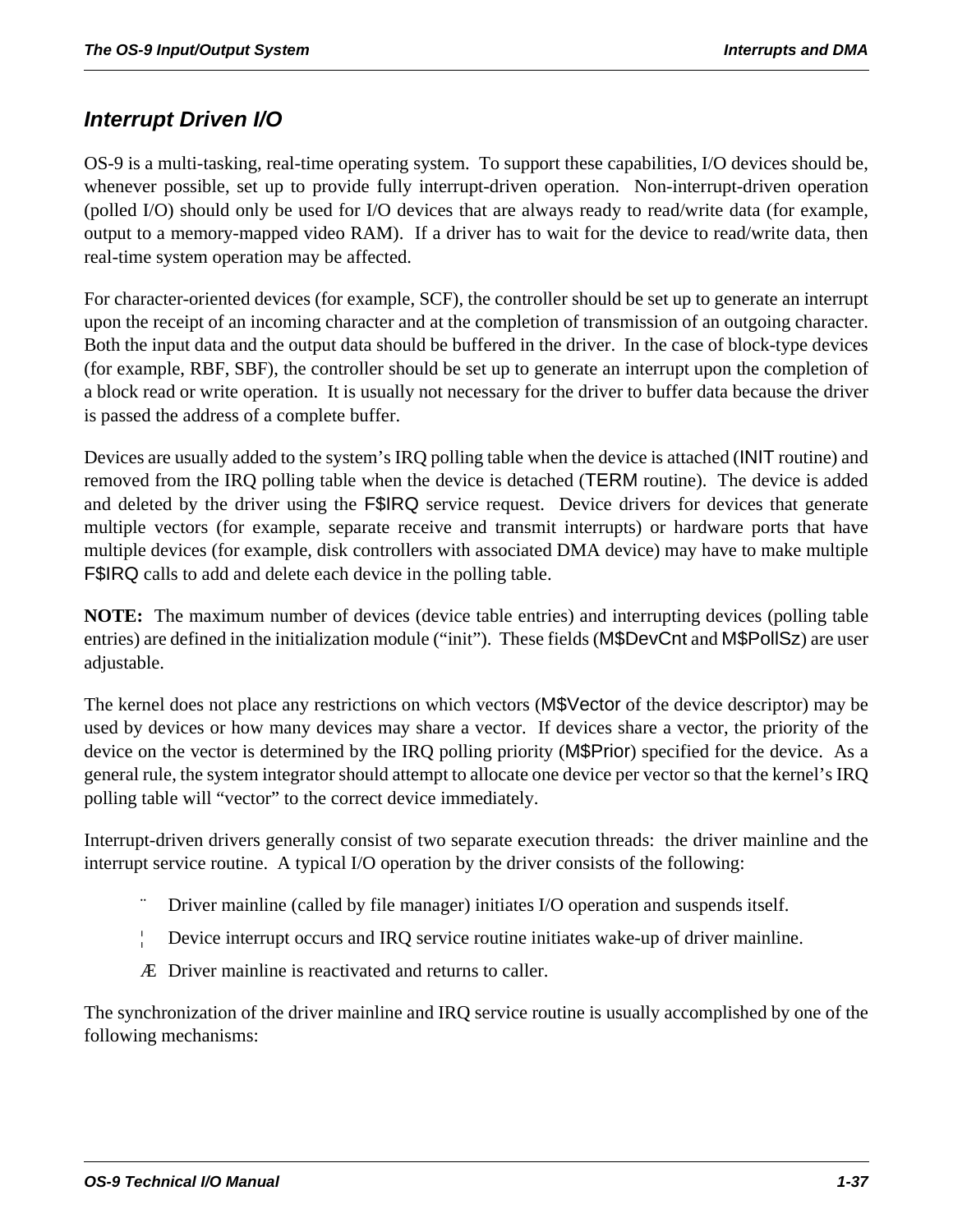## *Interrupt Driven I/O*

OS-9 is a multi-tasking, real-time operating system. To support these capabilities, I/O devices should be, whenever possible, set up to provide fully interrupt-driven operation. Non-interrupt-driven operation (polled I/O) should only be used for I/O devices that are always ready to read/write data (for example, output to a memory-mapped video RAM). If a driver has to wait for the device to read/write data, then real-time system operation may be affected.

For character-oriented devices (for example, SCF), the controller should be set up to generate an interrupt upon the receipt of an incoming character and at the completion of transmission of an outgoing character. Both the input data and the output data should be buffered in the driver. In the case of block-type devices (for example, RBF, SBF), the controller should be set up to generate an interrupt upon the completion of a block read or write operation. It is usually not necessary for the driver to buffer data because the driver is passed the address of a complete buffer.

Devices are usually added to the system's IRQ polling table when the device is attached (INIT routine) and removed from the IRQ polling table when the device is detached (TERM routine). The device is added and deleted by the driver using the F\$IRQ service request. Device drivers for devices that generate multiple vectors (for example, separate receive and transmit interrupts) or hardware ports that have multiple devices (for example, disk controllers with associated DMA device) may have to make multiple F\$IRQ calls to add and delete each device in the polling table.

**NOTE:** The maximum number of devices (device table entries) and interrupting devices (polling table entries) are defined in the initialization module ("init"). These fields (M\$DevCnt and M\$PollSz) are user adjustable.

The kernel does not place any restrictions on which vectors (M\$Vector of the device descriptor) may be used by devices or how many devices may share a vector. If devices share a vector, the priority of the device on the vector is determined by the IRQ polling priority (M\$Prior) specified for the device. As a general rule, the system integrator should attempt to allocate one device per vector so that the kernel's IRQ polling table will "vector" to the correct device immediately.

Interrupt-driven drivers generally consist of two separate execution threads: the driver mainline and the interrupt service routine. A typical I/O operation by the driver consists of the following:

- Driver mainline (called by file manager) initiates I/O operation and suspends itself.
- ¦ Device interrupt occurs and IRQ service routine initiates wake-up of driver mainline.
- Æ Driver mainline is reactivated and returns to caller.

The synchronization of the driver mainline and IRQ service routine is usually accomplished by one of the following mechanisms: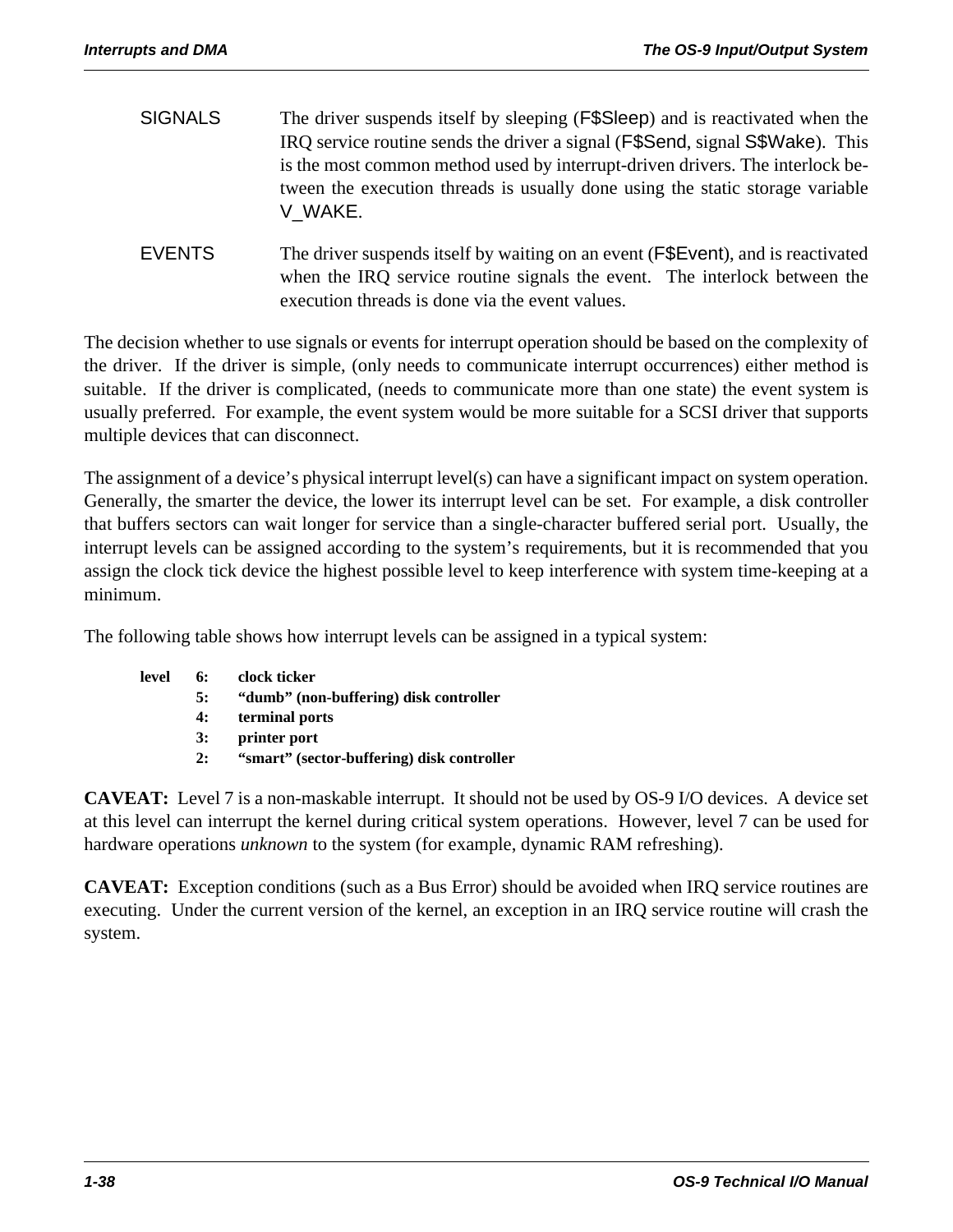- SIGNALS The driver suspends itself by sleeping (F\$Sleep) and is reactivated when the IRQ service routine sends the driver a signal (F\$Send, signal S\$Wake). This is the most common method used by interrupt-driven drivers. The interlock between the execution threads is usually done using the static storage variable V\_WAKE.
- EVENTS The driver suspends itself by waiting on an event (F\$Event), and is reactivated when the IRQ service routine signals the event. The interlock between the execution threads is done via the event values.

The decision whether to use signals or events for interrupt operation should be based on the complexity of the driver. If the driver is simple, (only needs to communicate interrupt occurrences) either method is suitable. If the driver is complicated, (needs to communicate more than one state) the event system is usually preferred. For example, the event system would be more suitable for a SCSI driver that supports multiple devices that can disconnect.

The assignment of a device's physical interrupt level(s) can have a significant impact on system operation. Generally, the smarter the device, the lower its interrupt level can be set. For example, a disk controller that buffers sectors can wait longer for service than a single-character buffered serial port. Usually, the interrupt levels can be assigned according to the system's requirements, but it is recommended that you assign the clock tick device the highest possible level to keep interference with system time-keeping at a minimum.

The following table shows how interrupt levels can be assigned in a typical system:

| level | 6: | clock ticker                               |
|-------|----|--------------------------------------------|
|       | 5: | "dumb" (non-buffering) disk controller     |
|       | 4: | terminal ports                             |
|       | 3: | printer port                               |
|       | 2: | "smart" (sector-buffering) disk controller |
|       |    |                                            |

**CAVEAT:** Level 7 is a non-maskable interrupt. It should not be used by OS-9 I/O devices. A device set at this level can interrupt the kernel during critical system operations. However, level 7 can be used for hardware operations *unknown* to the system (for example, dynamic RAM refreshing).

**CAVEAT:** Exception conditions (such as a Bus Error) should be avoided when IRQ service routines are executing. Under the current version of the kernel, an exception in an IRQ service routine will crash the system.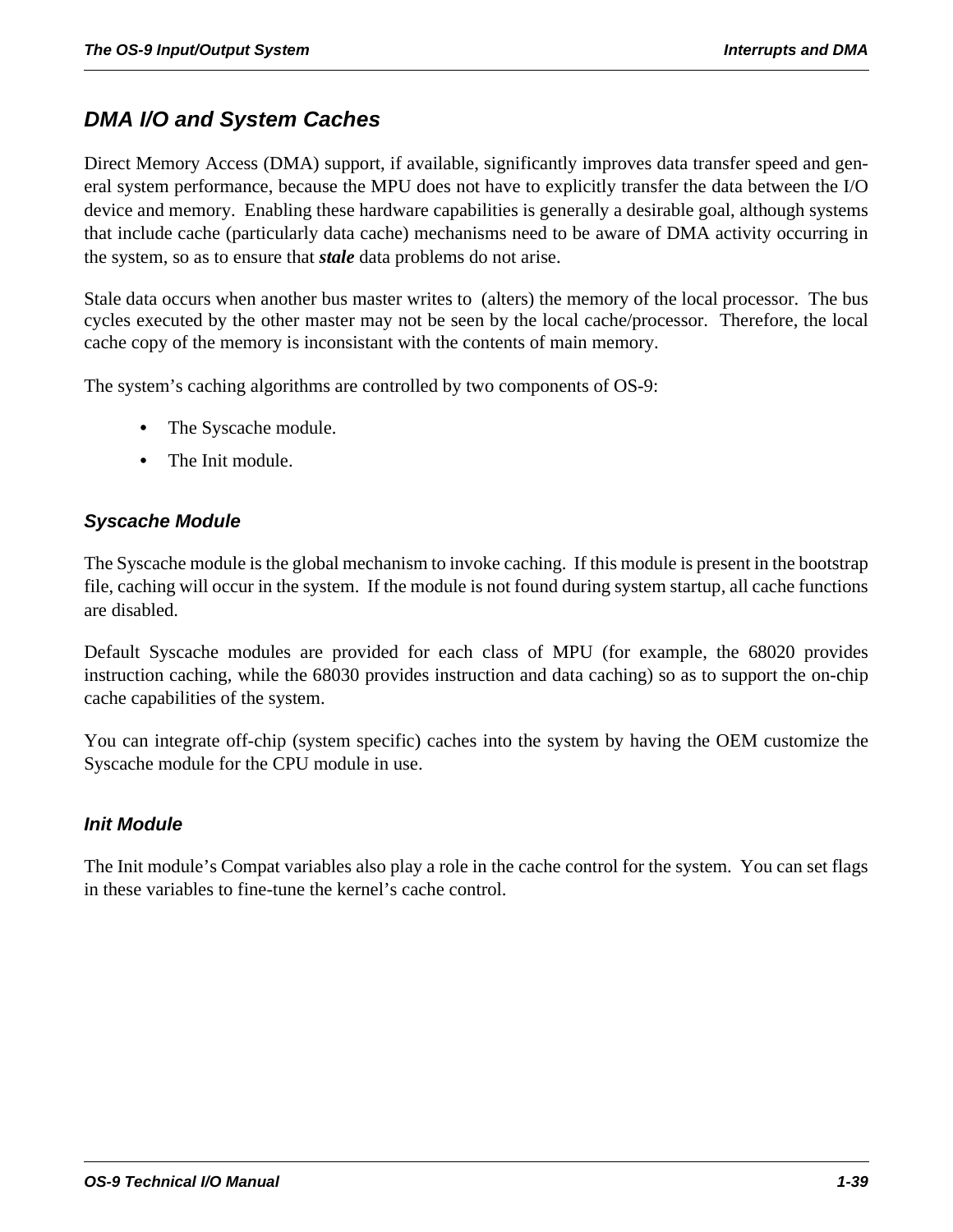# *DMA I/O and System Caches*

Direct Memory Access (DMA) support, if available, significantly improves data transfer speed and general system performance, because the MPU does not have to explicitly transfer the data between the I/O device and memory. Enabling these hardware capabilities is generally a desirable goal, although systems that include cache (particularly data cache) mechanisms need to be aware of DMA activity occurring in the system, so as to ensure that *stale* data problems do not arise.

Stale data occurs when another bus master writes to (alters) the memory of the local processor. The bus cycles executed by the other master may not be seen by the local cache/processor. Therefore, the local cache copy of the memory is inconsistant with the contents of main memory.

The system's caching algorithms are controlled by two components of OS-9:

- **•** The Syscache module.
- **•** The Init module.

#### *Syscache Module*

The Syscache module is the global mechanism to invoke caching. If this module is present in the bootstrap file, caching will occur in the system. If the module is not found during system startup, all cache functions are disabled.

Default Syscache modules are provided for each class of MPU (for example, the 68020 provides instruction caching, while the 68030 provides instruction and data caching) so as to support the on-chip cache capabilities of the system.

You can integrate off-chip (system specific) caches into the system by having the OEM customize the Syscache module for the CPU module in use.

#### *Init Module*

The Init module's Compat variables also play a role in the cache control for the system. You can set flags in these variables to fine-tune the kernel's cache control.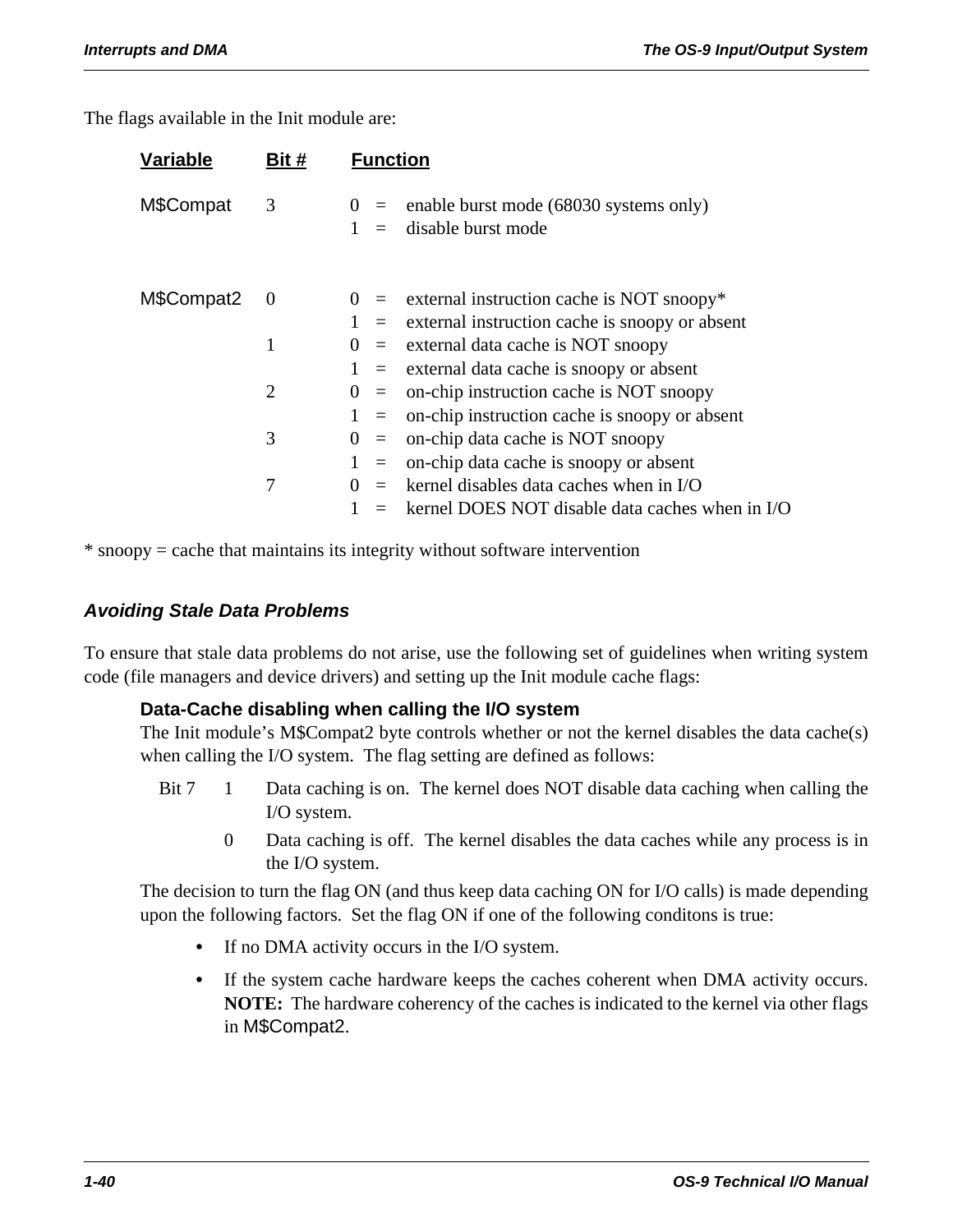The flags available in the Init module are:

| Bit #          | <b>Function</b>                                                                  |  |
|----------------|----------------------------------------------------------------------------------|--|
| 3              | enable burst mode (68030 systems only)<br>$(1) =$<br>disable burst mode<br>$1 =$ |  |
| $\overline{0}$ | $0 =$ external instruction cache is NOT snoopy*                                  |  |
|                | $1 =$ external instruction cache is snoopy or absent                             |  |
| 1              | external data cache is NOT snoopy<br>$\Omega$<br>$\equiv$                        |  |
|                | $1 =$ external data cache is snoopy or absent                                    |  |
| $\overline{2}$ | on-chip instruction cache is NOT snoopy<br>$() =$                                |  |
|                | on-chip instruction cache is snoopy or absent<br>$1 =$                           |  |
| 3              | on-chip data cache is NOT snoopy<br>$\theta$<br>$\equiv$                         |  |
|                | on-chip data cache is snoopy or absent<br>$1 =$                                  |  |
| 7              | kernel disables data caches when in I/O                                          |  |
|                | kernel DOES NOT disable data caches when in I/O                                  |  |
|                |                                                                                  |  |

\* snoopy = cache that maintains its integrity without software intervention

#### *Avoiding Stale Data Problems*

To ensure that stale data problems do not arise, use the following set of guidelines when writing system code (file managers and device drivers) and setting up the Init module cache flags:

#### **Data-Cache disabling when calling the I/O system**

The Init module's M\$Compat2 byte controls whether or not the kernel disables the data cache(s) when calling the I/O system. The flag setting are defined as follows:

- Bit 7 1 Data caching is on. The kernel does NOT disable data caching when calling the I/O system.
	- 0 Data caching is off. The kernel disables the data caches while any process is in the I/O system.

The decision to turn the flag ON (and thus keep data caching ON for I/O calls) is made depending upon the following factors. Set the flag ON if one of the following conditons is true:

- **•** If no DMA activity occurs in the I/O system.
- **•** If the system cache hardware keeps the caches coherent when DMA activity occurs. **NOTE:** The hardware coherency of the caches is indicated to the kernel via other flags in M\$Compat2.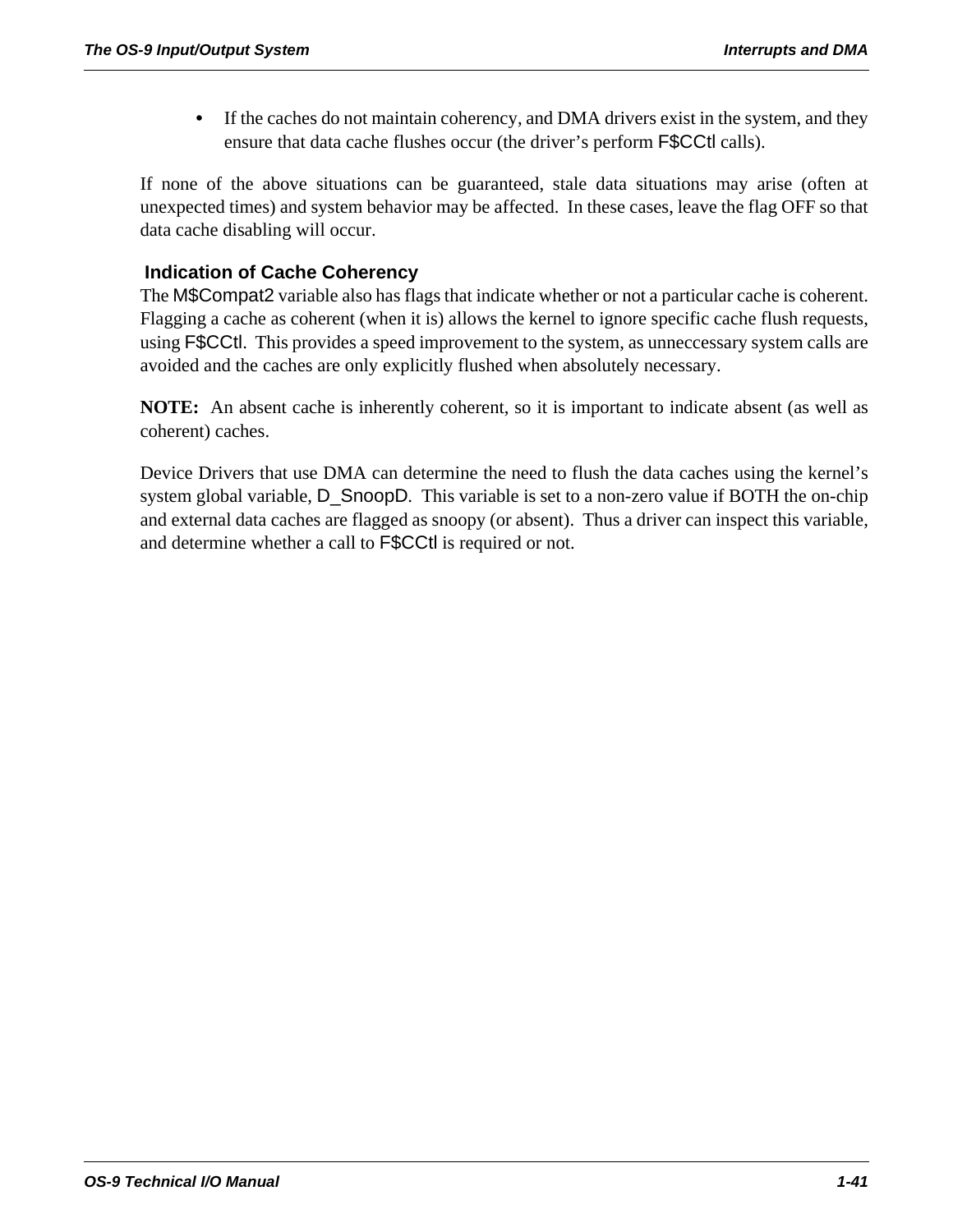• If the caches do not maintain coherency, and DMA drivers exist in the system, and they ensure that data cache flushes occur (the driver's perform F\$CCtl calls).

If none of the above situations can be guaranteed, stale data situations may arise (often at unexpected times) and system behavior may be affected. In these cases, leave the flag OFF so that data cache disabling will occur.

#### **Indication of Cache Coherency**

The M\$Compat2 variable also has flags that indicate whether or not a particular cache is coherent. Flagging a cache as coherent (when it is) allows the kernel to ignore specific cache flush requests, using F\$CCtl. This provides a speed improvement to the system, as unneccessary system calls are avoided and the caches are only explicitly flushed when absolutely necessary.

**NOTE:** An absent cache is inherently coherent, so it is important to indicate absent (as well as coherent) caches.

Device Drivers that use DMA can determine the need to flush the data caches using the kernel's system global variable, D\_SnoopD. This variable is set to a non-zero value if BOTH the on-chip and external data caches are flagged as snoopy (or absent). Thus a driver can inspect this variable, and determine whether a call to F\$CCtl is required or not.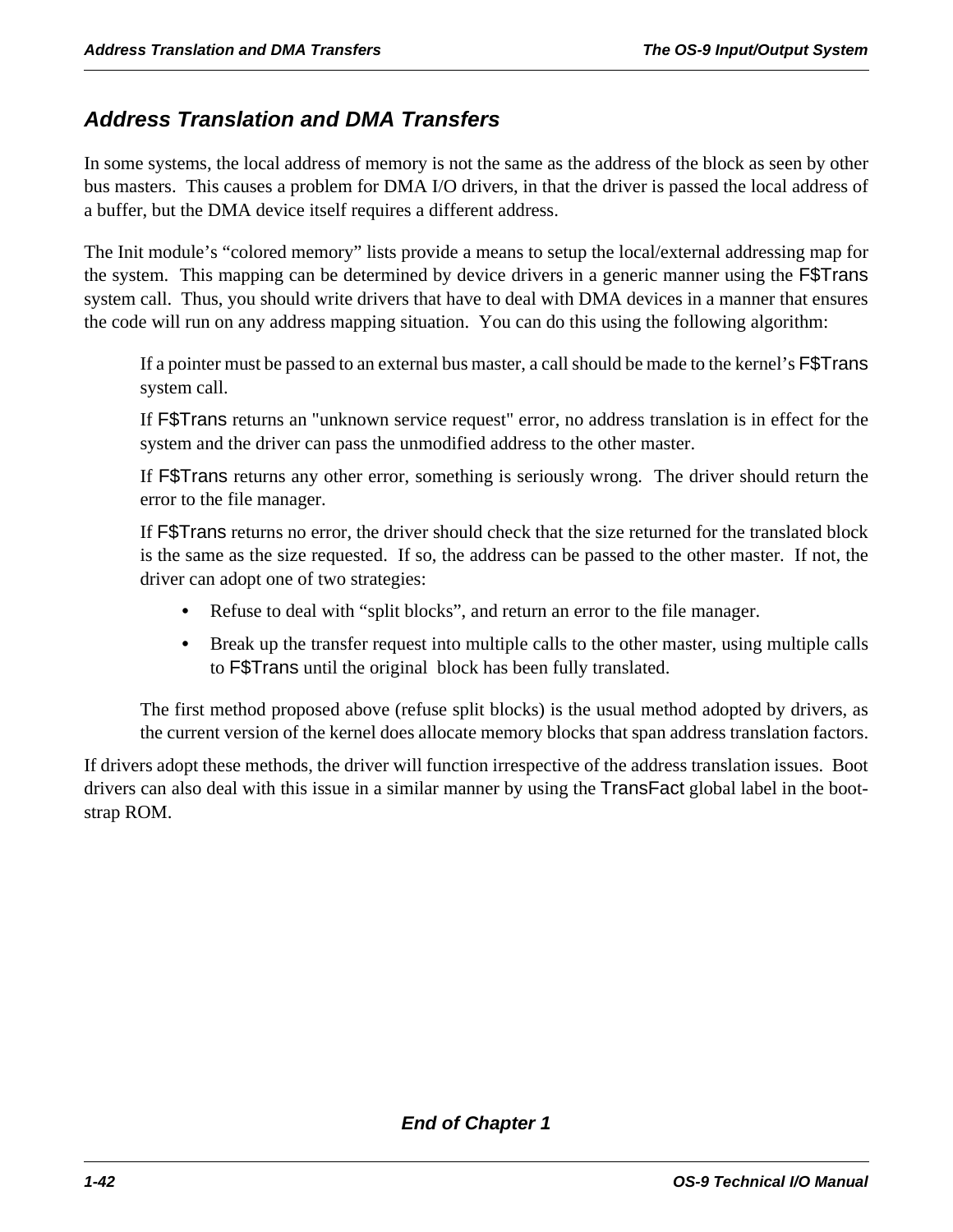### *Address Translation and DMA Transfers*

In some systems, the local address of memory is not the same as the address of the block as seen by other bus masters. This causes a problem for DMA I/O drivers, in that the driver is passed the local address of a buffer, but the DMA device itself requires a different address.

The Init module's "colored memory" lists provide a means to setup the local/external addressing map for the system. This mapping can be determined by device drivers in a generic manner using the F\$Trans system call. Thus, you should write drivers that have to deal with DMA devices in a manner that ensures the code will run on any address mapping situation. You can do this using the following algorithm:

If a pointer must be passed to an external bus master, a call should be made to the kernel's F\$Trans system call.

If F\$Trans returns an "unknown service request" error, no address translation is in effect for the system and the driver can pass the unmodified address to the other master.

If F\$Trans returns any other error, something is seriously wrong. The driver should return the error to the file manager.

If F\$Trans returns no error, the driver should check that the size returned for the translated block is the same as the size requested. If so, the address can be passed to the other master. If not, the driver can adopt one of two strategies:

- **•** Refuse to deal with "split blocks", and return an error to the file manager.
- **•** Break up the transfer request into multiple calls to the other master, using multiple calls to F\$Trans until the original block has been fully translated.

The first method proposed above (refuse split blocks) is the usual method adopted by drivers, as the current version of the kernel does allocate memory blocks that span address translation factors.

If drivers adopt these methods, the driver will function irrespective of the address translation issues. Boot drivers can also deal with this issue in a similar manner by using the TransFact global label in the bootstrap ROM.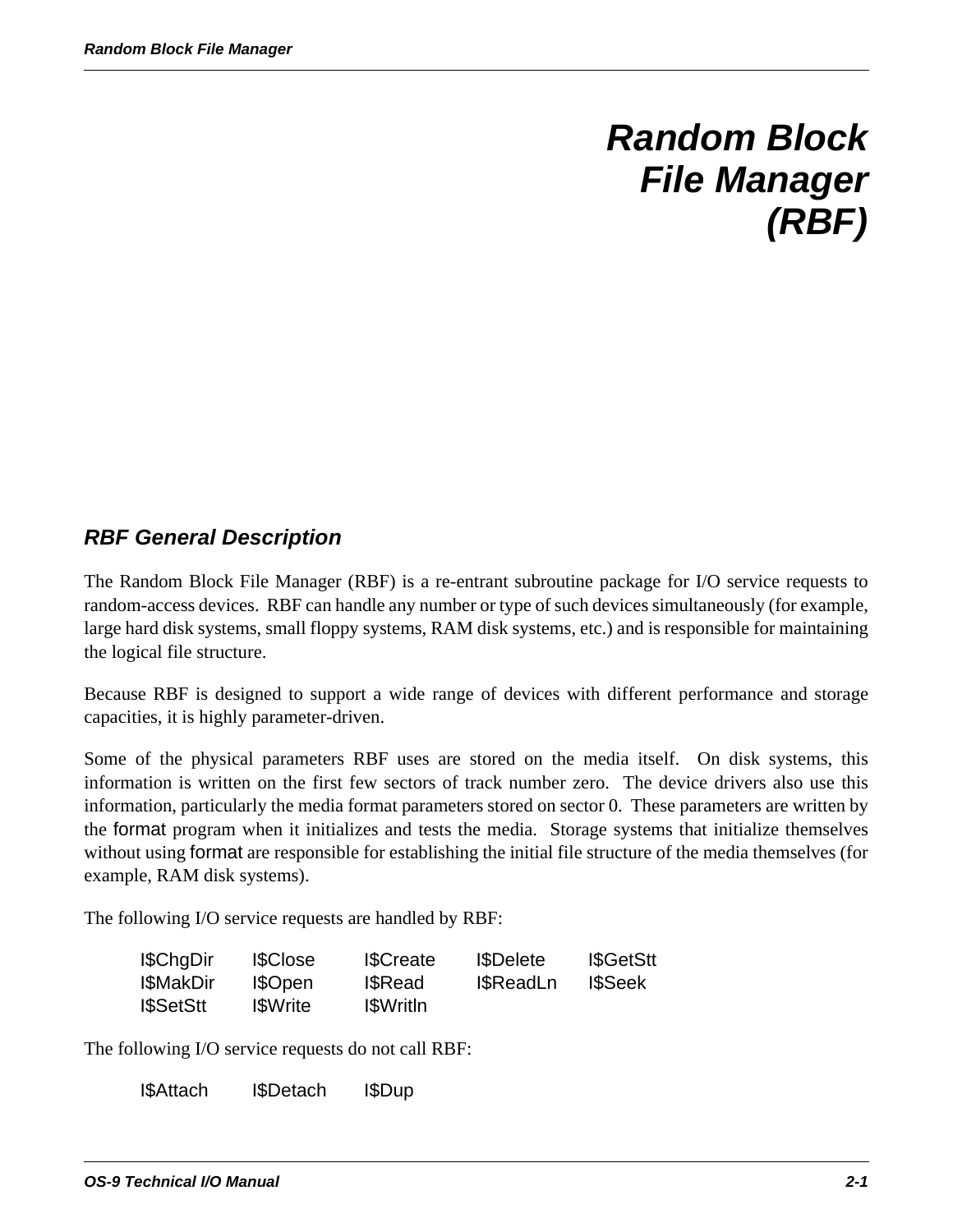# *Random Block File Manager (RBF)*

# *RBF General Description*

The Random Block File Manager (RBF) is a re-entrant subroutine package for I/O service requests to random-access devices. RBF can handle any number or type of such devices simultaneously (for example, large hard disk systems, small floppy systems, RAM disk systems, etc.) and is responsible for maintaining the logical file structure.

Because RBF is designed to support a wide range of devices with different performance and storage capacities, it is highly parameter-driven.

Some of the physical parameters RBF uses are stored on the media itself. On disk systems, this information is written on the first few sectors of track number zero. The device drivers also use this information, particularly the media format parameters stored on sector 0. These parameters are written by the format program when it initializes and tests the media. Storage systems that initialize themselves without using format are responsible for establishing the initial file structure of the media themselves (for example, RAM disk systems).

The following I/O service requests are handled by RBF:

| I\$ChgDir         | <b>ISClose</b>  | <b>I</b> \$Create | <b>I</b> \$Delete | <b>I</b> \$GetStt |
|-------------------|-----------------|-------------------|-------------------|-------------------|
| I\$MakDir         | I\$Open         | <b>I</b> SRead    | <b>I</b> \$ReadLn | <b>I</b> SSeek    |
| <b>I</b> \$SetStt | <b>I</b> SWrite | <b>I</b> SWritIn  |                   |                   |

The following I/O service requests do not call RBF:

I\$Attach I\$Detach I\$Dup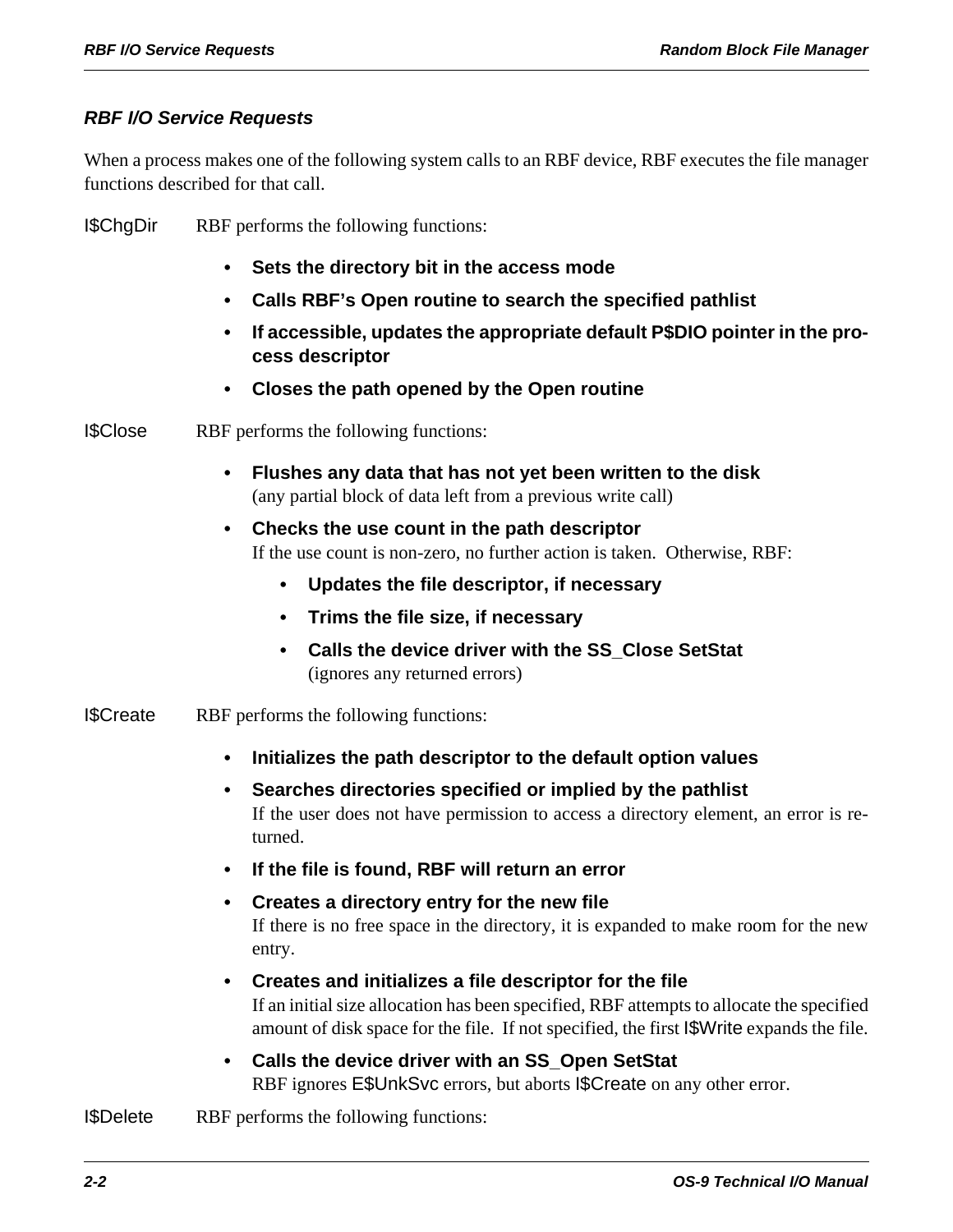#### *RBF I/O Service Requests*

When a process makes one of the following system calls to an RBF device, RBF executes the file manager functions described for that call.

I\$ChgDir RBF performs the following functions:

- **Sets the directory bit in the access mode**
- **Calls RBF's Open routine to search the specified pathlist**
- **If accessible, updates the appropriate default P\$DIO pointer in the process descriptor**
- **Closes the path opened by the Open routine**

I\$Close RBF performs the following functions:

- **Flushes any data that has not yet been written to the disk** (any partial block of data left from a previous write call)
- **Checks the use count in the path descriptor** If the use count is non-zero, no further action is taken. Otherwise, RBF:
	- **Updates the file descriptor, if necessary**
	- **Trims the file size, if necessary**
	- **Calls the device driver with the SS\_Close SetStat** (ignores any returned errors)
- I\$Create RBF performs the following functions:
	- **Initializes the path descriptor to the default option values**
	- **Searches directories specified or implied by the pathlist** If the user does not have permission to access a directory element, an error is returned.
	- **If the file is found, RBF will return an error**
	- **Creates a directory entry for the new file** If there is no free space in the directory, it is expanded to make room for the new entry.
	- **Creates and initializes a file descriptor for the file** If an initial size allocation has been specified, RBF attempts to allocate the specified amount of disk space for the file. If not specified, the first I\$Write expands the file.
	- **Calls the device driver with an SS\_Open SetStat** RBF ignores E\$UnkSvc errors, but aborts I\$Create on any other error.
- I\$Delete RBF performs the following functions: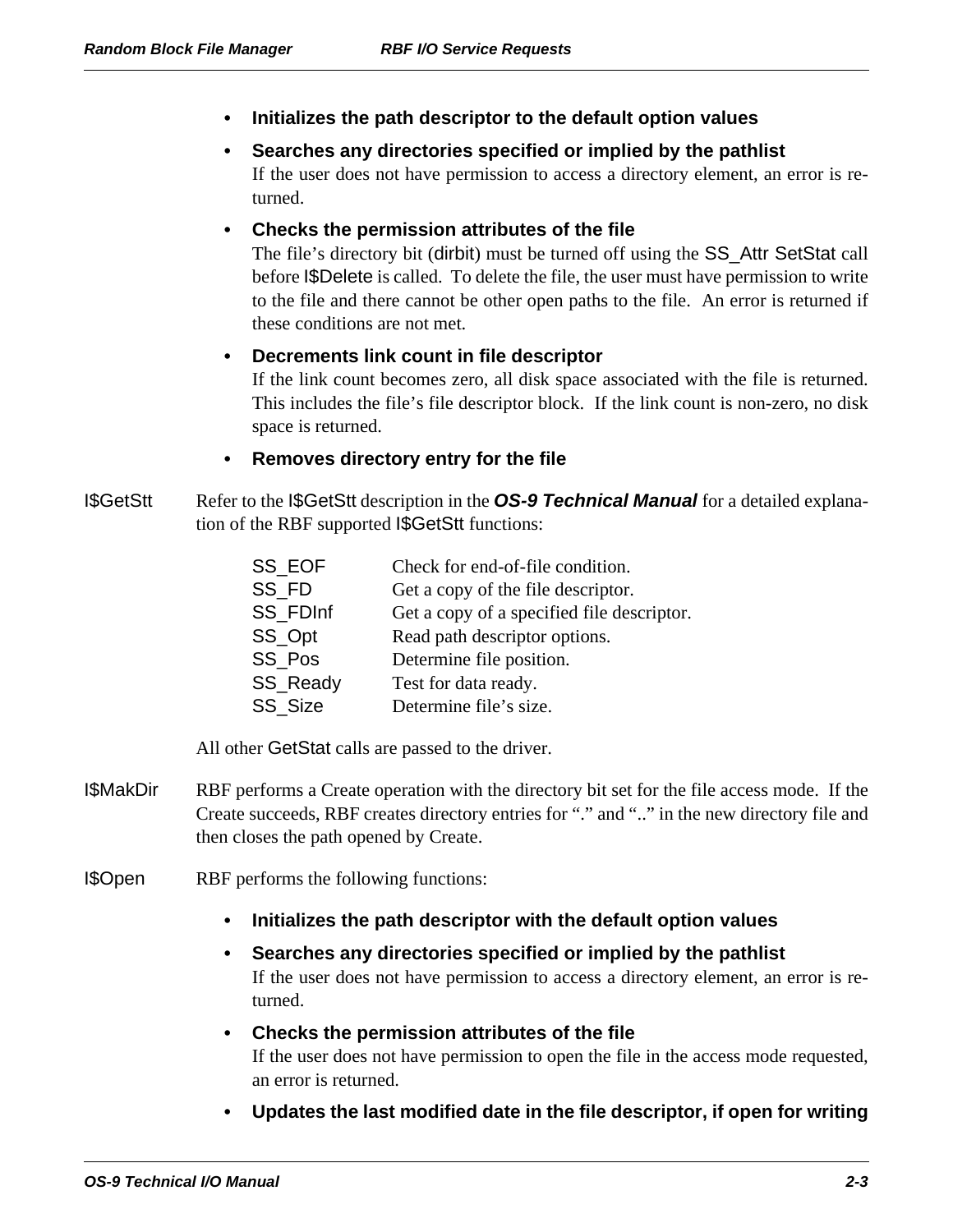- **Initializes the path descriptor to the default option values**
- **Searches any directories specified or implied by the pathlist** If the user does not have permission to access a directory element, an error is returned.
- **Checks the permission attributes of the file**

The file's directory bit (dirbit) must be turned off using the SS\_Attr SetStat call before I\$Delete is called. To delete the file, the user must have permission to write to the file and there cannot be other open paths to the file. An error is returned if these conditions are not met.

#### **• Decrements link count in file descriptor**

If the link count becomes zero, all disk space associated with the file is returned. This includes the file's file descriptor block. If the link count is non-zero, no disk space is returned.

#### **• Removes directory entry for the file**

I\$GetStt Refer to the I\$GetStt description in the *OS-9 Technical Manual* for a detailed explanation of the RBF supported I\$GetStt functions:

| SS EOF   | Check for end-of-file condition.           |
|----------|--------------------------------------------|
| SS FD    | Get a copy of the file descriptor.         |
| SS FDInf | Get a copy of a specified file descriptor. |
| SS_Opt   | Read path descriptor options.              |
| SS Pos   | Determine file position.                   |
| SS_Ready | Test for data ready.                       |
| SS Size  | Determine file's size.                     |

All other GetStat calls are passed to the driver.

- I\$MakDir RBF performs a Create operation with the directory bit set for the file access mode. If the Create succeeds, RBF creates directory entries for "." and ".." in the new directory file and then closes the path opened by Create.
- I\$Open RBF performs the following functions:
	- **Initializes the path descriptor with the default option values**
	- **Searches any directories specified or implied by the pathlist** If the user does not have permission to access a directory element, an error is returned.
	- **Checks the permission attributes of the file** If the user does not have permission to open the file in the access mode requested, an error is returned.
	- **Updates the last modified date in the file descriptor, if open for writing**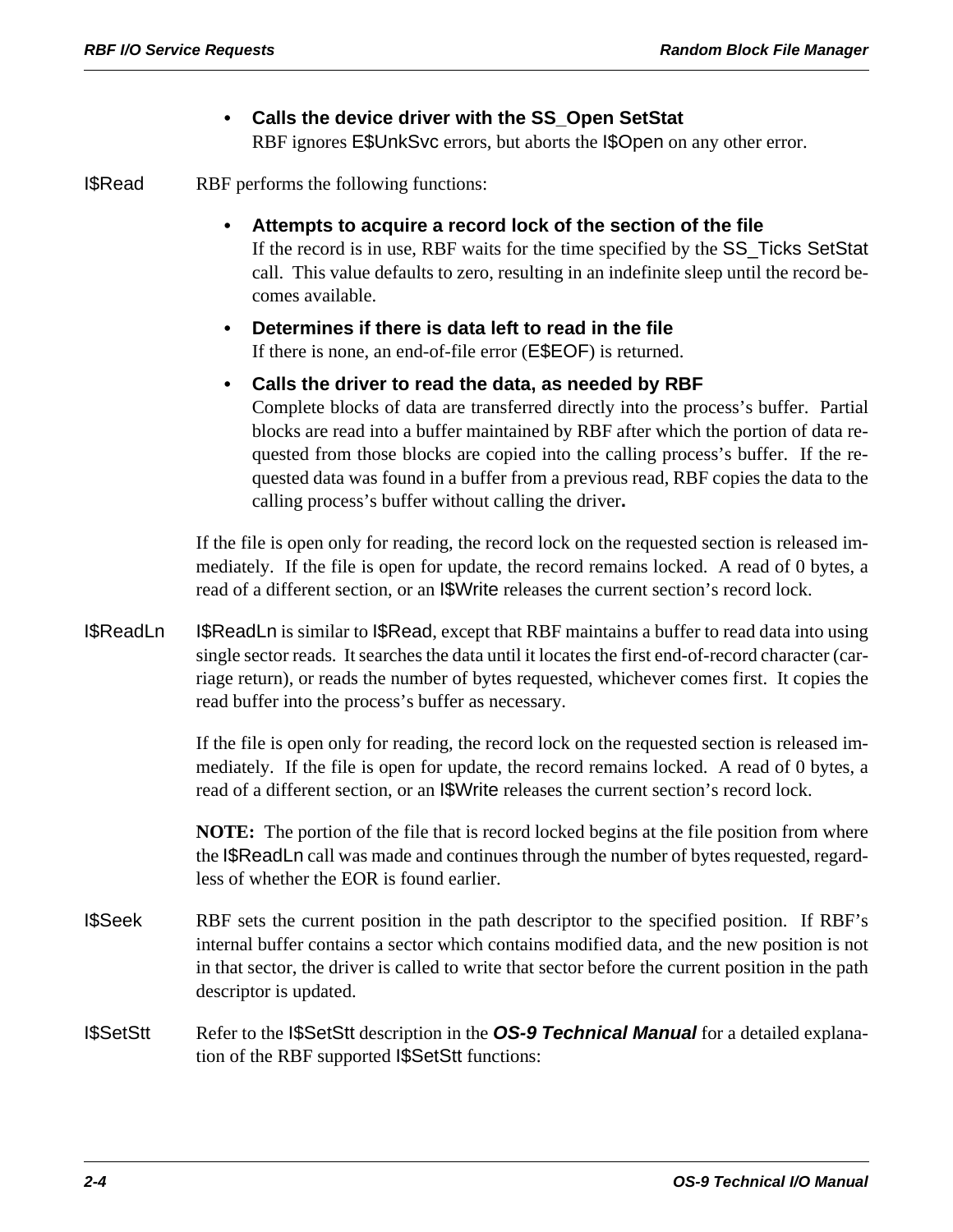# **• Calls the device driver with the SS\_Open SetStat**

RBF ignores E\$UnkSvc errors, but aborts the I\$Open on any other error.

I\$Read RBF performs the following functions:

**• Attempts to acquire a record lock of the section of the file**

If the record is in use, RBF waits for the time specified by the SS\_Ticks SetStat call. This value defaults to zero, resulting in an indefinite sleep until the record becomes available.

- **Determines if there is data left to read in the file** If there is none, an end-of-file error (E\$EOF) is returned.
- **Calls the driver to read the data, as needed by RBF** Complete blocks of data are transferred directly into the process's buffer. Partial blocks are read into a buffer maintained by RBF after which the portion of data requested from those blocks are copied into the calling process's buffer. If the requested data was found in a buffer from a previous read, RBF copies the data to the calling process's buffer without calling the driver**.**

If the file is open only for reading, the record lock on the requested section is released immediately. If the file is open for update, the record remains locked. A read of 0 bytes, a read of a different section, or an I\$Write releases the current section's record lock.

I\$ReadLn I\$ReadLn is similar to I\$Read, except that RBF maintains a buffer to read data into using single sector reads. It searches the data until it locates the first end-of-record character (carriage return), or reads the number of bytes requested, whichever comes first. It copies the read buffer into the process's buffer as necessary.

> If the file is open only for reading, the record lock on the requested section is released immediately. If the file is open for update, the record remains locked. A read of 0 bytes, a read of a different section, or an I\$Write releases the current section's record lock.

> **NOTE:** The portion of the file that is record locked begins at the file position from where the I\$ReadLn call was made and continues through the number of bytes requested, regardless of whether the EOR is found earlier.

- I\$Seek RBF sets the current position in the path descriptor to the specified position. If RBF's internal buffer contains a sector which contains modified data, and the new position is not in that sector, the driver is called to write that sector before the current position in the path descriptor is updated.
- I\$SetStt Refer to the I\$SetStt description in the *OS-9 Technical Manual* for a detailed explanation of the RBF supported I\$SetStt functions: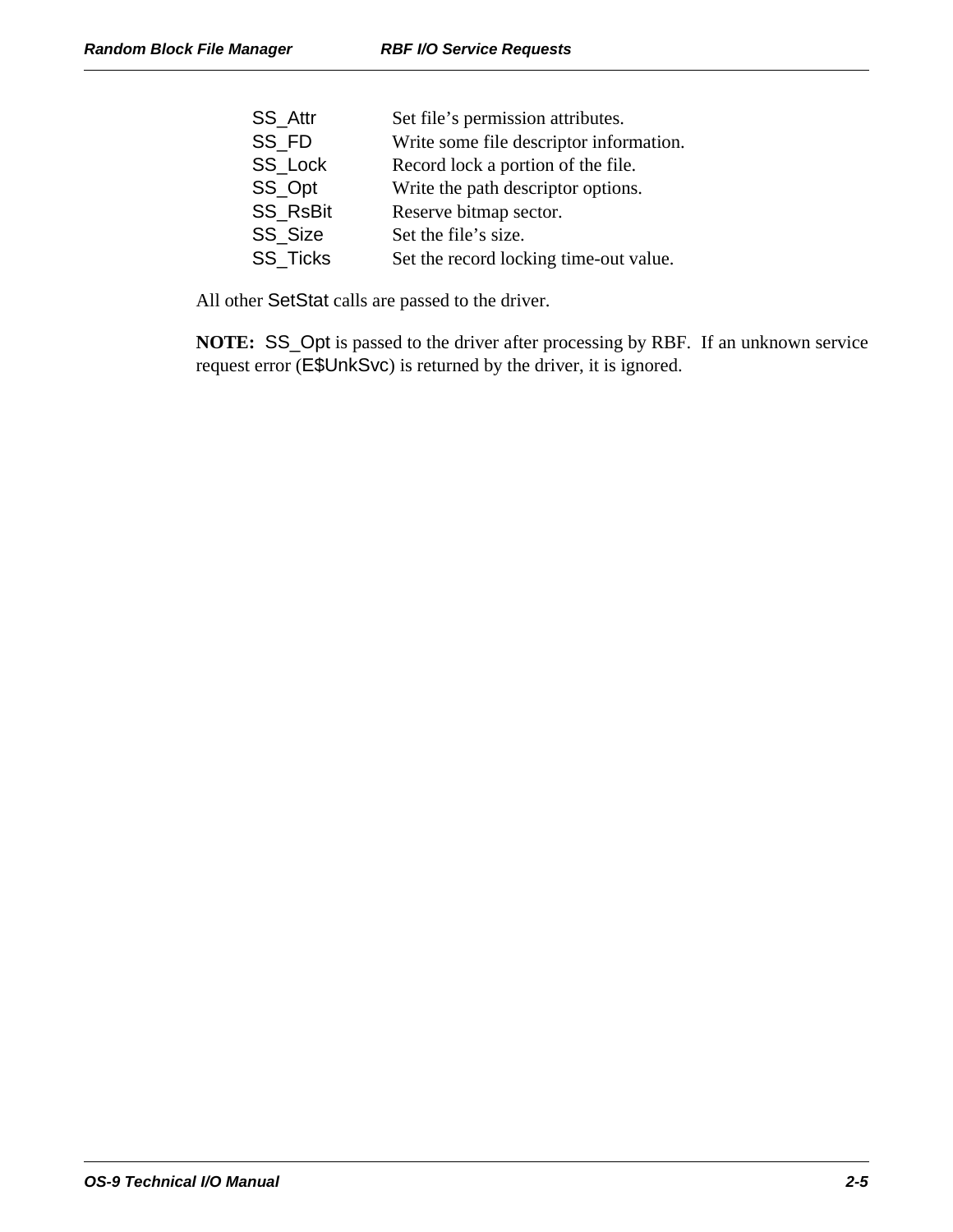| <b>SS Attr</b>  | Set file's permission attributes.       |
|-----------------|-----------------------------------------|
| SS FD           | Write some file descriptor information. |
| SS Lock         | Record lock a portion of the file.      |
| SS_Opt          | Write the path descriptor options.      |
| <b>SS RsBit</b> | Reserve bitmap sector.                  |
| SS Size         | Set the file's size.                    |
| <b>SS Ticks</b> | Set the record locking time-out value.  |
|                 |                                         |

All other SetStat calls are passed to the driver.

**NOTE:** SS\_Opt is passed to the driver after processing by RBF. If an unknown service request error (E\$UnkSvc) is returned by the driver, it is ignored.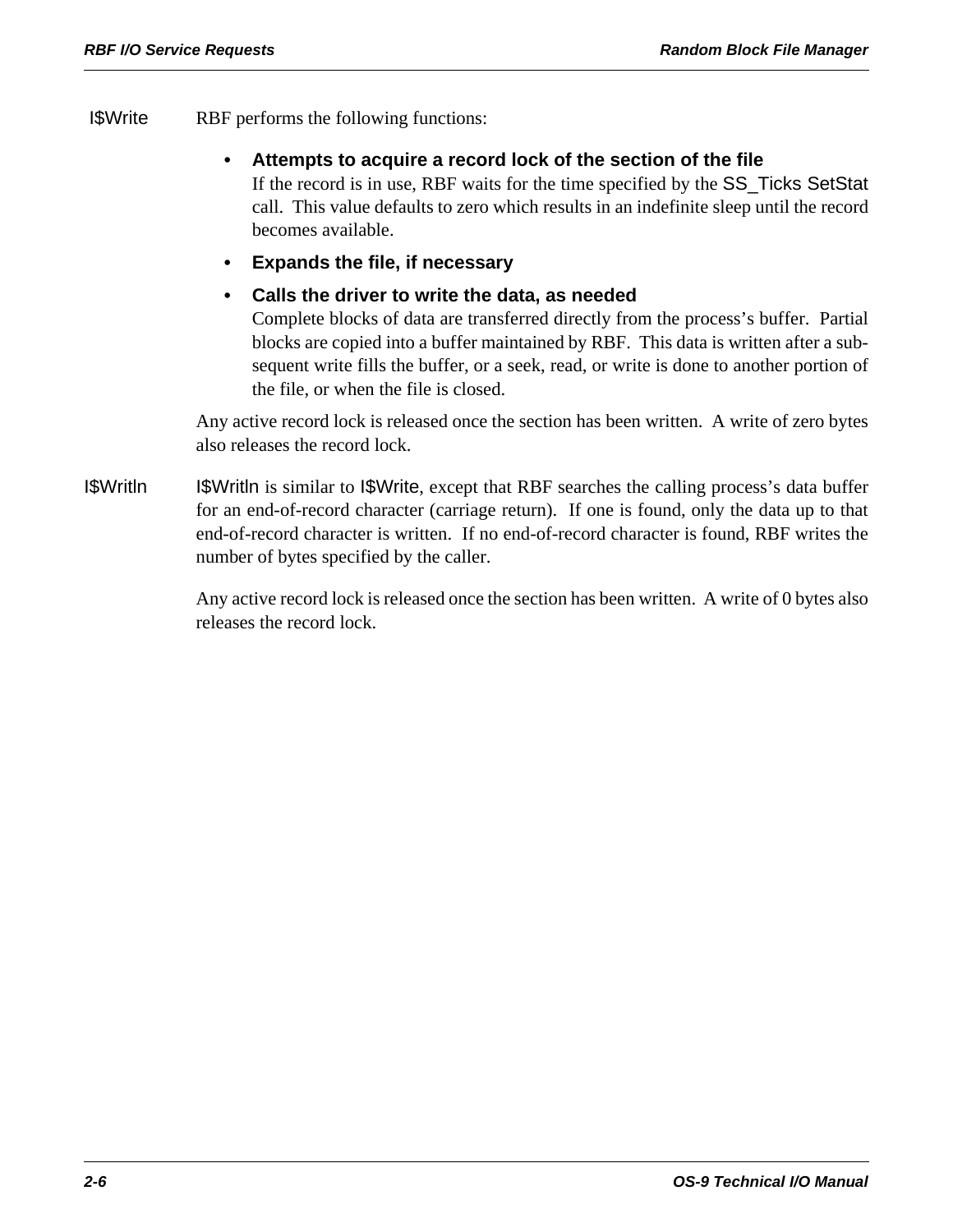- I\$Write RBF performs the following functions:
	- **Attempts to acquire a record lock of the section of the file**

If the record is in use, RBF waits for the time specified by the SS\_Ticks SetStat call. This value defaults to zero which results in an indefinite sleep until the record becomes available.

- **Expands the file, if necessary**
- **Calls the driver to write the data, as needed**

Complete blocks of data are transferred directly from the process's buffer. Partial blocks are copied into a buffer maintained by RBF. This data is written after a subsequent write fills the buffer, or a seek, read, or write is done to another portion of the file, or when the file is closed.

Any active record lock is released once the section has been written. A write of zero bytes also releases the record lock.

I\$Writln I\$Writln is similar to I\$Write, except that RBF searches the calling process's data buffer for an end-of-record character (carriage return). If one is found, only the data up to that end-of-record character is written. If no end-of-record character is found, RBF writes the number of bytes specified by the caller.

> Any active record lock is released once the section has been written. A write of 0 bytes also releases the record lock.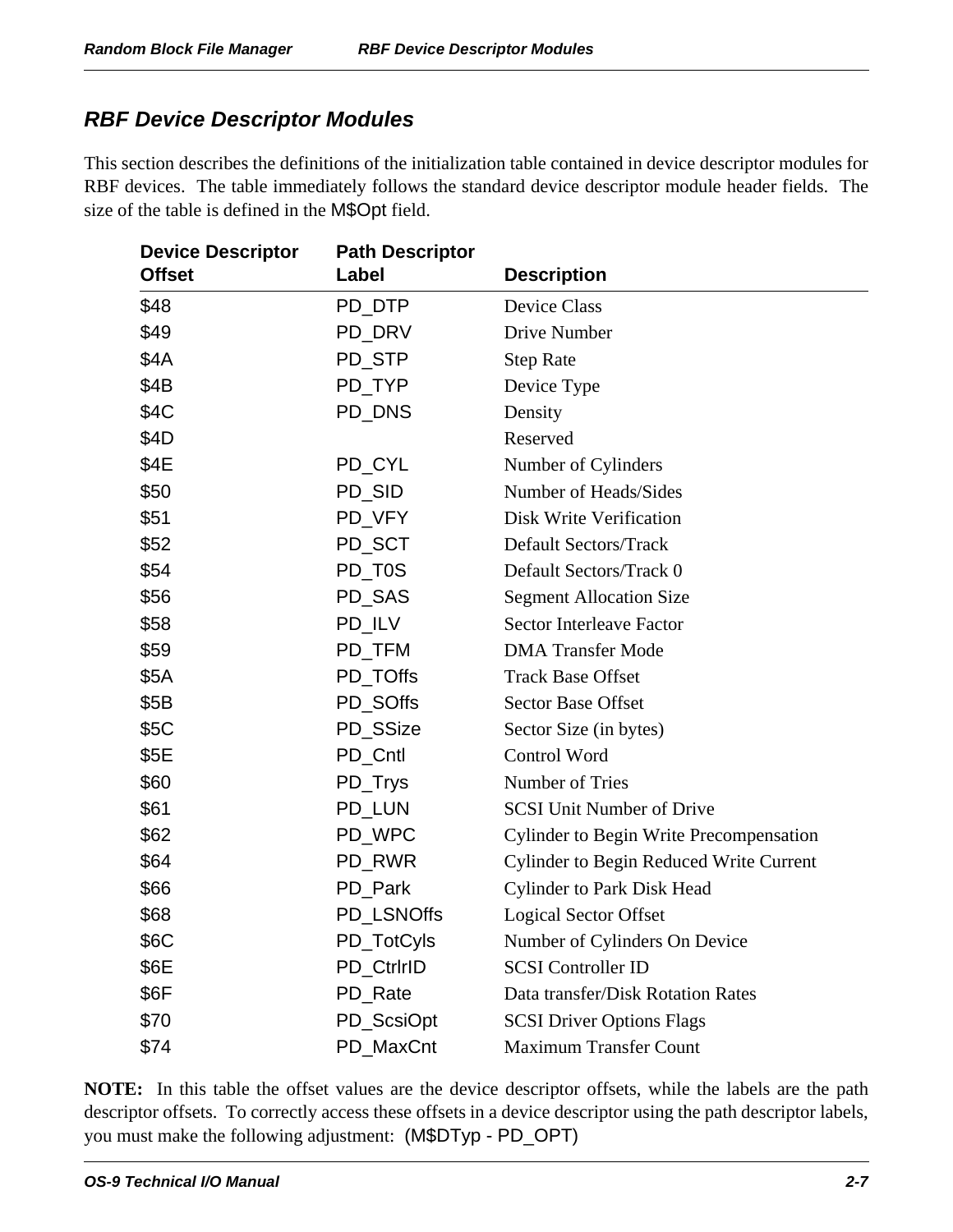# *RBF Device Descriptor Modules*

This section describes the definitions of the initialization table contained in device descriptor modules for RBF devices. The table immediately follows the standard device descriptor module header fields. The size of the table is defined in the M\$Opt field.

| <b>Device Descriptor</b> | <b>Path Descriptor</b> |                                                |
|--------------------------|------------------------|------------------------------------------------|
| <b>Offset</b>            | Label                  | <b>Description</b>                             |
| \$48                     | PD_DTP                 | <b>Device Class</b>                            |
| \$49                     | PD_DRV                 | Drive Number                                   |
| \$4A                     | PD STP                 | <b>Step Rate</b>                               |
| \$4B                     | PD_TYP                 | Device Type                                    |
| \$4C                     | PD_DNS                 | Density                                        |
| \$4D                     |                        | Reserved                                       |
| \$4E                     | PD_CYL                 | Number of Cylinders                            |
| \$50                     | PD_SID                 | Number of Heads/Sides                          |
| \$51                     | PD_VFY                 | <b>Disk Write Verification</b>                 |
| \$52                     | PD_SCT                 | <b>Default Sectors/Track</b>                   |
| \$54                     | PD_T0S                 | Default Sectors/Track 0                        |
| \$56                     | PD_SAS                 | <b>Segment Allocation Size</b>                 |
| \$58                     | PD_ILV                 | <b>Sector Interleave Factor</b>                |
| \$59                     | PD_TFM                 | <b>DMA Transfer Mode</b>                       |
| \$5A                     | PD_TOffs               | <b>Track Base Offset</b>                       |
| \$5B                     | PD_SOffs               | <b>Sector Base Offset</b>                      |
| \$5C                     | PD_SSize               | Sector Size (in bytes)                         |
| \$5E                     | PD Cntl                | Control Word                                   |
| \$60                     | PD_Trys                | Number of Tries                                |
| \$61                     | PD_LUN                 | <b>SCSI Unit Number of Drive</b>               |
| \$62                     | PD WPC                 | <b>Cylinder to Begin Write Precompensation</b> |
| \$64                     | PD_RWR                 | <b>Cylinder to Begin Reduced Write Current</b> |
| \$66                     | PD_Park                | <b>Cylinder to Park Disk Head</b>              |
| \$68                     | PD_LSNOffs             | <b>Logical Sector Offset</b>                   |
| \$6C                     | PD_TotCyls             | Number of Cylinders On Device                  |
| \$6E                     | <b>PD CtririD</b>      | <b>SCSI</b> Controller ID                      |
| \$6F                     | PD_Rate                | Data transfer/Disk Rotation Rates              |
| \$70                     | PD_ScsiOpt             | <b>SCSI Driver Options Flags</b>               |
| \$74                     | PD MaxCnt              | <b>Maximum Transfer Count</b>                  |

**NOTE:** In this table the offset values are the device descriptor offsets, while the labels are the path descriptor offsets. To correctly access these offsets in a device descriptor using the path descriptor labels, you must make the following adjustment: (M\$DTyp - PD\_OPT)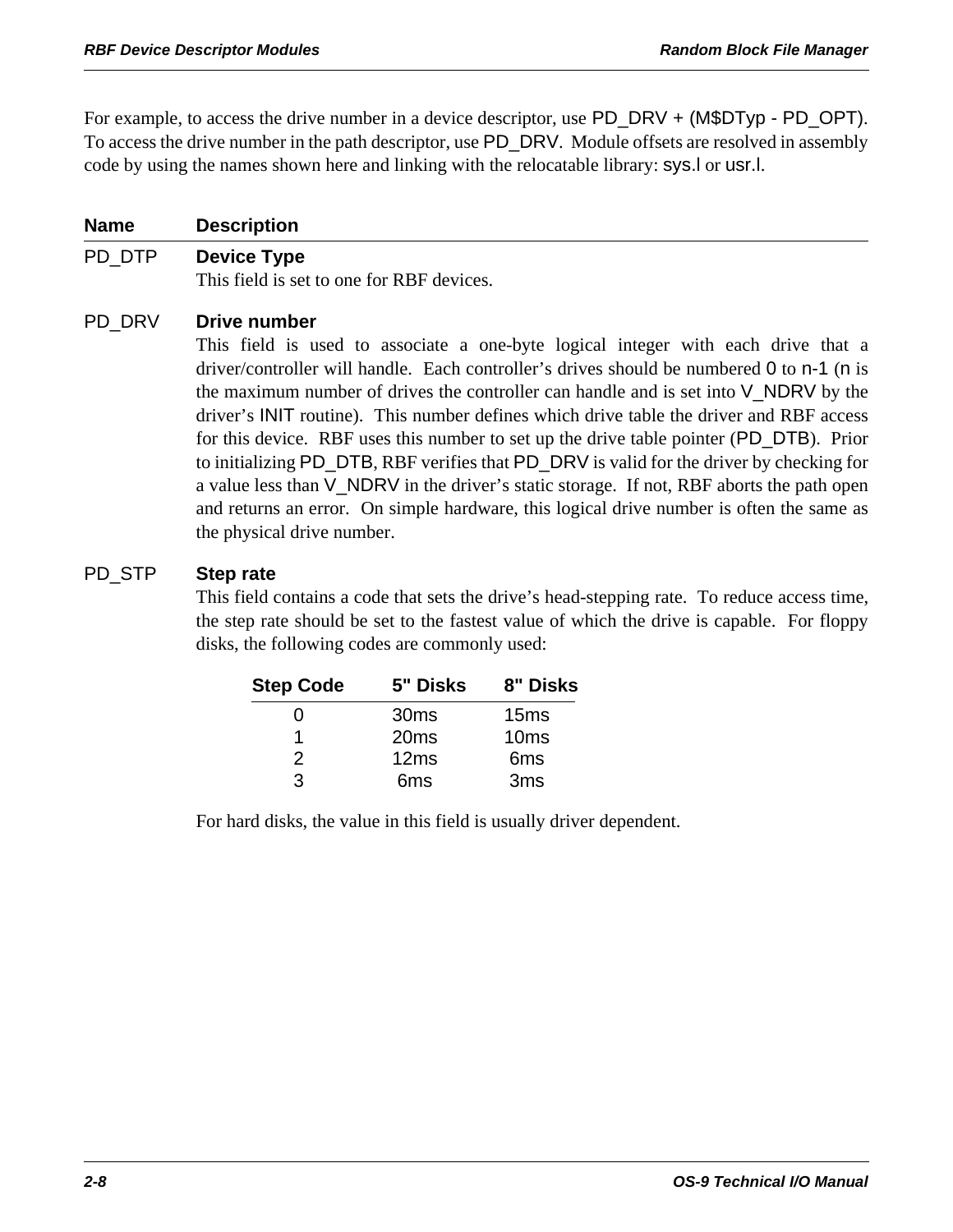For example, to access the drive number in a device descriptor, use PD\_DRV + (M\$DTyp - PD\_OPT). To access the drive number in the path descriptor, use PD\_DRV. Module offsets are resolved in assembly code by using the names shown here and linking with the relocatable library: sys.l or usr.l.

#### **Name Description**

#### PD\_DTP **Device Type**

This field is set to one for RBF devices.

#### PD\_DRV **Drive number**

This field is used to associate a one-byte logical integer with each drive that a driver/controller will handle. Each controller's drives should be numbered 0 to n-1 (n is the maximum number of drives the controller can handle and is set into V\_NDRV by the driver's INIT routine). This number defines which drive table the driver and RBF access for this device. RBF uses this number to set up the drive table pointer (PD\_DTB). Prior to initializing PD\_DTB, RBF verifies that PD\_DRV is valid for the driver by checking for a value less than V\_NDRV in the driver's static storage. If not, RBF aborts the path open and returns an error. On simple hardware, this logical drive number is often the same as the physical drive number.

#### PD\_STP **Step rate**

This field contains a code that sets the drive's head-stepping rate. To reduce access time, the step rate should be set to the fastest value of which the drive is capable. For floppy disks, the following codes are commonly used:

| <b>Step Code</b> | 5" Disks         | 8" Disks         |
|------------------|------------------|------------------|
| 0                | 30 <sub>ms</sub> | 15 <sub>ms</sub> |
|                  | 20ms             | 10 <sub>ms</sub> |
| 2                | 12ms             | 6 <sub>ms</sub>  |
| 3                | 6 <sub>ms</sub>  | 3 <sub>ms</sub>  |

For hard disks, the value in this field is usually driver dependent.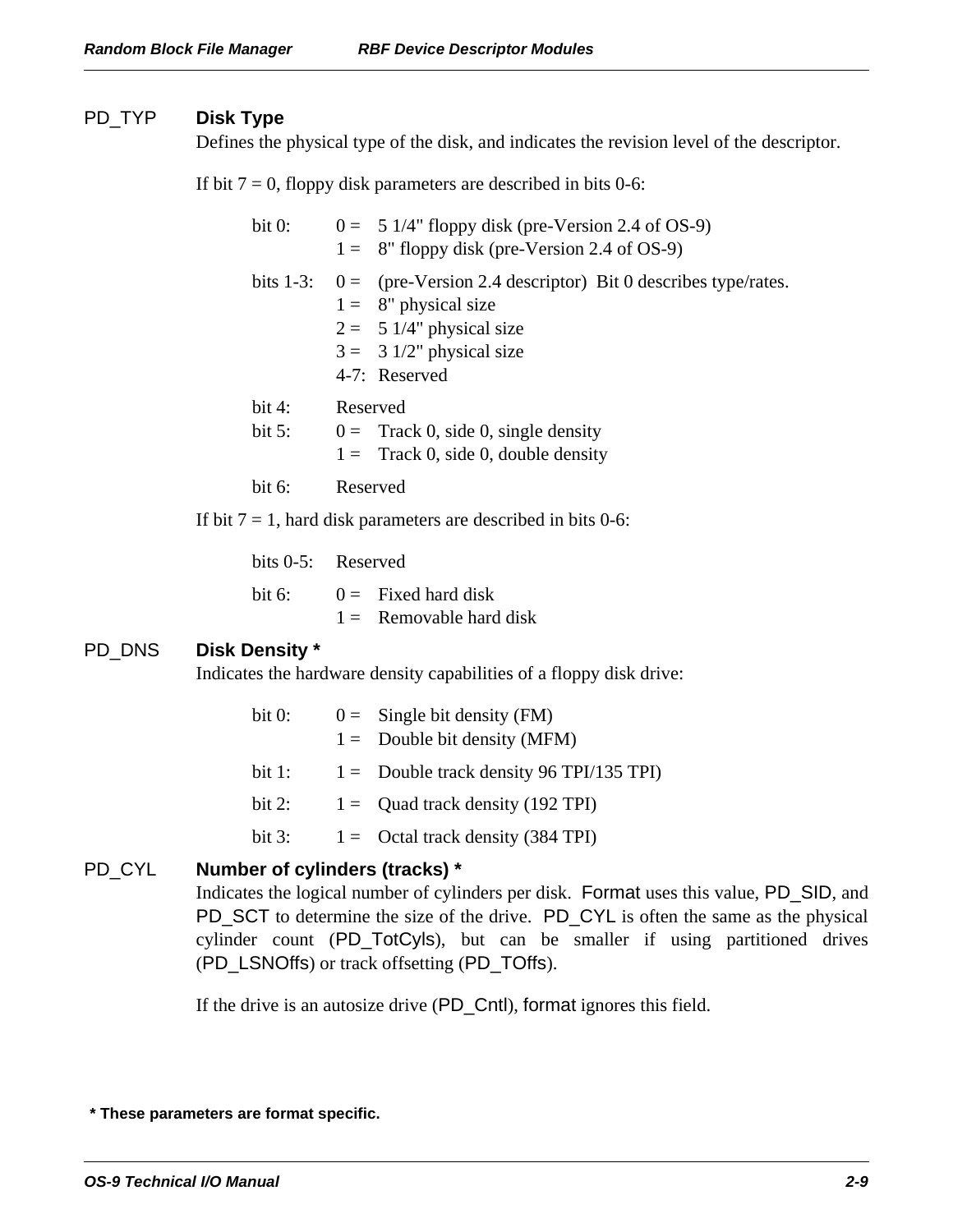#### PD\_TYP **Disk Type**

Defines the physical type of the disk, and indicates the revision level of the descriptor.

If bit  $7 = 0$ , floppy disk parameters are described in bits 0-6:

| bit 0:                | $0 = 51/4$ " floppy disk (pre-Version 2.4 of OS-9)<br>$1 = 8$ " floppy disk (pre-Version 2.4 of OS-9)                                                                            |
|-----------------------|----------------------------------------------------------------------------------------------------------------------------------------------------------------------------------|
|                       | bits 1-3: $0 =$ (pre-Version 2.4 descriptor) Bit 0 describes type/rates.<br>$1 = 8$ " physical size<br>$2 = 51/4$ " physical size<br>$3 = 31/2$ " physical size<br>4-7: Reserved |
| bit $4$ :<br>bit $5:$ | Reserved<br>$0 =$ Track 0, side 0, single density<br>$1 =$ Track 0, side 0, double density                                                                                       |
| bit $6$ :             | Reserved                                                                                                                                                                         |
|                       | If bit $7 = 1$ , hard disk parameters are described in bits 0-6:                                                                                                                 |

bits 0-5: Reserved

bit 6:  $0 =$  Fixed hard disk  $1 =$  Removable hard disk

#### PD\_DNS **Disk Density \***

Indicates the hardware density capabilities of a floppy disk drive:

| bit 0:   | $0 =$ Single bit density (FM)              |
|----------|--------------------------------------------|
|          | $1 =$ Double bit density (MFM)             |
| bit 1:   | $1 =$ Double track density 96 TPI/135 TPI) |
| bit 2:   | $1 =$ Quad track density (192 TPI)         |
| bit $3:$ | $1 =$ Octal track density (384 TPI)        |

#### PD\_CYL **Number of cylinders (tracks) \***

Indicates the logical number of cylinders per disk. Format uses this value, PD\_SID, and PD\_SCT to determine the size of the drive. PD\_CYL is often the same as the physical cylinder count (PD\_TotCyls), but can be smaller if using partitioned drives (PD\_LSNOffs) or track offsetting (PD\_TOffs).

If the drive is an autosize drive (PD\_Cntl), format ignores this field.

 **<sup>\*</sup> These parameters are format specific.**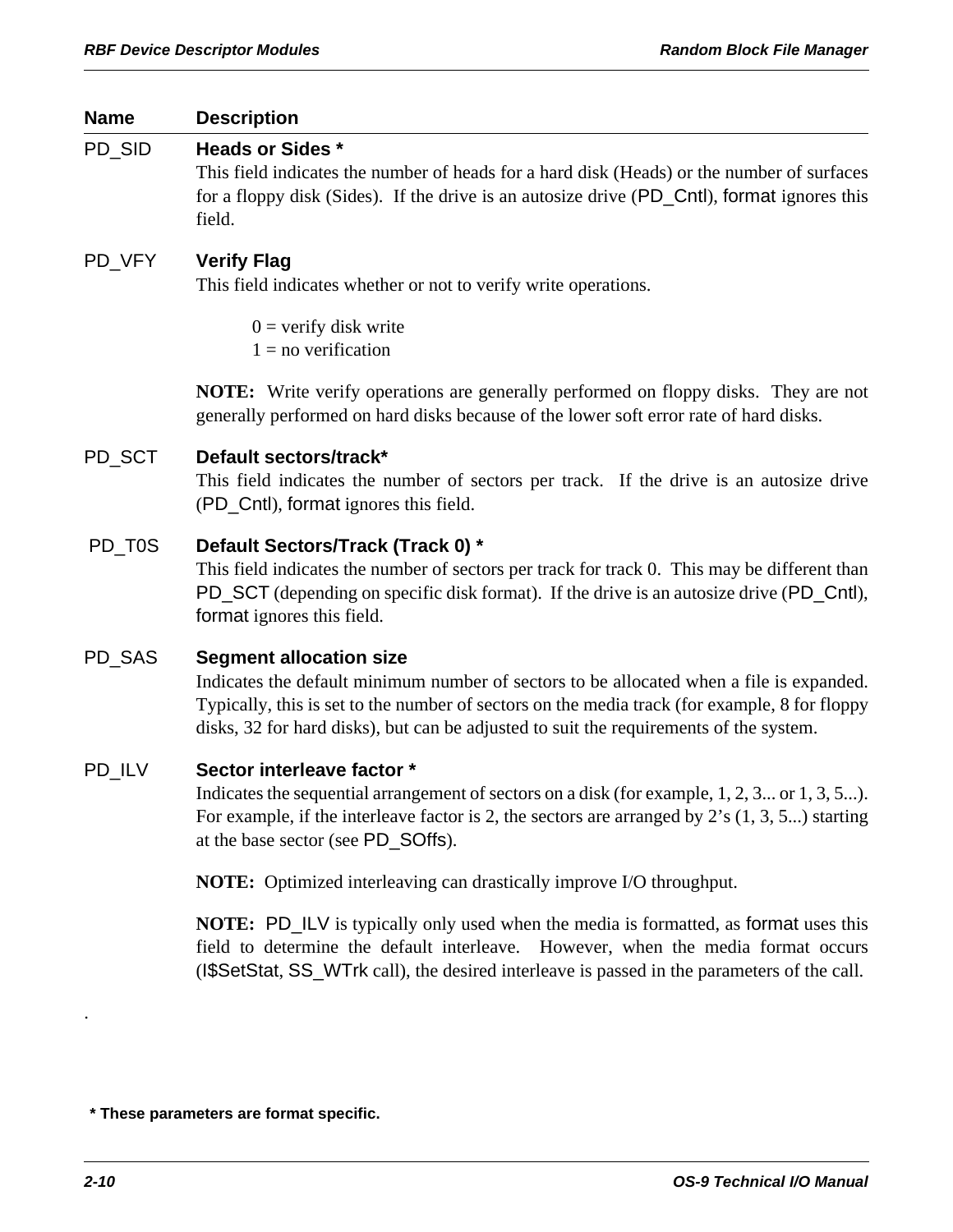| <b>Name</b> | <b>Description</b>                                                                                                                                                                                                                                                                                                    |
|-------------|-----------------------------------------------------------------------------------------------------------------------------------------------------------------------------------------------------------------------------------------------------------------------------------------------------------------------|
| PD_SID      | <b>Heads or Sides *</b><br>This field indicates the number of heads for a hard disk (Heads) or the number of surfaces<br>for a floppy disk (Sides). If the drive is an autosize drive (PD_Cntl), format ignores this<br>field.                                                                                        |
| PD_VFY      | <b>Verify Flag</b><br>This field indicates whether or not to verify write operations.                                                                                                                                                                                                                                 |
|             | $0 =$ verify disk write<br>$1 = no$ verification                                                                                                                                                                                                                                                                      |
|             | <b>NOTE:</b> Write verify operations are generally performed on floppy disks. They are not<br>generally performed on hard disks because of the lower soft error rate of hard disks.                                                                                                                                   |
| PD_SCT      | Default sectors/track*<br>This field indicates the number of sectors per track. If the drive is an autosize drive<br>(PD_Cntl), format ignores this field.                                                                                                                                                            |
| PD_T0S      | Default Sectors/Track (Track 0) *<br>This field indicates the number of sectors per track for track 0. This may be different than<br>PD_SCT (depending on specific disk format). If the drive is an autosize drive (PD_Cntl),<br>format ignores this field.                                                           |
| PD_SAS      | <b>Segment allocation size</b><br>Indicates the default minimum number of sectors to be allocated when a file is expanded.<br>Typically, this is set to the number of sectors on the media track (for example, 8 for floppy<br>disks, 32 for hard disks), but can be adjusted to suit the requirements of the system. |
| PD_ILV      | Sector interleave factor *<br>Indicates the sequential arrangement of sectors on a disk (for example, 1, 2, 3 or 1, 3, 5).<br>For example, if the interleave factor is 2, the sectors are arranged by $2$ 's $(1, 3, 5)$ starting<br>at the base sector (see PD_SOffs).                                               |
|             | <b>NOTE:</b> Optimized interleaving can drastically improve I/O throughput.                                                                                                                                                                                                                                           |
|             | <b>NOTE:</b> PD_ILV is typically only used when the media is formated, as format uses this<br>field to determine the default interleave. However, when the media format occurs<br>(ISSetStat, SS_WTrk call), the desired interleave is passed in the parameters of the call.                                          |

.

 **<sup>\*</sup> These parameters are format specific.**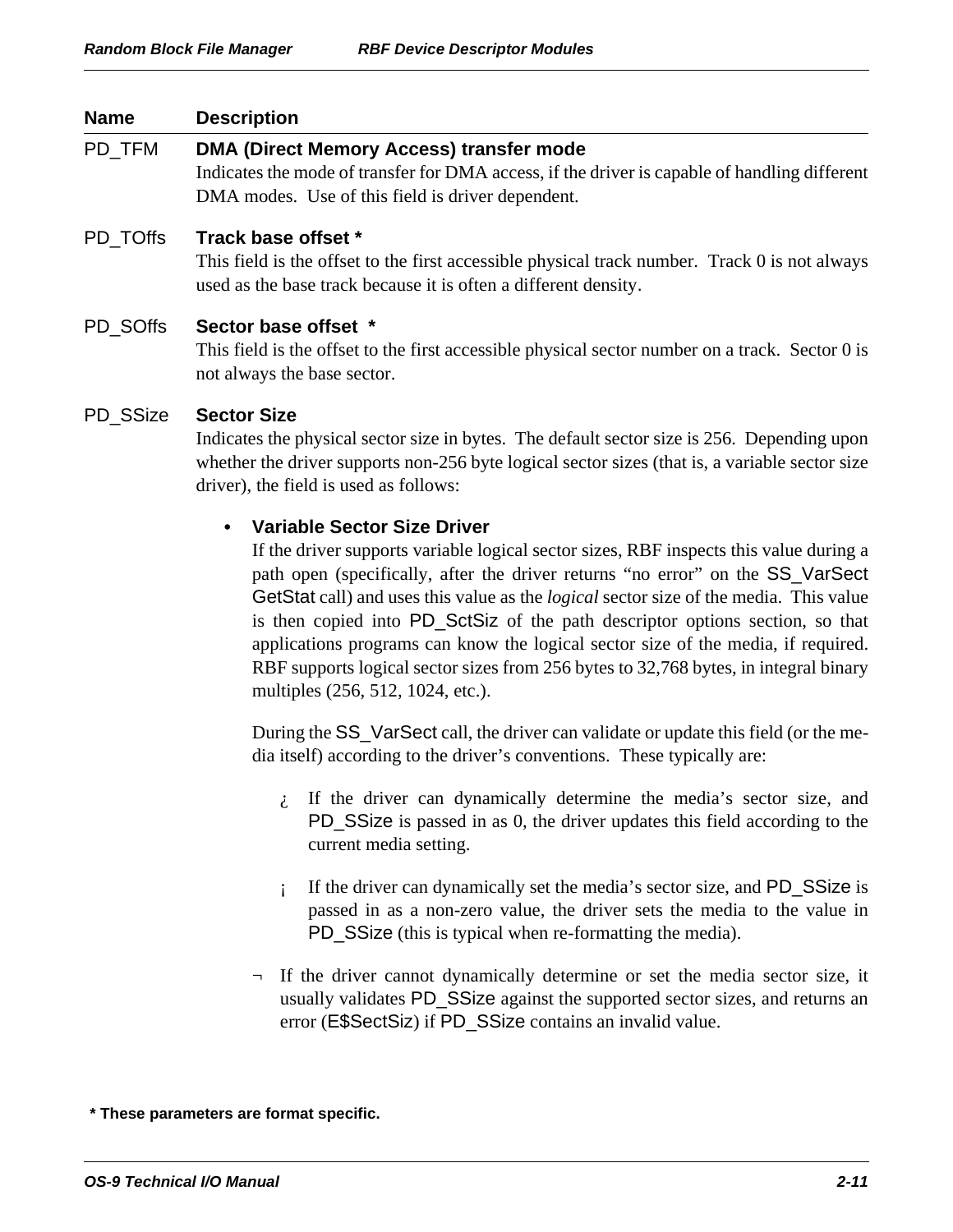| <b>Name</b> | <b>Description</b>                                                                                                                                                                                                                                                                                                                                                                                                                                                                                                                                                                                                     |  |
|-------------|------------------------------------------------------------------------------------------------------------------------------------------------------------------------------------------------------------------------------------------------------------------------------------------------------------------------------------------------------------------------------------------------------------------------------------------------------------------------------------------------------------------------------------------------------------------------------------------------------------------------|--|
| PD_TFM      | DMA (Direct Memory Access) transfer mode<br>Indicates the mode of transfer for DMA access, if the driver is capable of handling different<br>DMA modes. Use of this field is driver dependent.                                                                                                                                                                                                                                                                                                                                                                                                                         |  |
| PD_TOffs    | Track base offset *<br>This field is the offset to the first accessible physical track number. Track 0 is not always<br>used as the base track because it is often a different density.                                                                                                                                                                                                                                                                                                                                                                                                                                |  |
| PD_SOffs    | Sector base offset *<br>This field is the offset to the first accessible physical sector number on a track. Sector 0 is<br>not always the base sector.                                                                                                                                                                                                                                                                                                                                                                                                                                                                 |  |
| PD_SSize    | <b>Sector Size</b><br>Indicates the physical sector size in bytes. The default sector size is 256. Depending upon<br>whether the driver supports non-256 byte logical sector sizes (that is, a variable sector size<br>driver), the field is used as follows:                                                                                                                                                                                                                                                                                                                                                          |  |
|             | <b>Variable Sector Size Driver</b><br>٠<br>If the driver supports variable logical sector sizes, RBF inspects this value during a<br>path open (specifically, after the driver returns "no error" on the SS_VarSect<br>GetStat call) and uses this value as the <i>logical</i> sector size of the media. This value<br>is then copied into PD_SctSiz of the path descriptor options section, so that<br>applications programs can know the logical sector size of the media, if required.<br>RBF supports logical sector sizes from 256 bytes to 32,768 bytes, in integral binary<br>multiples (256, 512, 1024, etc.). |  |
|             | During the SS_VarSect call, the driver can validate or update this field (or the me-<br>dia itself) according to the driver's conventions. These typically are:                                                                                                                                                                                                                                                                                                                                                                                                                                                        |  |
|             | $\lambda$ If the driver can dynamically determine the media's sector size, and<br>PD_SSize is passed in as 0, the driver updates this field according to the<br>current media setting.                                                                                                                                                                                                                                                                                                                                                                                                                                 |  |
|             | If the driver can dynamically set the media's sector size, and PD_SSize is<br>i<br>passed in as a non-zero value, the driver sets the media to the value in<br>PD_SSize (this is typical when re-formatting the media).                                                                                                                                                                                                                                                                                                                                                                                                |  |
|             | $\neg$ If the driver cannot dynamically determine or set the media sector size, it<br>usually validates PD_SSize against the supported sector sizes, and returns an<br>error (E\$SectSiz) if PD_SSize contains an invalid value.                                                                                                                                                                                                                                                                                                                                                                                       |  |
|             |                                                                                                                                                                                                                                                                                                                                                                                                                                                                                                                                                                                                                        |  |

 **\* These parameters are format specific.**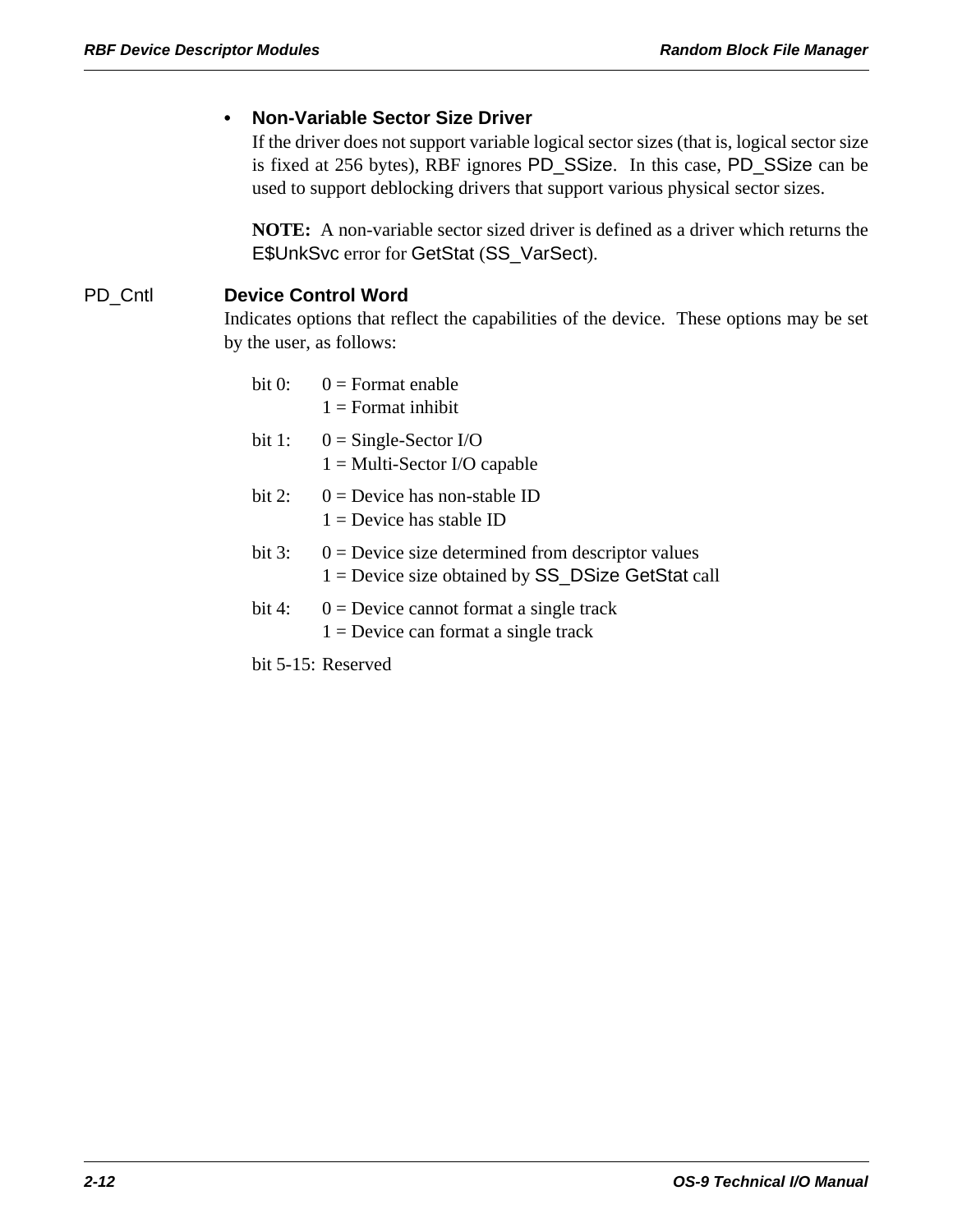#### **• Non-Variable Sector Size Driver**

If the driver does not support variable logical sector sizes (that is, logical sector size is fixed at 256 bytes), RBF ignores PD\_SSize. In this case, PD\_SSize can be used to support deblocking drivers that support various physical sector sizes.

**NOTE:** A non-variable sector sized driver is defined as a driver which returns the E\$UnkSvc error for GetStat (SS\_VarSect).

#### PD\_Cntl **Device Control Word**

Indicates options that reflect the capabilities of the device. These options may be set by the user, as follows:

| bit 0:    | $0 =$ Format enable<br>$1 =$ Format inhibit                                                                  |
|-----------|--------------------------------------------------------------------------------------------------------------|
| bit $1$ : | $0 =$ Single-Sector I/O<br>$1 = Multi- Sector I/O capable$                                                   |
| bit $2$ : | $0 =$ Device has non-stable ID<br>$1 =$ Device has stable ID                                                 |
| bit $3:$  | $0 =$ Device size determined from descriptor values<br>$1 =$ Device size obtained by $SS$ DSize GetStat call |
| bit $4:$  | $0 =$ Device cannot format a single track<br>$1 =$ Device can format a single track                          |

bit 5-15: Reserved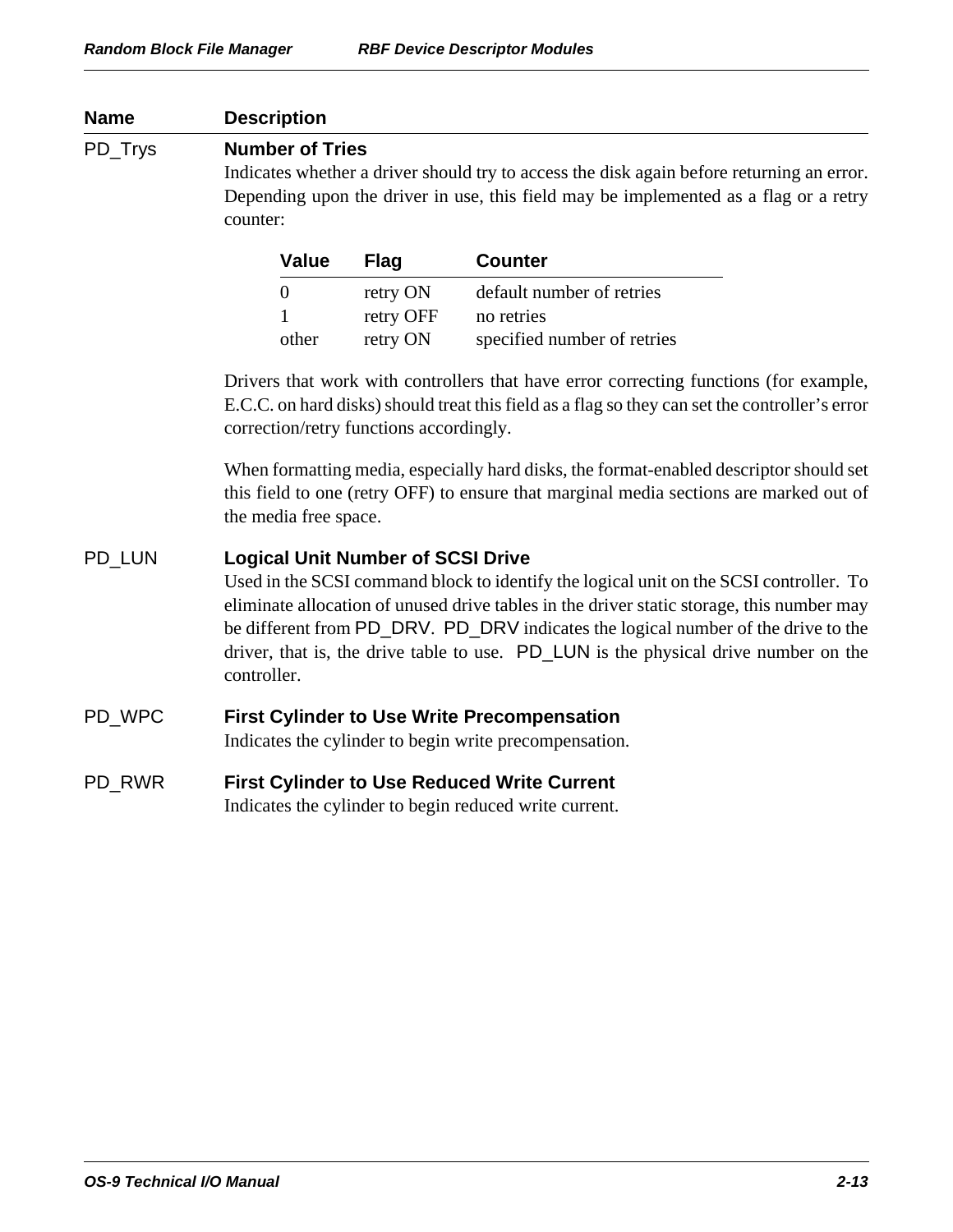| <b>Description</b>                                                                                                                                                                                                                                                                                                                                                                                                         |                                   |                                                                                                              |  |
|----------------------------------------------------------------------------------------------------------------------------------------------------------------------------------------------------------------------------------------------------------------------------------------------------------------------------------------------------------------------------------------------------------------------------|-----------------------------------|--------------------------------------------------------------------------------------------------------------|--|
| <b>Number of Tries</b><br>Indicates whether a driver should try to access the disk again before returning an error.<br>Depending upon the driver in use, this field may be implemented as a flag or a retry<br>counter:                                                                                                                                                                                                    |                                   |                                                                                                              |  |
| <b>Value</b>                                                                                                                                                                                                                                                                                                                                                                                                               | <b>Flag</b>                       | <b>Counter</b>                                                                                               |  |
| $\overline{0}$<br>other                                                                                                                                                                                                                                                                                                                                                                                                    | retry ON<br>retry OFF<br>retry ON | default number of retries<br>no retries<br>specified number of retries                                       |  |
| Drivers that work with controllers that have error correcting functions (for example,<br>E.C.C. on hard disks) should treat this field as a flag so they can set the controller's error<br>correction/retry functions accordingly.                                                                                                                                                                                         |                                   |                                                                                                              |  |
| When formatting media, especially hard disks, the format-enabled descriptor should set<br>this field to one (retry OFF) to ensure that marginal media sections are marked out of<br>the media free space.                                                                                                                                                                                                                  |                                   |                                                                                                              |  |
| <b>Logical Unit Number of SCSI Drive</b><br>Used in the SCSI command block to identify the logical unit on the SCSI controller. To<br>eliminate allocation of unused drive tables in the driver static storage, this number may<br>be different from PD_DRV. PD_DRV indicates the logical number of the drive to the<br>driver, that is, the drive table to use. PD_LUN is the physical drive number on the<br>controller. |                                   |                                                                                                              |  |
| <b>First Cylinder to Use Write Precompensation</b><br>Indicates the cylinder to begin write precompensation.                                                                                                                                                                                                                                                                                                               |                                   |                                                                                                              |  |
|                                                                                                                                                                                                                                                                                                                                                                                                                            |                                   |                                                                                                              |  |
|                                                                                                                                                                                                                                                                                                                                                                                                                            |                                   |                                                                                                              |  |
|                                                                                                                                                                                                                                                                                                                                                                                                                            |                                   | <b>First Cylinder to Use Reduced Write Current</b><br>Indicates the cylinder to begin reduced write current. |  |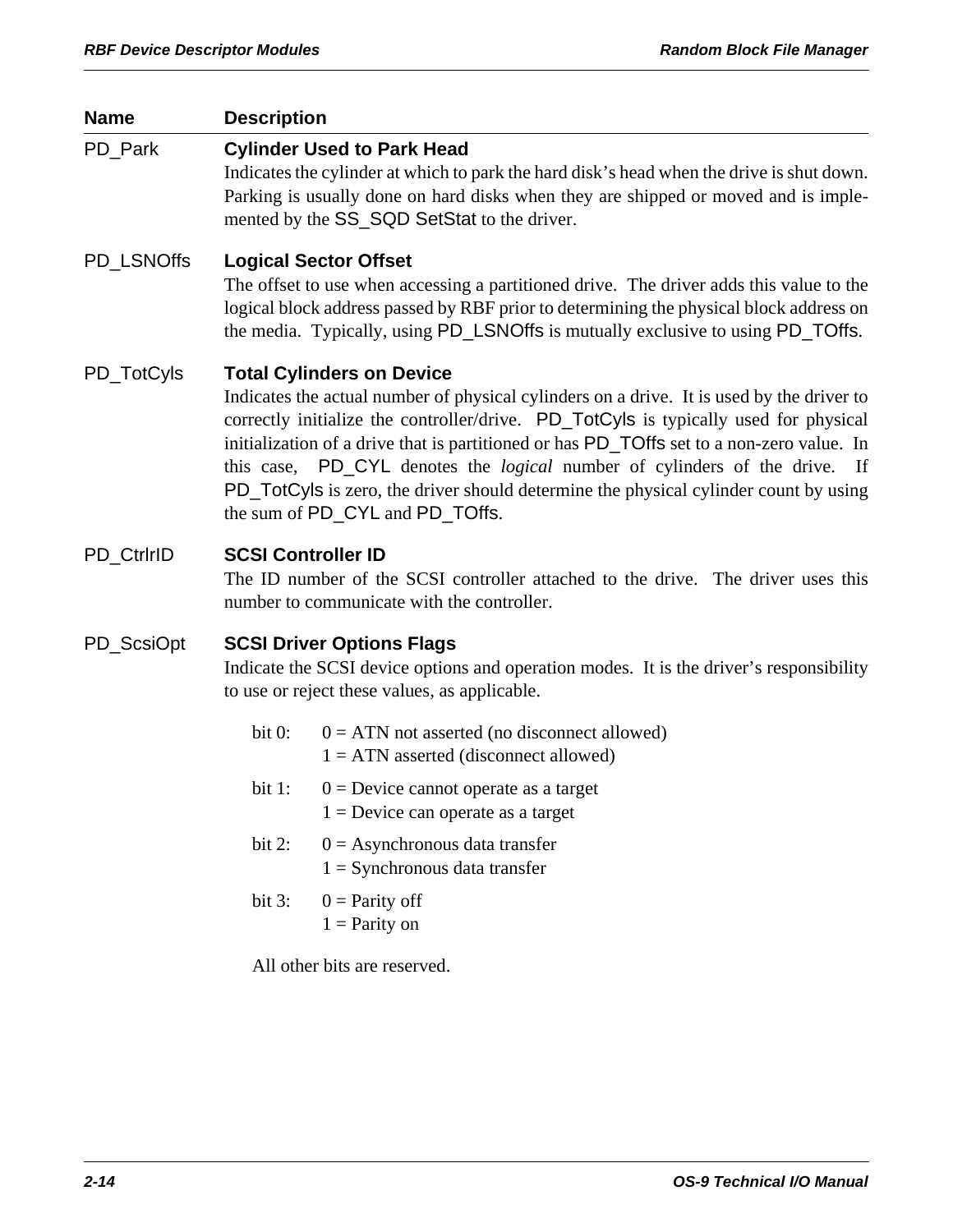| <b>Name</b> | <b>Description</b>                                                                                                                                                                                                                                                                                                                                                                                                                                                                                                                 |                                                                                                                                                                                                                                                                                                      |  |  |
|-------------|------------------------------------------------------------------------------------------------------------------------------------------------------------------------------------------------------------------------------------------------------------------------------------------------------------------------------------------------------------------------------------------------------------------------------------------------------------------------------------------------------------------------------------|------------------------------------------------------------------------------------------------------------------------------------------------------------------------------------------------------------------------------------------------------------------------------------------------------|--|--|
| PD Park     |                                                                                                                                                                                                                                                                                                                                                                                                                                                                                                                                    | <b>Cylinder Used to Park Head</b><br>Indicates the cylinder at which to park the hard disk's head when the drive is shut down.<br>Parking is usually done on hard disks when they are shipped or moved and is imple-<br>mented by the SS_SQD SetStat to the driver.                                  |  |  |
| PD LSNOffs  |                                                                                                                                                                                                                                                                                                                                                                                                                                                                                                                                    | <b>Logical Sector Offset</b><br>The offset to use when accessing a partitioned drive. The driver adds this value to the<br>logical block address passed by RBF prior to determining the physical block address on<br>the media. Typically, using PD_LSNOffs is mutually exclusive to using PD_TOffs. |  |  |
| PD_TotCyls  | <b>Total Cylinders on Device</b><br>Indicates the actual number of physical cylinders on a drive. It is used by the driver to<br>correctly initialize the controller/drive. PD_TotCyls is typically used for physical<br>initialization of a drive that is partitioned or has PD_TOffs set to a non-zero value. In<br>this case, PD_CYL denotes the <i>logical</i> number of cylinders of the drive. If<br>PD_TotCyls is zero, the driver should determine the physical cylinder count by using<br>the sum of PD_CYL and PD_TOffs. |                                                                                                                                                                                                                                                                                                      |  |  |
| PD_CtrlrID  | <b>SCSI Controller ID</b><br>The ID number of the SCSI controller attached to the drive. The driver uses this<br>number to communicate with the controller.                                                                                                                                                                                                                                                                                                                                                                        |                                                                                                                                                                                                                                                                                                      |  |  |
| PD_ScsiOpt  | <b>SCSI Driver Options Flags</b><br>Indicate the SCSI device options and operation modes. It is the driver's responsibility<br>to use or reject these values, as applicable.                                                                                                                                                                                                                                                                                                                                                       |                                                                                                                                                                                                                                                                                                      |  |  |
|             | bit 0:                                                                                                                                                                                                                                                                                                                                                                                                                                                                                                                             | $0 = ATN$ not asserted (no disconnect allowed)<br>$1 = ATN$ asserted (disconnect allowed)                                                                                                                                                                                                            |  |  |
|             | bit $1$ :                                                                                                                                                                                                                                                                                                                                                                                                                                                                                                                          | $0 =$ Device cannot operate as a target<br>$1 =$ Device can operate as a target                                                                                                                                                                                                                      |  |  |
|             | bit $2$ :                                                                                                                                                                                                                                                                                                                                                                                                                                                                                                                          | $0 =$ Asynchronous data transfer<br>$1 =$ Synchronous data transfer                                                                                                                                                                                                                                  |  |  |
|             | bit $3:$                                                                                                                                                                                                                                                                                                                                                                                                                                                                                                                           | $0$ = Parity off<br>$1 =$ Parity on                                                                                                                                                                                                                                                                  |  |  |
|             |                                                                                                                                                                                                                                                                                                                                                                                                                                                                                                                                    | All other bits are reserved.                                                                                                                                                                                                                                                                         |  |  |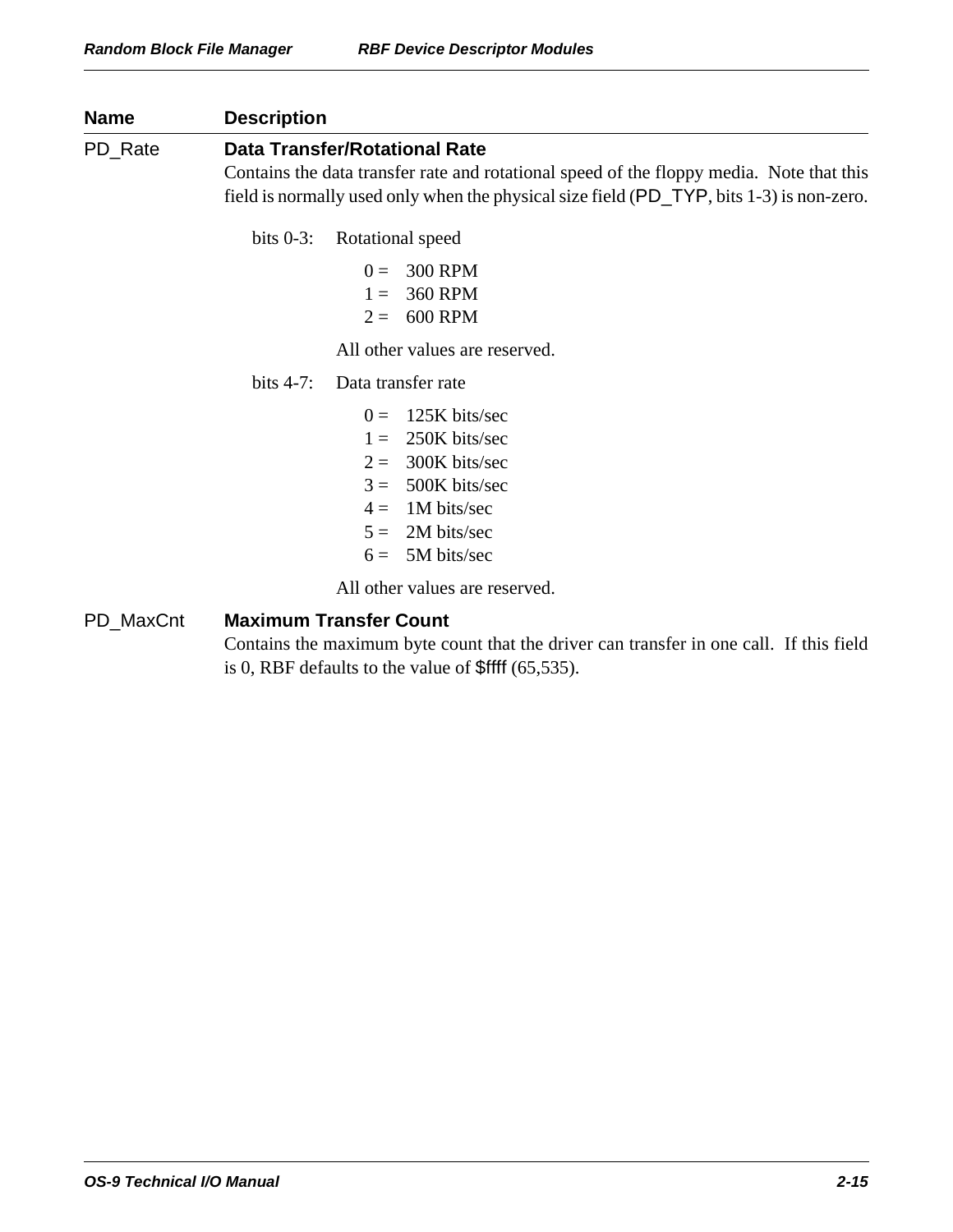| <b>Name</b> | <b>Description</b><br><b>Data Transfer/Rotational Rate</b><br>Contains the data transfer rate and rotational speed of the floppy media. Note that this<br>field is normally used only when the physical size field (PD_TYP, bits 1-3) is non-zero. |  |  |
|-------------|----------------------------------------------------------------------------------------------------------------------------------------------------------------------------------------------------------------------------------------------------|--|--|
| PD_Rate     |                                                                                                                                                                                                                                                    |  |  |
|             | bits $0-3$ :<br>Rotational speed<br><b>300 RPM</b><br>$0 =$<br><b>360 RPM</b><br>$1 =$<br><b>600 RPM</b><br>$2=$<br>All other values are reserved.                                                                                                 |  |  |
|             | bits $4-7$ :<br>Data transfer rate<br>125K bits/sec<br>$0 =$<br>250K bits/sec<br>$1 =$<br>300K bits/sec<br>$2=$<br>500K bits/sec<br>$3 =$<br>1M bits/sec<br>$4 =$<br>2M bits/sec<br>$5 =$<br>5M bits/sec<br>$6=$<br>All other values are reserved. |  |  |
| PD_MaxCnt   | <b>Maximum Transfer Count</b><br>Contains the maximum byte count that the driver can transfer in one call. If this field<br>is 0, RBF defaults to the value of $$$ ffff (65,535).                                                                  |  |  |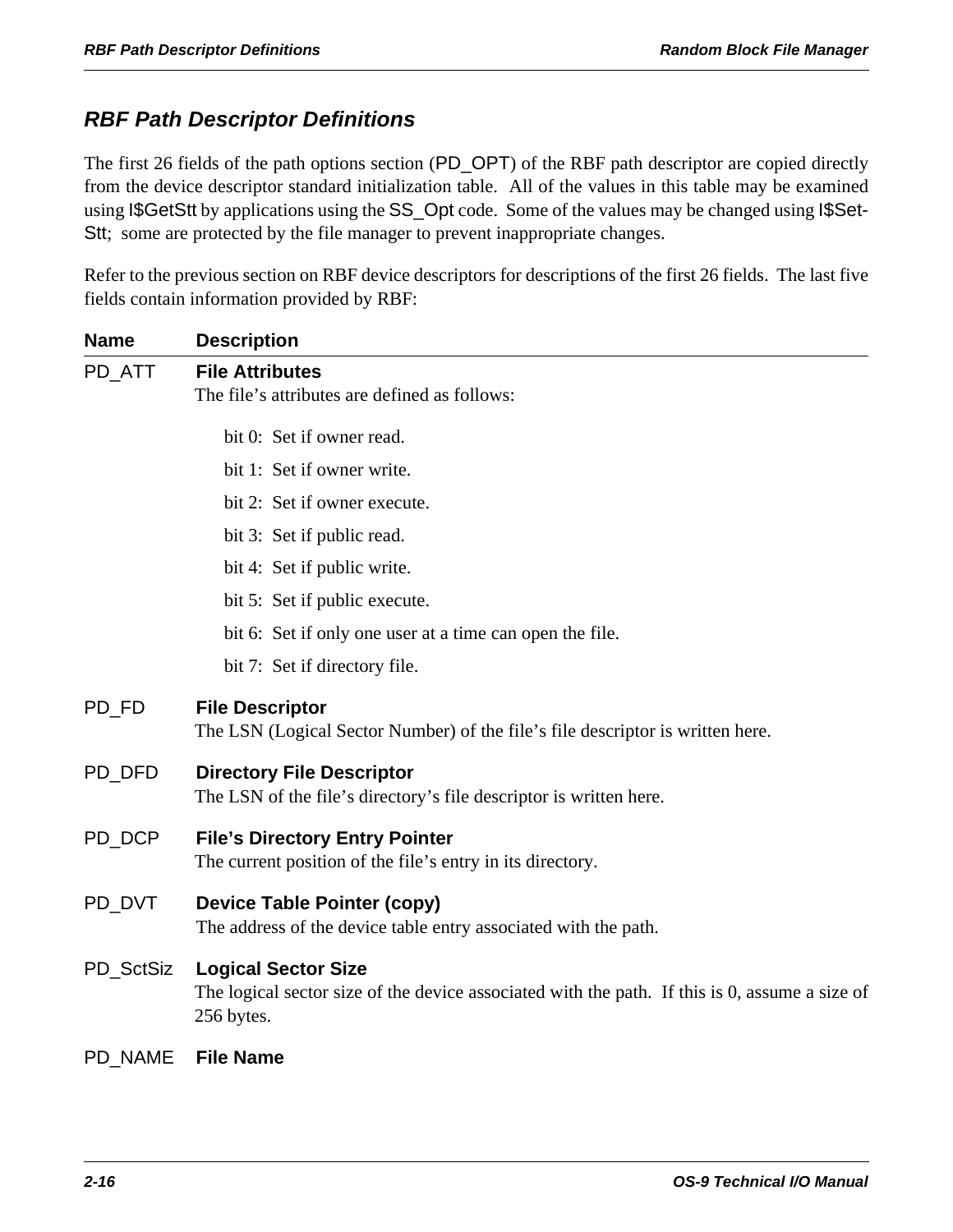# *RBF Path Descriptor Definitions*

The first 26 fields of the path options section (PD\_OPT) of the RBF path descriptor are copied directly from the device descriptor standard initialization table. All of the values in this table may be examined using I\$GetStt by applications using the SS\_Opt code. Some of the values may be changed using I\$Set-Stt; some are protected by the file manager to prevent inappropriate changes.

Refer to the previous section on RBF device descriptors for descriptions of the first 26 fields. The last five fields contain information provided by RBF:

| <b>Name</b>    | <b>Description</b>                                                                                                                         |
|----------------|--------------------------------------------------------------------------------------------------------------------------------------------|
| PD ATT         | <b>File Attributes</b><br>The file's attributes are defined as follows:                                                                    |
|                | bit 0: Set if owner read.                                                                                                                  |
|                | bit 1: Set if owner write.                                                                                                                 |
|                | bit 2: Set if owner execute.                                                                                                               |
|                | bit 3: Set if public read.                                                                                                                 |
|                | bit 4: Set if public write.                                                                                                                |
|                | bit 5: Set if public execute.                                                                                                              |
|                | bit 6: Set if only one user at a time can open the file.                                                                                   |
|                | bit 7: Set if directory file.                                                                                                              |
| PD_FD          | <b>File Descriptor</b><br>The LSN (Logical Sector Number) of the file's file descriptor is written here.                                   |
| PD_DFD         | <b>Directory File Descriptor</b><br>The LSN of the file's directory's file descriptor is written here.                                     |
| PD DCP         | <b>File's Directory Entry Pointer</b><br>The current position of the file's entry in its directory.                                        |
| PD_DVT         | <b>Device Table Pointer (copy)</b><br>The address of the device table entry associated with the path.                                      |
| PD_SctSiz      | <b>Logical Sector Size</b><br>The logical sector size of the device associated with the path. If this is 0, assume a size of<br>256 bytes. |
| <b>PD NAME</b> | <b>File Name</b>                                                                                                                           |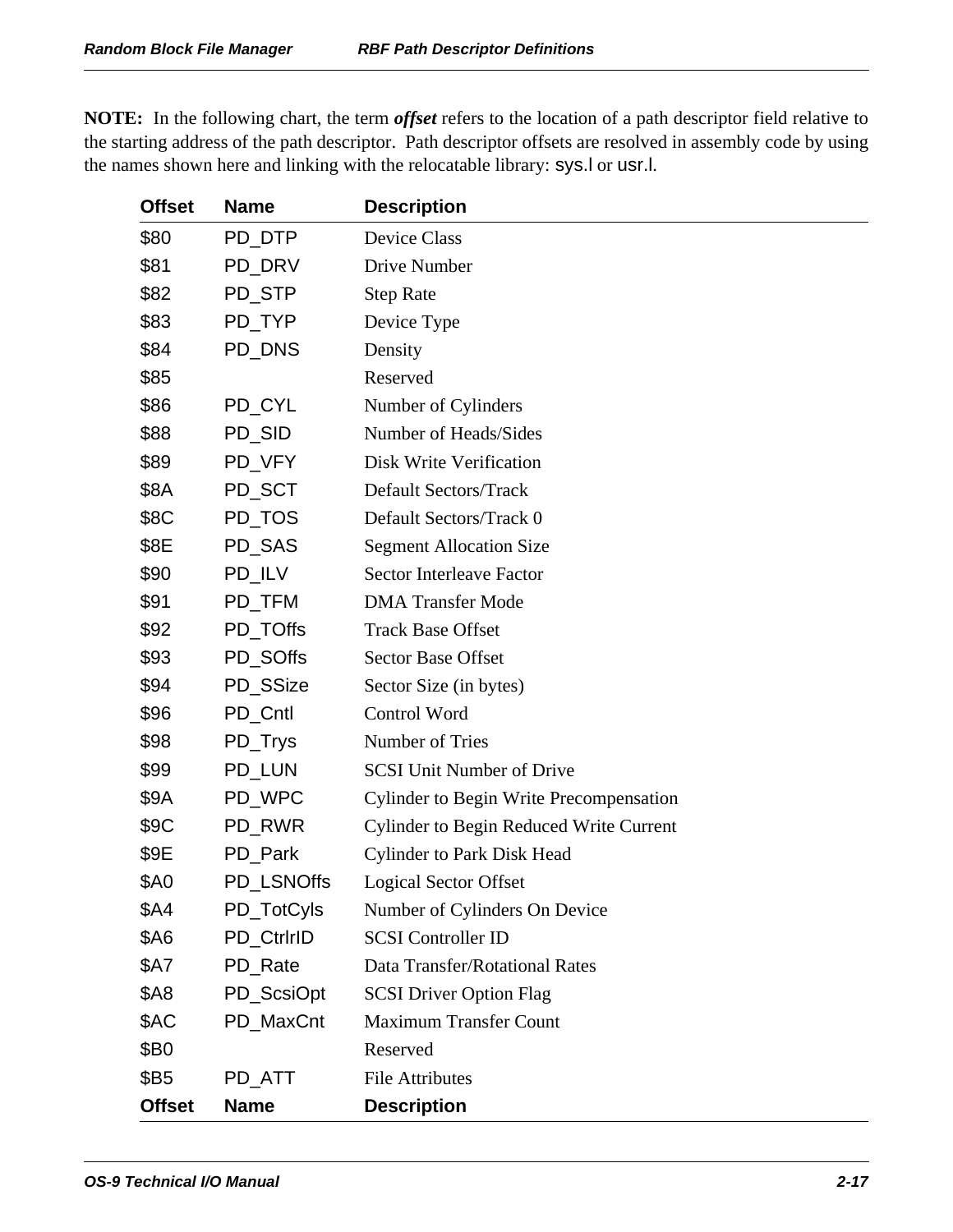| <b>Offset</b> | <b>Name</b> | <b>Description</b>                             |
|---------------|-------------|------------------------------------------------|
| \$80          | PD_DTP      | <b>Device Class</b>                            |
| \$81          | PD_DRV      | Drive Number                                   |
| \$82          | PD_STP      | <b>Step Rate</b>                               |
| \$83          | PD_TYP      | Device Type                                    |
| \$84          | PD_DNS      | Density                                        |
| \$85          |             | Reserved                                       |
| \$86          | PD_CYL      | Number of Cylinders                            |
| \$88          | PD_SID      | Number of Heads/Sides                          |
| \$89          | PD_VFY      | Disk Write Verification                        |
| \$8A          | PD_SCT      | <b>Default Sectors/Track</b>                   |
| \$8C          | PD_TOS      | Default Sectors/Track 0                        |
| \$8E          | PD_SAS      | <b>Segment Allocation Size</b>                 |
| \$90          | PD_ILV      | <b>Sector Interleave Factor</b>                |
| \$91          | PD_TFM      | <b>DMA</b> Transfer Mode                       |
| \$92          | PD_TOffs    | <b>Track Base Offset</b>                       |
| \$93          | PD_SOffs    | <b>Sector Base Offset</b>                      |
| \$94          | PD_SSize    | Sector Size (in bytes)                         |
| \$96          | PD_Cntl     | Control Word                                   |
| \$98          | PD_Trys     | Number of Tries                                |
| \$99          | PD_LUN      | <b>SCSI Unit Number of Drive</b>               |
| \$9A          | PD_WPC      | <b>Cylinder to Begin Write Precompensation</b> |
| \$9C          | PD_RWR      | <b>Cylinder to Begin Reduced Write Current</b> |
| \$9E          | PD_Park     | <b>Cylinder to Park Disk Head</b>              |
| <b>\$A0</b>   | PD_LSNOffs  | <b>Logical Sector Offset</b>                   |
| \$A4          | PD_TotCyls  | Number of Cylinders On Device                  |
| \$A6          | PD_CtrlrID  | <b>SCSI</b> Controller ID                      |
| \$A7          | PD_Rate     | Data Transfer/Rotational Rates                 |
| \$A8          | PD_ScsiOpt  | <b>SCSI Driver Option Flag</b>                 |
| \$AC          | PD_MaxCnt   | <b>Maximum Transfer Count</b>                  |
| \$B0          |             | Reserved                                       |
| \$B5          | PD ATT      | <b>File Attributes</b>                         |
| <b>Offset</b> | <b>Name</b> | <b>Description</b>                             |

**NOTE:** In the following chart, the term *offset* refers to the location of a path descriptor field relative to the starting address of the path descriptor. Path descriptor offsets are resolved in assembly code by using the names shown here and linking with the relocatable library: sys.l or usr.l.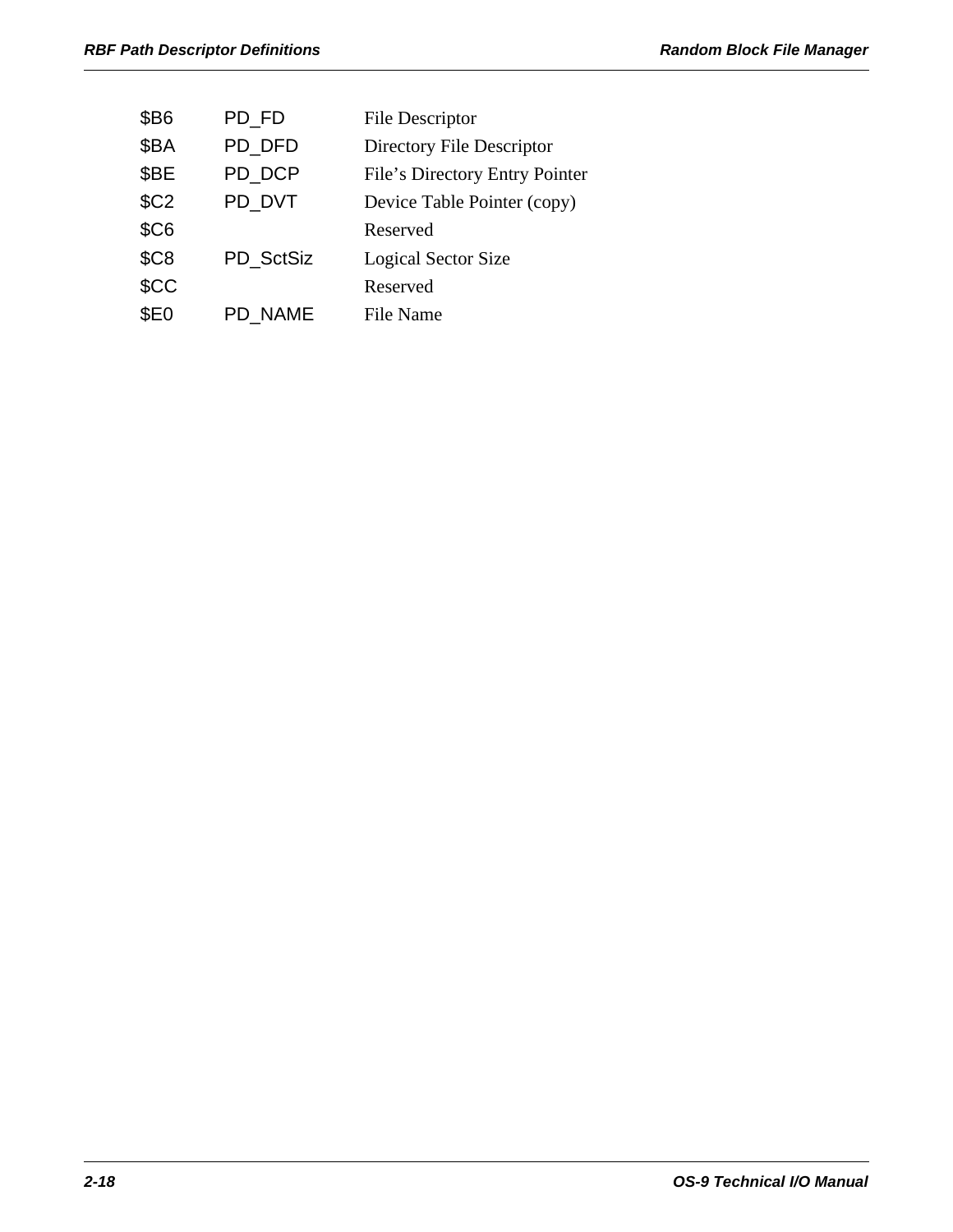| \$B6             | PD FD          | <b>File Descriptor</b>         |
|------------------|----------------|--------------------------------|
| \$BA             | PD DFD         | Directory File Descriptor      |
| \$BE             | PD DCP         | File's Directory Entry Pointer |
| \$C <sub>2</sub> | PD_DVT         | Device Table Pointer (copy)    |
| \$C6             |                | Reserved                       |
| \$C8             | PD SctSiz      | <b>Logical Sector Size</b>     |
| \$CC             |                | Reserved                       |
| \$E0             | <b>PD NAME</b> | File Name                      |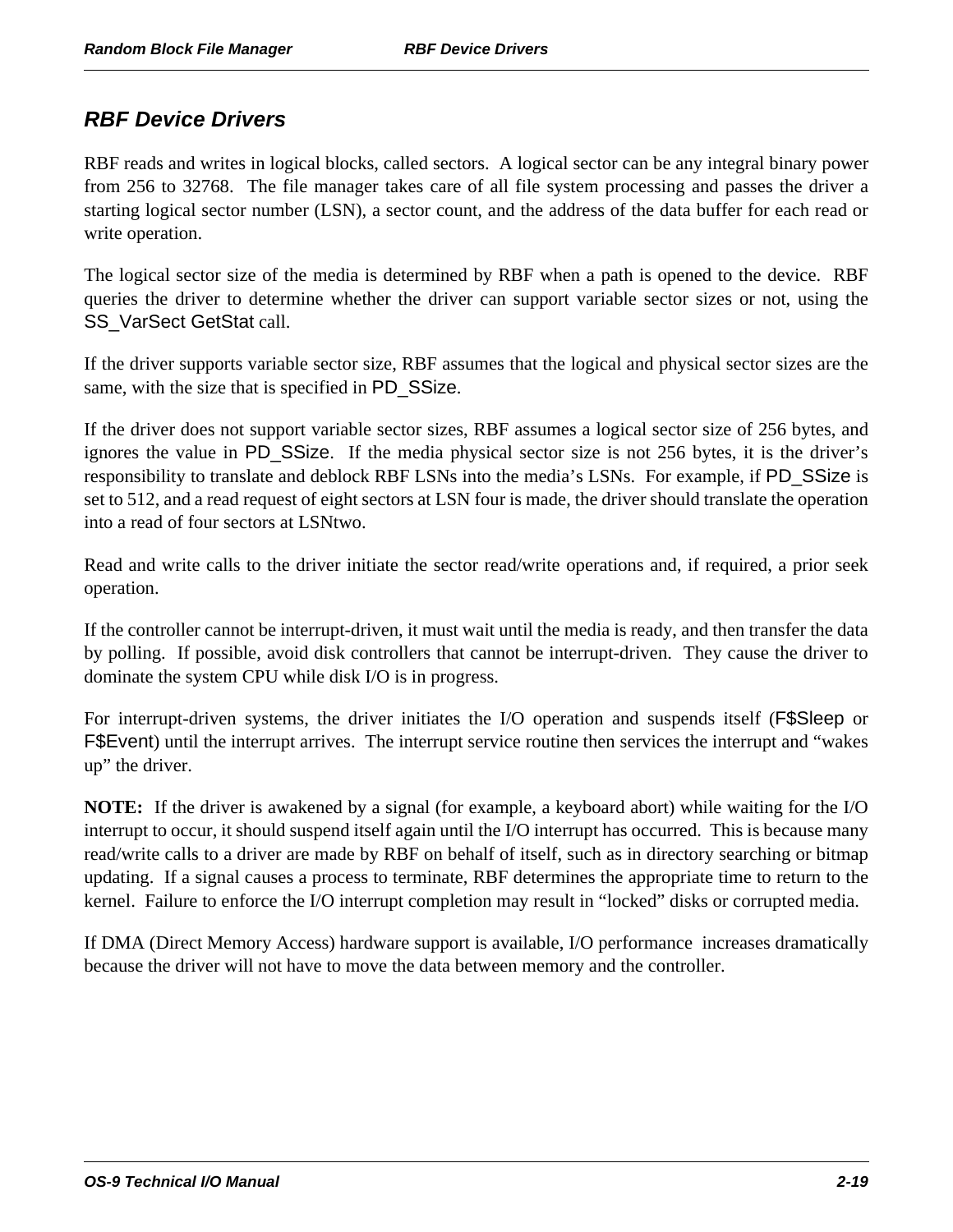# *RBF Device Drivers*

RBF reads and writes in logical blocks, called sectors. A logical sector can be any integral binary power from 256 to 32768. The file manager takes care of all file system processing and passes the driver a starting logical sector number (LSN), a sector count, and the address of the data buffer for each read or write operation.

The logical sector size of the media is determined by RBF when a path is opened to the device. RBF queries the driver to determine whether the driver can support variable sector sizes or not, using the SS\_VarSect GetStat call.

If the driver supports variable sector size, RBF assumes that the logical and physical sector sizes are the same, with the size that is specified in PD\_SSize.

If the driver does not support variable sector sizes, RBF assumes a logical sector size of 256 bytes, and ignores the value in PD\_SSize. If the media physical sector size is not 256 bytes, it is the driver's responsibility to translate and deblock RBF LSNs into the media's LSNs. For example, if PD\_SSize is set to 512, and a read request of eight sectors at LSN four is made, the driver should translate the operation into a read of four sectors at LSNtwo.

Read and write calls to the driver initiate the sector read/write operations and, if required, a prior seek operation.

If the controller cannot be interrupt-driven, it must wait until the media is ready, and then transfer the data by polling. If possible, avoid disk controllers that cannot be interrupt-driven. They cause the driver to dominate the system CPU while disk I/O is in progress.

For interrupt-driven systems, the driver initiates the I/O operation and suspends itself (F\$Sleep or F\$Event) until the interrupt arrives. The interrupt service routine then services the interrupt and "wakes up" the driver.

**NOTE:** If the driver is awakened by a signal (for example, a keyboard abort) while waiting for the I/O interrupt to occur, it should suspend itself again until the I/O interrupt has occurred. This is because many read/write calls to a driver are made by RBF on behalf of itself, such as in directory searching or bitmap updating. If a signal causes a process to terminate, RBF determines the appropriate time to return to the kernel. Failure to enforce the I/O interrupt completion may result in "locked" disks or corrupted media.

If DMA (Direct Memory Access) hardware support is available, I/O performance increases dramatically because the driver will not have to move the data between memory and the controller.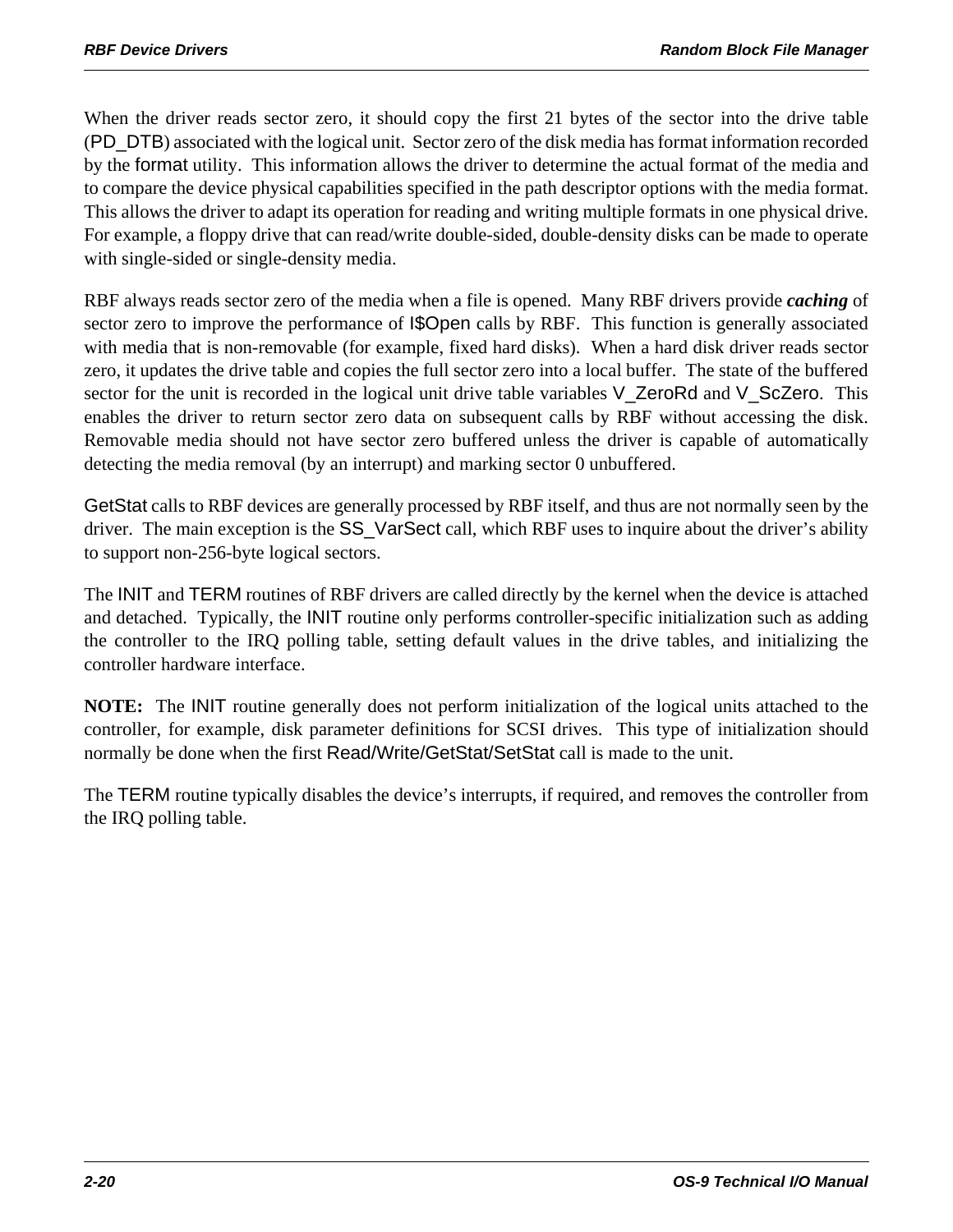When the driver reads sector zero, it should copy the first 21 bytes of the sector into the drive table (PD\_DTB) associated with the logical unit. Sector zero of the disk media has format information recorded by the format utility. This information allows the driver to determine the actual format of the media and to compare the device physical capabilities specified in the path descriptor options with the media format. This allows the driver to adapt its operation for reading and writing multiple formats in one physical drive. For example, a floppy drive that can read/write double-sided, double-density disks can be made to operate with single-sided or single-density media.

RBF always reads sector zero of the media when a file is opened. Many RBF drivers provide *caching* of sector zero to improve the performance of **I\$Open** calls by RBF. This function is generally associated with media that is non-removable (for example, fixed hard disks). When a hard disk driver reads sector zero, it updates the drive table and copies the full sector zero into a local buffer. The state of the buffered sector for the unit is recorded in the logical unit drive table variables V\_ZeroRd and V\_ScZero. This enables the driver to return sector zero data on subsequent calls by RBF without accessing the disk. Removable media should not have sector zero buffered unless the driver is capable of automatically detecting the media removal (by an interrupt) and marking sector 0 unbuffered.

GetStat calls to RBF devices are generally processed by RBF itself, and thus are not normally seen by the driver. The main exception is the SS\_VarSect call, which RBF uses to inquire about the driver's ability to support non-256-byte logical sectors.

The INIT and TERM routines of RBF drivers are called directly by the kernel when the device is attached and detached. Typically, the INIT routine only performs controller-specific initialization such as adding the controller to the IRQ polling table, setting default values in the drive tables, and initializing the controller hardware interface.

**NOTE:** The INIT routine generally does not perform initialization of the logical units attached to the controller, for example, disk parameter definitions for SCSI drives. This type of initialization should normally be done when the first Read/Write/GetStat/SetStat call is made to the unit.

The TERM routine typically disables the device's interrupts, if required, and removes the controller from the IRQ polling table.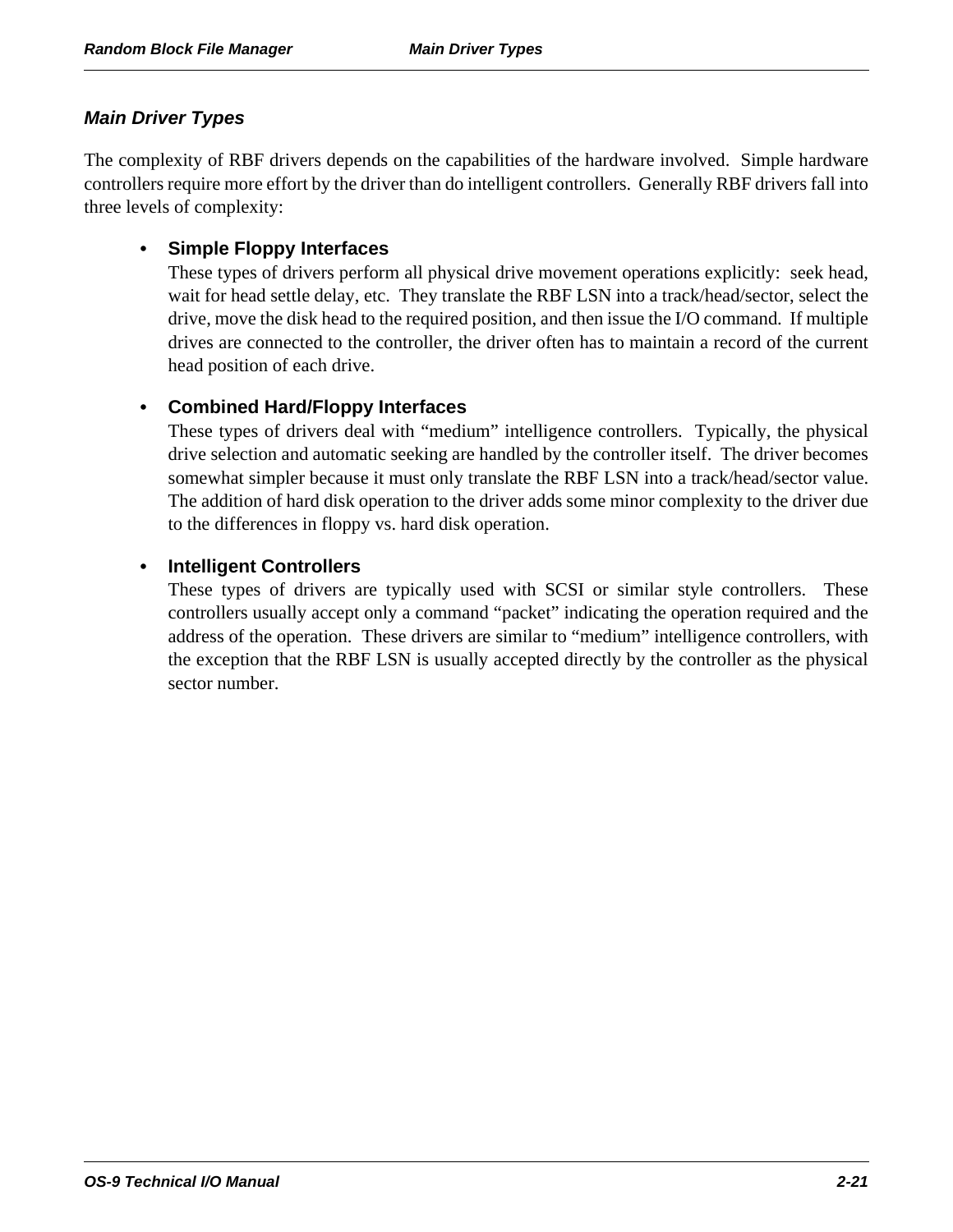#### *Main Driver Types*

The complexity of RBF drivers depends on the capabilities of the hardware involved. Simple hardware controllers require more effort by the driver than do intelligent controllers. Generally RBF drivers fall into three levels of complexity:

#### **• Simple Floppy Interfaces**

These types of drivers perform all physical drive movement operations explicitly: seek head, wait for head settle delay, etc. They translate the RBF LSN into a track/head/sector, select the drive, move the disk head to the required position, and then issue the I/O command. If multiple drives are connected to the controller, the driver often has to maintain a record of the current head position of each drive.

#### **• Combined Hard/Floppy Interfaces**

These types of drivers deal with "medium" intelligence controllers. Typically, the physical drive selection and automatic seeking are handled by the controller itself. The driver becomes somewhat simpler because it must only translate the RBF LSN into a track/head/sector value. The addition of hard disk operation to the driver adds some minor complexity to the driver due to the differences in floppy vs. hard disk operation.

#### **• Intelligent Controllers**

These types of drivers are typically used with SCSI or similar style controllers. These controllers usually accept only a command "packet" indicating the operation required and the address of the operation. These drivers are similar to "medium" intelligence controllers, with the exception that the RBF LSN is usually accepted directly by the controller as the physical sector number.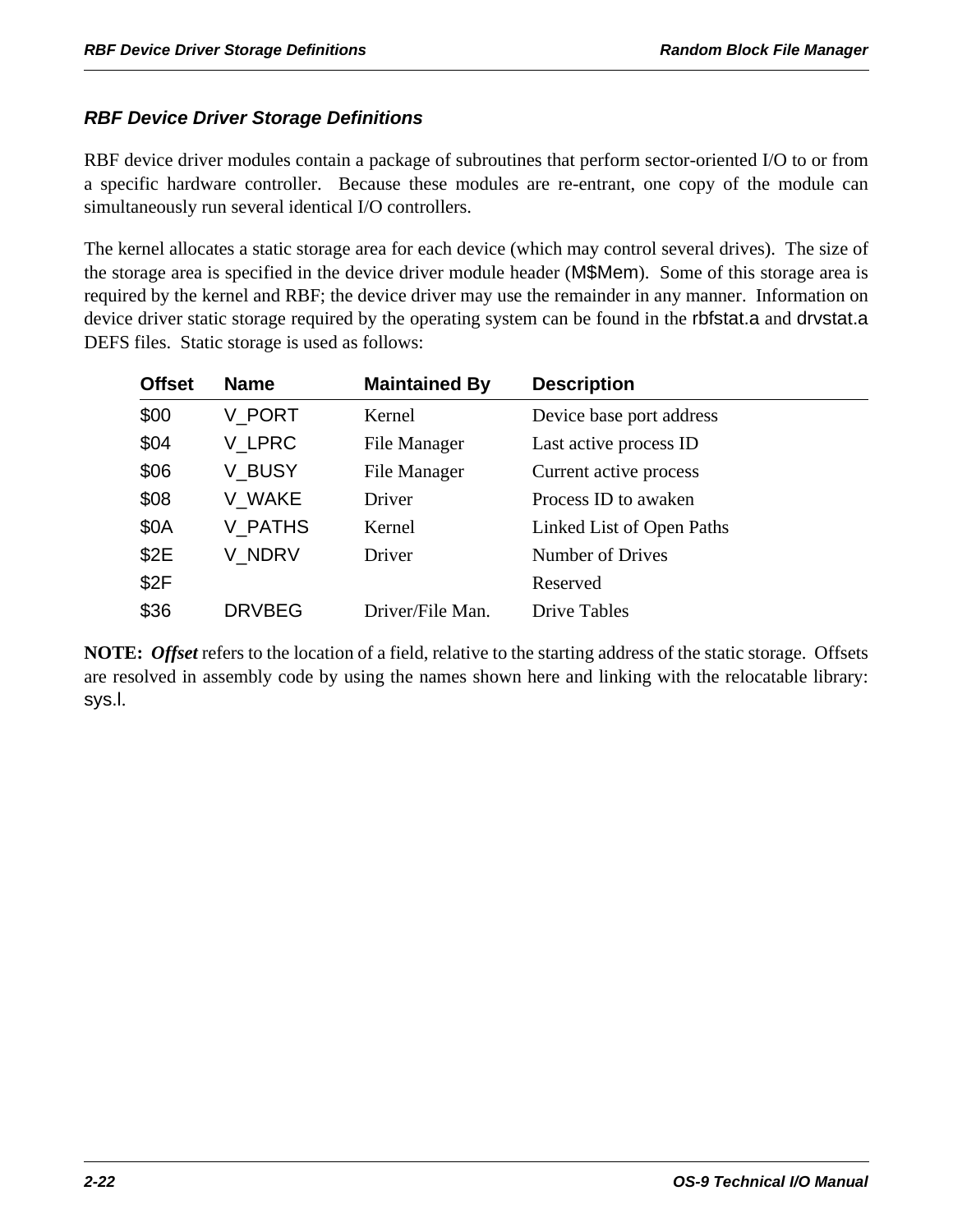### *RBF Device Driver Storage Definitions*

RBF device driver modules contain a package of subroutines that perform sector-oriented I/O to or from a specific hardware controller. Because these modules are re-entrant, one copy of the module can simultaneously run several identical I/O controllers.

The kernel allocates a static storage area for each device (which may control several drives). The size of the storage area is specified in the device driver module header (M\$Mem). Some of this storage area is required by the kernel and RBF; the device driver may use the remainder in any manner. Information on device driver static storage required by the operating system can be found in the rbfstat.a and drvstat.a DEFS files. Static storage is used as follows:

| <b>Offset</b> | <b>Name</b>   | <b>Maintained By</b> | <b>Description</b>        |
|---------------|---------------|----------------------|---------------------------|
| \$00          | V PORT        | Kernel               | Device base port address  |
| \$04          | V LPRC        | File Manager         | Last active process ID    |
| \$06          | V BUSY        | File Manager         | Current active process    |
| \$08          | V WAKE        | Driver               | Process ID to awaken      |
| \$0A          | V_PATHS       | Kernel               | Linked List of Open Paths |
| \$2E          | V NDRV        | Driver               | Number of Drives          |
| \$2F          |               |                      | Reserved                  |
| \$36          | <b>DRVBEG</b> | Driver/File Man.     | <b>Drive Tables</b>       |

**NOTE:** *Offset* refers to the location of a field, relative to the starting address of the static storage. Offsets are resolved in assembly code by using the names shown here and linking with the relocatable library: sys.l.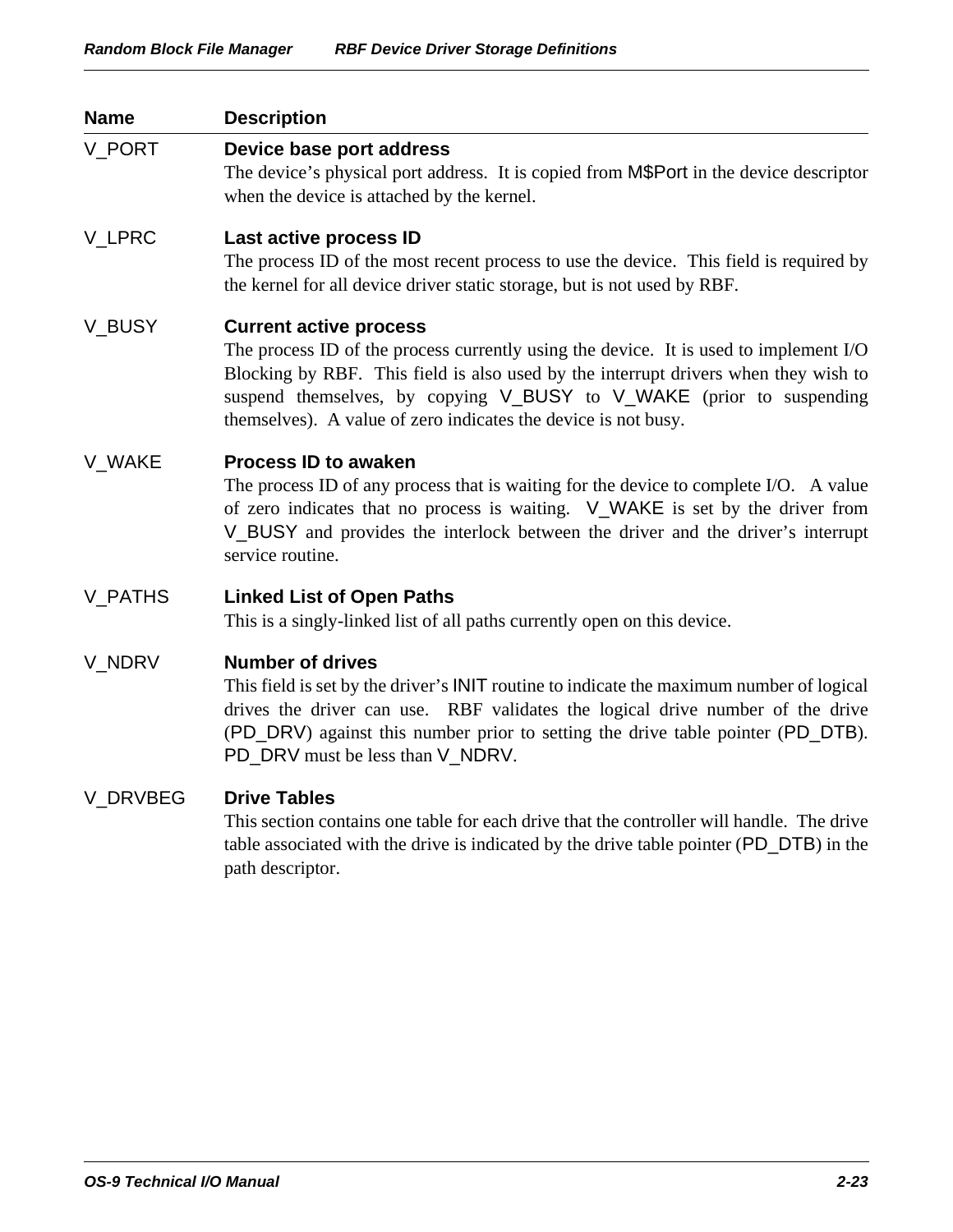| <b>Name</b>     | <b>Description</b>                                                                                                                                                                                                                                                                                                                                      |
|-----------------|---------------------------------------------------------------------------------------------------------------------------------------------------------------------------------------------------------------------------------------------------------------------------------------------------------------------------------------------------------|
| V_PORT          | Device base port address<br>The device's physical port address. It is copied from M\$Port in the device descriptor<br>when the device is attached by the kernel.                                                                                                                                                                                        |
| V_LPRC          | Last active process ID<br>The process ID of the most recent process to use the device. This field is required by<br>the kernel for all device driver static storage, but is not used by RBF.                                                                                                                                                            |
| V_BUSY          | <b>Current active process</b><br>The process ID of the process currently using the device. It is used to implement I/O<br>Blocking by RBF. This field is also used by the interrupt drivers when they wish to<br>suspend themselves, by copying V_BUSY to V_WAKE (prior to suspending<br>themselves). A value of zero indicates the device is not busy. |
| V_WAKE          | <b>Process ID to awaken</b><br>The process ID of any process that is waiting for the device to complete I/O. A value<br>of zero indicates that no process is waiting. V_WAKE is set by the driver from<br>V_BUSY and provides the interlock between the driver and the driver's interrupt<br>service routine.                                           |
| V_PATHS         | <b>Linked List of Open Paths</b><br>This is a singly-linked list of all paths currently open on this device.                                                                                                                                                                                                                                            |
| V_NDRV          | <b>Number of drives</b><br>This field is set by the driver's <b>INIT</b> routine to indicate the maximum number of logical<br>drives the driver can use. RBF validates the logical drive number of the drive<br>(PD_DRV) against this number prior to setting the drive table pointer (PD_DTB).<br>PD_DRV must be less than V_NDRV.                     |
| <b>V DRVBEG</b> | <b>Drive Tables</b><br>This section contains one table for each drive that the controller will handle. The drive<br>table associated with the drive is indicated by the drive table pointer (PD_DTB) in the<br>path descriptor.                                                                                                                         |
|                 |                                                                                                                                                                                                                                                                                                                                                         |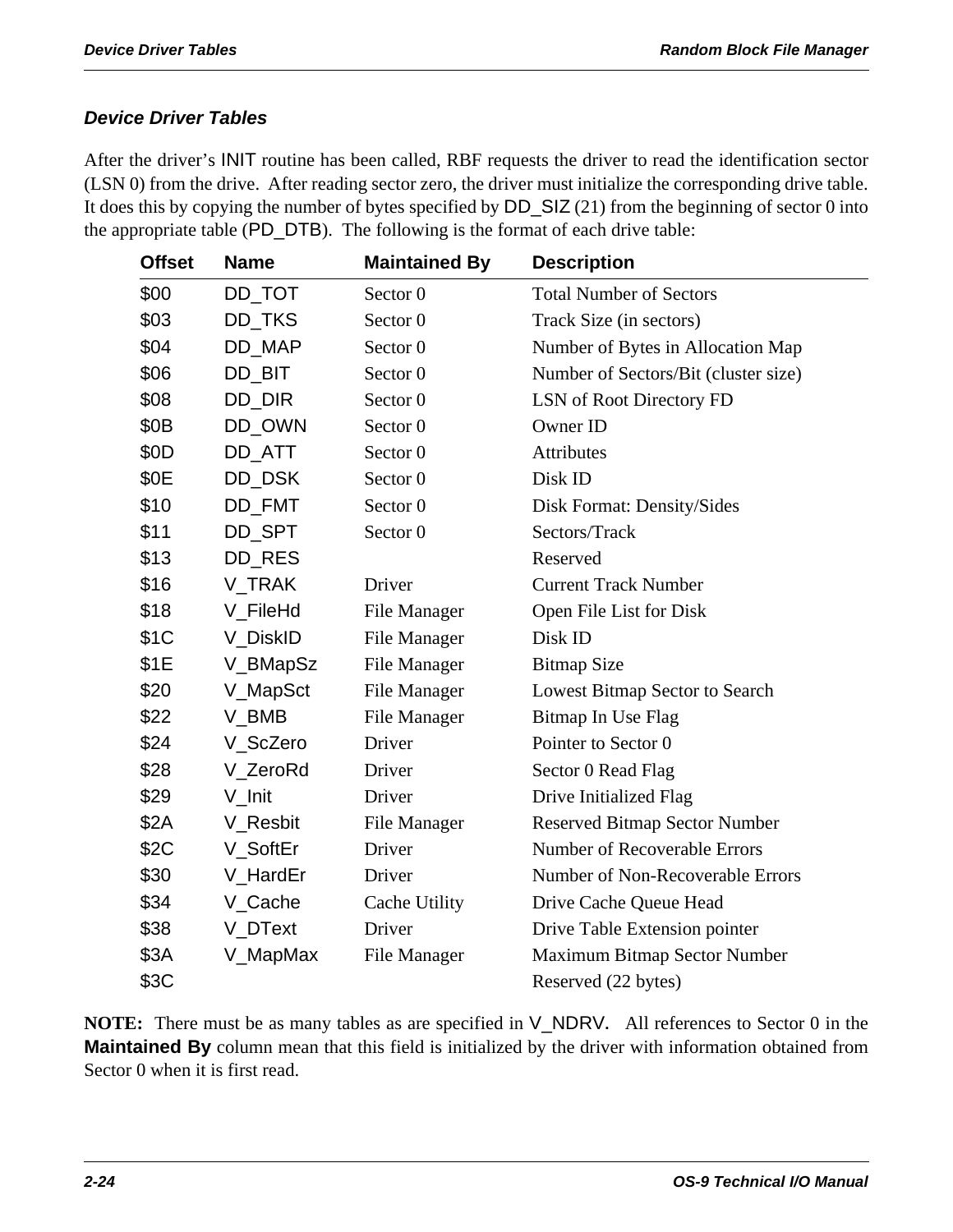### *Device Driver Tables*

After the driver's INIT routine has been called, RBF requests the driver to read the identification sector (LSN 0) from the drive. After reading sector zero, the driver must initialize the corresponding drive table. It does this by copying the number of bytes specified by DD\_SIZ (21) from the beginning of sector 0 into the appropriate table (PD\_DTB). The following is the format of each drive table:

| <b>Offset</b>    | <b>Name</b> | <b>Maintained By</b> | <b>Description</b>                   |
|------------------|-------------|----------------------|--------------------------------------|
| \$00             | DD_TOT      | Sector 0             | <b>Total Number of Sectors</b>       |
| \$03             | DD_TKS      | Sector <sub>0</sub>  | Track Size (in sectors)              |
| \$04             | DD_MAP      | Sector 0             | Number of Bytes in Allocation Map    |
| \$06             | DD_BIT      | Sector <sub>0</sub>  | Number of Sectors/Bit (cluster size) |
| \$08             | DD_DIR      | Sector 0             | LSN of Root Directory FD             |
| \$0 <sub>B</sub> | DD_OWN      | Sector 0             | Owner ID                             |
| \$0D             | DD ATT      | Sector 0             | Attributes                           |
| \$0E             | DD_DSK      | Sector 0             | Disk ID                              |
| \$10             | DD_FMT      | Sector 0             | Disk Format: Density/Sides           |
| \$11             | DD_SPT      | Sector <sub>0</sub>  | Sectors/Track                        |
| \$13             | DD_RES      |                      | Reserved                             |
| \$16             | V TRAK      | Driver               | <b>Current Track Number</b>          |
| \$18             | V_FileHd    | File Manager         | Open File List for Disk              |
| \$1C             | V_DiskID    | <b>File Manager</b>  | Disk ID                              |
| \$1E             | V_BMapSz    | File Manager         | <b>Bitmap Size</b>                   |
| \$20             | V_MapSct    | <b>File Manager</b>  | Lowest Bitmap Sector to Search       |
| \$22             | V_BMB       | File Manager         | Bitmap In Use Flag                   |
| \$24             | V_ScZero    | Driver               | Pointer to Sector 0                  |
| \$28             | V_ZeroRd    | Driver               | Sector 0 Read Flag                   |
| \$29             | V Init      | Driver               | Drive Initialized Flag               |
| \$2A             | V_Resbit    | <b>File Manager</b>  | <b>Reserved Bitmap Sector Number</b> |
| \$2C             | V_SoftEr    | Driver               | Number of Recoverable Errors         |
| \$30             | V HardEr    | Driver               | Number of Non-Recoverable Errors     |
| \$34             | V_Cache     | Cache Utility        | Drive Cache Queue Head               |
| \$38             | V_DText     | Driver               | Drive Table Extension pointer        |
| \$3A             | V_MapMax    | File Manager         | Maximum Bitmap Sector Number         |
| \$3C             |             |                      | Reserved (22 bytes)                  |

**NOTE:** There must be as many tables as are specified in V\_NDRV**.** All references to Sector 0 in the **Maintained By** column mean that this field is initialized by the driver with information obtained from Sector 0 when it is first read.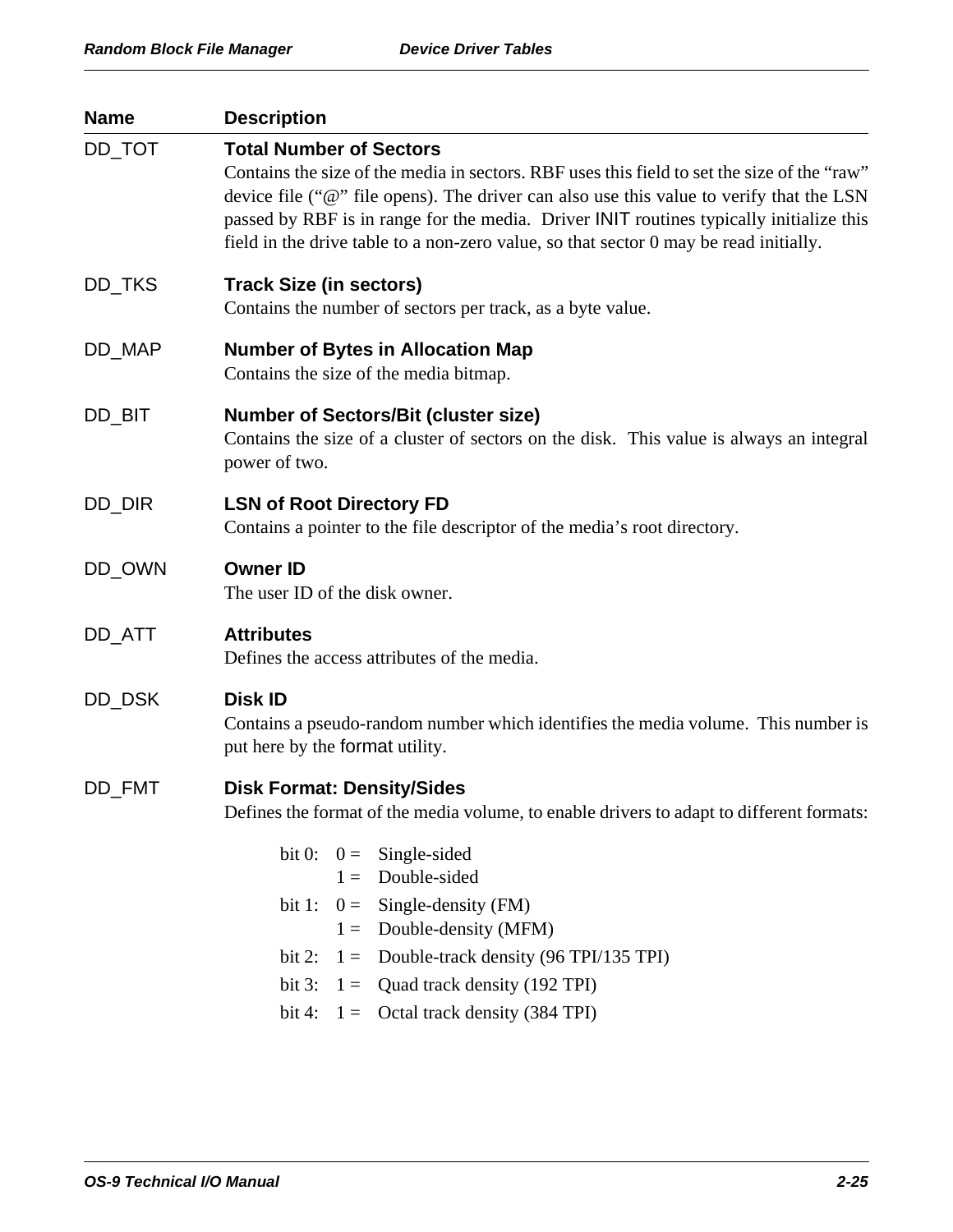| <b>Name</b> | <b>Description</b>                                                                                                                                                                                                                                                                                                                                                                                           |
|-------------|--------------------------------------------------------------------------------------------------------------------------------------------------------------------------------------------------------------------------------------------------------------------------------------------------------------------------------------------------------------------------------------------------------------|
| DD_TOT      | <b>Total Number of Sectors</b><br>Contains the size of the media in sectors. RBF uses this field to set the size of the "raw"<br>device file ("@" file opens). The driver can also use this value to verify that the LSN<br>passed by RBF is in range for the media. Driver INIT routines typically initialize this<br>field in the drive table to a non-zero value, so that sector 0 may be read initially. |
| DD_TKS      | <b>Track Size (in sectors)</b><br>Contains the number of sectors per track, as a byte value.                                                                                                                                                                                                                                                                                                                 |
| DD_MAP      | <b>Number of Bytes in Allocation Map</b><br>Contains the size of the media bitmap.                                                                                                                                                                                                                                                                                                                           |
| DD_BIT      | <b>Number of Sectors/Bit (cluster size)</b><br>Contains the size of a cluster of sectors on the disk. This value is always an integral<br>power of two.                                                                                                                                                                                                                                                      |
| DD_DIR      | <b>LSN of Root Directory FD</b><br>Contains a pointer to the file descriptor of the media's root directory.                                                                                                                                                                                                                                                                                                  |
| DD_OWN      | <b>Owner ID</b><br>The user ID of the disk owner.                                                                                                                                                                                                                                                                                                                                                            |
| DD_ATT      | <b>Attributes</b><br>Defines the access attributes of the media.                                                                                                                                                                                                                                                                                                                                             |
| DD_DSK      | <b>Disk ID</b><br>Contains a pseudo-random number which identifies the media volume. This number is<br>put here by the format utility.                                                                                                                                                                                                                                                                       |
| DD_FMT      | <b>Disk Format: Density/Sides</b><br>Defines the format of the media volume, to enable drivers to adapt to different formats:                                                                                                                                                                                                                                                                                |
|             | bit 0: $0 =$ Single-sided<br>Double-sided<br>$1 =$<br>bit 1: $0 =$ Single-density (FM)<br>Double-density (MFM)<br>$1 =$<br>Double-track density (96 TPI/135 TPI)<br>$1 =$<br>bit 2:<br>$1 =$ Quad track density (192 TPI)<br>bit $3:$<br>bit 4: $1 =$ Octal track density (384 TPI)                                                                                                                          |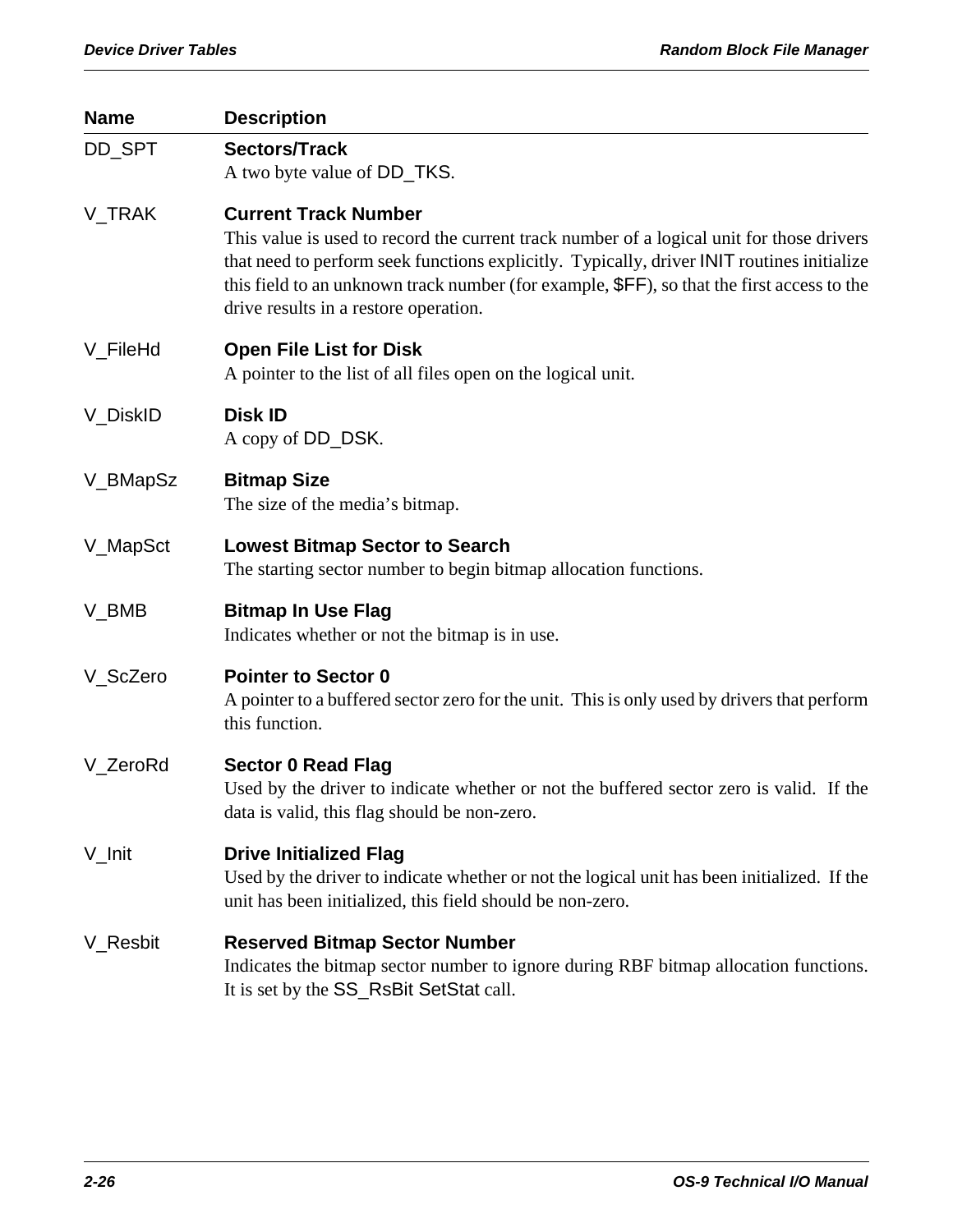| <b>Name</b> | <b>Description</b>                                                                                                                                                                                                                                                                                                                                            |
|-------------|---------------------------------------------------------------------------------------------------------------------------------------------------------------------------------------------------------------------------------------------------------------------------------------------------------------------------------------------------------------|
| DD_SPT      | <b>Sectors/Track</b><br>A two byte value of DD_TKS.                                                                                                                                                                                                                                                                                                           |
| V_TRAK      | <b>Current Track Number</b><br>This value is used to record the current track number of a logical unit for those drivers<br>that need to perform seek functions explicitly. Typically, driver INIT routines initialize<br>this field to an unknown track number (for example, \$FF), so that the first access to the<br>drive results in a restore operation. |
| V_FileHd    | <b>Open File List for Disk</b><br>A pointer to the list of all files open on the logical unit.                                                                                                                                                                                                                                                                |
| V_DiskID    | <b>Disk ID</b><br>A copy of DD_DSK.                                                                                                                                                                                                                                                                                                                           |
| V_BMapSz    | <b>Bitmap Size</b><br>The size of the media's bitmap.                                                                                                                                                                                                                                                                                                         |
| V_MapSct    | <b>Lowest Bitmap Sector to Search</b><br>The starting sector number to begin bitmap allocation functions.                                                                                                                                                                                                                                                     |
| V_BMB       | <b>Bitmap In Use Flag</b><br>Indicates whether or not the bitmap is in use.                                                                                                                                                                                                                                                                                   |
| V_ScZero    | <b>Pointer to Sector 0</b><br>A pointer to a buffered sector zero for the unit. This is only used by drivers that perform<br>this function.                                                                                                                                                                                                                   |
| V_ZeroRd    | <b>Sector 0 Read Flag</b><br>Used by the driver to indicate whether or not the buffered sector zero is valid. If the<br>data is valid, this flag should be non-zero.                                                                                                                                                                                          |
| V_Init      | <b>Drive Initialized Flag</b><br>Used by the driver to indicate whether or not the logical unit has been initialized. If the<br>unit has been initialized, this field should be non-zero.                                                                                                                                                                     |
| V_Resbit    | <b>Reserved Bitmap Sector Number</b><br>Indicates the bitmap sector number to ignore during RBF bitmap allocation functions.<br>It is set by the SS_RsBit SetStat call.                                                                                                                                                                                       |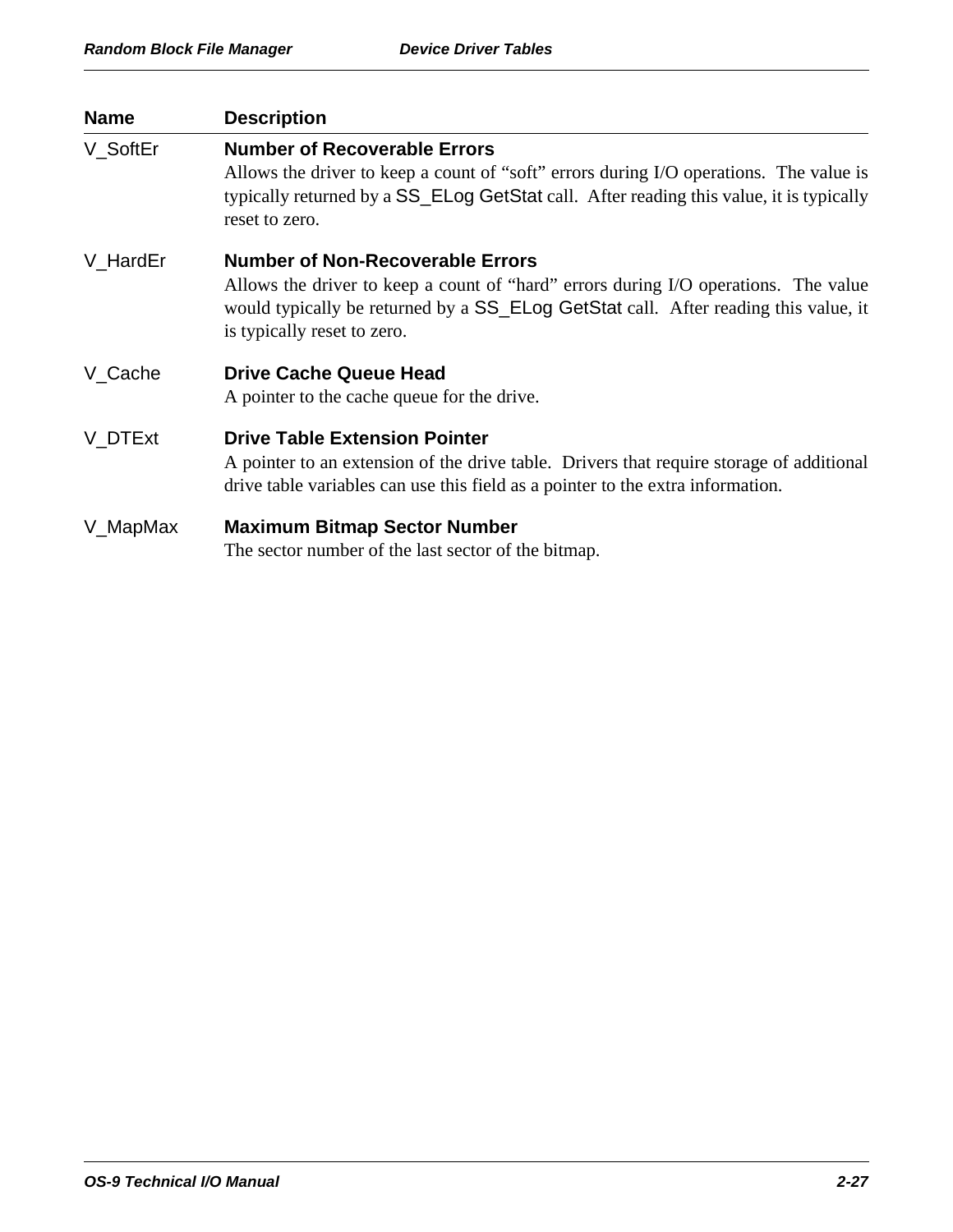| <b>Name</b> | <b>Description</b>                                                                                                                                                                                                                                   |
|-------------|------------------------------------------------------------------------------------------------------------------------------------------------------------------------------------------------------------------------------------------------------|
| V_SoftEr    | <b>Number of Recoverable Errors</b><br>Allows the driver to keep a count of "soft" errors during I/O operations. The value is<br>typically returned by a SS_ELog GetStat call. After reading this value, it is typically<br>reset to zero.           |
| V HardEr    | <b>Number of Non-Recoverable Errors</b><br>Allows the driver to keep a count of "hard" errors during I/O operations. The value<br>would typically be returned by a SS_ELog GetStat call. After reading this value, it<br>is typically reset to zero. |
| V_Cache     | <b>Drive Cache Queue Head</b><br>A pointer to the cache queue for the drive.                                                                                                                                                                         |
| V DTExt     | <b>Drive Table Extension Pointer</b><br>A pointer to an extension of the drive table. Drivers that require storage of additional<br>drive table variables can use this field as a pointer to the extra information.                                  |
| V_MapMax    | <b>Maximum Bitmap Sector Number</b><br>The sector number of the last sector of the bitmap.                                                                                                                                                           |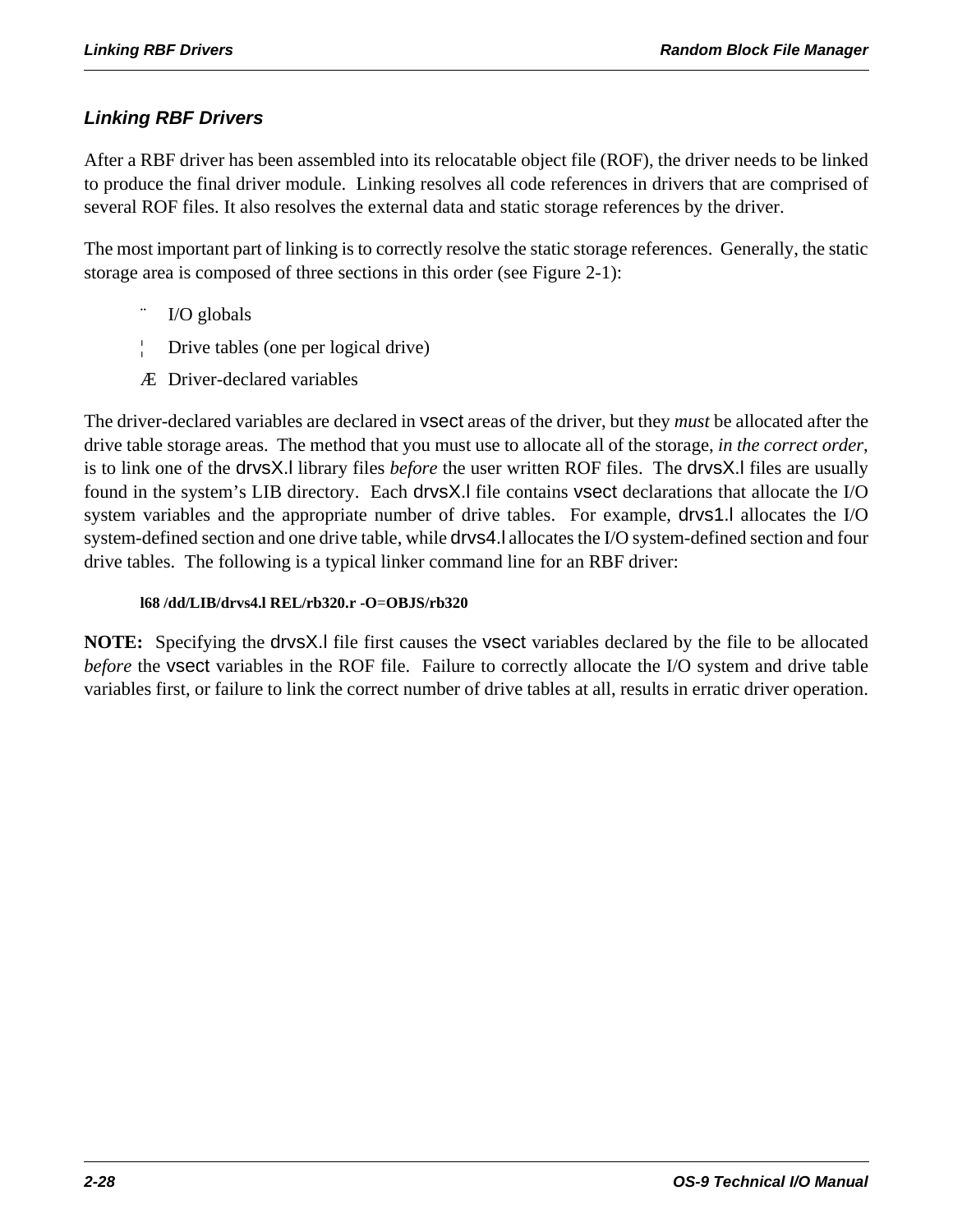### *Linking RBF Drivers*

After a RBF driver has been assembled into its relocatable object file (ROF), the driver needs to be linked to produce the final driver module. Linking resolves all code references in drivers that are comprised of several ROF files. It also resolves the external data and static storage references by the driver.

The most important part of linking is to correctly resolve the static storage references. Generally, the static storage area is composed of three sections in this order (see Figure 2-1):

- I/O globals
- ¦ Drive tables (one per logical drive)
- Æ Driver-declared variables

The driver-declared variables are declared in vsect areas of the driver, but they *must* be allocated after the drive table storage areas. The method that you must use to allocate all of the storage, *in the correct order*, is to link one of the drvsX.l library files *before* the user written ROF files. The drvsX.l files are usually found in the system's LIB directory. Each drvsX.l file contains vsect declarations that allocate the I/O system variables and the appropriate number of drive tables. For example, drvs1.l allocates the I/O system-defined section and one drive table, while drvs4.l allocates the I/O system-defined section and four drive tables. The following is a typical linker command line for an RBF driver:

### **l68 /dd/LIB/drvs4.l REL/rb320.r -O**=**OBJS/rb320**

**NOTE:** Specifying the drvsX.l file first causes the vsect variables declared by the file to be allocated *before* the vsect variables in the ROF file. Failure to correctly allocate the I/O system and drive table variables first, or failure to link the correct number of drive tables at all, results in erratic driver operation.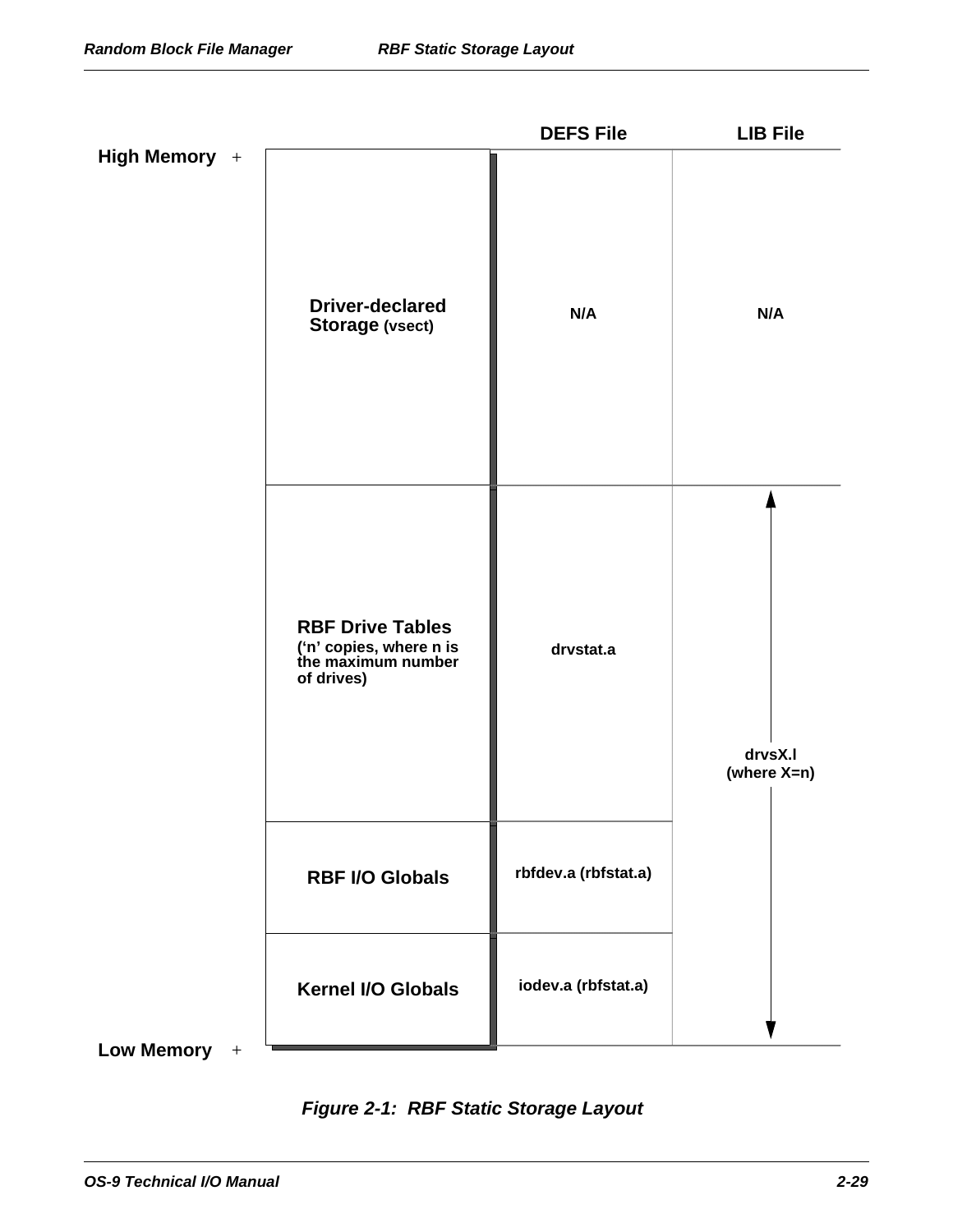|                |                                                                                        | <b>DEFS File</b>     | <b>LIB File</b>        |
|----------------|----------------------------------------------------------------------------------------|----------------------|------------------------|
| High Memory +  | <b>Driver-declared</b><br><b>Storage (vsect)</b>                                       | N/A                  | N/A                    |
|                | <b>RBF Drive Tables</b><br>('n' copies, where n is<br>the maximum number<br>of drives) | drvstat.a            | drvsX.I<br>(where X=n) |
|                | <b>RBF I/O Globals</b>                                                                 | rbfdev.a (rbfstat.a) |                        |
|                | <b>Kernel I/O Globals</b>                                                              | iodev.a (rbfstat.a)  |                        |
| Low Memory $+$ |                                                                                        |                      |                        |

*Figure 2-1: RBF Static Storage Layout*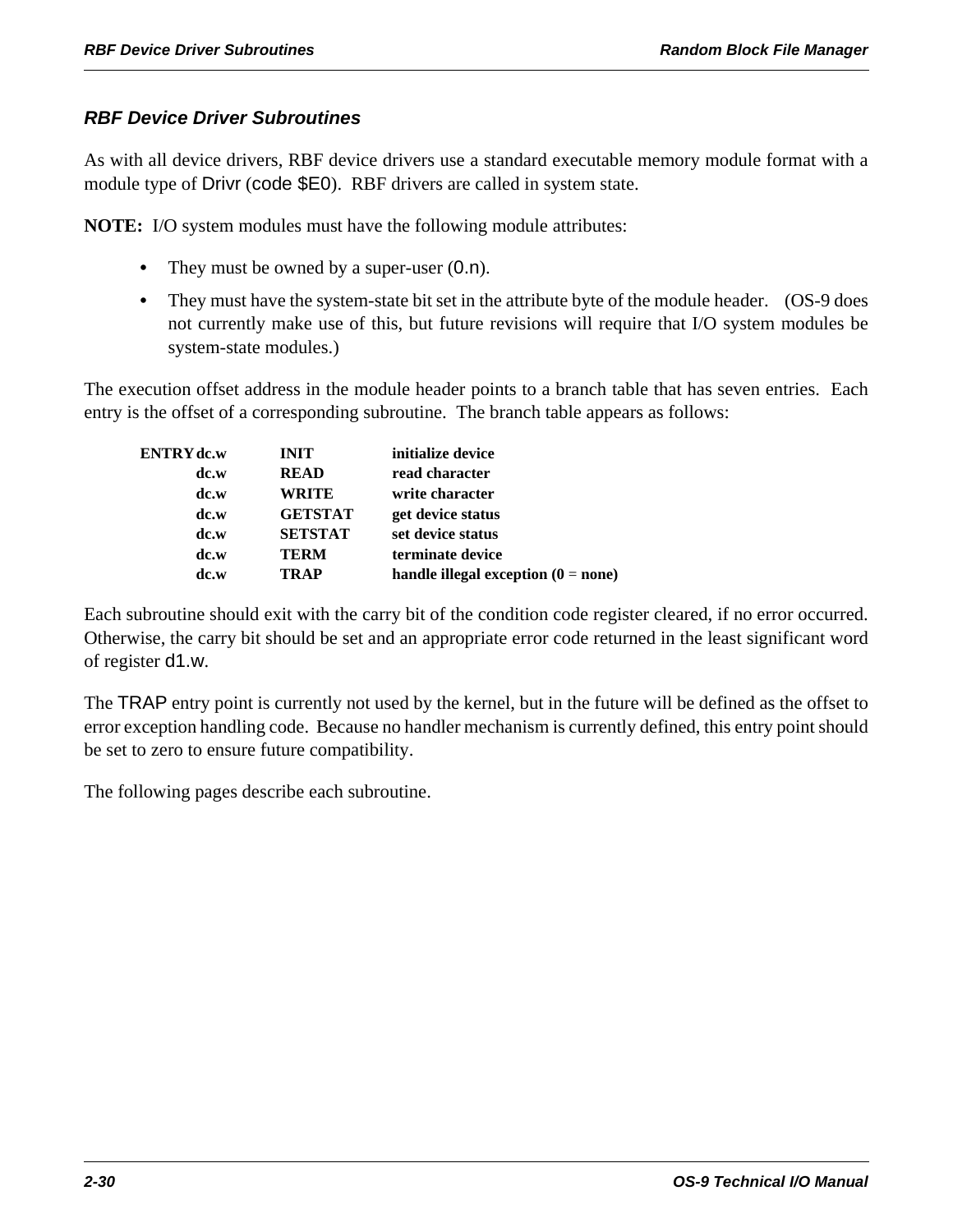### *RBF Device Driver Subroutines*

As with all device drivers, RBF device drivers use a standard executable memory module format with a module type of Drivr (code \$E0). RBF drivers are called in system state.

**NOTE:** I/O system modules must have the following module attributes:

- They must be owned by a super-user  $(0.n)$ .
- They must have the system-state bit set in the attribute byte of the module header. (OS-9 does not currently make use of this, but future revisions will require that I/O system modules be system-state modules.)

The execution offset address in the module header points to a branch table that has seven entries. Each entry is the offset of a corresponding subroutine. The branch table appears as follows:

| ENTRY dc.w | <b>INIT</b>    | initialize device                     |
|------------|----------------|---------------------------------------|
| dc.w       | <b>READ</b>    | read character                        |
| dc.w       | <b>WRITE</b>   | write character                       |
| dc.w       | <b>GETSTAT</b> | get device status                     |
| dc.w       | <b>SETSTAT</b> | set device status                     |
| dc.w       | TERM           | terminate device                      |
| dc.w       | TRAP           | handle illegal exception $(0 = none)$ |
|            |                |                                       |

Each subroutine should exit with the carry bit of the condition code register cleared, if no error occurred. Otherwise, the carry bit should be set and an appropriate error code returned in the least significant word of register d1.w.

The TRAP entry point is currently not used by the kernel, but in the future will be defined as the offset to error exception handling code. Because no handler mechanism is currently defined, this entry point should be set to zero to ensure future compatibility.

The following pages describe each subroutine.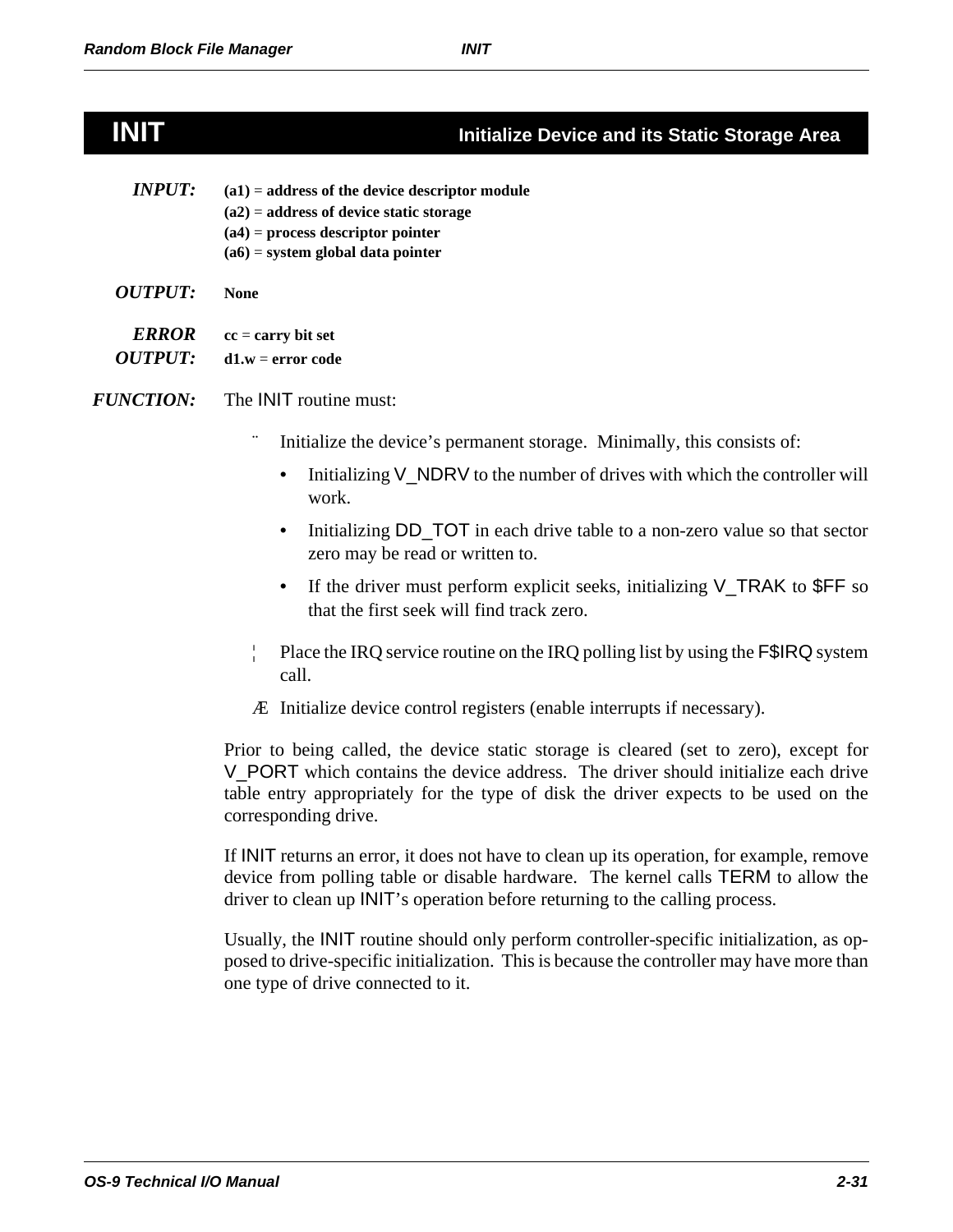### **INIT Initialize Device and its Static Storage Area**

| <i><b>INPUT:</b></i> | $(a1)$ = address of the device descriptor module<br>$(a2)$ = address of device static storage |
|----------------------|-----------------------------------------------------------------------------------------------|
|                      | $(a4)$ = process descriptor pointer<br>$(a6)$ = system global data pointer                    |
| <i>OUTPUT:</i>       | None                                                                                          |

*ERROR* **cc** = **carry bit set**

*OUTPUT:* **d1.w** = **error code**

*FUNCTION:* The INIT routine must:

- Initialize the device's permanent storage. Minimally, this consists of:
	- Initializing V\_NDRV to the number of drives with which the controller will work.
	- Initializing DD\_TOT in each drive table to a non-zero value so that sector zero may be read or written to.
	- If the driver must perform explicit seeks, initializing V\_TRAK to \$FF so that the first seek will find track zero.
- ¦ Place the IRQ service routine on the IRQ polling list by using the F\$IRQ system call.
- Æ Initialize device control registers (enable interrupts if necessary).

Prior to being called, the device static storage is cleared (set to zero), except for V\_PORT which contains the device address. The driver should initialize each drive table entry appropriately for the type of disk the driver expects to be used on the corresponding drive.

If INIT returns an error, it does not have to clean up its operation, for example, remove device from polling table or disable hardware. The kernel calls TERM to allow the driver to clean up INIT's operation before returning to the calling process.

Usually, the INIT routine should only perform controller-specific initialization, as opposed to drive-specific initialization. This is because the controller may have more than one type of drive connected to it.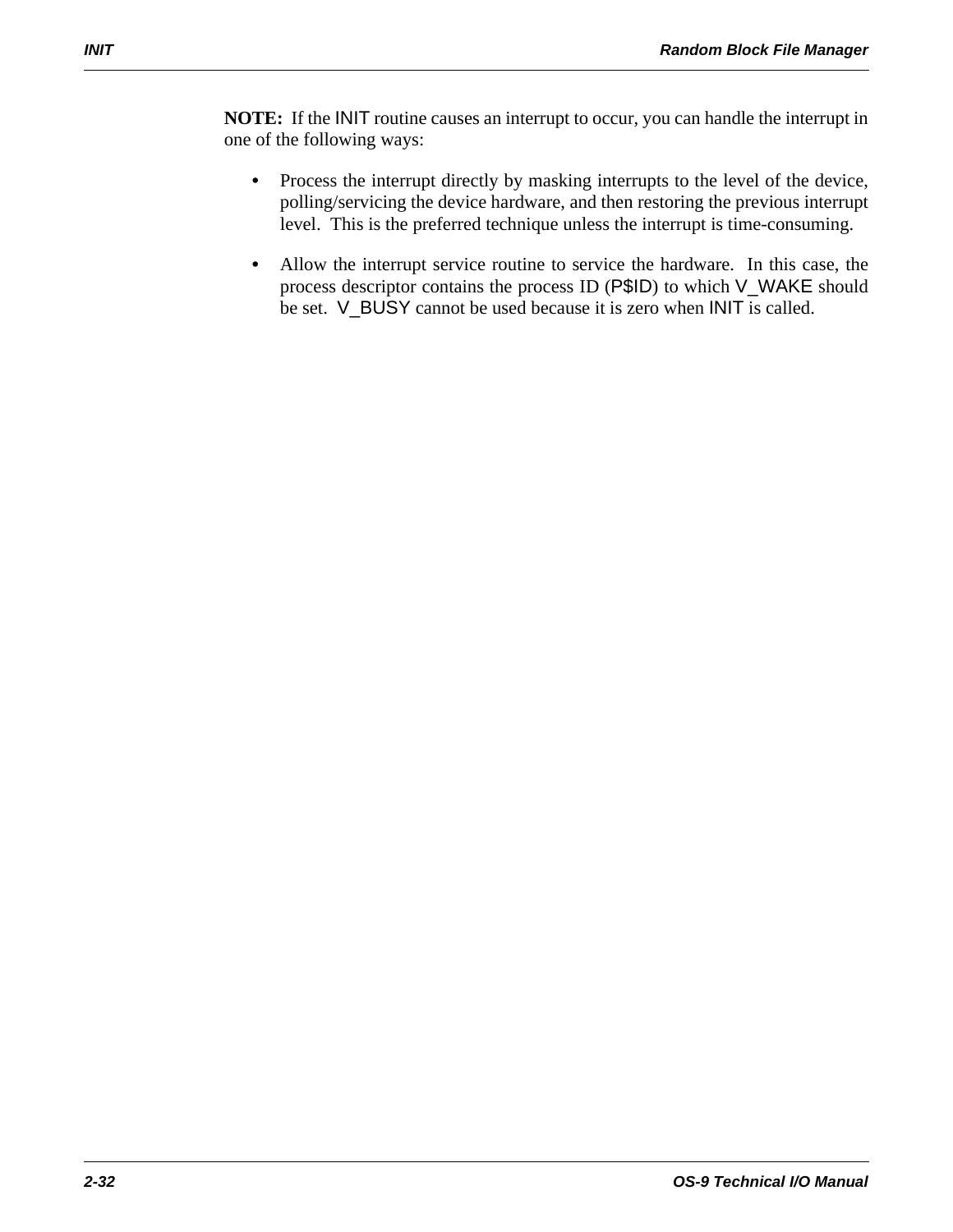**NOTE:** If the INIT routine causes an interrupt to occur, you can handle the interrupt in one of the following ways:

- **•** Process the interrupt directly by masking interrupts to the level of the device, polling/servicing the device hardware, and then restoring the previous interrupt level. This is the preferred technique unless the interrupt is time-consuming.
- **•** Allow the interrupt service routine to service the hardware. In this case, the process descriptor contains the process ID (P\$ID) to which V\_WAKE should be set. V\_BUSY cannot be used because it is zero when INIT is called.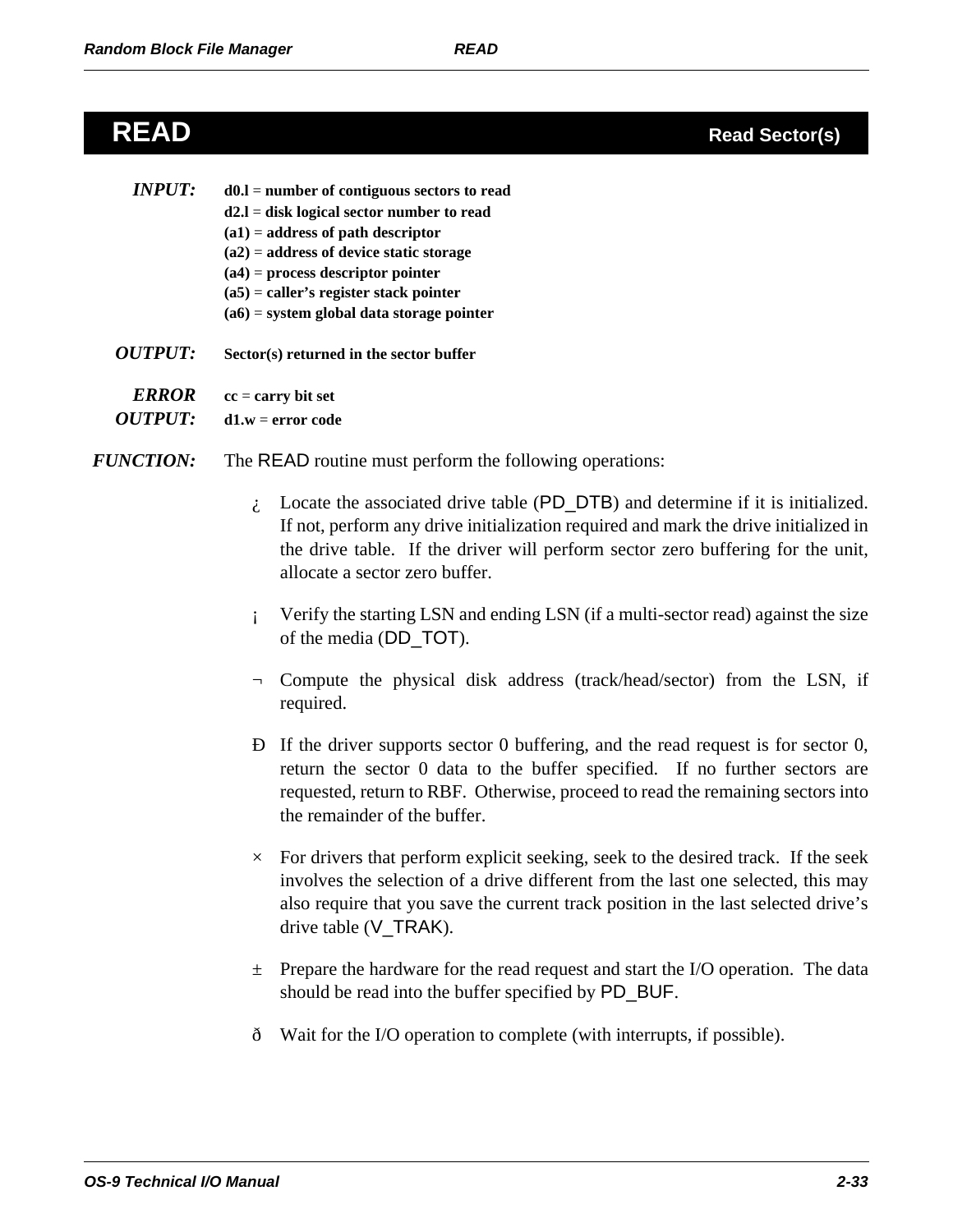## **READ Read Sector(s)**

| <i><b>INPUT:</b></i>  | $d0.l = number of contiguous sectors to read$ |
|-----------------------|-----------------------------------------------|
|                       | $d2.1$ = disk logical sector number to read   |
|                       | $(a1)$ = address of path descriptor           |
|                       | $(a2)$ = address of device static storage     |
|                       | $(a4)$ = process descriptor pointer           |
|                       | $(a5)$ = caller's register stack pointer      |
|                       | $(a6)$ = system global data storage pointer   |
| <i><b>OUTPUT:</b></i> | Sector(s) returned in the sector buffer       |

- 
- *ERROR* **cc** = **carry bit set**  *OUTPUT:* **d1.w** = **error code**
- *FUNCTION:* The READ routine must perform the following operations:
	- $\lambda$ . Locate the associated drive table (PD\_DTB) and determine if it is initialized. If not, perform any drive initialization required and mark the drive initialized in the drive table. If the driver will perform sector zero buffering for the unit, allocate a sector zero buffer.
	- ¡ Verify the starting LSN and ending LSN (if a multi-sector read) against the size of the media (DD\_TOT).
	- ¬ Compute the physical disk address (track/head/sector) from the LSN, if required.
	- Ð If the driver supports sector 0 buffering, and the read request is for sector 0, return the sector 0 data to the buffer specified. If no further sectors are requested, return to RBF. Otherwise, proceed to read the remaining sectors into the remainder of the buffer.
	- $\times$  For drivers that perform explicit seeking, seek to the desired track. If the seek involves the selection of a drive different from the last one selected, this may also require that you save the current track position in the last selected drive's drive table (V\_TRAK).
	- $\pm$  Prepare the hardware for the read request and start the I/O operation. The data should be read into the buffer specified by PD\_BUF.
	- ð Wait for the I/O operation to complete (with interrupts, if possible).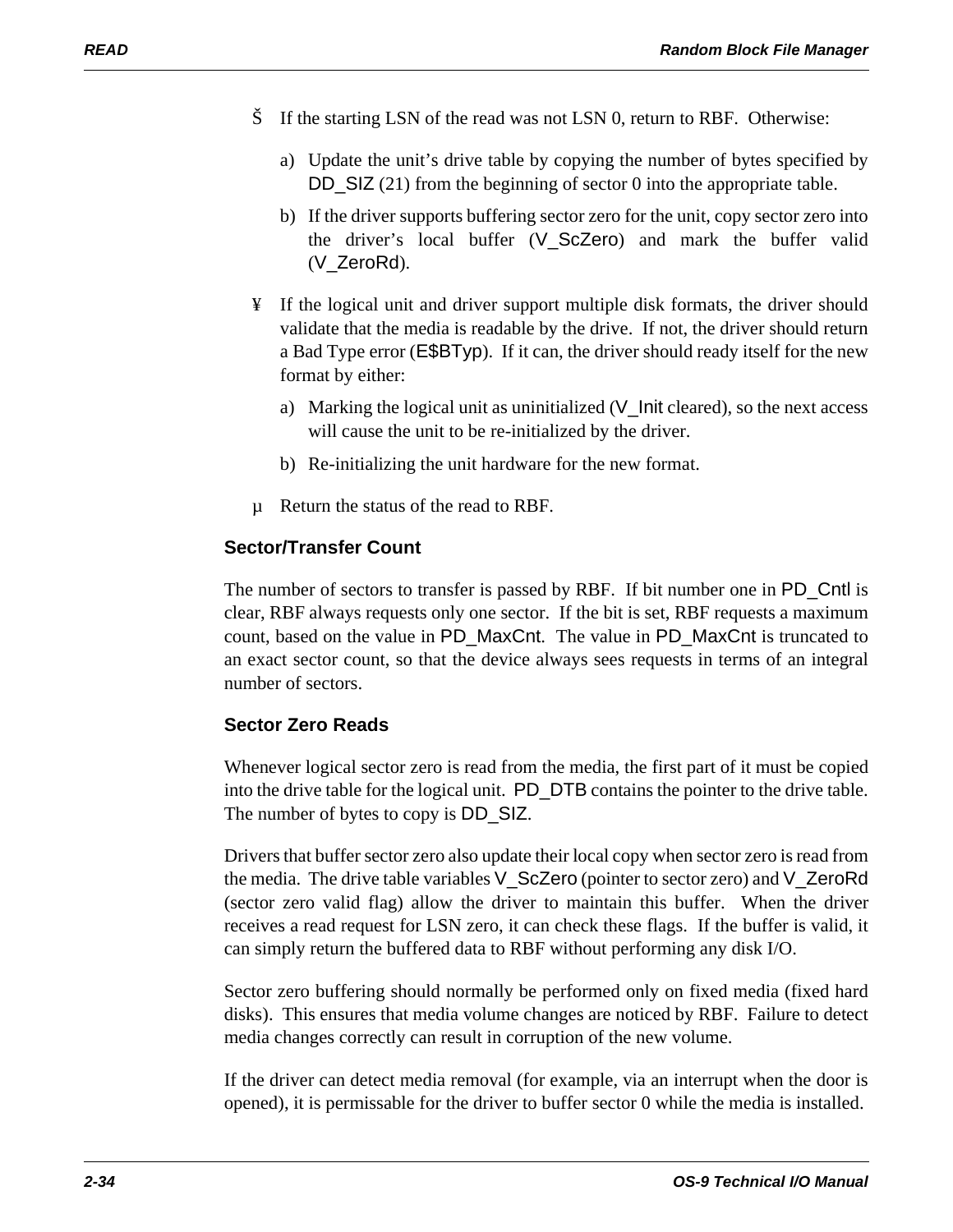- Š If the starting LSN of the read was not LSN 0, return to RBF. Otherwise:
	- a) Update the unit's drive table by copying the number of bytes specified by DD\_SIZ (21) from the beginning of sector 0 into the appropriate table.
	- b) If the driver supports buffering sector zero for the unit, copy sector zero into the driver's local buffer (V\_ScZero) and mark the buffer valid (V\_ZeroRd).
- ¥ If the logical unit and driver support multiple disk formats, the driver should validate that the media is readable by the drive. If not, the driver should return a Bad Type error (E\$BTyp). If it can, the driver should ready itself for the new format by either:
	- a) Marking the logical unit as uninitialized (V\_Init cleared), so the next access will cause the unit to be re-initialized by the driver.
	- b) Re-initializing the unit hardware for the new format.
- µ Return the status of the read to RBF.

### **Sector/Transfer Count**

The number of sectors to transfer is passed by RBF. If bit number one in PD\_Cntl is clear, RBF always requests only one sector. If the bit is set, RBF requests a maximum count, based on the value in PD\_MaxCnt. The value in PD\_MaxCnt is truncated to an exact sector count, so that the device always sees requests in terms of an integral number of sectors.

### **Sector Zero Reads**

Whenever logical sector zero is read from the media, the first part of it must be copied into the drive table for the logical unit. PD\_DTB contains the pointer to the drive table. The number of bytes to copy is DD\_SIZ.

Drivers that buffer sector zero also update their local copy when sector zero is read from the media. The drive table variables V\_ScZero (pointer to sector zero) and V\_ZeroRd (sector zero valid flag) allow the driver to maintain this buffer. When the driver receives a read request for LSN zero, it can check these flags. If the buffer is valid, it can simply return the buffered data to RBF without performing any disk I/O.

Sector zero buffering should normally be performed only on fixed media (fixed hard disks). This ensures that media volume changes are noticed by RBF. Failure to detect media changes correctly can result in corruption of the new volume.

If the driver can detect media removal (for example, via an interrupt when the door is opened), it is permissable for the driver to buffer sector 0 while the media is installed.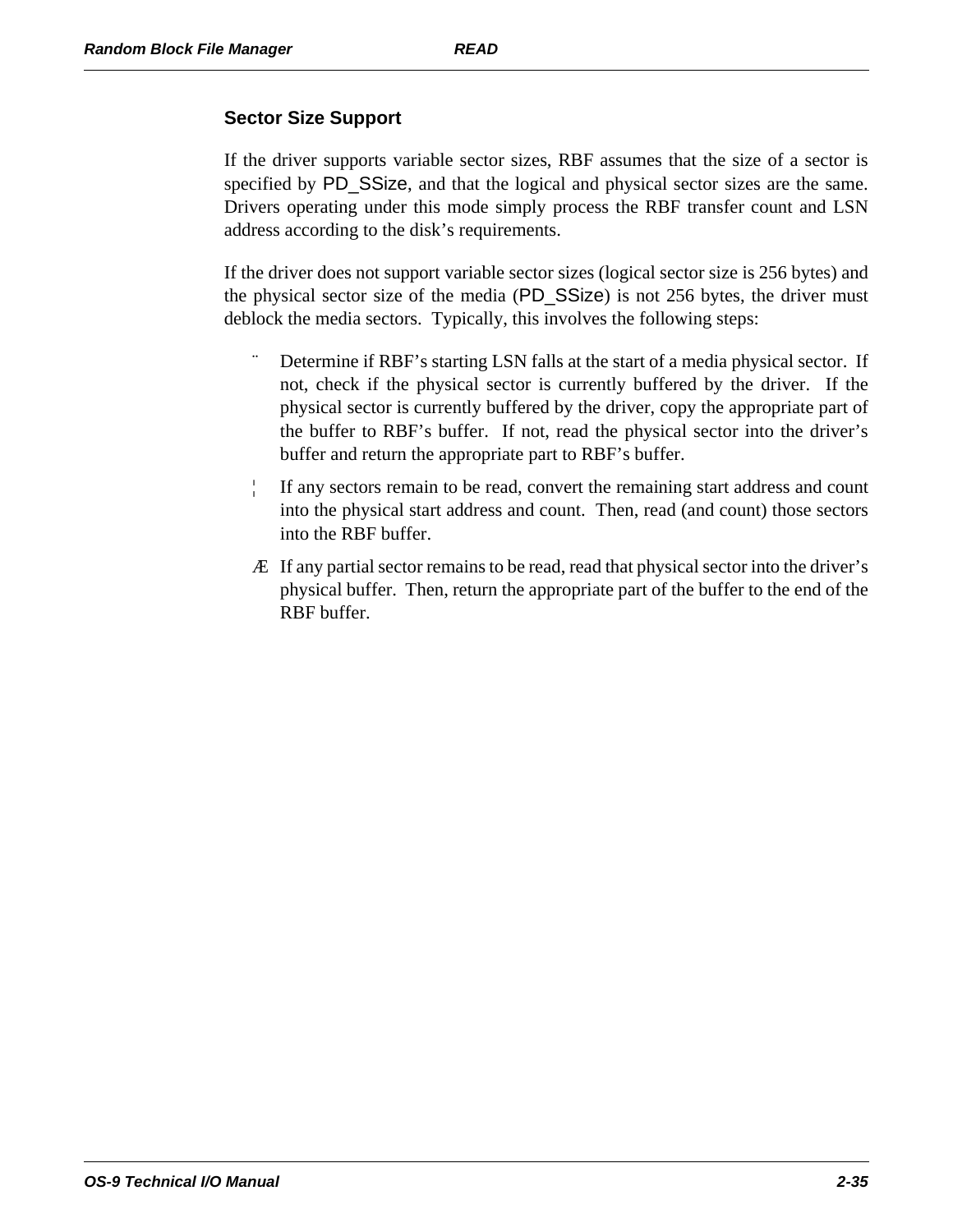### **Sector Size Support**

If the driver supports variable sector sizes, RBF assumes that the size of a sector is specified by PD\_SSize, and that the logical and physical sector sizes are the same. Drivers operating under this mode simply process the RBF transfer count and LSN address according to the disk's requirements.

If the driver does not support variable sector sizes (logical sector size is 256 bytes) and the physical sector size of the media (PD\_SSize) is not 256 bytes, the driver must deblock the media sectors. Typically, this involves the following steps:

- Determine if RBF's starting LSN falls at the start of a media physical sector. If not, check if the physical sector is currently buffered by the driver. If the physical sector is currently buffered by the driver, copy the appropriate part of the buffer to RBF's buffer. If not, read the physical sector into the driver's buffer and return the appropriate part to RBF's buffer.
- ¦ If any sectors remain to be read, convert the remaining start address and count into the physical start address and count. Then, read (and count) those sectors into the RBF buffer.
- Æ If any partial sector remains to be read, read that physical sector into the driver's physical buffer. Then, return the appropriate part of the buffer to the end of the RBF buffer.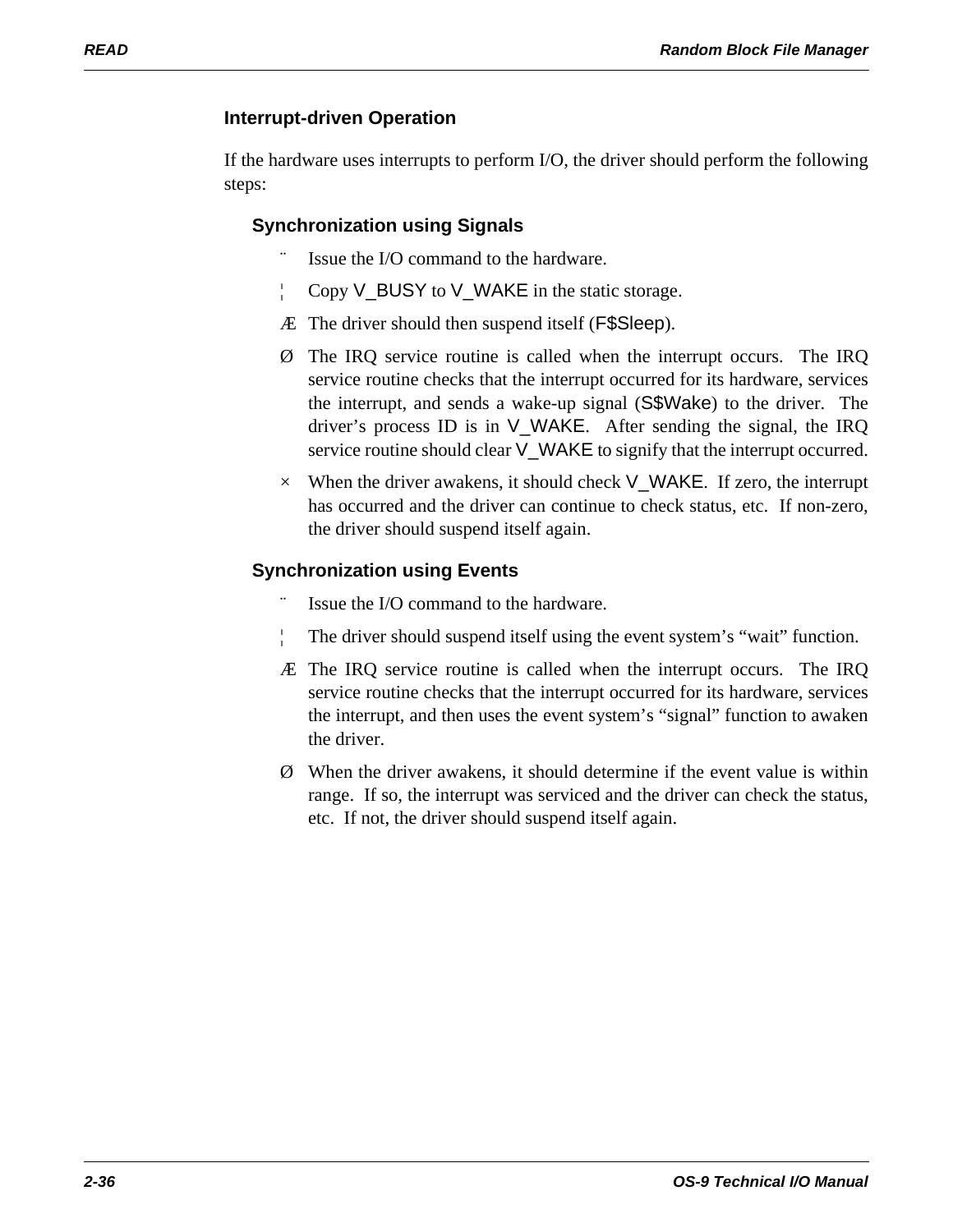### **Interrupt-driven Operation**

If the hardware uses interrupts to perform I/O, the driver should perform the following steps:

### **Synchronization using Signals**

- Issue the I/O command to the hardware.
- ¦ Copy V\_BUSY to V\_WAKE in the static storage.
- Æ The driver should then suspend itself (F\$Sleep).
- Ø The IRQ service routine is called when the interrupt occurs. The IRQ service routine checks that the interrupt occurred for its hardware, services the interrupt, and sends a wake-up signal (S\$Wake) to the driver. The driver's process ID is in V\_WAKE. After sending the signal, the IRQ service routine should clear V\_WAKE to signify that the interrupt occurred.
- $\times$  When the driver awakens, it should check V\_WAKE. If zero, the interrupt has occurred and the driver can continue to check status, etc. If non-zero, the driver should suspend itself again.

### **Synchronization using Events**

- Issue the I/O command to the hardware.
- The driver should suspend itself using the event system's "wait" function.
- Æ The IRQ service routine is called when the interrupt occurs. The IRQ service routine checks that the interrupt occurred for its hardware, services the interrupt, and then uses the event system's "signal" function to awaken the driver.
- Ø When the driver awakens, it should determine if the event value is within range. If so, the interrupt was serviced and the driver can check the status, etc. If not, the driver should suspend itself again.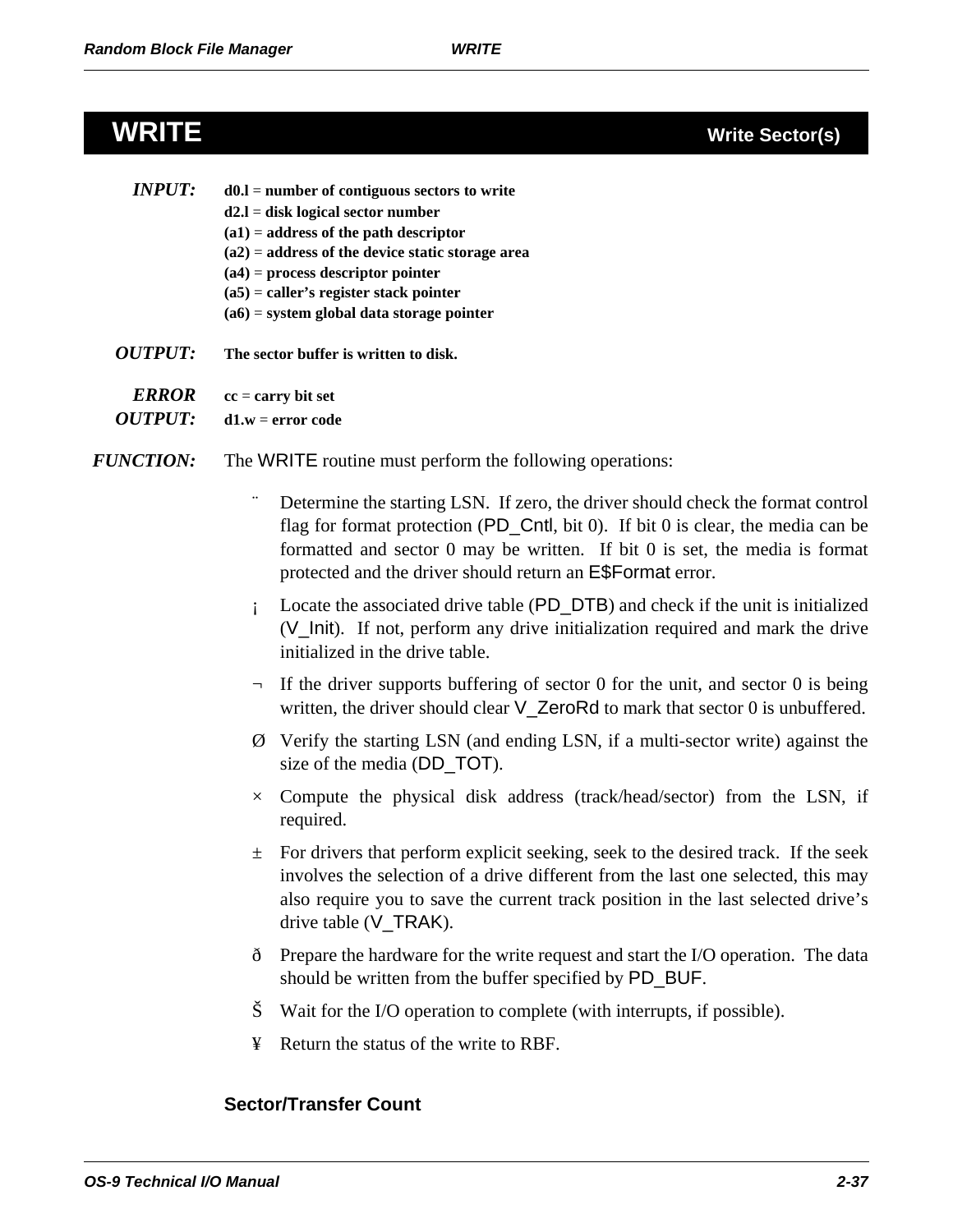### **WRITE Write Sector(s)**

| <i>INPUT:</i>  | $d0.l = number of contiguous sectors to write$     |
|----------------|----------------------------------------------------|
|                | $d2.l = disk$ logical sector number                |
|                | $(a1)$ = address of the path descriptor            |
|                | $(a2)$ = address of the device static storage area |
|                | $(a4)$ = process descriptor pointer                |
|                | $(a5)$ = caller's register stack pointer           |
|                | $(a6)$ = system global data storage pointer        |
| <i>OUTPUT:</i> | The sector buffer is written to disk.              |
|                |                                                    |

- *ERROR* **cc** = **carry bit set**
- *OUTPUT:* **d1.w** = **error code**
- *FUNCTION:* The WRITE routine must perform the following operations:
	- Determine the starting LSN. If zero, the driver should check the format control flag for format protection (PD\_Cntl, bit 0). If bit 0 is clear, the media can be formatted and sector 0 may be written. If bit 0 is set, the media is format protected and the driver should return an E\$Format error.
	- Locate the associated drive table (PD\_DTB) and check if the unit is initialized (V\_Init). If not, perform any drive initialization required and mark the drive initialized in the drive table.
	- $\neg$  If the driver supports buffering of sector 0 for the unit, and sector 0 is being written, the driver should clear V\_ZeroRd to mark that sector 0 is unbuffered.
	- Ø Verify the starting LSN (and ending LSN, if a multi-sector write) against the size of the media (DD\_TOT).
	- $\times$  Compute the physical disk address (track/head/sector) from the LSN, if required.
	- $\pm$  For drivers that perform explicit seeking, seek to the desired track. If the seek involves the selection of a drive different from the last one selected, this may also require you to save the current track position in the last selected drive's drive table (V\_TRAK).
	- ð Prepare the hardware for the write request and start the I/O operation. The data should be written from the buffer specified by PD\_BUF.
	- Š Wait for the I/O operation to complete (with interrupts, if possible).
	- ¥ Return the status of the write to RBF.

### **Sector/Transfer Count**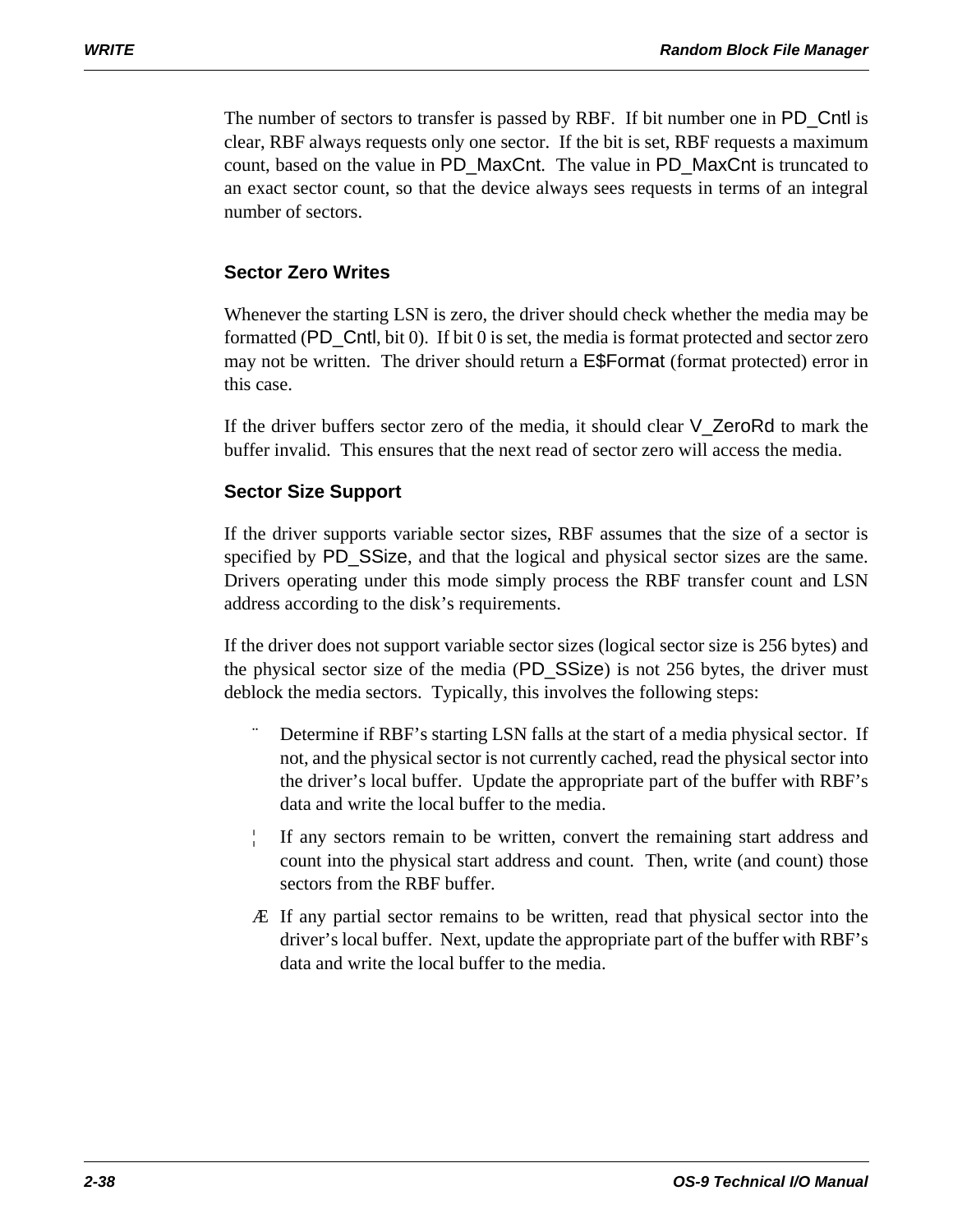The number of sectors to transfer is passed by RBF. If bit number one in PD\_Cntl is clear, RBF always requests only one sector. If the bit is set, RBF requests a maximum count, based on the value in PD\_MaxCnt. The value in PD\_MaxCnt is truncated to an exact sector count, so that the device always sees requests in terms of an integral number of sectors.

### **Sector Zero Writes**

Whenever the starting LSN is zero, the driver should check whether the media may be formatted (PD\_Cntl, bit 0). If bit 0 is set, the media is format protected and sector zero may not be written. The driver should return a E\$Format (format protected) error in this case.

If the driver buffers sector zero of the media, it should clear V\_ZeroRd to mark the buffer invalid. This ensures that the next read of sector zero will access the media.

### **Sector Size Support**

If the driver supports variable sector sizes, RBF assumes that the size of a sector is specified by PD\_SSize, and that the logical and physical sector sizes are the same. Drivers operating under this mode simply process the RBF transfer count and LSN address according to the disk's requirements.

If the driver does not support variable sector sizes (logical sector size is 256 bytes) and the physical sector size of the media (PD\_SSize) is not 256 bytes, the driver must deblock the media sectors. Typically, this involves the following steps:

- Determine if RBF's starting LSN falls at the start of a media physical sector. If not, and the physical sector is not currently cached, read the physical sector into the driver's local buffer. Update the appropriate part of the buffer with RBF's data and write the local buffer to the media.
- If any sectors remain to be written, convert the remaining start address and count into the physical start address and count. Then, write (and count) those sectors from the RBF buffer.
- Æ If any partial sector remains to be written, read that physical sector into the driver's local buffer. Next, update the appropriate part of the buffer with RBF's data and write the local buffer to the media.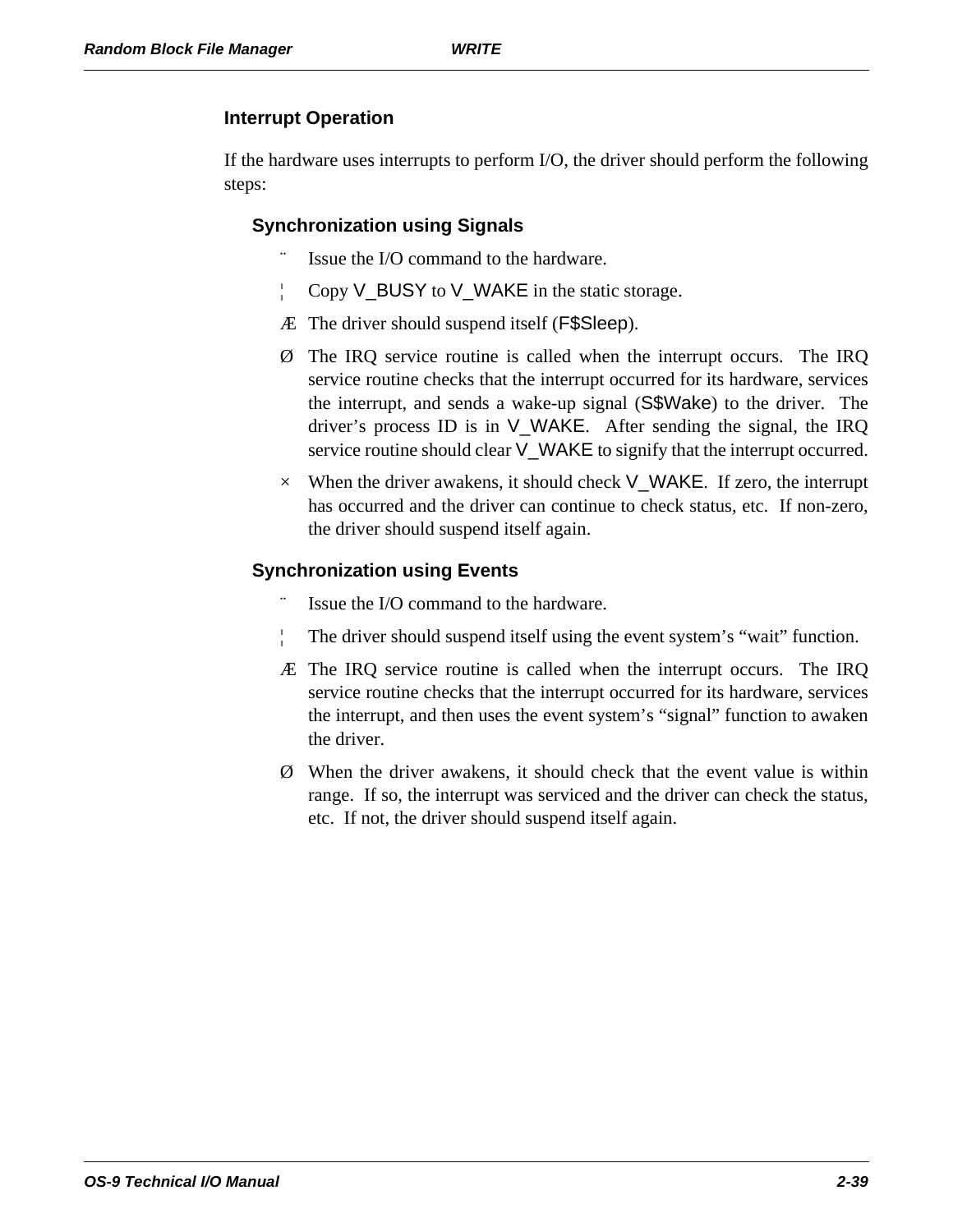### **Interrupt Operation**

If the hardware uses interrupts to perform I/O, the driver should perform the following steps:

### **Synchronization using Signals**

- Issue the I/O command to the hardware.
- ¦ Copy V\_BUSY to V\_WAKE in the static storage.
- Æ The driver should suspend itself (F\$Sleep).
- Ø The IRQ service routine is called when the interrupt occurs. The IRQ service routine checks that the interrupt occurred for its hardware, services the interrupt, and sends a wake-up signal (S\$Wake) to the driver. The driver's process ID is in V\_WAKE. After sending the signal, the IRQ service routine should clear V\_WAKE to signify that the interrupt occurred.
- $\times$  When the driver awakens, it should check V\_WAKE. If zero, the interrupt has occurred and the driver can continue to check status, etc. If non-zero, the driver should suspend itself again.

### **Synchronization using Events**

- Issue the I/O command to the hardware.
- The driver should suspend itself using the event system's "wait" function.
- Æ The IRQ service routine is called when the interrupt occurs. The IRQ service routine checks that the interrupt occurred for its hardware, services the interrupt, and then uses the event system's "signal" function to awaken the driver.
- Ø When the driver awakens, it should check that the event value is within range. If so, the interrupt was serviced and the driver can check the status, etc. If not, the driver should suspend itself again.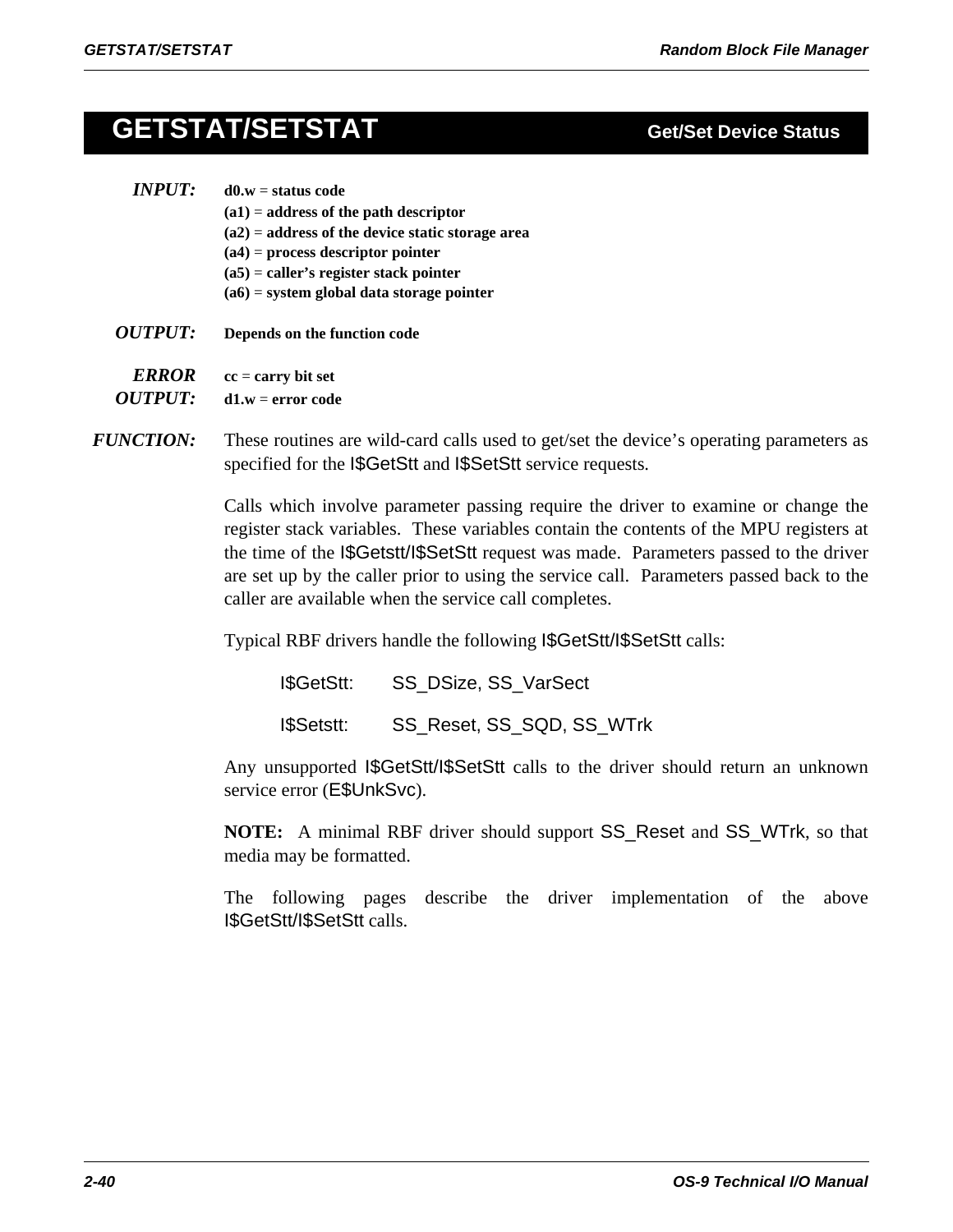## **GETSTAT/SETSTAT**

### *INPUT:* **d0.w** = **status code (a1)** = **address of the path descriptor**

- **(a2)** = **address of the device static storage area**
- **(a4)** = **process descriptor pointer**
- **(a5)** = **caller's register stack pointer**
- **(a6)** = **system global data storage pointer**
- *OUTPUT:* **Depends on the function code**

*ERROR* **cc** = **carry bit set** 

*OUTPUT:* **d1.w** = **error code**

*FUNCTION:* These routines are wild-card calls used to get/set the device's operating parameters as specified for the I\$GetStt and I\$SetStt service requests.

> Calls which involve parameter passing require the driver to examine or change the register stack variables. These variables contain the contents of the MPU registers at the time of the I\$Getstt/I\$SetStt request was made. Parameters passed to the driver are set up by the caller prior to using the service call. Parameters passed back to the caller are available when the service call completes.

Typical RBF drivers handle the following I\$GetStt/I\$SetStt calls:

| I\$GetStt: | SS_DSize, SS_VarSect      |
|------------|---------------------------|
| I\$Setstt: | SS_Reset, SS_SQD, SS_WTrk |

Any unsupported I\$GetStt/I\$SetStt calls to the driver should return an unknown service error (E\$UnkSvc).

**NOTE:** A minimal RBF driver should support SS\_Reset and SS\_WTrk, so that media may be formatted.

The following pages describe the driver implementation of the above I\$GetStt/I\$SetStt calls.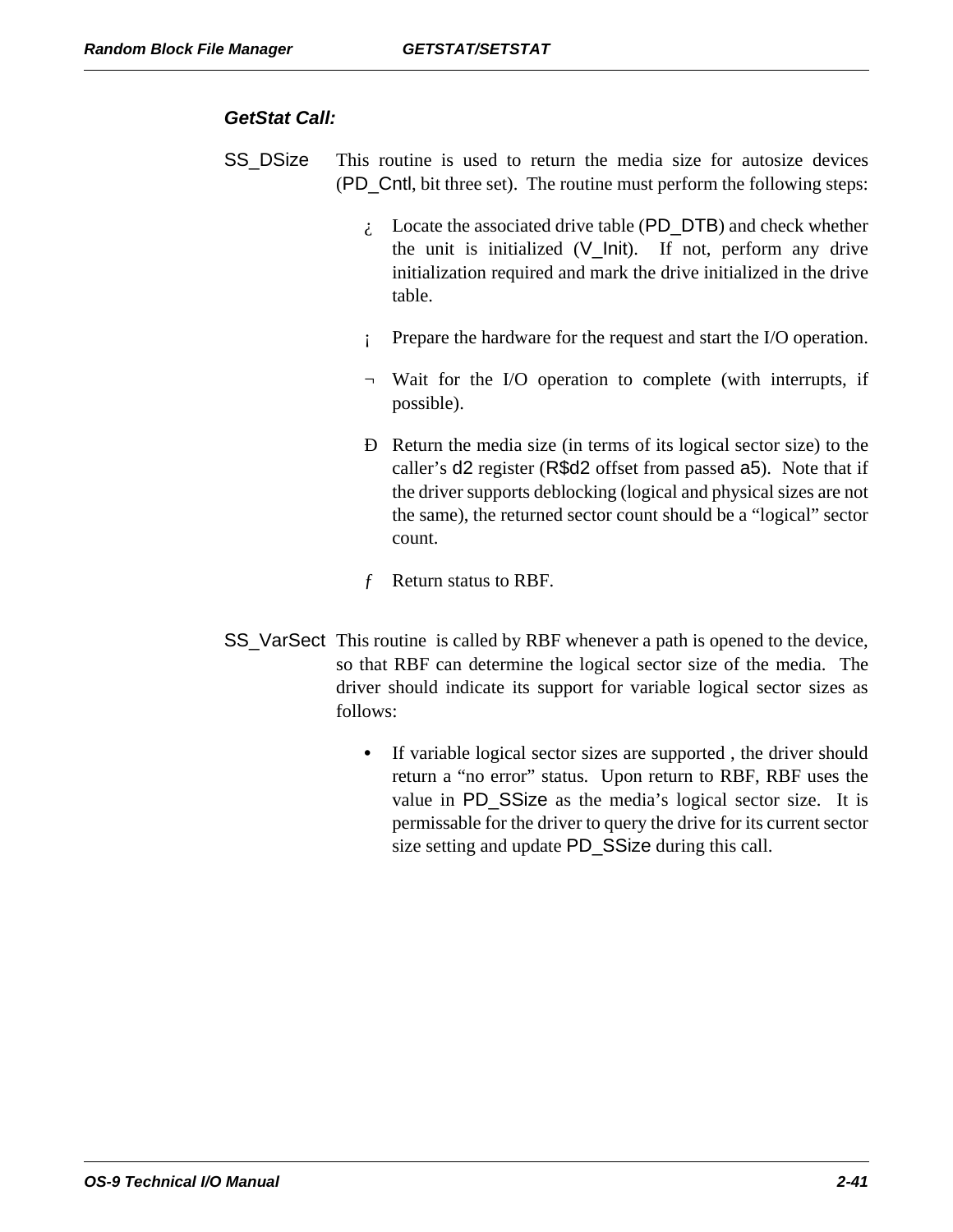#### *GetStat Call:*

- SS\_DSize This routine is used to return the media size for autosize devices (PD\_Cntl, bit three set). The routine must perform the following steps:
	- $\lambda$ . Locate the associated drive table (PD\_DTB) and check whether the unit is initialized (V\_Init). If not, perform any drive initialization required and mark the drive initialized in the drive table.
	- ¡ Prepare the hardware for the request and start the I/O operation.
	- ¬ Wait for the I/O operation to complete (with interrupts, if possible).
	- Ð Return the media size (in terms of its logical sector size) to the caller's d2 register (R\$d2 offset from passed a5). Note that if the driver supports deblocking (logical and physical sizes are not the same), the returned sector count should be a "logical" sector count.
	- ƒ Return status to RBF.
- SS\_VarSect This routine is called by RBF whenever a path is opened to the device, so that RBF can determine the logical sector size of the media. The driver should indicate its support for variable logical sector sizes as follows:
	- **•** If variable logical sector sizes are supported , the driver should return a "no error" status. Upon return to RBF, RBF uses the value in PD\_SSize as the media's logical sector size. It is permissable for the driver to query the drive for its current sector size setting and update PD\_SSize during this call.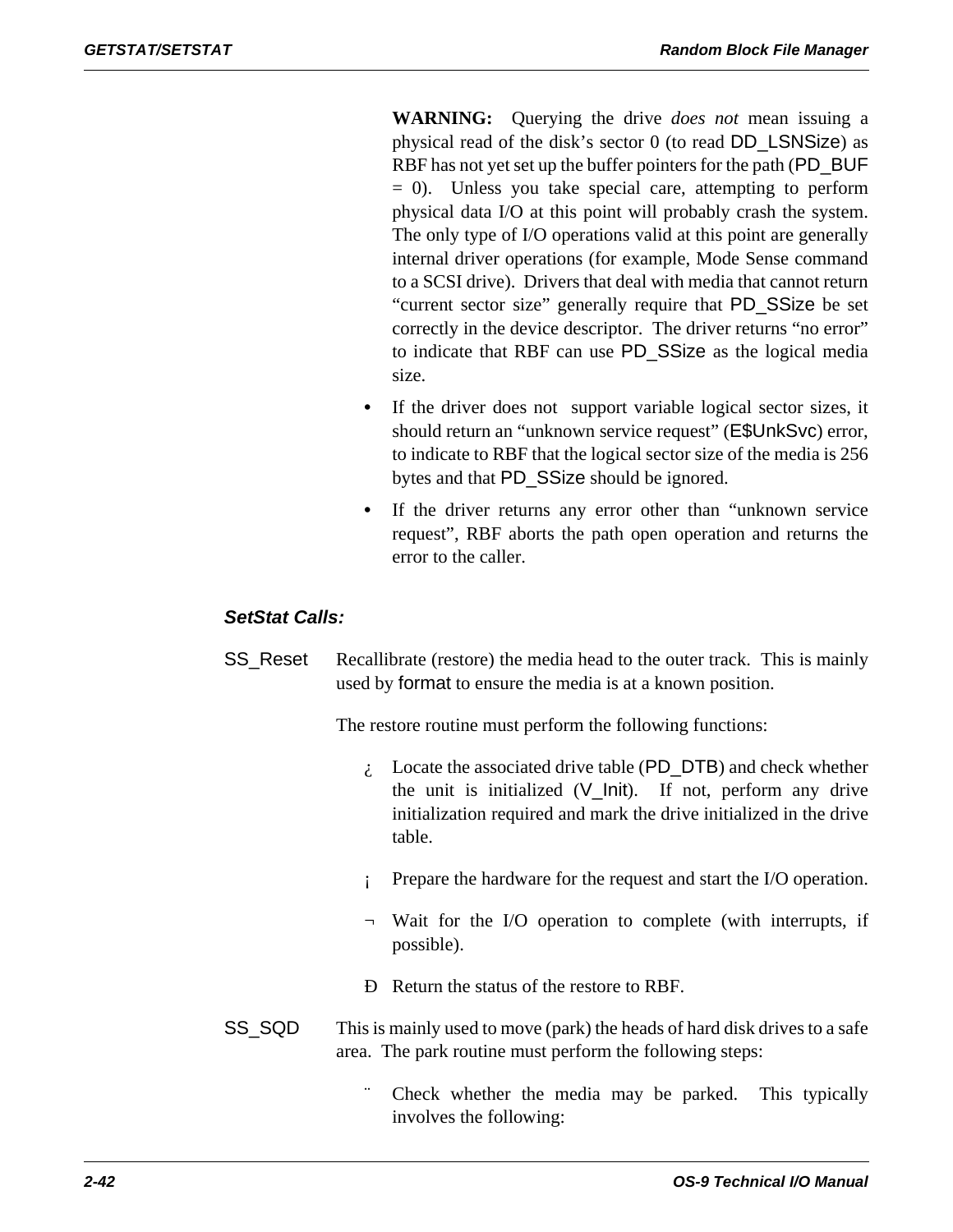**WARNING:** Querying the drive *does not* mean issuing a physical read of the disk's sector 0 (to read DD\_LSNSize) as RBF has not yet set up the buffer pointers for the path (PD\_BUF = 0). Unless you take special care, attempting to perform physical data I/O at this point will probably crash the system. The only type of I/O operations valid at this point are generally internal driver operations (for example, Mode Sense command to a SCSI drive). Drivers that deal with media that cannot return "current sector size" generally require that PD\_SSize be set correctly in the device descriptor. The driver returns "no error" to indicate that RBF can use PD\_SSize as the logical media size.

- If the driver does not support variable logical sector sizes, it should return an "unknown service request" (E\$UnkSvc) error, to indicate to RBF that the logical sector size of the media is 256 bytes and that PD\_SSize should be ignored.
- **•** If the driver returns any error other than "unknown service request", RBF aborts the path open operation and returns the error to the caller.

### *SetStat Calls:*

SS\_Reset Recallibrate (restore) the media head to the outer track. This is mainly used by format to ensure the media is at a known position.

The restore routine must perform the following functions:

- $\lambda$  Locate the associated drive table (PD\_DTB) and check whether the unit is initialized (V\_Init). If not, perform any drive initialization required and mark the drive initialized in the drive table.
- Prepare the hardware for the request and start the I/O operation.
- ¬ Wait for the I/O operation to complete (with interrupts, if possible).
- Ð Return the status of the restore to RBF.
- SS\_SQD This is mainly used to move (park) the heads of hard disk drives to a safe area. The park routine must perform the following steps:
	- Check whether the media may be parked. This typically involves the following: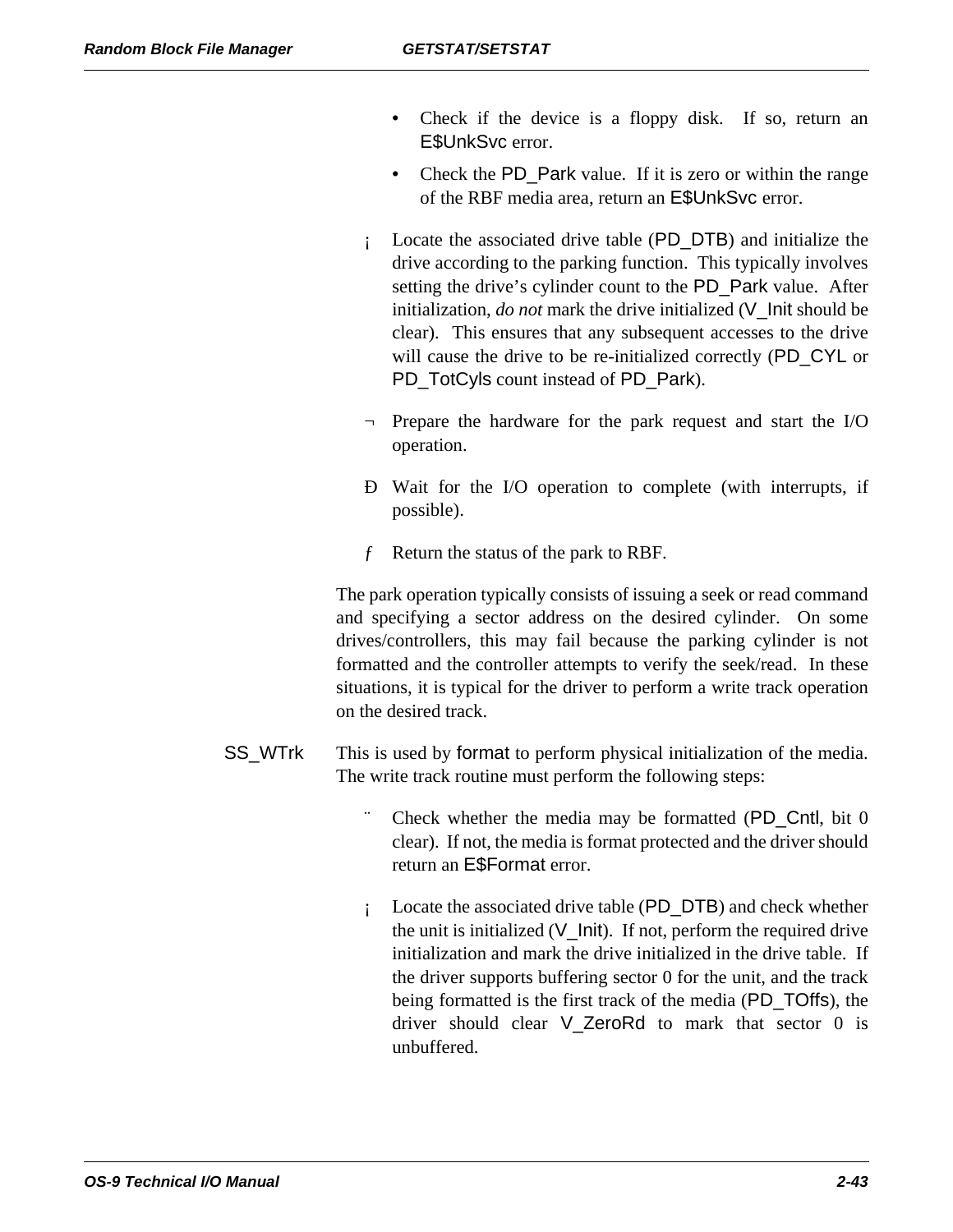- Check if the device is a floppy disk. If so, return an E\$UnkSvc error.
- Check the PD\_Park value. If it is zero or within the range of the RBF media area, return an E\$UnkSvc error.
- ¡ Locate the associated drive table (PD\_DTB) and initialize the drive according to the parking function. This typically involves setting the drive's cylinder count to the PD\_Park value. After initialization, *do not* mark the drive initialized (V\_Init should be clear). This ensures that any subsequent accesses to the drive will cause the drive to be re-initialized correctly (PD\_CYL or PD\_TotCyls count instead of PD\_Park).
- Prepare the hardware for the park request and start the I/O operation.
- Ð Wait for the I/O operation to complete (with interrupts, if possible).
- ƒ Return the status of the park to RBF.

The park operation typically consists of issuing a seek or read command and specifying a sector address on the desired cylinder. On some drives/controllers, this may fail because the parking cylinder is not formatted and the controller attempts to verify the seek/read. In these situations, it is typical for the driver to perform a write track operation on the desired track.

- SS\_WTrk This is used by format to perform physical initialization of the media. The write track routine must perform the following steps:
	- Check whether the media may be formatted  $(PD_C$ Cntl, bit 0 clear). If not, the media is format protected and the driver should return an E\$Format error.
	- ¡ Locate the associated drive table (PD\_DTB) and check whether the unit is initialized  $(V_1$ Init). If not, perform the required drive initialization and mark the drive initialized in the drive table. If the driver supports buffering sector 0 for the unit, and the track being formatted is the first track of the media (PD\_TOffs), the driver should clear V\_ZeroRd to mark that sector 0 is unbuffered.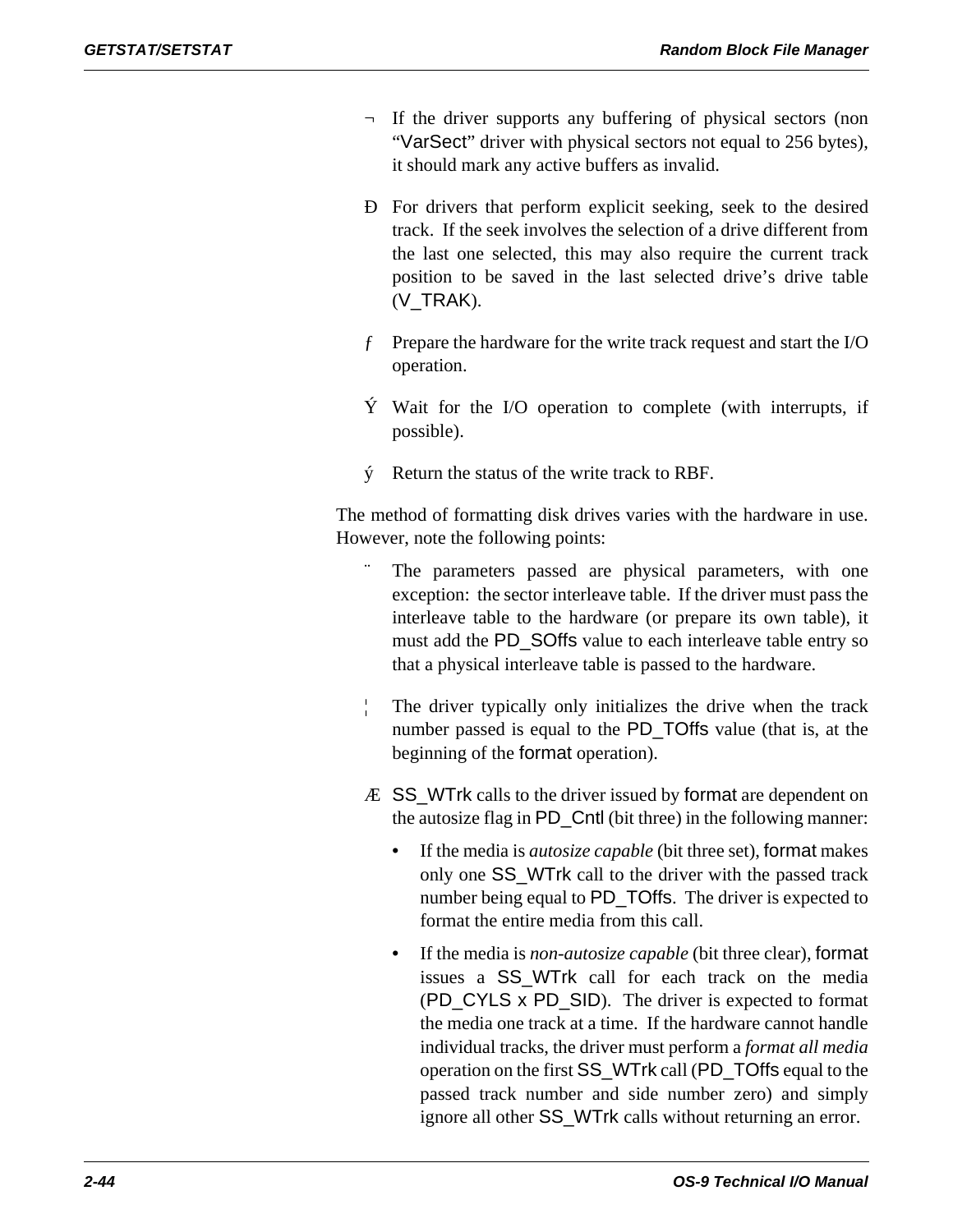- ¬ If the driver supports any buffering of physical sectors (non "VarSect" driver with physical sectors not equal to 256 bytes), it should mark any active buffers as invalid.
- Ð For drivers that perform explicit seeking, seek to the desired track. If the seek involves the selection of a drive different from the last one selected, this may also require the current track position to be saved in the last selected drive's drive table (V\_TRAK).
- ƒ Prepare the hardware for the write track request and start the I/O operation.
- Ý Wait for the I/O operation to complete (with interrupts, if possible).
- ý Return the status of the write track to RBF.

The method of formatting disk drives varies with the hardware in use. However, note the following points:

- The parameters passed are physical parameters, with one exception: the sector interleave table. If the driver must pass the interleave table to the hardware (or prepare its own table), it must add the PD\_SOffs value to each interleave table entry so that a physical interleave table is passed to the hardware.
- The driver typically only initializes the drive when the track number passed is equal to the PD\_TOffs value (that is, at the beginning of the format operation).
- Æ SS\_WTrk calls to the driver issued by format are dependent on the autosize flag in PD\_Cntl (bit three) in the following manner:
	- If the media is *autosize capable* (bit three set), format makes only one SS\_WTrk call to the driver with the passed track number being equal to PD\_TOffs. The driver is expected to format the entire media from this call.
	- If the media is *non-autosize capable* (bit three clear), format issues a SS\_WTrk call for each track on the media (PD\_CYLS x PD\_SID). The driver is expected to format the media one track at a time. If the hardware cannot handle individual tracks, the driver must perform a *format all media* operation on the first SS\_WTrk call (PD\_TOffs equal to the passed track number and side number zero) and simply ignore all other SS\_WTrk calls without returning an error.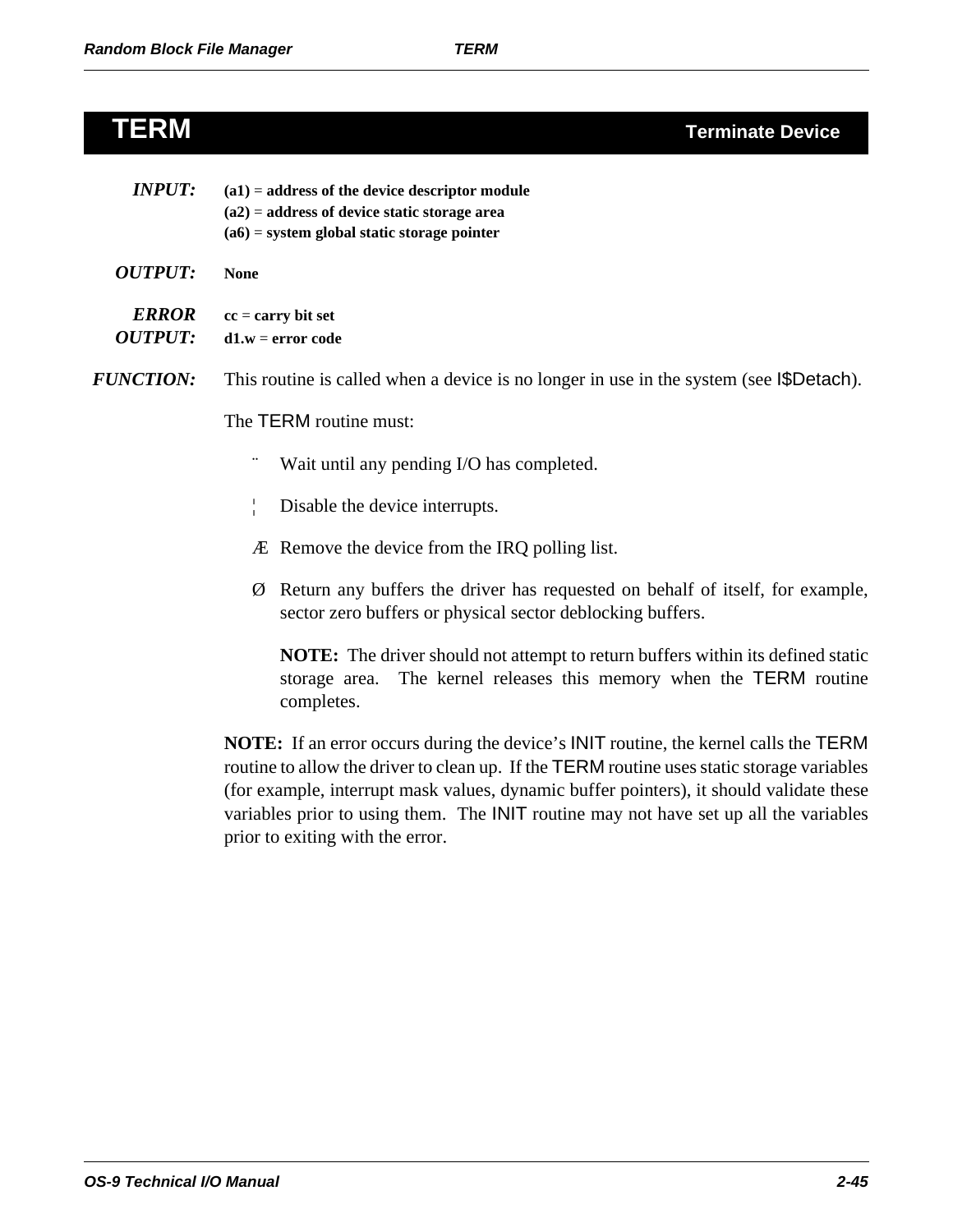## **TERM Terminate Device**

| <b>INPUT:</b>                  | $(a1)$ = address of the device descriptor module<br>$(a2)$ = address of device static storage area<br>$(a6)$ = system global static storage pointer                            |  |  |  |
|--------------------------------|--------------------------------------------------------------------------------------------------------------------------------------------------------------------------------|--|--|--|
| <b>OUTPUT:</b>                 | <b>None</b>                                                                                                                                                                    |  |  |  |
| <b>ERROR</b><br><b>OUTPUT:</b> | $cc = carry bit set$<br>$d1.w = error code$                                                                                                                                    |  |  |  |
| <b>FUNCTION:</b>               | This routine is called when a device is no longer in use in the system (see I\$Detach).                                                                                        |  |  |  |
|                                | The TERM routine must:                                                                                                                                                         |  |  |  |
|                                | Wait until any pending I/O has completed.                                                                                                                                      |  |  |  |
|                                | Disable the device interrupts.<br>ŧ                                                                                                                                            |  |  |  |
|                                | Æ Remove the device from the IRQ polling list.                                                                                                                                 |  |  |  |
|                                | Return any buffers the driver has requested on behalf of itself, for example,<br>Ø<br>sector zero buffers or physical sector deblocking buffers.                               |  |  |  |
|                                | <b>NOTE:</b> The driver should not attempt to return buffers within its defined static<br>The kernel releases this memory when the TERM routine<br>storage area.<br>completes. |  |  |  |

**NOTE:** If an error occurs during the device's INIT routine, the kernel calls the TERM routine to allow the driver to clean up. If the TERM routine uses static storage variables (for example, interrupt mask values, dynamic buffer pointers), it should validate these variables prior to using them. The INIT routine may not have set up all the variables prior to exiting with the error.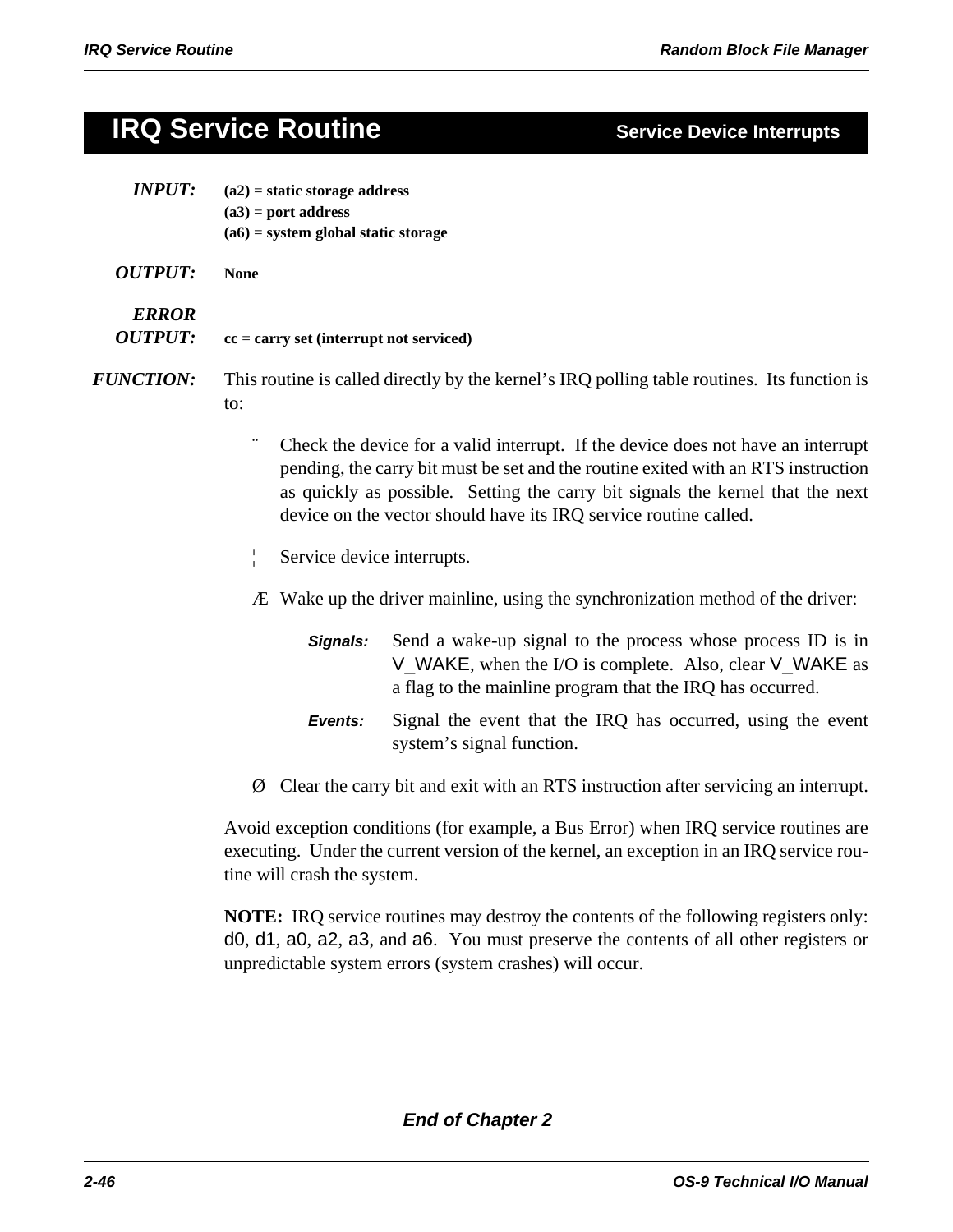## **IRQ Service Routine Service Device Interrupts**

| <b>INPUT:</b>                  | $(a2)$ = static storage address<br>$(a3)$ = port address<br>$(a6)$ = system global static storage |                                                                                                                                                                                                                                                                                                                             |  |  |
|--------------------------------|---------------------------------------------------------------------------------------------------|-----------------------------------------------------------------------------------------------------------------------------------------------------------------------------------------------------------------------------------------------------------------------------------------------------------------------------|--|--|
| <b>OUTPUT:</b>                 | <b>None</b>                                                                                       |                                                                                                                                                                                                                                                                                                                             |  |  |
| <b>ERROR</b><br><b>OUTPUT:</b> | $cc = carry set (interrupt not serviced)$                                                         |                                                                                                                                                                                                                                                                                                                             |  |  |
| <b>FUNCTION:</b>               | to:                                                                                               | This routine is called directly by the kernel's IRQ polling table routines. Its function is                                                                                                                                                                                                                                 |  |  |
|                                |                                                                                                   | Check the device for a valid interrupt. If the device does not have an interrupt<br>pending, the carry bit must be set and the routine exited with an RTS instruction<br>as quickly as possible. Setting the carry bit signals the kernel that the next<br>device on the vector should have its IRQ service routine called. |  |  |
|                                | Service device interrupts.                                                                        |                                                                                                                                                                                                                                                                                                                             |  |  |
|                                |                                                                                                   | <i>A</i> Wake up the driver mainline, using the synchronization method of the driver:                                                                                                                                                                                                                                       |  |  |
|                                | Signals:                                                                                          | Send a wake-up signal to the process whose process ID is in<br>V_WAKE, when the I/O is complete. Also, clear V_WAKE as<br>a flag to the mainline program that the IRQ has occurred.                                                                                                                                         |  |  |
|                                | Events:                                                                                           | Signal the event that the IRQ has occurred, using the event<br>system's signal function.                                                                                                                                                                                                                                    |  |  |

Ø Clear the carry bit and exit with an RTS instruction after servicing an interrupt.

Avoid exception conditions (for example, a Bus Error) when IRQ service routines are executing. Under the current version of the kernel, an exception in an IRQ service routine will crash the system.

**NOTE:** IRQ service routines may destroy the contents of the following registers only: d0, d1, a0, a2, a3, and a6. You must preserve the contents of all other registers or unpredictable system errors (system crashes) will occur.

*End of Chapter 2*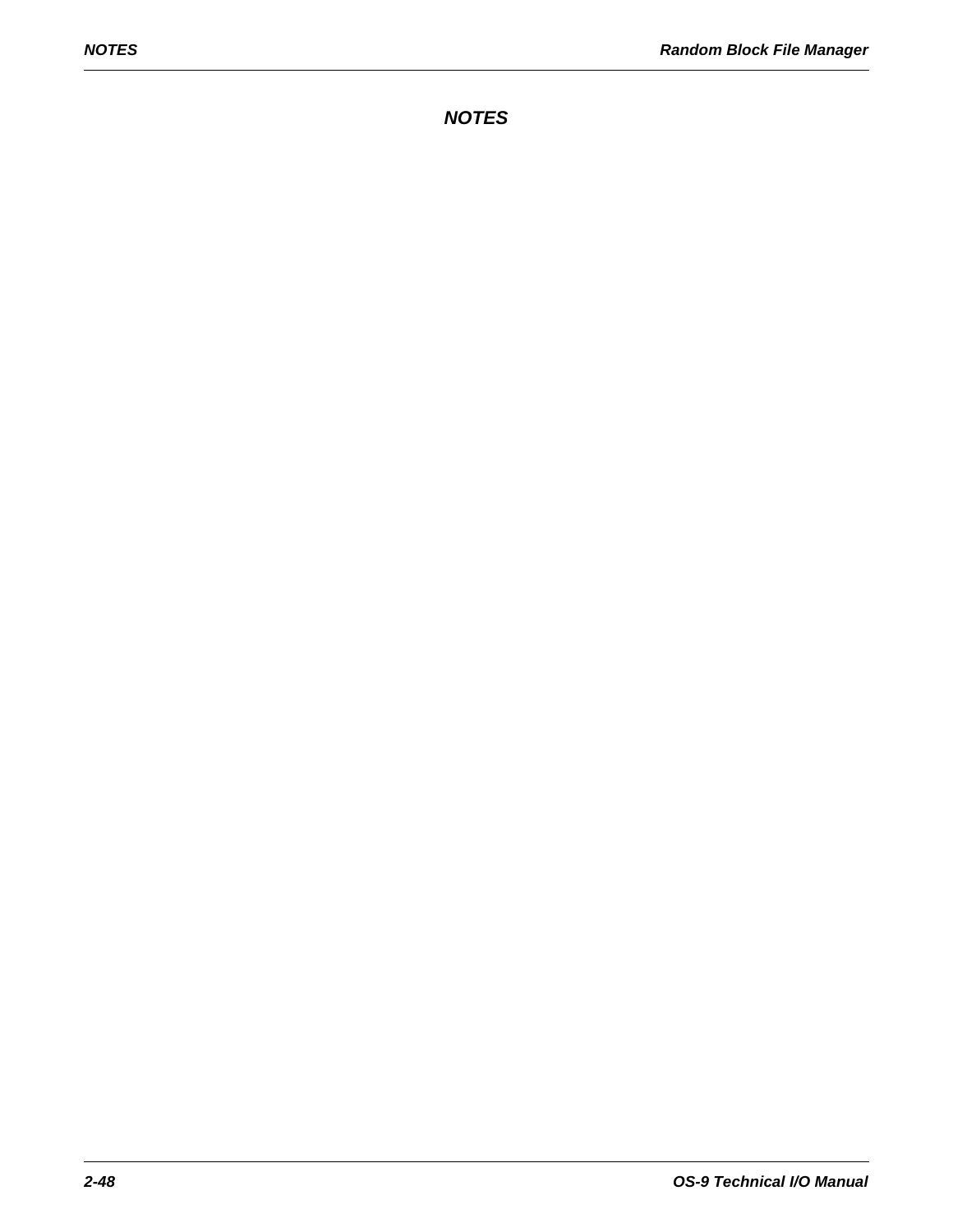*NOTES*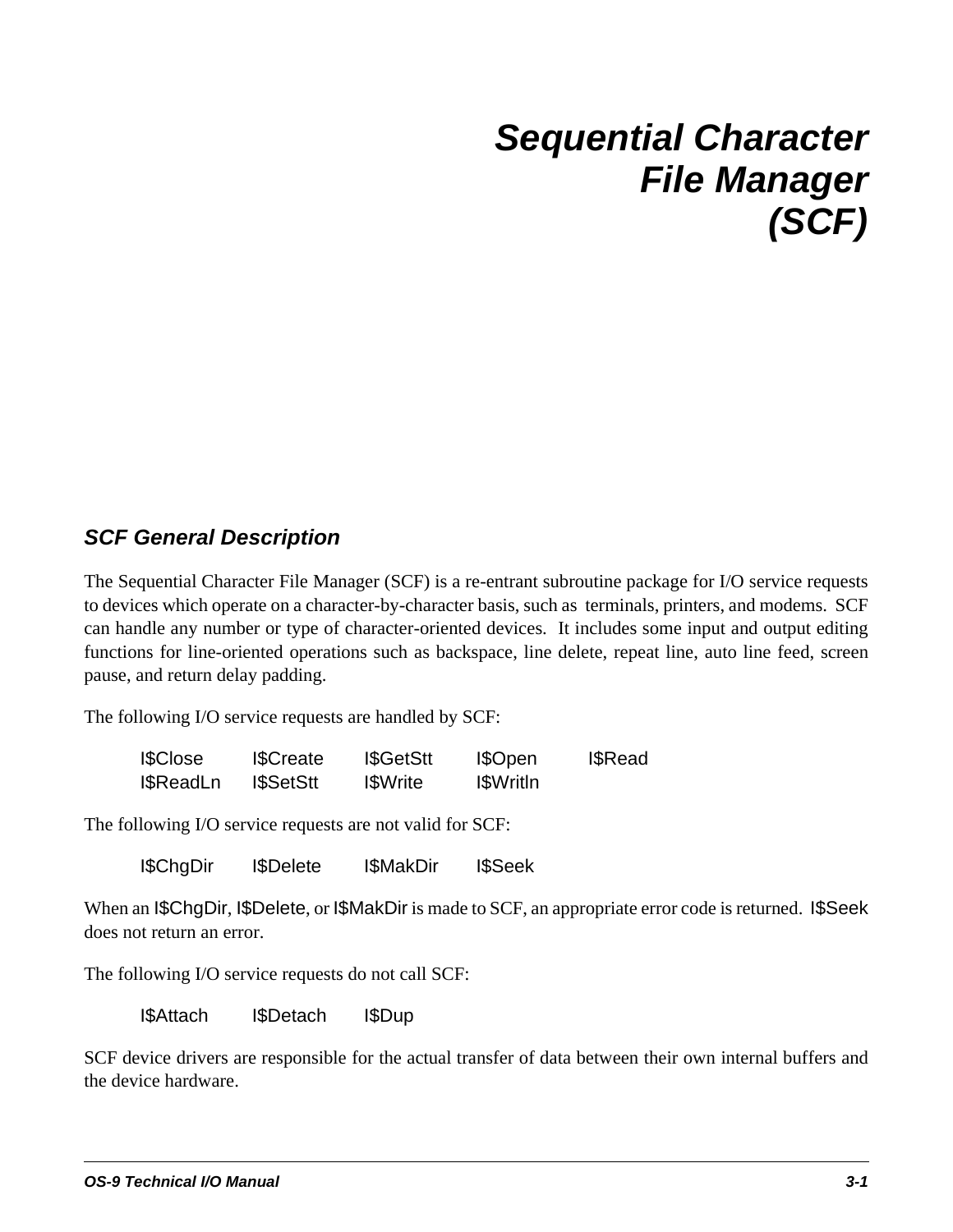# *Sequential Character File Manager (SCF)*

### *SCF General Description*

The Sequential Character File Manager (SCF) is a re-entrant subroutine package for I/O service requests to devices which operate on a character-by-character basis, such as terminals, printers, and modems. SCF can handle any number or type of character-oriented devices. It includes some input and output editing functions for line-oriented operations such as backspace, line delete, repeat line, auto line feed, screen pause, and return delay padding.

The following I/O service requests are handled by SCF:

| <b>I</b> \$Close | <b>I</b> \$Create | I\$GetStt       | I\$Open           | <b>I</b> \$Read |
|------------------|-------------------|-----------------|-------------------|-----------------|
| I\$ReadLn        | <b>ISSetStt</b>   | <b>I</b> SWrite | <b>I</b> \$WritIn |                 |

The following I/O service requests are not valid for SCF:

I\$ChgDir I\$Delete I\$MakDir I\$Seek

When an I\$ChgDir, I\$Delete, or I\$MakDir is made to SCF, an appropriate error code is returned. I\$Seek does not return an error.

The following I/O service requests do not call SCF:

I\$Attach I\$Detach I\$Dup

SCF device drivers are responsible for the actual transfer of data between their own internal buffers and the device hardware.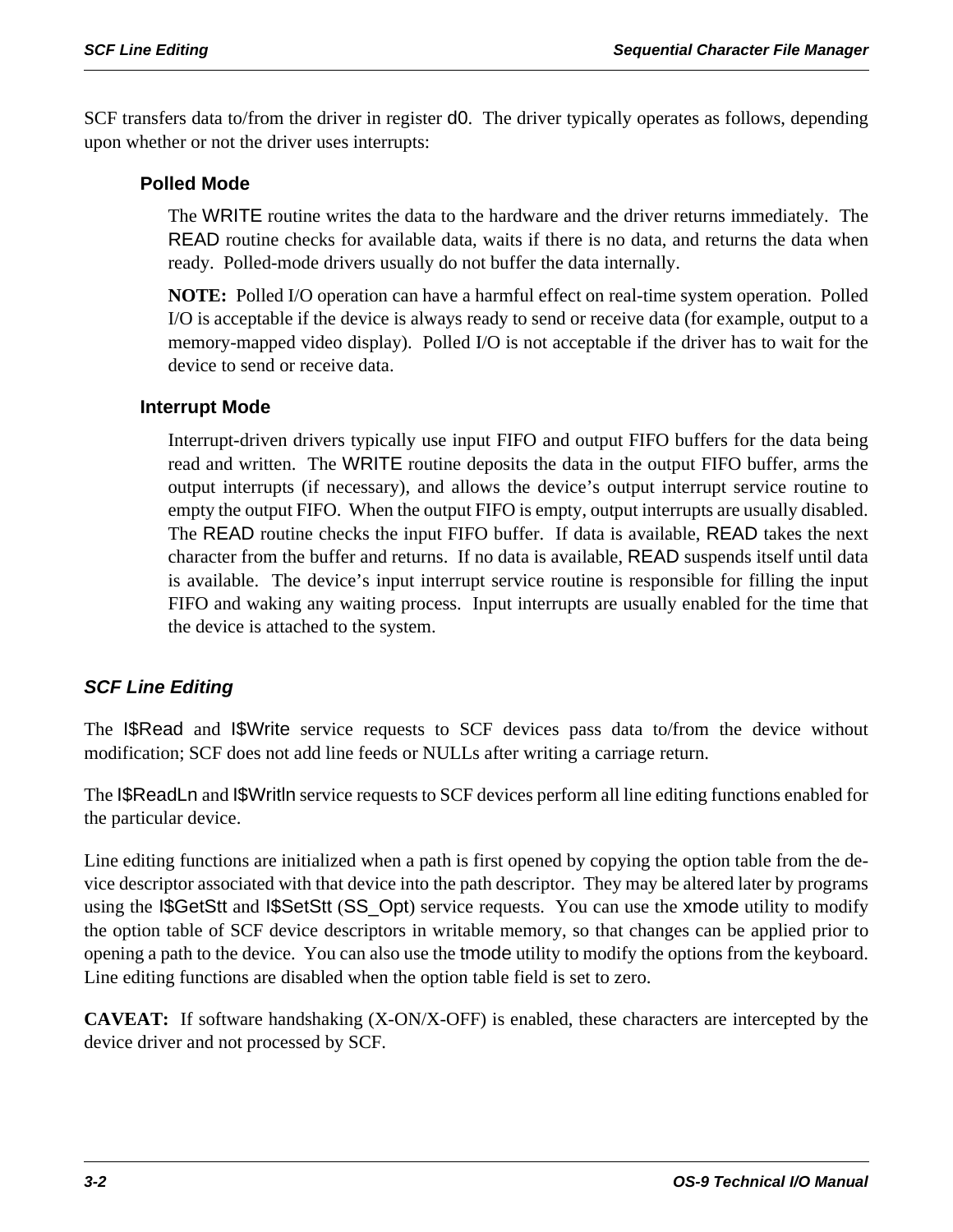SCF transfers data to/from the driver in register d0. The driver typically operates as follows, depending upon whether or not the driver uses interrupts:

### **Polled Mode**

The WRITE routine writes the data to the hardware and the driver returns immediately. The READ routine checks for available data, waits if there is no data, and returns the data when ready. Polled-mode drivers usually do not buffer the data internally.

**NOTE:** Polled I/O operation can have a harmful effect on real-time system operation. Polled I/O is acceptable if the device is always ready to send or receive data (for example, output to a memory-mapped video display). Polled I/O is not acceptable if the driver has to wait for the device to send or receive data.

### **Interrupt Mode**

Interrupt-driven drivers typically use input FIFO and output FIFO buffers for the data being read and written. The WRITE routine deposits the data in the output FIFO buffer, arms the output interrupts (if necessary), and allows the device's output interrupt service routine to empty the output FIFO. When the output FIFO is empty, output interrupts are usually disabled. The READ routine checks the input FIFO buffer. If data is available, READ takes the next character from the buffer and returns. If no data is available, READ suspends itself until data is available. The device's input interrupt service routine is responsible for filling the input FIFO and waking any waiting process. Input interrupts are usually enabled for the time that the device is attached to the system.

### *SCF Line Editing*

The I\$Read and I\$Write service requests to SCF devices pass data to/from the device without modification; SCF does not add line feeds or NULLs after writing a carriage return.

The I\$ReadLn and I\$Writln service requests to SCF devices perform all line editing functions enabled for the particular device.

Line editing functions are initialized when a path is first opened by copying the option table from the device descriptor associated with that device into the path descriptor. They may be altered later by programs using the I\$GetStt and I\$SetStt (SS\_Opt) service requests. You can use the xmode utility to modify the option table of SCF device descriptors in writable memory, so that changes can be applied prior to opening a path to the device. You can also use the tmode utility to modify the options from the keyboard. Line editing functions are disabled when the option table field is set to zero.

**CAVEAT:** If software handshaking (X-ON/X-OFF) is enabled, these characters are intercepted by the device driver and not processed by SCF.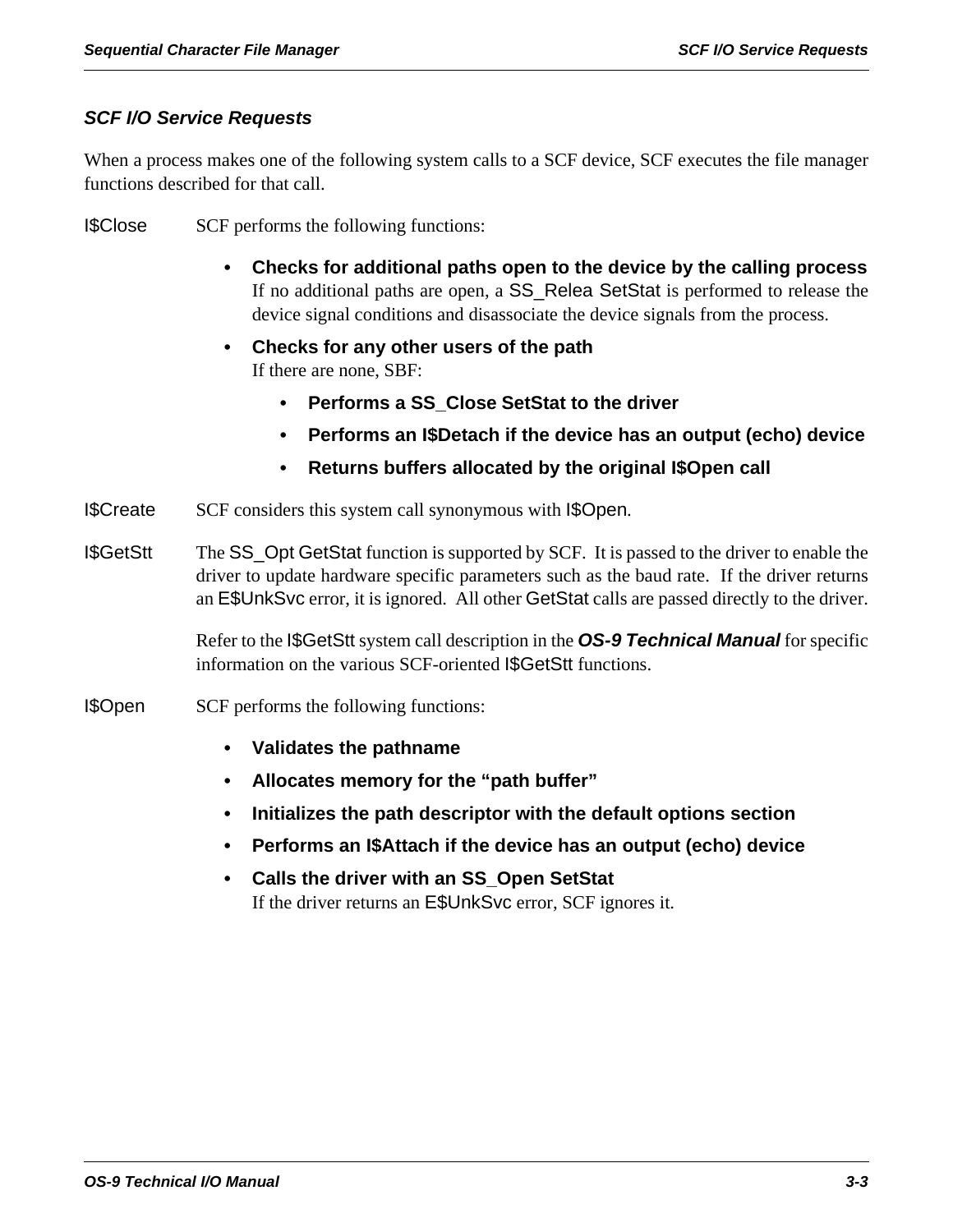### *SCF I/O Service Requests*

When a process makes one of the following system calls to a SCF device, SCF executes the file manager functions described for that call.

I\$Close SCF performs the following functions:

- **Checks for additional paths open to the device by the calling process** If no additional paths are open, a SS\_Relea SetStat is performed to release the device signal conditions and disassociate the device signals from the process.
- **Checks for any other users of the path** If there are none, SBF:
	- **Performs a SS\_Close SetStat to the driver**
	- **Performs an I\$Detach if the device has an output (echo) device**
	- **Returns buffers allocated by the original I\$Open call**
- I\$Create SCF considers this system call synonymous with I\$Open.
- I\$GetStt The SS\_Opt GetStat function is supported by SCF. It is passed to the driver to enable the driver to update hardware specific parameters such as the baud rate. If the driver returns an E\$UnkSvc error, it is ignored. All other GetStat calls are passed directly to the driver.

Refer to the I\$GetStt system call description in the *OS-9 Technical Manual* for specific information on the various SCF-oriented I\$GetStt functions.

- I\$Open SCF performs the following functions:
	- **Validates the pathname**
	- **Allocates memory for the "path buffer"**
	- **Initializes the path descriptor with the default options section**
	- **Performs an I\$Attach if the device has an output (echo) device**
	- **Calls the driver with an SS\_Open SetStat** If the driver returns an E\$UnkSvc error, SCF ignores it.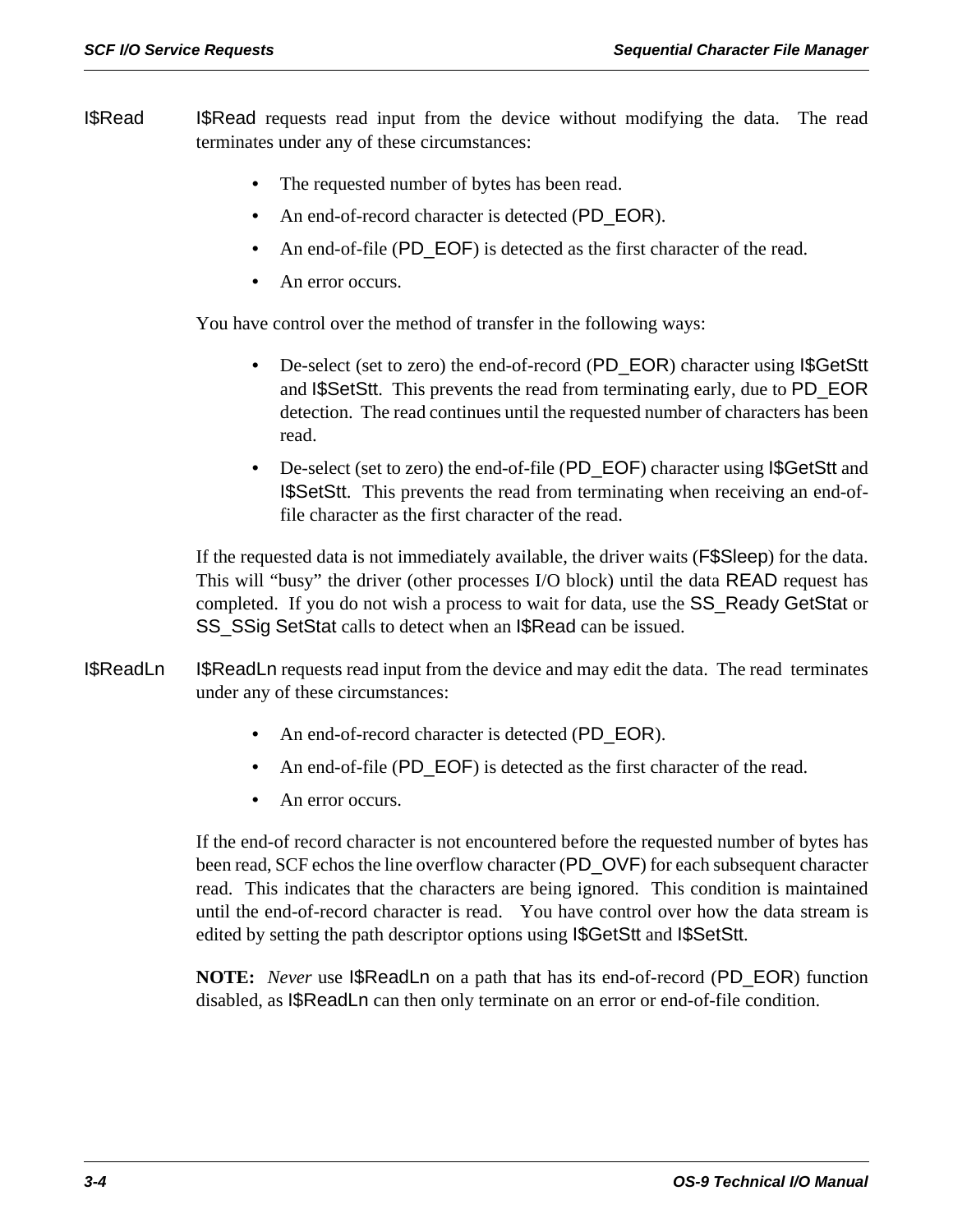- **ISRead** ISRead requests read input from the device without modifying the data. The read terminates under any of these circumstances:
	- The requested number of bytes has been read.
	- An end-of-record character is detected (PD\_EOR).
	- An end-of-file (PD\_EOF) is detected as the first character of the read.
	- An error occurs.

You have control over the method of transfer in the following ways:

- De-select (set to zero) the end-of-record (PD\_EOR) character using I\$GetStt and I\$SetStt. This prevents the read from terminating early, due to PD\_EOR detection. The read continues until the requested number of characters has been read.
- De-select (set to zero) the end-of-file (PD\_EOF) character using I\$GetStt and I\$SetStt. This prevents the read from terminating when receiving an end-offile character as the first character of the read.

If the requested data is not immediately available, the driver waits (F\$Sleep) for the data. This will "busy" the driver (other processes I/O block) until the data READ request has completed. If you do not wish a process to wait for data, use the SS\_Ready GetStat or SS\_SSig SetStat calls to detect when an I\$Read can be issued.

- I\$ReadLn I\$ReadLn requests read input from the device and may edit the data. The read terminates under any of these circumstances:
	- An end-of-record character is detected (PD\_EOR).
	- An end-of-file (PD\_EOF) is detected as the first character of the read.
	- An error occurs.

If the end-of record character is not encountered before the requested number of bytes has been read, SCF echos the line overflow character (PD\_OVF) for each subsequent character read. This indicates that the characters are being ignored. This condition is maintained until the end-of-record character is read. You have control over how the data stream is edited by setting the path descriptor options using I\$GetStt and I\$SetStt.

**NOTE:** *Never* use I\$ReadLn on a path that has its end-of-record (PD\_EOR) function disabled, as I\$ReadLn can then only terminate on an error or end-of-file condition.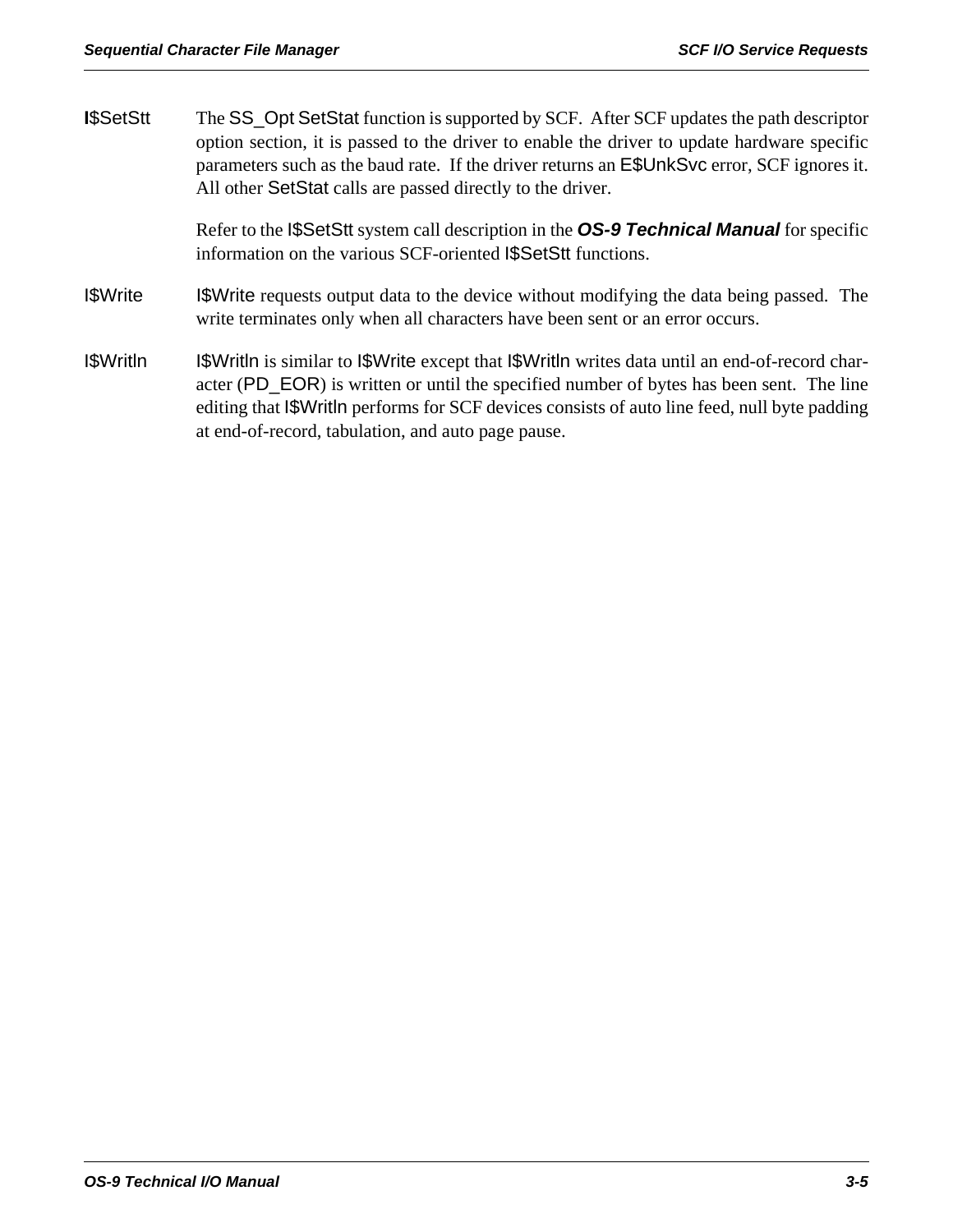| I\$SetStt | The SS_Opt SetStat function is supported by SCF. After SCF updates the path descriptor<br>option section, it is passed to the driver to enable the driver to update hardware specific<br>parameters such as the baud rate. If the driver returns an E\$UnkSvc error, SCF ignores it.<br>All other SetStat calls are passed directly to the driver. |  |  |  |
|-----------|----------------------------------------------------------------------------------------------------------------------------------------------------------------------------------------------------------------------------------------------------------------------------------------------------------------------------------------------------|--|--|--|
|           | Refer to the ISSetSt system call description in the OS-9 Technical Manual for specific<br>information on the various SCF-oriented I\$SetStt functions.                                                                                                                                                                                             |  |  |  |
| I\$Write  | I\$Write requests output data to the device without modifying the data being passed. The<br>write terminates only when all characters have been sent or an error occurs.                                                                                                                                                                           |  |  |  |
| I\$Writln | <b>ISWrithe</b> is similar to <b>ISWrite</b> except that <b>ISWrithe</b> writes data until an end-of-record char-<br>acter (PD_EOR) is written or until the specified number of bytes has been sent. The line<br>editing that SWritln performs for SCF devices consists of auto line feed, null byte padding                                       |  |  |  |

at end-of-record, tabulation, and auto page pause.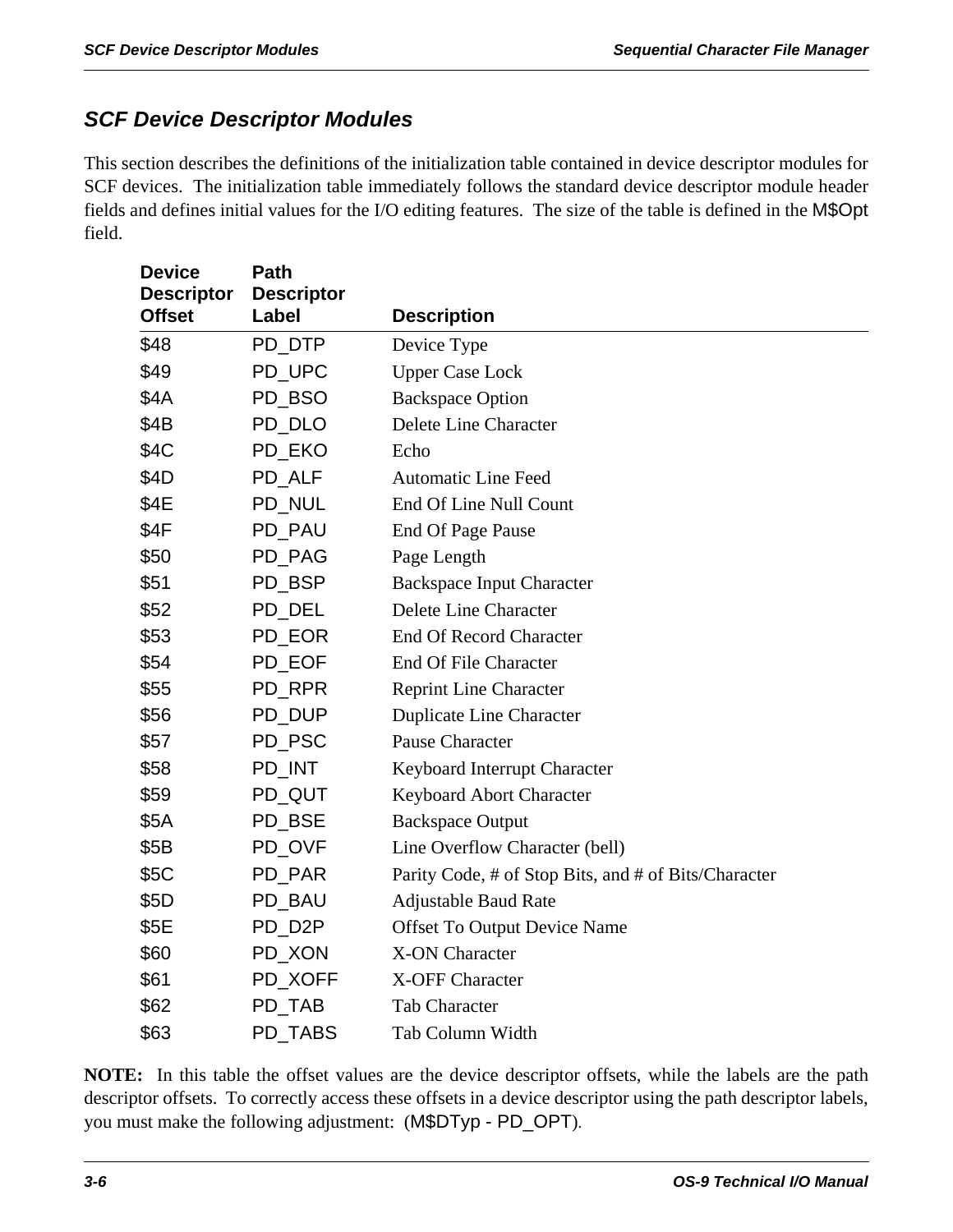### *SCF Device Descriptor Modules*

This section describes the definitions of the initialization table contained in device descriptor modules for SCF devices. The initialization table immediately follows the standard device descriptor module header fields and defines initial values for the I/O editing features. The size of the table is defined in the M\$Opt field.

| <b>Device</b><br><b>Descriptor</b> | Path<br><b>Descriptor</b> |                                                      |
|------------------------------------|---------------------------|------------------------------------------------------|
| <b>Offset</b>                      | Label                     | <b>Description</b>                                   |
| \$48                               | PD_DTP                    | Device Type                                          |
| \$49                               | PD_UPC                    | <b>Upper Case Lock</b>                               |
| \$4A                               | PD_BSO                    | <b>Backspace Option</b>                              |
| \$4B                               | PD_DLO                    | Delete Line Character                                |
| \$4C                               | PD_EKO                    | Echo                                                 |
| \$4D                               | PD_ALF                    | <b>Automatic Line Feed</b>                           |
| \$4E                               | PD_NUL                    | End Of Line Null Count                               |
| \$4F                               | PD_PAU                    | End Of Page Pause                                    |
| \$50                               | PD_PAG                    | Page Length                                          |
| \$51                               | PD_BSP                    | <b>Backspace Input Character</b>                     |
| \$52                               | PD_DEL                    | Delete Line Character                                |
| \$53                               | PD_EOR                    | <b>End Of Record Character</b>                       |
| \$54                               | PD_EOF                    | End Of File Character                                |
| \$55                               | PD_RPR                    | <b>Reprint Line Character</b>                        |
| \$56                               | PD_DUP                    | <b>Duplicate Line Character</b>                      |
| \$57                               | PD_PSC                    | <b>Pause Character</b>                               |
| \$58                               | PD_INT                    | Keyboard Interrupt Character                         |
| \$59                               | PD_QUT                    | Keyboard Abort Character                             |
| \$5A                               | PD_BSE                    | <b>Backspace Output</b>                              |
| \$5B                               | PD_OVF                    | Line Overflow Character (bell)                       |
| \$5C                               | PD_PAR                    | Parity Code, # of Stop Bits, and # of Bits/Character |
| \$5D                               | PD_BAU                    | <b>Adjustable Baud Rate</b>                          |
| \$5E                               | PD_D2P                    | <b>Offset To Output Device Name</b>                  |
| \$60                               | PD_XON                    | <b>X-ON Character</b>                                |
| \$61                               | PD XOFF                   | X-OFF Character                                      |
| \$62                               | PD_TAB                    | Tab Character                                        |
| \$63                               | PD TABS                   | Tab Column Width                                     |

**NOTE:** In this table the offset values are the device descriptor offsets, while the labels are the path descriptor offsets. To correctly access these offsets in a device descriptor using the path descriptor labels, you must make the following adjustment: (M\$DTyp - PD\_OPT).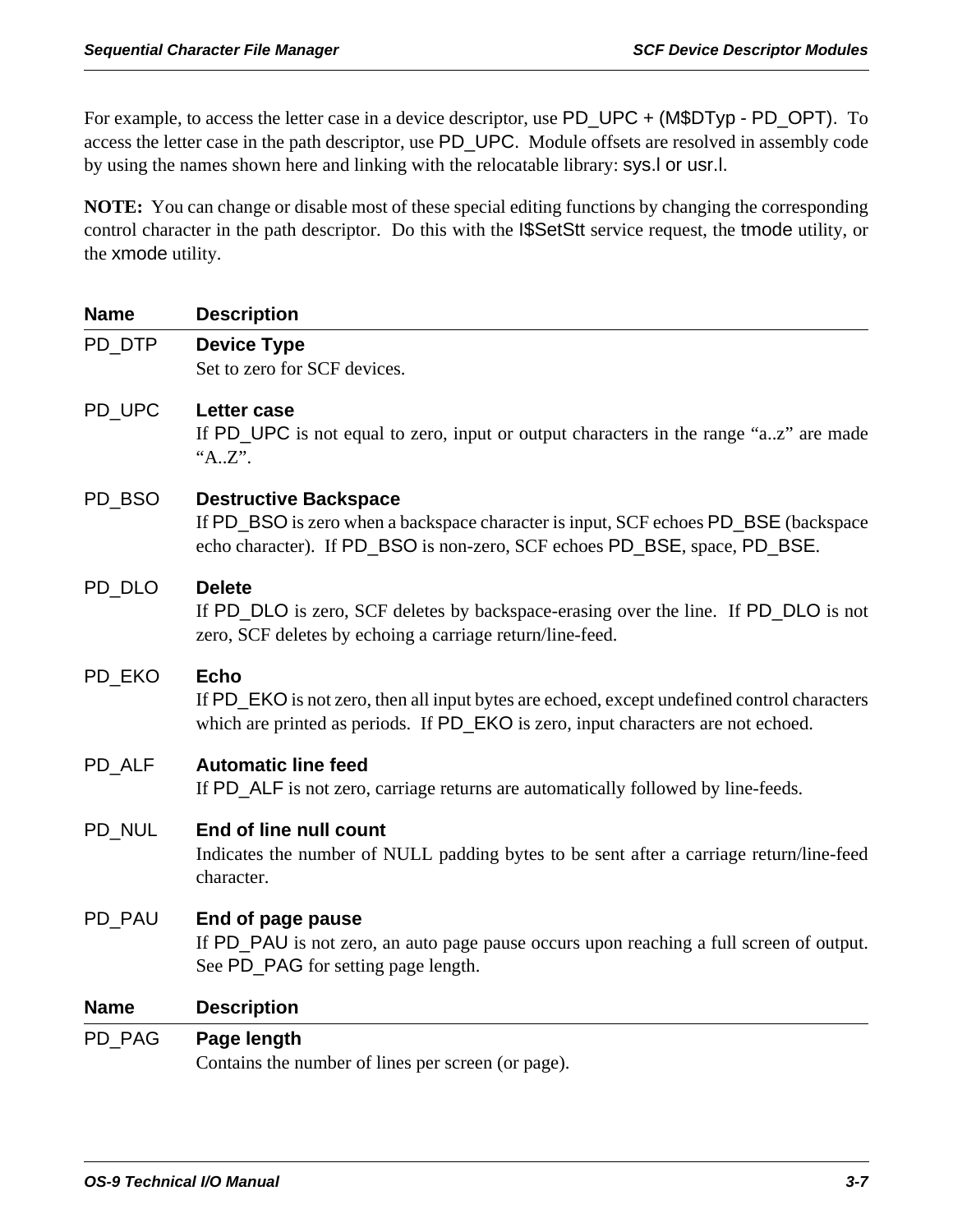For example, to access the letter case in a device descriptor, use PD\_UPC + (M\$DTyp - PD\_OPT). To access the letter case in the path descriptor, use PD\_UPC. Module offsets are resolved in assembly code by using the names shown here and linking with the relocatable library: sys.l or usr.l.

**NOTE:** You can change or disable most of these special editing functions by changing the corresponding control character in the path descriptor. Do this with the I\$SetStt service request, the tmode utility, or the xmode utility.

| <b>Name</b> | <b>Description</b>                                                                                                                                                                               |
|-------------|--------------------------------------------------------------------------------------------------------------------------------------------------------------------------------------------------|
| PD DTP      | <b>Device Type</b><br>Set to zero for SCF devices.                                                                                                                                               |
| PD_UPC      | Letter case<br>If PD_UPC is not equal to zero, input or output characters in the range "az" are made<br>"AZ".                                                                                    |
| PD_BSO      | <b>Destructive Backspace</b><br>If PD_BSO is zero when a backspace character is input, SCF echoes PD_BSE (backspace<br>echo character). If PD_BSO is non-zero, SCF echoes PD_BSE, space, PD_BSE. |
| PD_DLO      | <b>Delete</b><br>If PD_DLO is zero, SCF deletes by backspace-erasing over the line. If PD_DLO is not<br>zero, SCF deletes by echoing a carriage return/line-feed.                                |
| PD EKO      | <b>Echo</b><br>If PD_EKO is not zero, then all input bytes are echoed, except undefined control characters<br>which are printed as periods. If PD_EKO is zero, input characters are not echoed.  |
| PD_ALF      | <b>Automatic line feed</b><br>If PD_ALF is not zero, carriage returns are automatically followed by line-feeds.                                                                                  |
| PD NUL      | End of line null count<br>Indicates the number of NULL padding bytes to be sent after a carriage return/line-feed<br>character.                                                                  |
| PD_PAU      | End of page pause<br>If PD_PAU is not zero, an auto page pause occurs upon reaching a full screen of output.<br>See PD_PAG for setting page length.                                              |
| <b>Name</b> | <b>Description</b>                                                                                                                                                                               |
| PD_PAG      | Page length<br>Contains the number of lines per screen (or page).                                                                                                                                |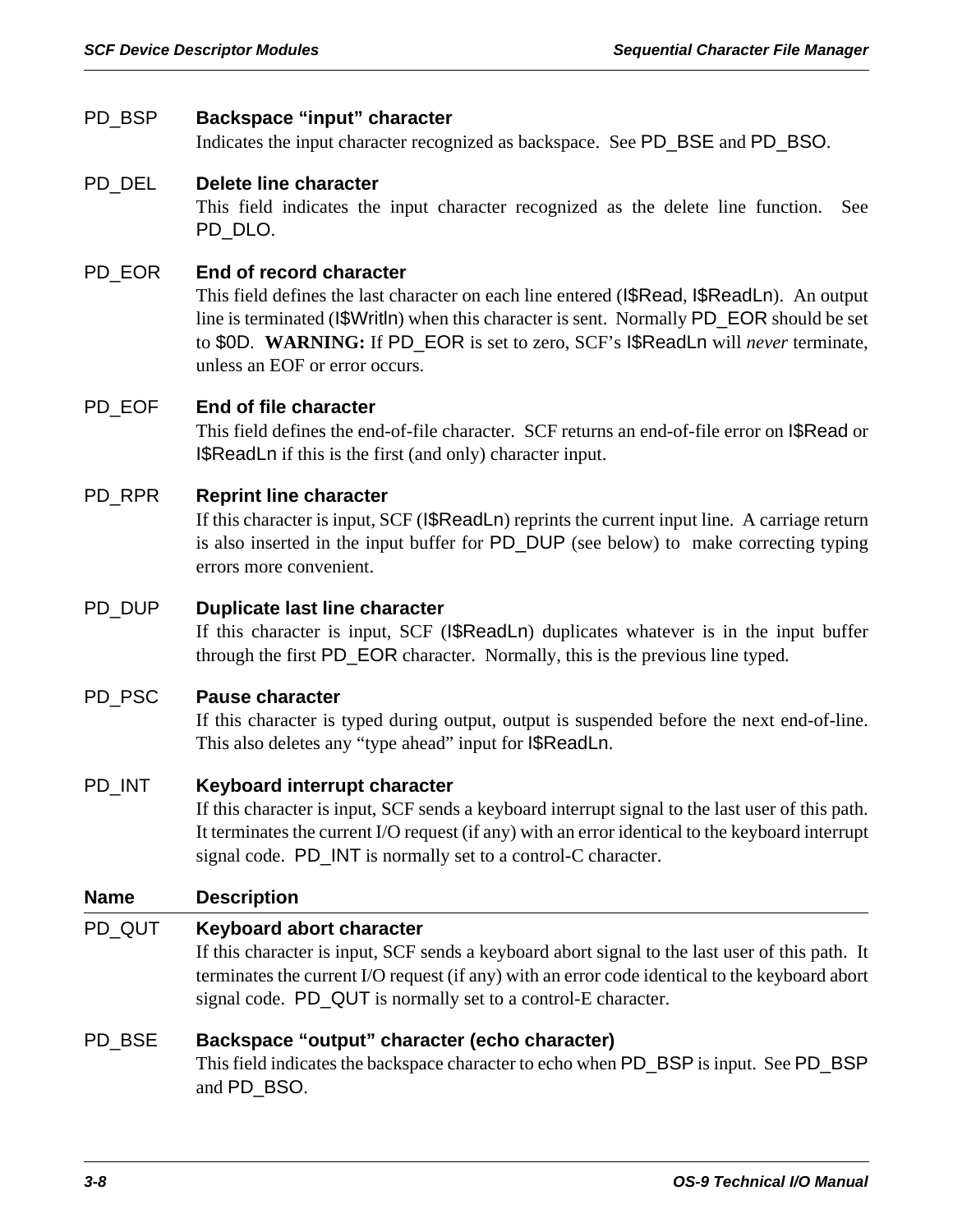### PD\_BSP **Backspace "input" character**

Indicates the input character recognized as backspace. See PD\_BSE and PD\_BSO.

### PD\_DEL **Delete line character**

This field indicates the input character recognized as the delete line function. See PD\_DLO.

### PD\_EOR **End of record character**

This field defines the last character on each line entered (I\$Read, I\$ReadLn). An output line is terminated (I\$Writln) when this character is sent. Normally PD\_EOR should be set to \$0D. **WARNING:** If PD\_EOR is set to zero, SCF's I\$ReadLn will *never* terminate, unless an EOF or error occurs.

### PD\_EOF **End of file character**

This field defines the end-of-file character. SCF returns an end-of-file error on I\$Read or I\$ReadLn if this is the first (and only) character input.

### PD\_RPR **Reprint line character**

If this character is input, SCF (I\$ReadLn) reprints the current input line. A carriage return is also inserted in the input buffer for PD\_DUP (see below) to make correcting typing errors more convenient.

### PD\_DUP **Duplicate last line character**

If this character is input, SCF (I\$ReadLn) duplicates whatever is in the input buffer through the first PD\_EOR character. Normally, this is the previous line typed.

### PD\_PSC **Pause character**

If this character is typed during output, output is suspended before the next end-of-line. This also deletes any "type ahead" input for I\$ReadLn.

### PD\_INT **Keyboard interrupt character**

If this character is input, SCF sends a keyboard interrupt signal to the last user of this path. It terminates the current I/O request (if any) with an error identical to the keyboard interrupt signal code. PD\_INT is normally set to a control-C character.

### **Name Description**

### PD\_QUT **Keyboard abort character**

If this character is input, SCF sends a keyboard abort signal to the last user of this path. It terminates the current I/O request (if any) with an error code identical to the keyboard abort signal code. PD\_QUT is normally set to a control-E character.

### PD\_BSE **Backspace "output" character (echo character)**

This field indicates the backspace character to echo when PD\_BSP is input. See PD\_BSP and PD\_BSO.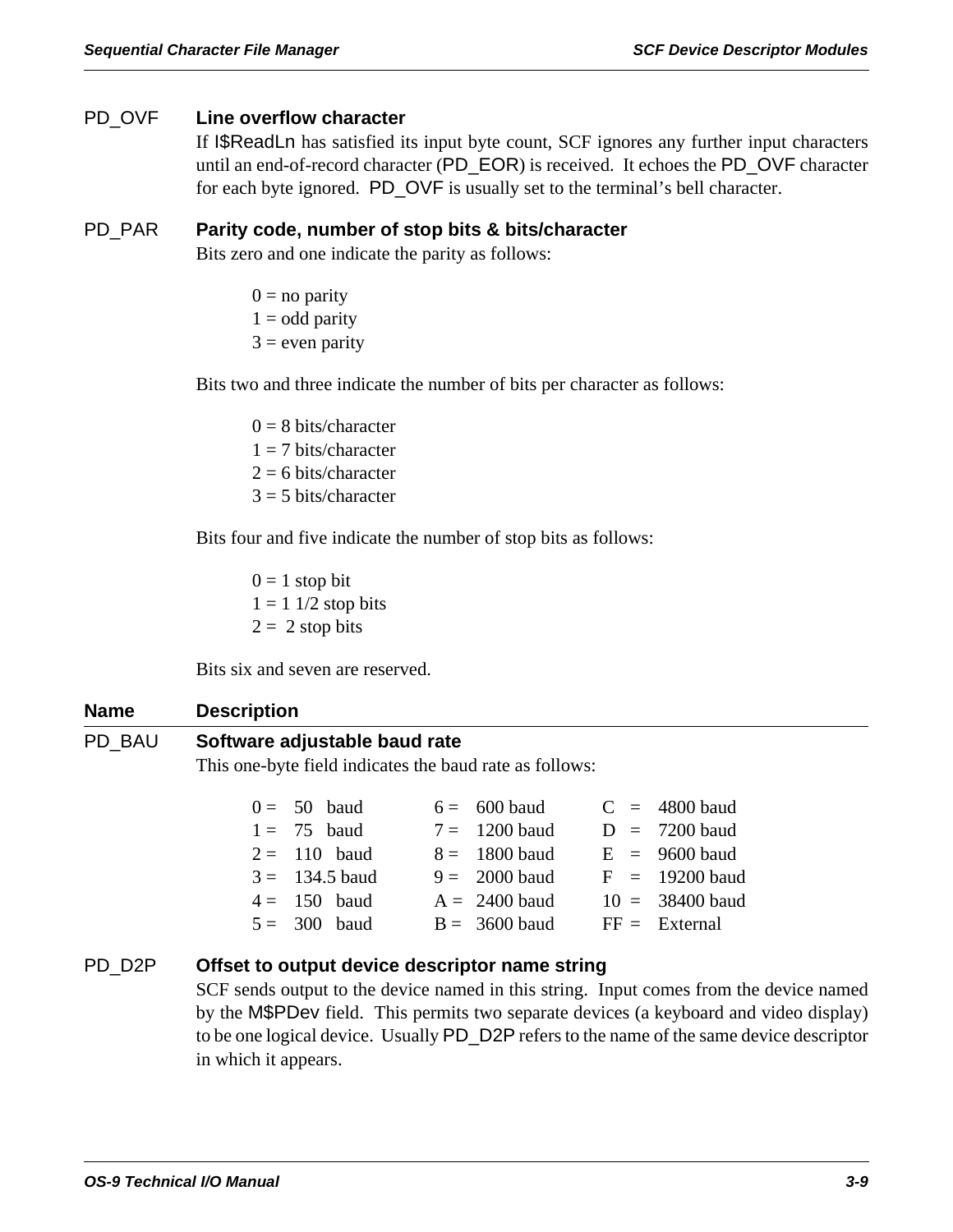### PD\_OVF **Line overflow character**

If I\$ReadLn has satisfied its input byte count, SCF ignores any further input characters until an end-of-record character (PD\_EOR) is received. It echoes the PD\_OVF character for each byte ignored. PD\_OVF is usually set to the terminal's bell character.

### PD\_PAR **Parity code, number of stop bits & bits/character**

Bits zero and one indicate the parity as follows:

- $0 =$  no parity
- $1 =$  odd parity
- $3$  = even parity

Bits two and three indicate the number of bits per character as follows:

 $0 = 8$  bits/character  $1 = 7$  bits/character  $2 = 6$  bits/character  $3 = 5$  bits/character

Bits four and five indicate the number of stop bits as follows:

 $0 = 1$  stop bit  $1 = 11/2$  stop bits  $2 = 2$  stop bits

Bits six and seven are reserved.

#### **Name Description**

### PD\_BAU **Software adjustable baud rate**

This one-byte field indicates the baud rate as follows:

| $0 = 50$ baud    | $6 = 600$ baud  |  | $C = 4800$ baud   |
|------------------|-----------------|--|-------------------|
| $1 = 75$ baud    | $7 = 1200$ baud |  | $D = 7200$ baud   |
| $2 = 110$ baud   | $8 = 1800$ baud |  | $E = 9600$ baud   |
| $3 = 134.5$ baud | $9 = 2000$ baud |  | $F = 19200$ baud  |
| $4 = 150$ baud   | $A = 2400$ baud |  | $10 = 38400$ baud |
| $5 = 300$ baud   | $B = 3600$ baud |  | $FF =$ External   |

### PD\_D2P **Offset to output device descriptor name string**

SCF sends output to the device named in this string. Input comes from the device named by the M\$PDev field. This permits two separate devices (a keyboard and video display) to be one logical device. Usually PD\_D2P refers to the name of the same device descriptor in which it appears.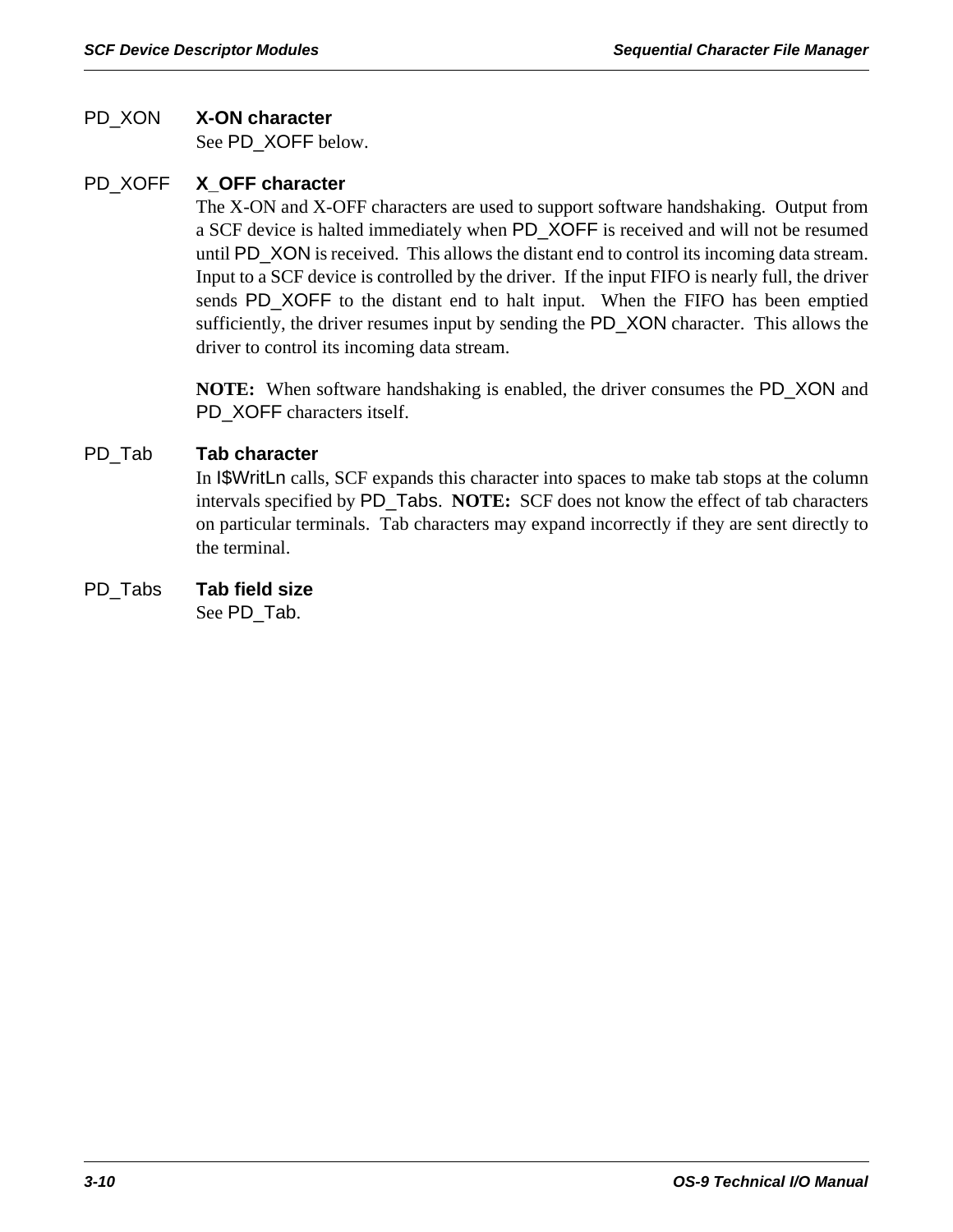### PD\_XON **X-ON character**

See PD\_XOFF below.

# PD\_XOFF **X\_OFF character**

The X-ON and X-OFF characters are used to support software handshaking. Output from a SCF device is halted immediately when PD\_XOFF is received and will not be resumed until PD\_XON is received. This allows the distant end to control its incoming data stream. Input to a SCF device is controlled by the driver. If the input FIFO is nearly full, the driver sends PD\_XOFF to the distant end to halt input. When the FIFO has been emptied sufficiently, the driver resumes input by sending the PD\_XON character. This allows the driver to control its incoming data stream.

**NOTE:** When software handshaking is enabled, the driver consumes the PD\_XON and PD\_XOFF characters itself.

### PD\_Tab **Tab character**

In I\$WritLn calls, SCF expands this character into spaces to make tab stops at the column intervals specified by PD\_Tabs. **NOTE:** SCF does not know the effect of tab characters on particular terminals. Tab characters may expand incorrectly if they are sent directly to the terminal.

# PD\_Tabs **Tab field size**

See PD\_Tab.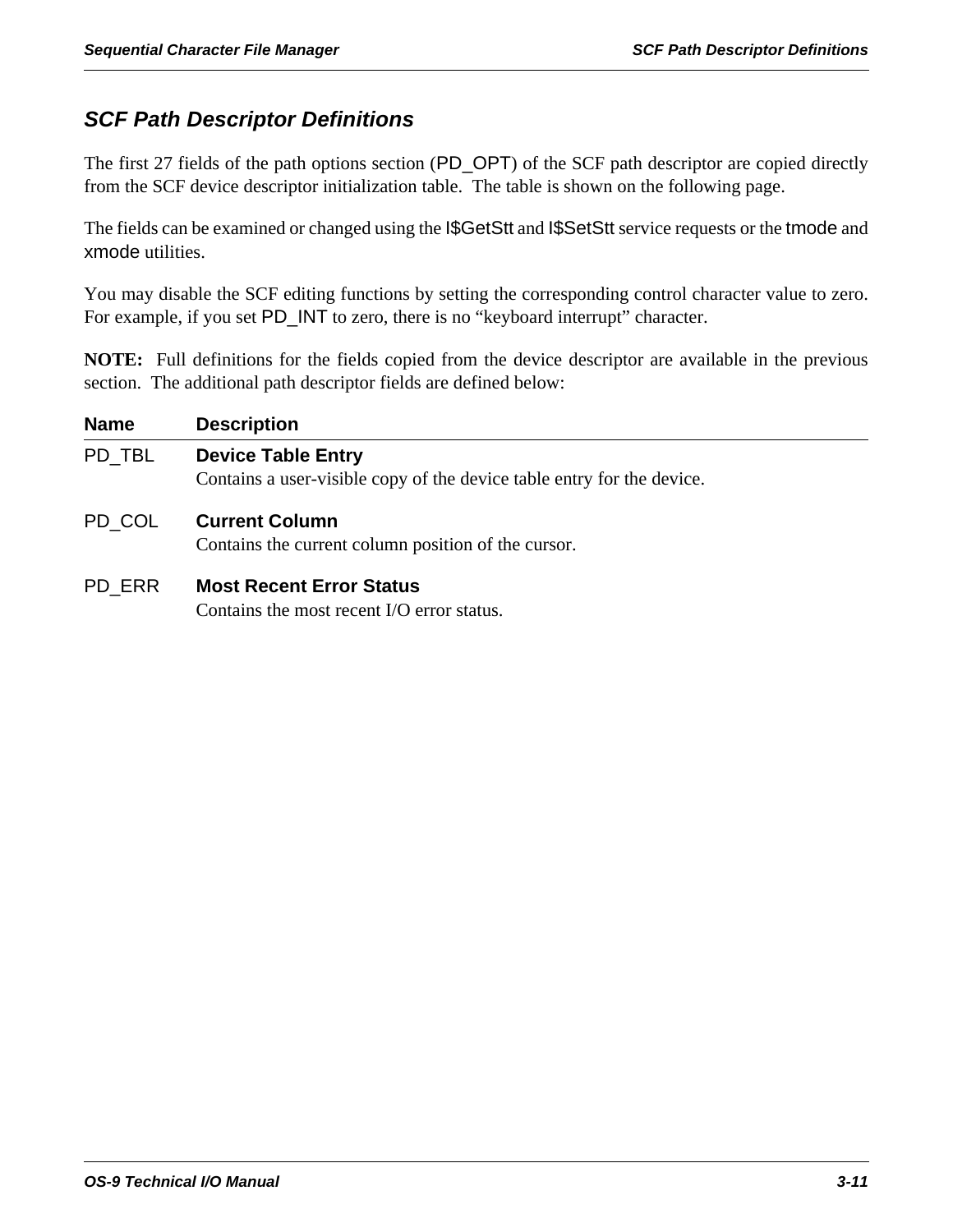# *SCF Path Descriptor Definitions*

The first 27 fields of the path options section (PD\_OPT) of the SCF path descriptor are copied directly from the SCF device descriptor initialization table. The table is shown on the following page.

The fields can be examined or changed using the I\$GetStt and I\$SetStt service requests or the tmode and xmode utilities.

You may disable the SCF editing functions by setting the corresponding control character value to zero. For example, if you set PD\_INT to zero, there is no "keyboard interrupt" character.

**NOTE:** Full definitions for the fields copied from the device descriptor are available in the previous section. The additional path descriptor fields are defined below:

| <b>Name</b> | <b>Description</b>                                                                                  |
|-------------|-----------------------------------------------------------------------------------------------------|
| PD TBL      | <b>Device Table Entry</b><br>Contains a user-visible copy of the device table entry for the device. |
| PD COL      | <b>Current Column</b><br>Contains the current column position of the cursor.                        |
| PD ERR      | <b>Most Recent Error Status</b>                                                                     |

Contains the most recent I/O error status.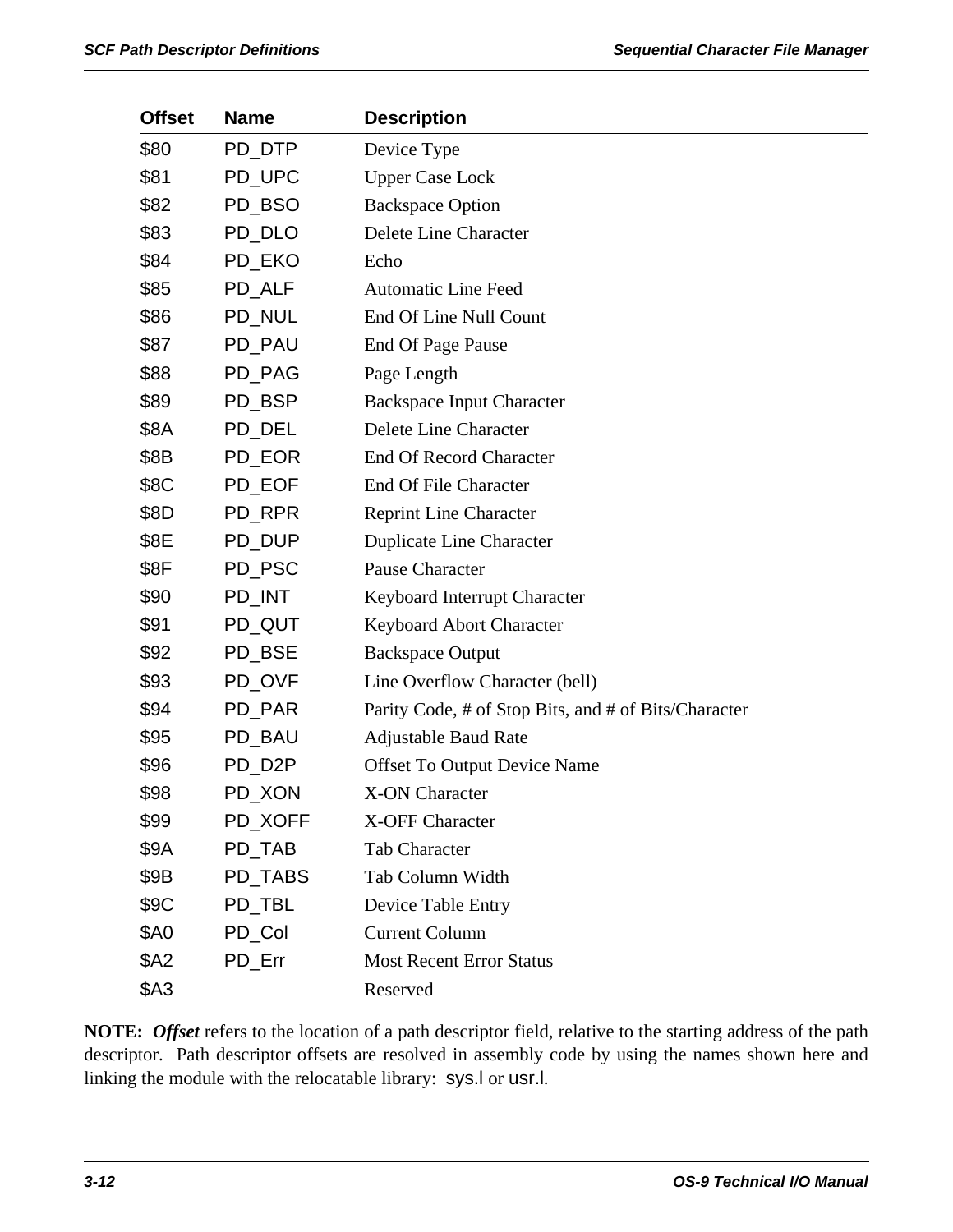| <b>Offset</b> | <b>Name</b> | <b>Description</b>                                   |
|---------------|-------------|------------------------------------------------------|
| \$80          | PD_DTP      | Device Type                                          |
| \$81          | PD_UPC      | <b>Upper Case Lock</b>                               |
| \$82          | PD_BSO      | <b>Backspace Option</b>                              |
| \$83          | PD_DLO      | Delete Line Character                                |
| \$84          | PD_EKO      | Echo                                                 |
| \$85          | PD_ALF      | <b>Automatic Line Feed</b>                           |
| \$86          | PD_NUL      | End Of Line Null Count                               |
| \$87          | PD_PAU      | End Of Page Pause                                    |
| \$88          | PD_PAG      | Page Length                                          |
| \$89          | PD_BSP      | <b>Backspace Input Character</b>                     |
| \$8A          | PD DEL      | Delete Line Character                                |
| \$8B          | PD EOR      | End Of Record Character                              |
| \$8C          | PD_EOF      | <b>End Of File Character</b>                         |
| \$8D          | PD RPR      | <b>Reprint Line Character</b>                        |
| \$8E          | PD_DUP      | Duplicate Line Character                             |
| \$8F          | PD_PSC      | Pause Character                                      |
| \$90          | PD_INT      | Keyboard Interrupt Character                         |
| \$91          | PD_QUT      | <b>Keyboard Abort Character</b>                      |
| \$92          | PD_BSE      | <b>Backspace Output</b>                              |
| \$93          | PD_OVF      | Line Overflow Character (bell)                       |
| \$94          | PD_PAR      | Parity Code, # of Stop Bits, and # of Bits/Character |
| \$95          | PD_BAU      | <b>Adjustable Baud Rate</b>                          |
| \$96          | PD_D2P      | <b>Offset To Output Device Name</b>                  |
| \$98          | PD XON      | <b>X-ON Character</b>                                |
| \$99          | PD_XOFF     | X-OFF Character                                      |
| \$9A          | PD_TAB      | <b>Tab Character</b>                                 |
| \$9B          | PD_TABS     | Tab Column Width                                     |
| \$9C          | PD_TBL      | Device Table Entry                                   |
| \$A0          | PD Col      | <b>Current Column</b>                                |
| \$A2          | PD_Err      | <b>Most Recent Error Status</b>                      |
| \$A3          |             | Reserved                                             |

**NOTE:** *Offset* refers to the location of a path descriptor field, relative to the starting address of the path descriptor. Path descriptor offsets are resolved in assembly code by using the names shown here and linking the module with the relocatable library: sys.l or usr.l.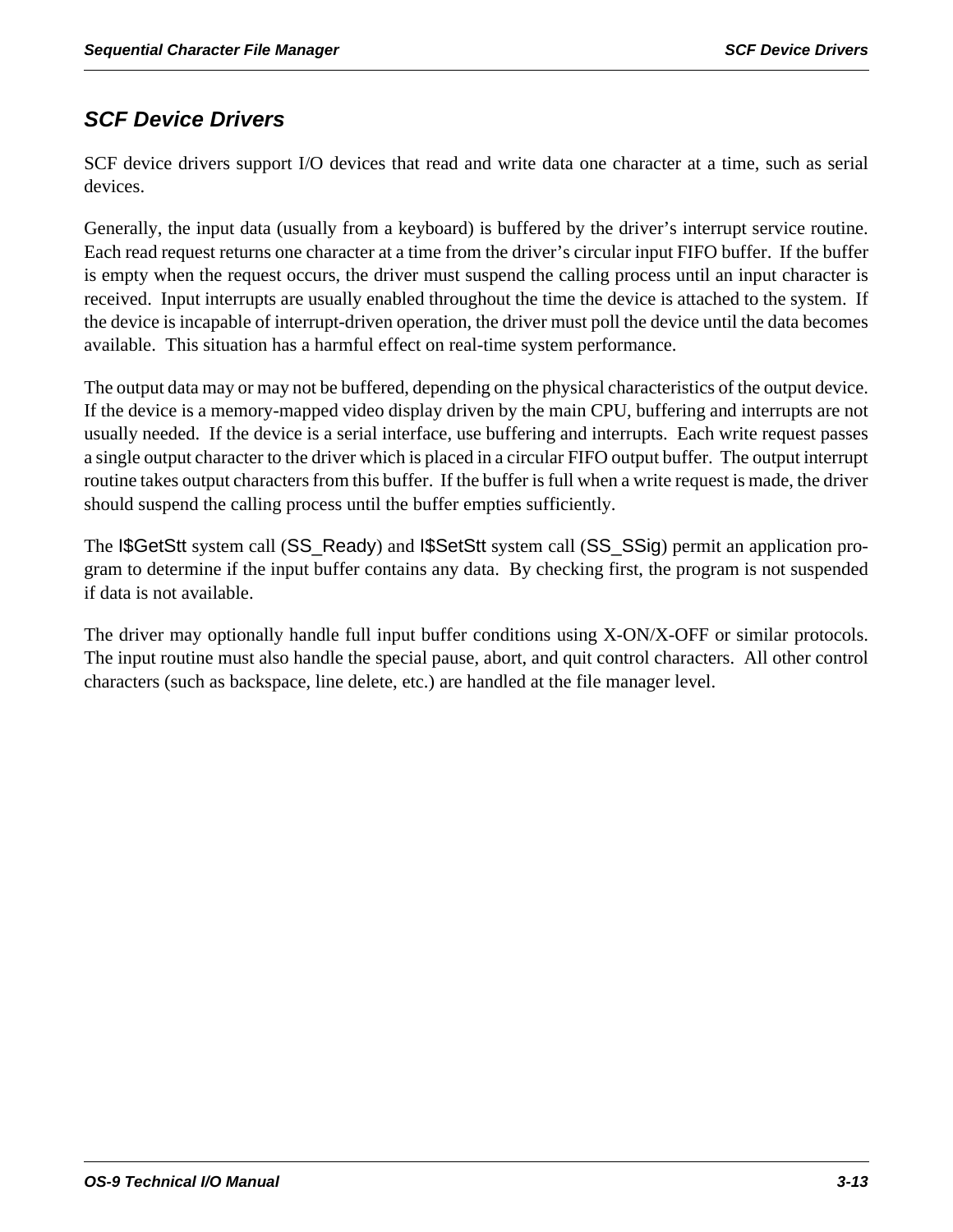# *SCF Device Drivers*

SCF device drivers support I/O devices that read and write data one character at a time, such as serial devices.

Generally, the input data (usually from a keyboard) is buffered by the driver's interrupt service routine. Each read request returns one character at a time from the driver's circular input FIFO buffer. If the buffer is empty when the request occurs, the driver must suspend the calling process until an input character is received. Input interrupts are usually enabled throughout the time the device is attached to the system. If the device is incapable of interrupt-driven operation, the driver must poll the device until the data becomes available. This situation has a harmful effect on real-time system performance.

The output data may or may not be buffered, depending on the physical characteristics of the output device. If the device is a memory-mapped video display driven by the main CPU, buffering and interrupts are not usually needed. If the device is a serial interface, use buffering and interrupts. Each write request passes a single output character to the driver which is placed in a circular FIFO output buffer. The output interrupt routine takes output characters from this buffer. If the buffer is full when a write request is made, the driver should suspend the calling process until the buffer empties sufficiently.

The I\$GetStt system call (SS\_Ready) and I\$SetStt system call (SS\_SSig) permit an application program to determine if the input buffer contains any data. By checking first, the program is not suspended if data is not available.

The driver may optionally handle full input buffer conditions using X-ON/X-OFF or similar protocols. The input routine must also handle the special pause, abort, and quit control characters. All other control characters (such as backspace, line delete, etc.) are handled at the file manager level.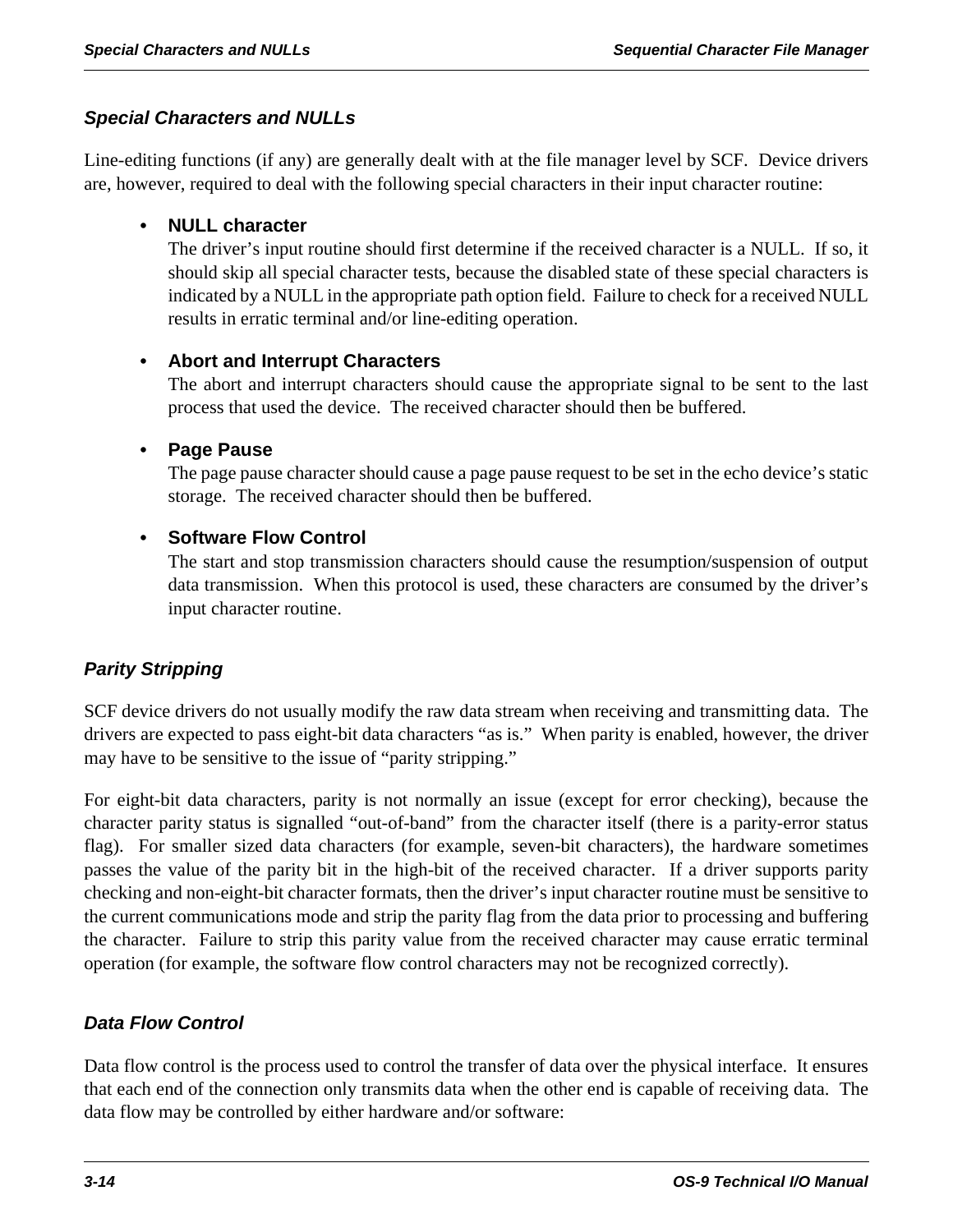# *Special Characters and NULLs*

Line-editing functions (if any) are generally dealt with at the file manager level by SCF. Device drivers are, however, required to deal with the following special characters in their input character routine:

# **• NULL character**

The driver's input routine should first determine if the received character is a NULL. If so, it should skip all special character tests, because the disabled state of these special characters is indicated by a NULL in the appropriate path option field. Failure to check for a received NULL results in erratic terminal and/or line-editing operation.

# **• Abort and Interrupt Characters**

The abort and interrupt characters should cause the appropriate signal to be sent to the last process that used the device. The received character should then be buffered.

# **• Page Pause**

The page pause character should cause a page pause request to be set in the echo device's static storage. The received character should then be buffered.

# **• Software Flow Control**

The start and stop transmission characters should cause the resumption/suspension of output data transmission. When this protocol is used, these characters are consumed by the driver's input character routine.

# *Parity Stripping*

SCF device drivers do not usually modify the raw data stream when receiving and transmitting data. The drivers are expected to pass eight-bit data characters "as is." When parity is enabled, however, the driver may have to be sensitive to the issue of "parity stripping."

For eight-bit data characters, parity is not normally an issue (except for error checking), because the character parity status is signalled "out-of-band" from the character itself (there is a parity-error status flag). For smaller sized data characters (for example, seven-bit characters), the hardware sometimes passes the value of the parity bit in the high-bit of the received character. If a driver supports parity checking and non-eight-bit character formats, then the driver's input character routine must be sensitive to the current communications mode and strip the parity flag from the data prior to processing and buffering the character. Failure to strip this parity value from the received character may cause erratic terminal operation (for example, the software flow control characters may not be recognized correctly).

# *Data Flow Control*

Data flow control is the process used to control the transfer of data over the physical interface. It ensures that each end of the connection only transmits data when the other end is capable of receiving data. The data flow may be controlled by either hardware and/or software: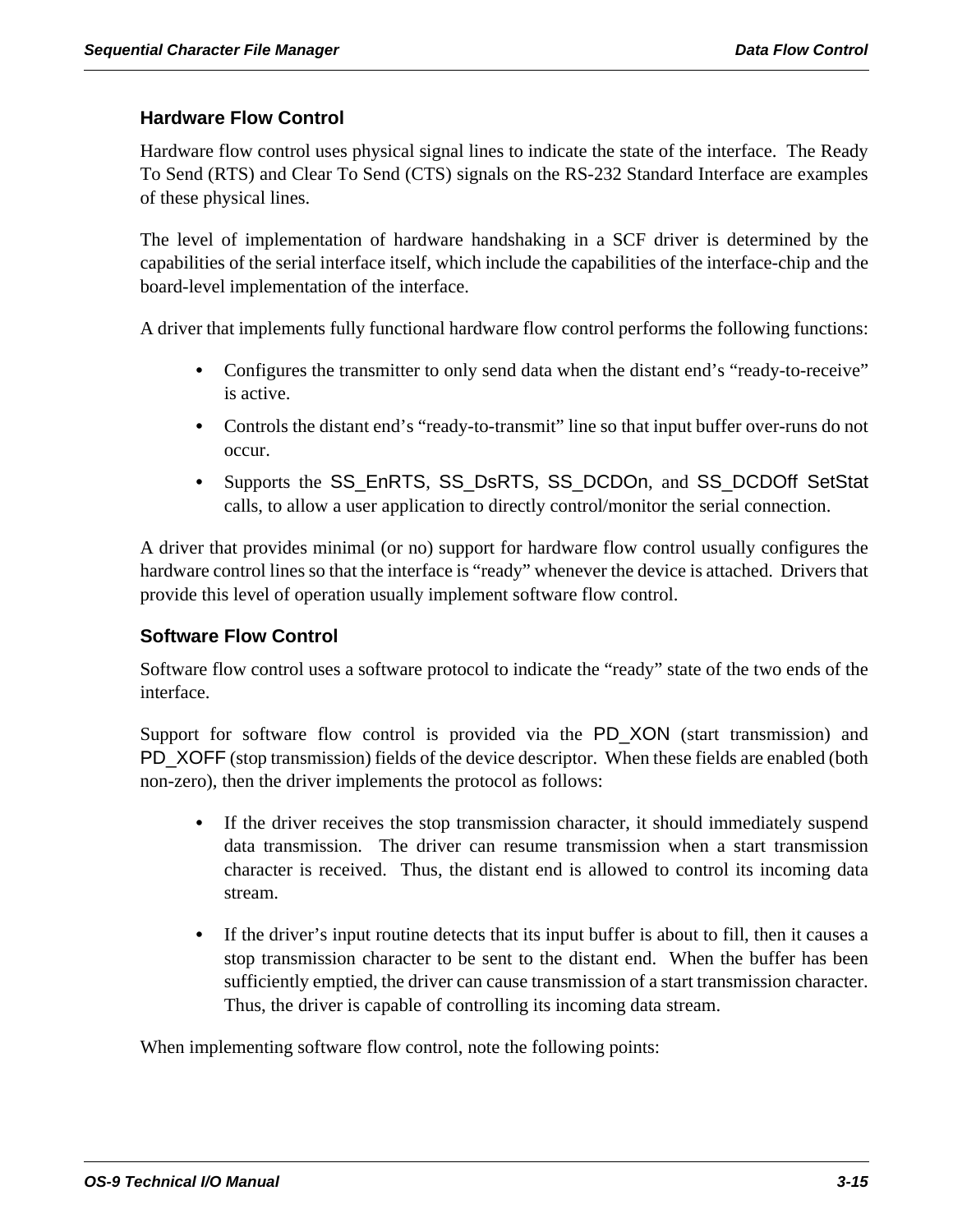### **Hardware Flow Control**

Hardware flow control uses physical signal lines to indicate the state of the interface. The Ready To Send (RTS) and Clear To Send (CTS) signals on the RS-232 Standard Interface are examples of these physical lines.

The level of implementation of hardware handshaking in a SCF driver is determined by the capabilities of the serial interface itself, which include the capabilities of the interface-chip and the board-level implementation of the interface.

A driver that implements fully functional hardware flow control performs the following functions:

- Configures the transmitter to only send data when the distant end's "ready-to-receive" is active.
- **•** Controls the distant end's "ready-to-transmit" line so that input buffer over-runs do not occur.
- **•** Supports the SS\_EnRTS, SS\_DsRTS, SS\_DCDOn, and SS\_DCDOff SetStat calls, to allow a user application to directly control/monitor the serial connection.

A driver that provides minimal (or no) support for hardware flow control usually configures the hardware control lines so that the interface is "ready" whenever the device is attached. Drivers that provide this level of operation usually implement software flow control.

### **Software Flow Control**

Software flow control uses a software protocol to indicate the "ready" state of the two ends of the interface.

Support for software flow control is provided via the PD\_XON (start transmission) and PD\_XOFF (stop transmission) fields of the device descriptor. When these fields are enabled (both non-zero), then the driver implements the protocol as follows:

- If the driver receives the stop transmission character, it should immediately suspend data transmission. The driver can resume transmission when a start transmission character is received. Thus, the distant end is allowed to control its incoming data stream.
- **•** If the driver's input routine detects that its input buffer is about to fill, then it causes a stop transmission character to be sent to the distant end. When the buffer has been sufficiently emptied, the driver can cause transmission of a start transmission character. Thus, the driver is capable of controlling its incoming data stream.

When implementing software flow control, note the following points: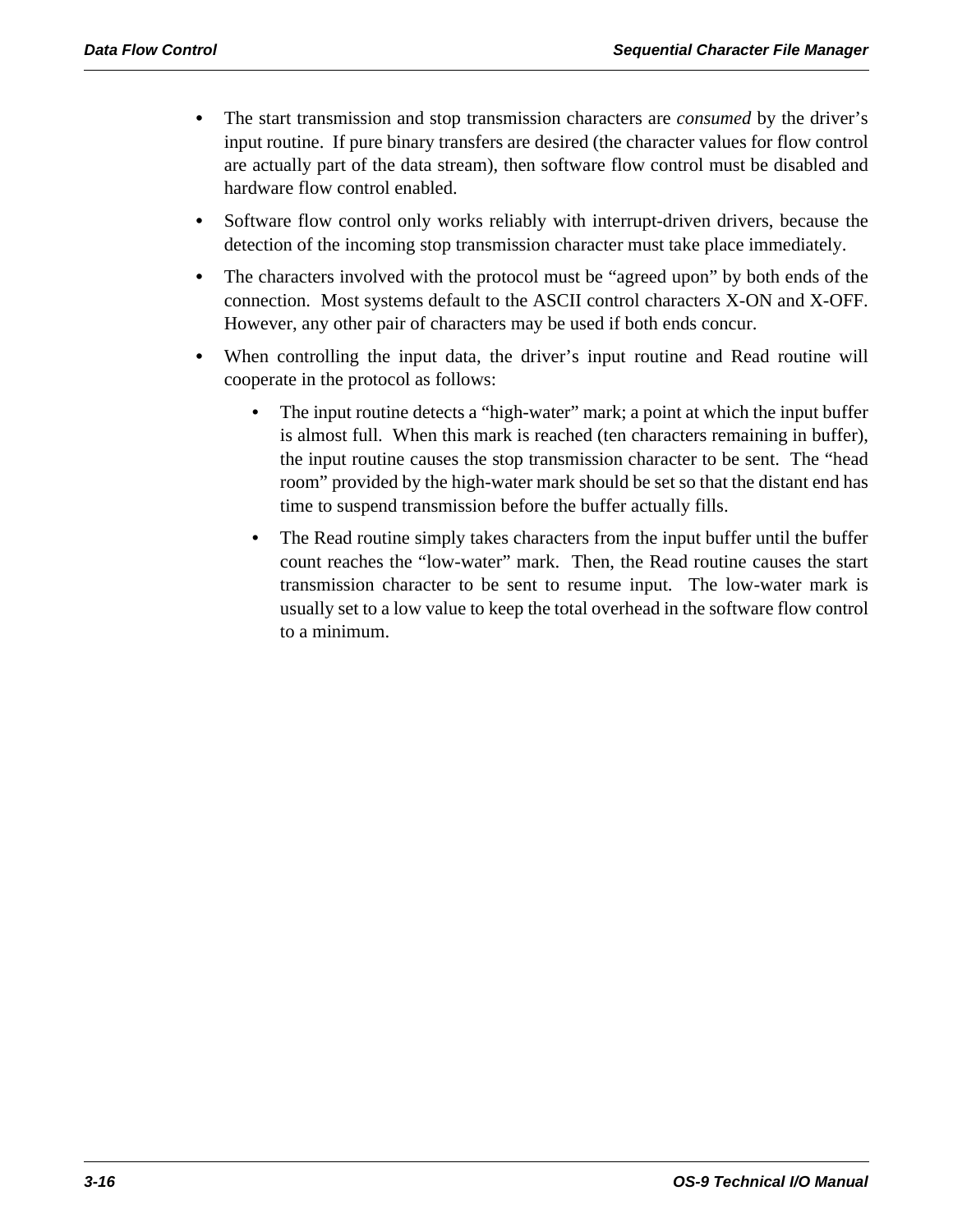- **•** The start transmission and stop transmission characters are *consumed* by the driver's input routine. If pure binary transfers are desired (the character values for flow control are actually part of the data stream), then software flow control must be disabled and hardware flow control enabled.
- **•** Software flow control only works reliably with interrupt-driven drivers, because the detection of the incoming stop transmission character must take place immediately.
- The characters involved with the protocol must be "agreed upon" by both ends of the connection. Most systems default to the ASCII control characters X-ON and X-OFF. However, any other pair of characters may be used if both ends concur.
- When controlling the input data, the driver's input routine and Read routine will cooperate in the protocol as follows:
	- The input routine detects a "high-water" mark; a point at which the input buffer is almost full. When this mark is reached (ten characters remaining in buffer), the input routine causes the stop transmission character to be sent. The "head room" provided by the high-water mark should be set so that the distant end has time to suspend transmission before the buffer actually fills.
	- The Read routine simply takes characters from the input buffer until the buffer count reaches the "low-water" mark. Then, the Read routine causes the start transmission character to be sent to resume input. The low-water mark is usually set to a low value to keep the total overhead in the software flow control to a minimum.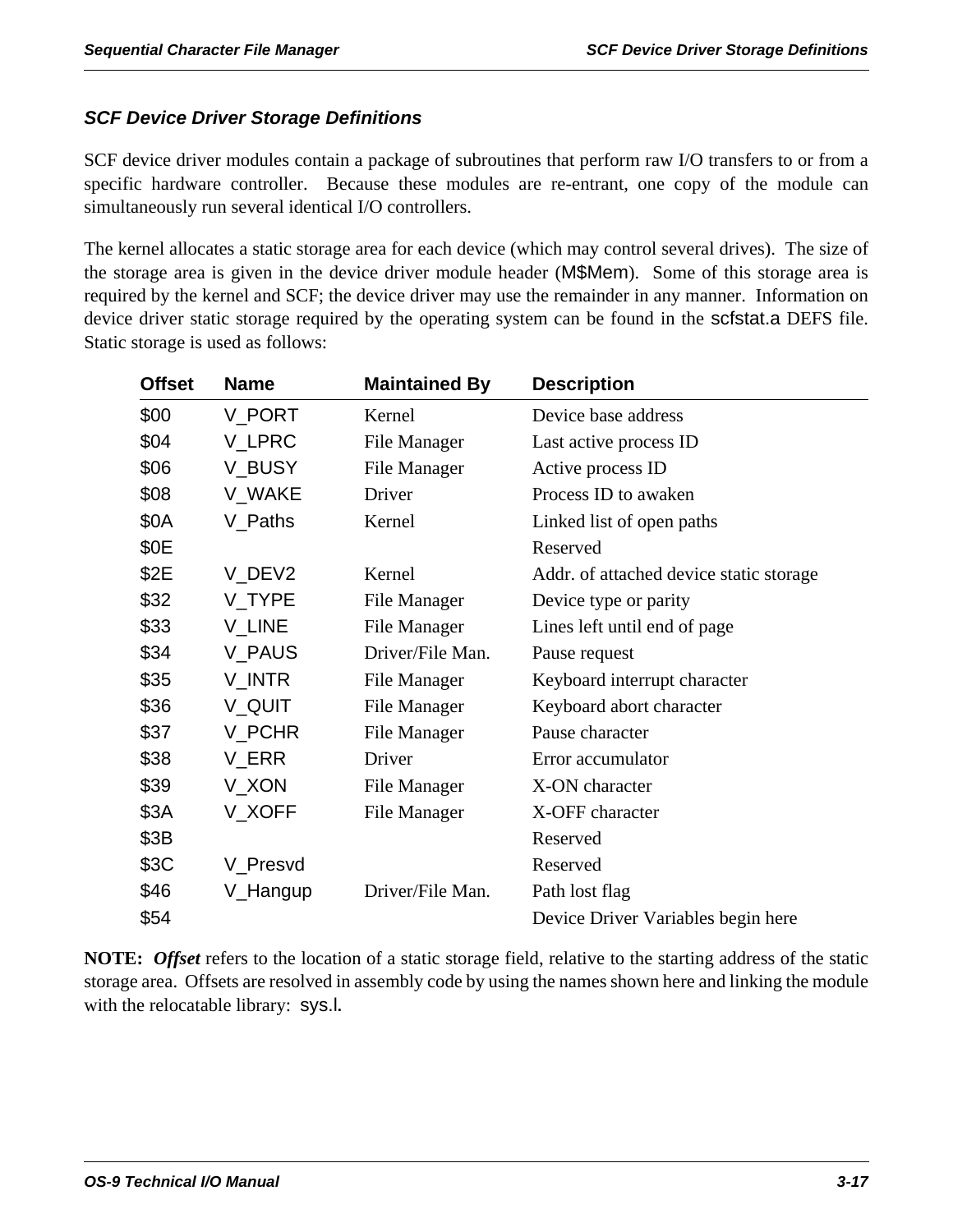# *SCF Device Driver Storage Definitions*

SCF device driver modules contain a package of subroutines that perform raw I/O transfers to or from a specific hardware controller. Because these modules are re-entrant, one copy of the module can simultaneously run several identical I/O controllers.

The kernel allocates a static storage area for each device (which may control several drives). The size of the storage area is given in the device driver module header (M\$Mem). Some of this storage area is required by the kernel and SCF; the device driver may use the remainder in any manner. Information on device driver static storage required by the operating system can be found in the scfstat.a DEFS file. Static storage is used as follows:

| <b>Offset</b> | <b>Name</b> | <b>Maintained By</b> | <b>Description</b>                      |
|---------------|-------------|----------------------|-----------------------------------------|
| \$00          | V PORT      | Kernel               | Device base address                     |
| \$04          | V_LPRC      | File Manager         | Last active process ID                  |
| \$06          | V_BUSY      | File Manager         | Active process ID                       |
| \$08          | V WAKE      | Driver               | Process ID to awaken                    |
| \$0A          | V_Paths     | Kernel               | Linked list of open paths               |
| \$0E          |             |                      | Reserved                                |
| \$2E          | V_DEV2      | Kernel               | Addr. of attached device static storage |
| \$32          | V_TYPE      | File Manager         | Device type or parity                   |
| \$33          | V_LINE      | File Manager         | Lines left until end of page            |
| \$34          | V_PAUS      | Driver/File Man.     | Pause request                           |
| \$35          | V_INTR      | File Manager         | Keyboard interrupt character            |
| \$36          | V_QUIT      | File Manager         | Keyboard abort character                |
| \$37          | V_PCHR      | File Manager         | Pause character                         |
| \$38          | V_ERR       | Driver               | Error accumulator                       |
| \$39          | V_XON       | File Manager         | X-ON character                          |
| \$3A          | V_XOFF      | File Manager         | X-OFF character                         |
| \$3B          |             |                      | Reserved                                |
| \$3C          | V_Presvd    |                      | Reserved                                |
| \$46          | V_Hangup    | Driver/File Man.     | Path lost flag                          |
| \$54          |             |                      | Device Driver Variables begin here      |

**NOTE:** *Offset* refers to the location of a static storage field, relative to the starting address of the static storage area. Offsets are resolved in assembly code by using the names shown here and linking the module with the relocatable library: sys.l**.**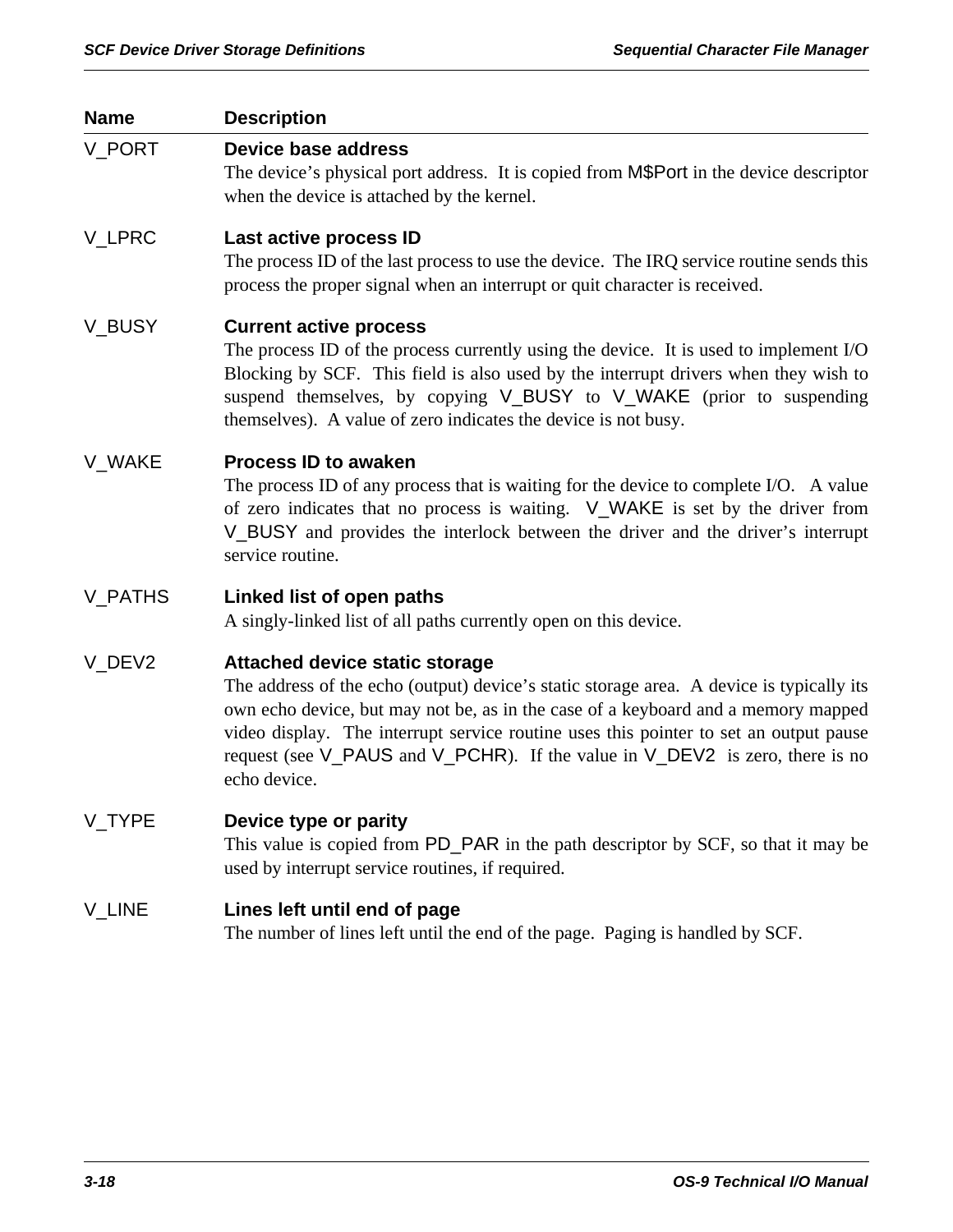| <b>Name</b> | <b>Description</b>                                                                                                                                                                                                                                                                                                                                                                                              |
|-------------|-----------------------------------------------------------------------------------------------------------------------------------------------------------------------------------------------------------------------------------------------------------------------------------------------------------------------------------------------------------------------------------------------------------------|
| V_PORT      | <b>Device base address</b><br>The device's physical port address. It is copied from M\$Port in the device descriptor<br>when the device is attached by the kernel.                                                                                                                                                                                                                                              |
| V_LPRC      | Last active process ID<br>The process ID of the last process to use the device. The IRQ service routine sends this<br>process the proper signal when an interrupt or quit character is received.                                                                                                                                                                                                                |
| V_BUSY      | <b>Current active process</b><br>The process ID of the process currently using the device. It is used to implement I/O<br>Blocking by SCF. This field is also used by the interrupt drivers when they wish to<br>suspend themselves, by copying V_BUSY to V_WAKE (prior to suspending<br>themselves). A value of zero indicates the device is not busy.                                                         |
| V WAKE      | <b>Process ID to awaken</b><br>The process ID of any process that is waiting for the device to complete I/O. A value<br>of zero indicates that no process is waiting. V_WAKE is set by the driver from<br>V_BUSY and provides the interlock between the driver and the driver's interrupt<br>service routine.                                                                                                   |
| V_PATHS     | Linked list of open paths<br>A singly-linked list of all paths currently open on this device.                                                                                                                                                                                                                                                                                                                   |
| V_DEV2      | <b>Attached device static storage</b><br>The address of the echo (output) device's static storage area. A device is typically its<br>own echo device, but may not be, as in the case of a keyboard and a memory mapped<br>video display. The interrupt service routine uses this pointer to set an output pause<br>request (see V_PAUS and V_PCHR). If the value in V_DEV2 is zero, there is no<br>echo device. |
| V_TYPE      | Device type or parity<br>This value is copied from PD_PAR in the path descriptor by SCF, so that it may be<br>used by interrupt service routines, if required.                                                                                                                                                                                                                                                  |
| V_LINE      | Lines left until end of page<br>The number of lines left until the end of the page. Paging is handled by SCF.                                                                                                                                                                                                                                                                                                   |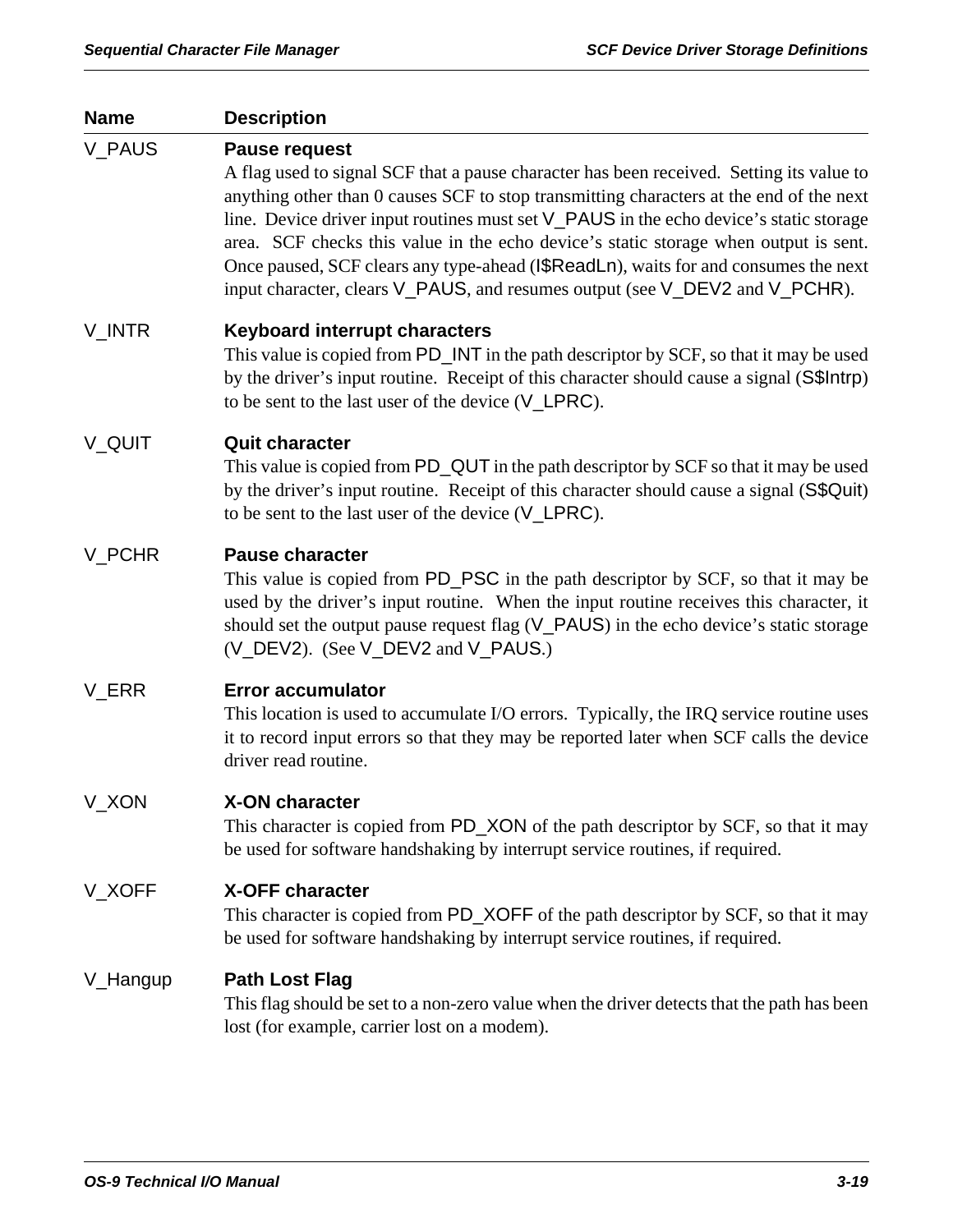| <b>Name</b>   | <b>Description</b>                                                                                                                                                                                                                                                                                                                                                                                                                                                                                                                                                  |
|---------------|---------------------------------------------------------------------------------------------------------------------------------------------------------------------------------------------------------------------------------------------------------------------------------------------------------------------------------------------------------------------------------------------------------------------------------------------------------------------------------------------------------------------------------------------------------------------|
| <b>V_PAUS</b> | <b>Pause request</b><br>A flag used to signal SCF that a pause character has been received. Setting its value to<br>anything other than 0 causes SCF to stop transmitting characters at the end of the next<br>line. Device driver input routines must set V_PAUS in the echo device's static storage<br>area. SCF checks this value in the echo device's static storage when output is sent.<br>Once paused, SCF clears any type-ahead (I\$ReadLn), waits for and consumes the next<br>input character, clears V_PAUS, and resumes output (see V_DEV2 and V_PCHR). |
| V_INTR        | <b>Keyboard interrupt characters</b><br>This value is copied from PD_INT in the path descriptor by SCF, so that it may be used<br>by the driver's input routine. Receipt of this character should cause a signal (S\$Intrp)<br>to be sent to the last user of the device (V_LPRC).                                                                                                                                                                                                                                                                                  |
| V_QUIT        | <b>Quit character</b><br>This value is copied from PD_QUT in the path descriptor by SCF so that it may be used<br>by the driver's input routine. Receipt of this character should cause a signal (S\$Quit)<br>to be sent to the last user of the device (V_LPRC).                                                                                                                                                                                                                                                                                                   |
| V_PCHR        | <b>Pause character</b><br>This value is copied from PD_PSC in the path descriptor by SCF, so that it may be<br>used by the driver's input routine. When the input routine receives this character, it<br>should set the output pause request flag (V_PAUS) in the echo device's static storage<br>(V_DEV2). (See V_DEV2 and V_PAUS.)                                                                                                                                                                                                                                |
| V_ERR         | <b>Error accumulator</b><br>This location is used to accumulate I/O errors. Typically, the IRQ service routine uses<br>it to record input errors so that they may be reported later when SCF calls the device<br>driver read routine.                                                                                                                                                                                                                                                                                                                               |
| V_XON         | <b>X-ON character</b><br>This character is copied from PD_XON of the path descriptor by SCF, so that it may<br>be used for software handshaking by interrupt service routines, if required.                                                                                                                                                                                                                                                                                                                                                                         |
| V_XOFF        | <b>X-OFF character</b><br>This character is copied from PD_XOFF of the path descriptor by SCF, so that it may<br>be used for software handshaking by interrupt service routines, if required.                                                                                                                                                                                                                                                                                                                                                                       |
| V_Hangup      | <b>Path Lost Flag</b><br>This flag should be set to a non-zero value when the driver detects that the path has been<br>lost (for example, carrier lost on a modem).                                                                                                                                                                                                                                                                                                                                                                                                 |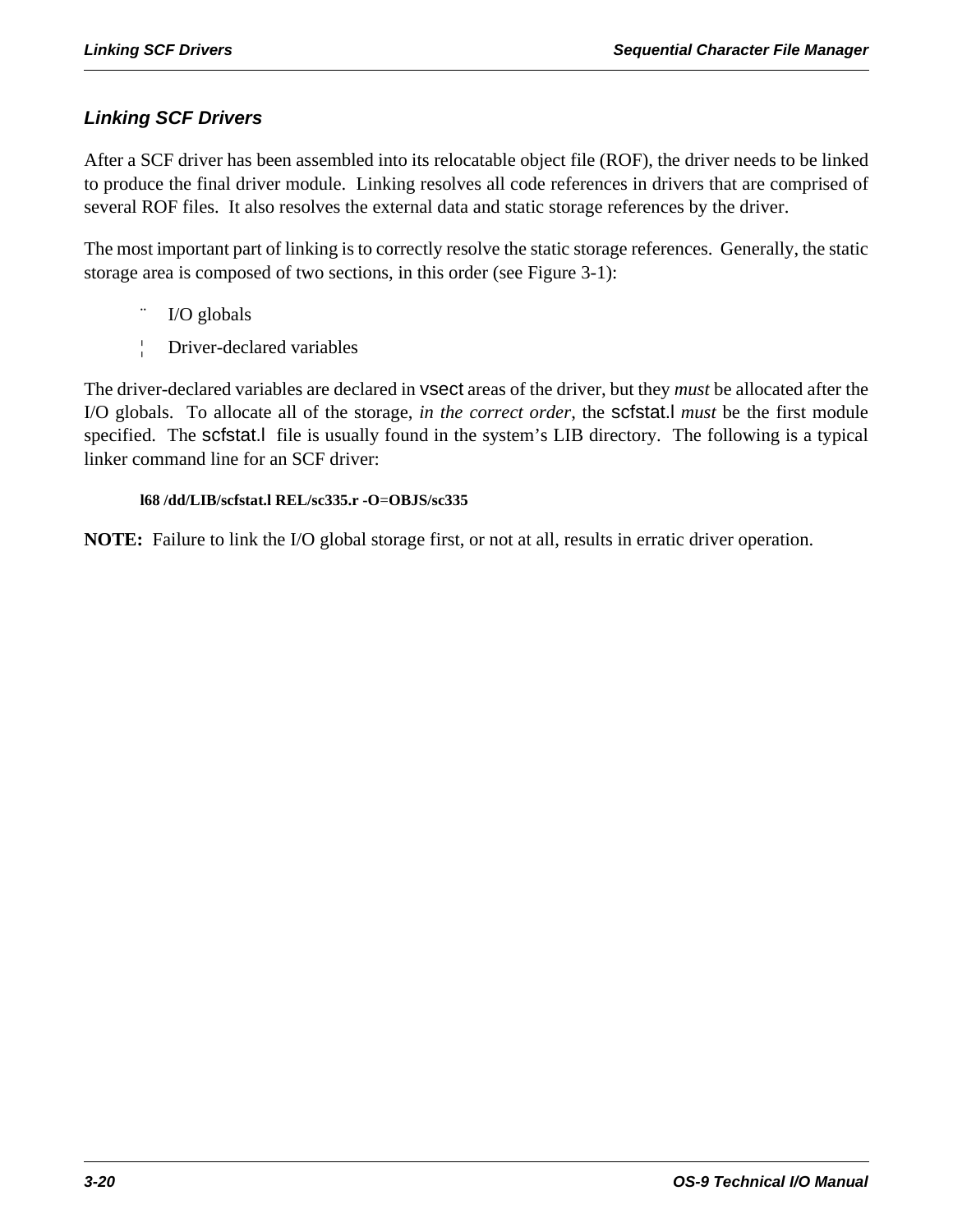# *Linking SCF Drivers*

After a SCF driver has been assembled into its relocatable object file (ROF), the driver needs to be linked to produce the final driver module. Linking resolves all code references in drivers that are comprised of several ROF files. It also resolves the external data and static storage references by the driver.

The most important part of linking is to correctly resolve the static storage references. Generally, the static storage area is composed of two sections, in this order (see Figure 3-1):

- I/O globals
- ¦ Driver-declared variables

The driver-declared variables are declared in vsect areas of the driver, but they *must* be allocated after the I/O globals. To allocate all of the storage, *in the correct order*, the scfstat.l *must* be the first module specified. The scfstat.l file is usually found in the system's LIB directory. The following is a typical linker command line for an SCF driver:

### **l68 /dd/LIB/scfstat.l REL/sc335.r -O**=**OBJS/sc335**

**NOTE:** Failure to link the I/O global storage first, or not at all, results in erratic driver operation.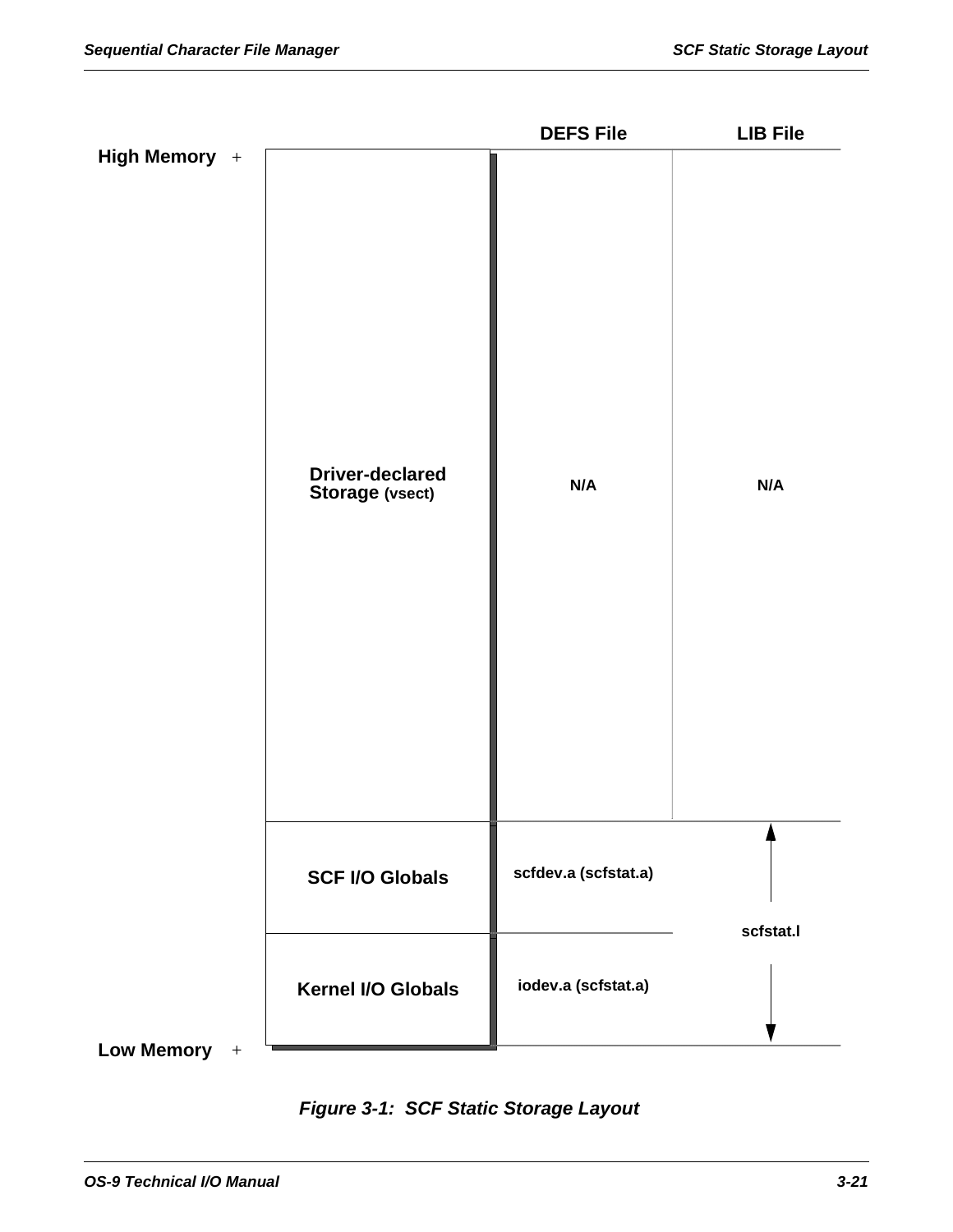|                |                                                  | <b>DEFS File</b>     | <b>LIB File</b> |
|----------------|--------------------------------------------------|----------------------|-----------------|
| High Memory +  | <b>Driver-declared</b><br><b>Storage (vsect)</b> | N/A                  | N/A             |
|                | <b>SCF I/O Globals</b>                           | scfdev.a (scfstat.a) | scfstat.l       |
| Low Memory $+$ | Kernel I/O Globals                               | iodev.a (scfstat.a)  |                 |
|                |                                                  |                      |                 |

*Figure 3-1: SCF Static Storage Layout*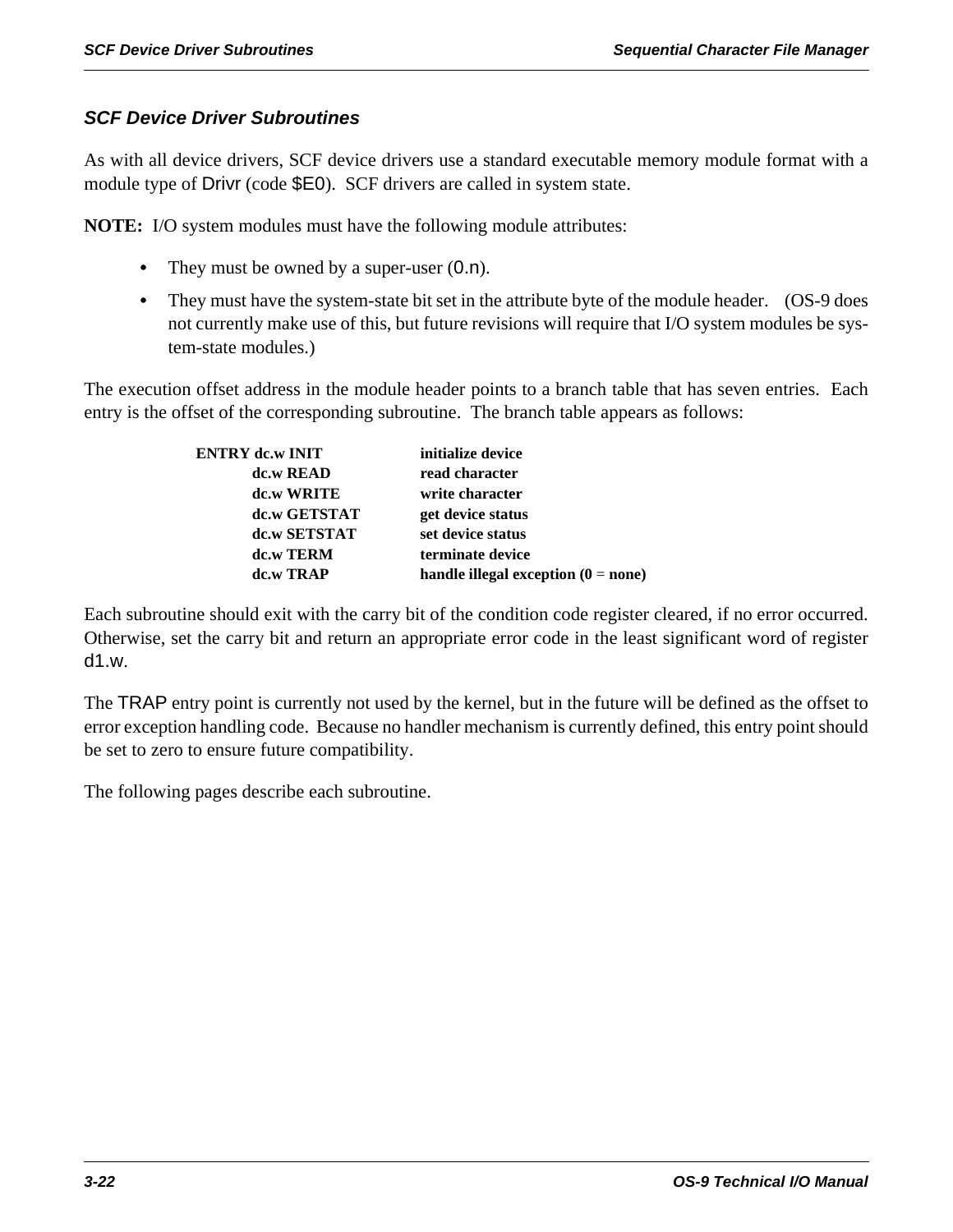# *SCF Device Driver Subroutines*

As with all device drivers, SCF device drivers use a standard executable memory module format with a module type of Drivr (code \$E0). SCF drivers are called in system state.

**NOTE:** I/O system modules must have the following module attributes:

- They must be owned by a super-user  $(0.n)$ .
- **•** They must have the system-state bit set in the attribute byte of the module header. (OS-9 does not currently make use of this, but future revisions will require that I/O system modules be system-state modules.)

The execution offset address in the module header points to a branch table that has seven entries. Each entry is the offset of the corresponding subroutine. The branch table appears as follows:

| <b>ENTRY dc.w INIT</b> | initialize device                     |
|------------------------|---------------------------------------|
| dc.w READ              | read character                        |
| dc.w WRITE             | write character                       |
| dc.w GETSTAT           | get device status                     |
| dc.w SETSTAT           | set device status                     |
| dc.w TERM              | terminate device                      |
| dc.w TRAP              | handle illegal exception $(0 = none)$ |

Each subroutine should exit with the carry bit of the condition code register cleared, if no error occurred. Otherwise, set the carry bit and return an appropriate error code in the least significant word of register d1.w.

The TRAP entry point is currently not used by the kernel, but in the future will be defined as the offset to error exception handling code. Because no handler mechanism is currently defined, this entry point should be set to zero to ensure future compatibility.

The following pages describe each subroutine.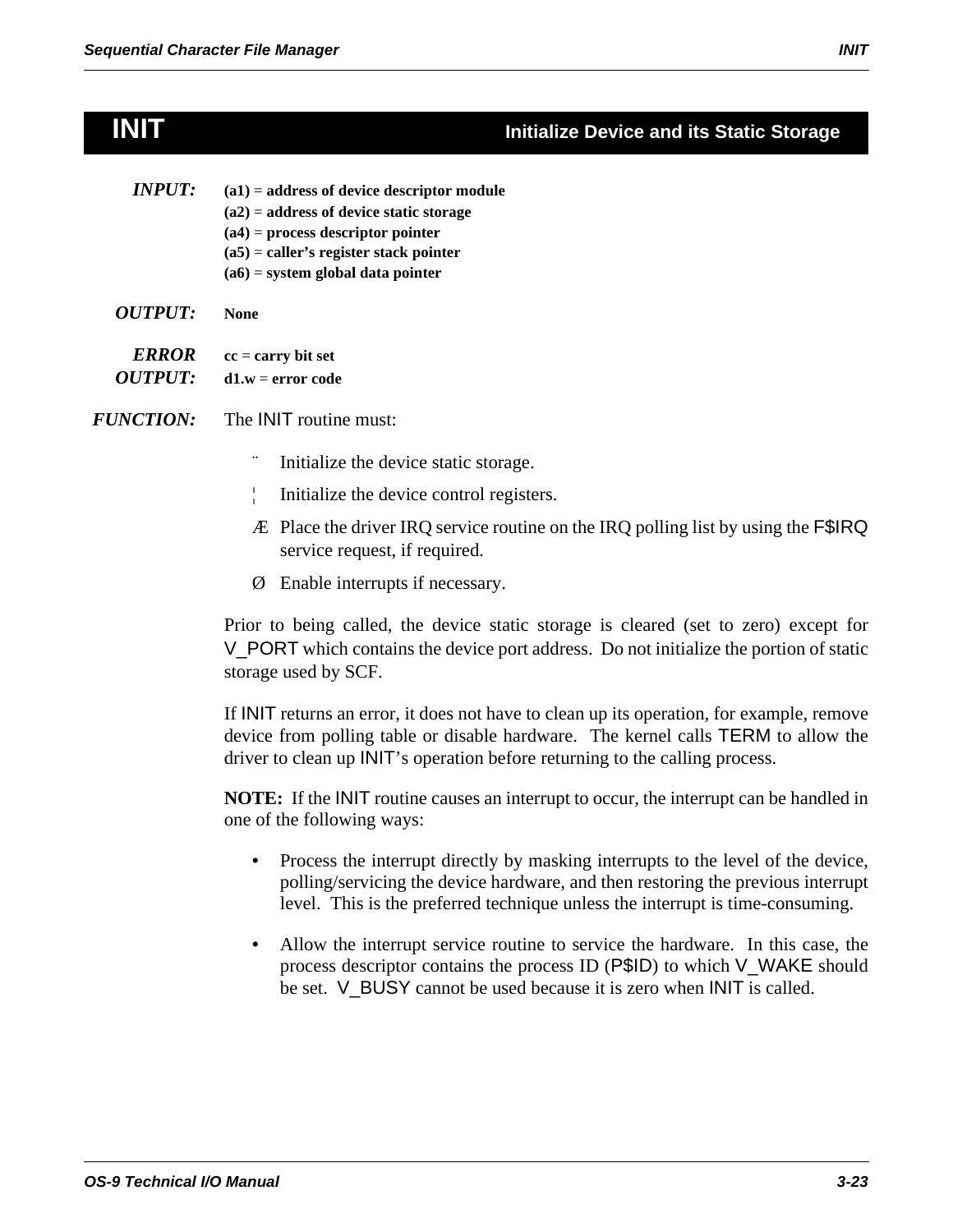# **INIT Initialize Device and its Static Storage**

- *INPUT*: (a1) = address of device descriptor module **(a2)** = **address of device static storage (a4)** = **process descriptor pointer (a5)** = **caller's register stack pointer (a6)** = **system global data pointer**
- *OUTPUT:* **None**
- *ERROR* **cc** = **carry bit set**  *OUTPUT:* **d1.w** = **error code**
- *FUNCTION:* The INIT routine must:
	- Initialize the device static storage.
	- ¦ Initialize the device control registers.
	- Æ Place the driver IRQ service routine on the IRQ polling list by using the F\$IRQ service request, if required.
	- Ø Enable interrupts if necessary.

Prior to being called, the device static storage is cleared (set to zero) except for V\_PORT which contains the device port address. Do not initialize the portion of static storage used by SCF.

If INIT returns an error, it does not have to clean up its operation, for example, remove device from polling table or disable hardware. The kernel calls TERM to allow the driver to clean up INIT's operation before returning to the calling process.

**NOTE:** If the INIT routine causes an interrupt to occur, the interrupt can be handled in one of the following ways:

- Process the interrupt directly by masking interrupts to the level of the device, polling/servicing the device hardware, and then restoring the previous interrupt level. This is the preferred technique unless the interrupt is time-consuming.
- Allow the interrupt service routine to service the hardware. In this case, the process descriptor contains the process ID (P\$ID) to which V\_WAKE should be set. V\_BUSY cannot be used because it is zero when INIT is called.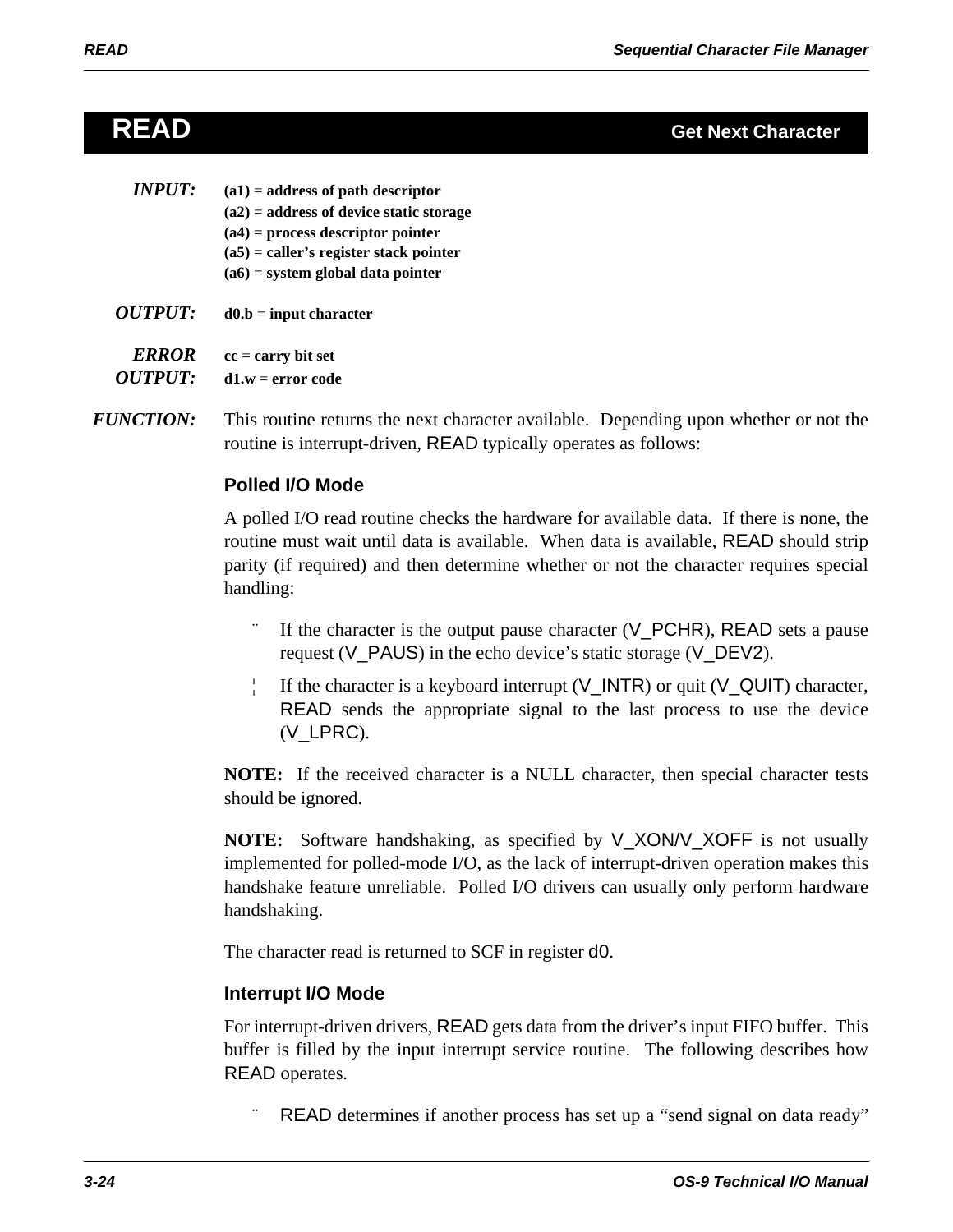| <i><b>INPUT:</b></i>                  | $(a1)$ = address of path descriptor<br>$(a2)$ = address of device static storage<br>$(a4)$ = process descriptor pointer<br>$(a5)$ = caller's register stack pointer<br>$(a6)$ = system global data pointer |
|---------------------------------------|------------------------------------------------------------------------------------------------------------------------------------------------------------------------------------------------------------|
| <i>OUTPUT:</i>                        | $d0.b = input character$                                                                                                                                                                                   |
| <i><b>ERROR</b></i><br><i>OUTPUT:</i> | $cc = carry bit set$<br>$d1.w = error code$                                                                                                                                                                |

*FUNCTION:* This routine returns the next character available. Depending upon whether or not the routine is interrupt-driven, READ typically operates as follows:

# **Polled I/O Mode**

A polled I/O read routine checks the hardware for available data. If there is none, the routine must wait until data is available. When data is available, READ should strip parity (if required) and then determine whether or not the character requires special handling:

- If the character is the output pause character  $(V_PCHR)$ , READ sets a pause request (V\_PAUS) in the echo device's static storage (V\_DEV2).
- If the character is a keyboard interrupt  $(V_{{\text{I}}}/NTR)$  or quit  $(V_{{\text{I}}}/QUT)$  character, READ sends the appropriate signal to the last process to use the device (V\_LPRC).

**NOTE:** If the received character is a NULL character, then special character tests should be ignored.

**NOTE:** Software handshaking, as specified by V\_XON/V\_XOFF is not usually implemented for polled-mode I/O, as the lack of interrupt-driven operation makes this handshake feature unreliable. Polled I/O drivers can usually only perform hardware handshaking.

The character read is returned to SCF in register d0.

# **Interrupt I/O Mode**

For interrupt-driven drivers, READ gets data from the driver's input FIFO buffer. This buffer is filled by the input interrupt service routine. The following describes how READ operates.

READ determines if another process has set up a "send signal on data ready"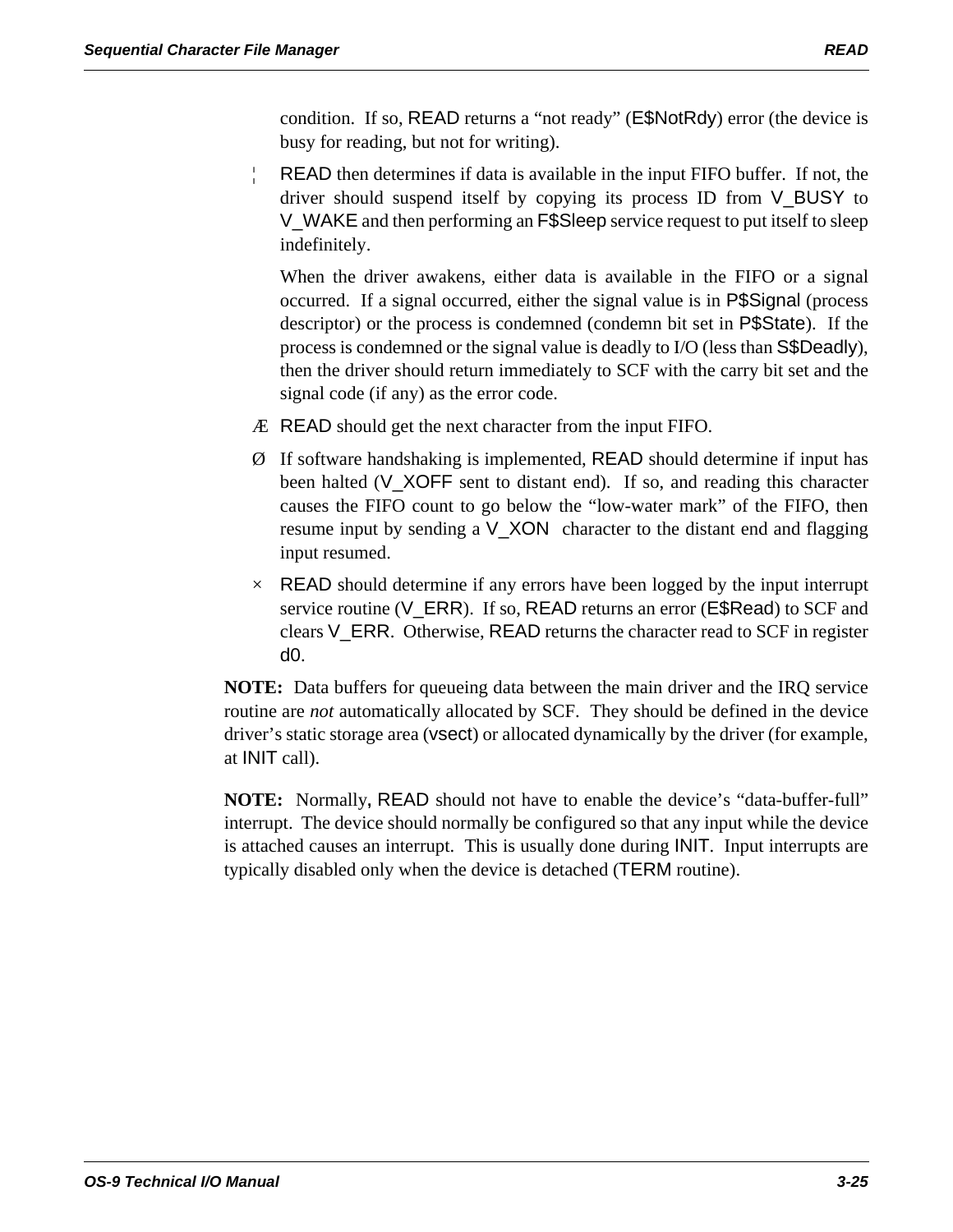condition. If so, READ returns a "not ready" (E\$NotRdy) error (the device is busy for reading, but not for writing).

¦ READ then determines if data is available in the input FIFO buffer. If not, the driver should suspend itself by copying its process ID from V\_BUSY to V\_WAKE and then performing an F\$Sleep service request to put itself to sleep indefinitely.

When the driver awakens, either data is available in the FIFO or a signal occurred. If a signal occurred, either the signal value is in P\$Signal (process descriptor) or the process is condemned (condemn bit set in P\$State). If the process is condemned or the signal value is deadly to I/O (less than S\$Deadly), then the driver should return immediately to SCF with the carry bit set and the signal code (if any) as the error code.

- Æ READ should get the next character from the input FIFO.
- Ø If software handshaking is implemented, READ should determine if input has been halted (V\_XOFF sent to distant end). If so, and reading this character causes the FIFO count to go below the "low-water mark" of the FIFO, then resume input by sending a V\_XON character to the distant end and flagging input resumed.
- $\times$  READ should determine if any errors have been logged by the input interrupt service routine (V\_ERR). If so, READ returns an error (E\$Read) to SCF and clears V\_ERR. Otherwise, READ returns the character read to SCF in register d0.

**NOTE:** Data buffers for queueing data between the main driver and the IRQ service routine are *not* automatically allocated by SCF. They should be defined in the device driver's static storage area (vsect) or allocated dynamically by the driver (for example, at INIT call).

**NOTE:** Normally**,** READ should not have to enable the device's "data-buffer-full" interrupt. The device should normally be configured so that any input while the device is attached causes an interrupt. This is usually done during INIT. Input interrupts are typically disabled only when the device is detached (TERM routine).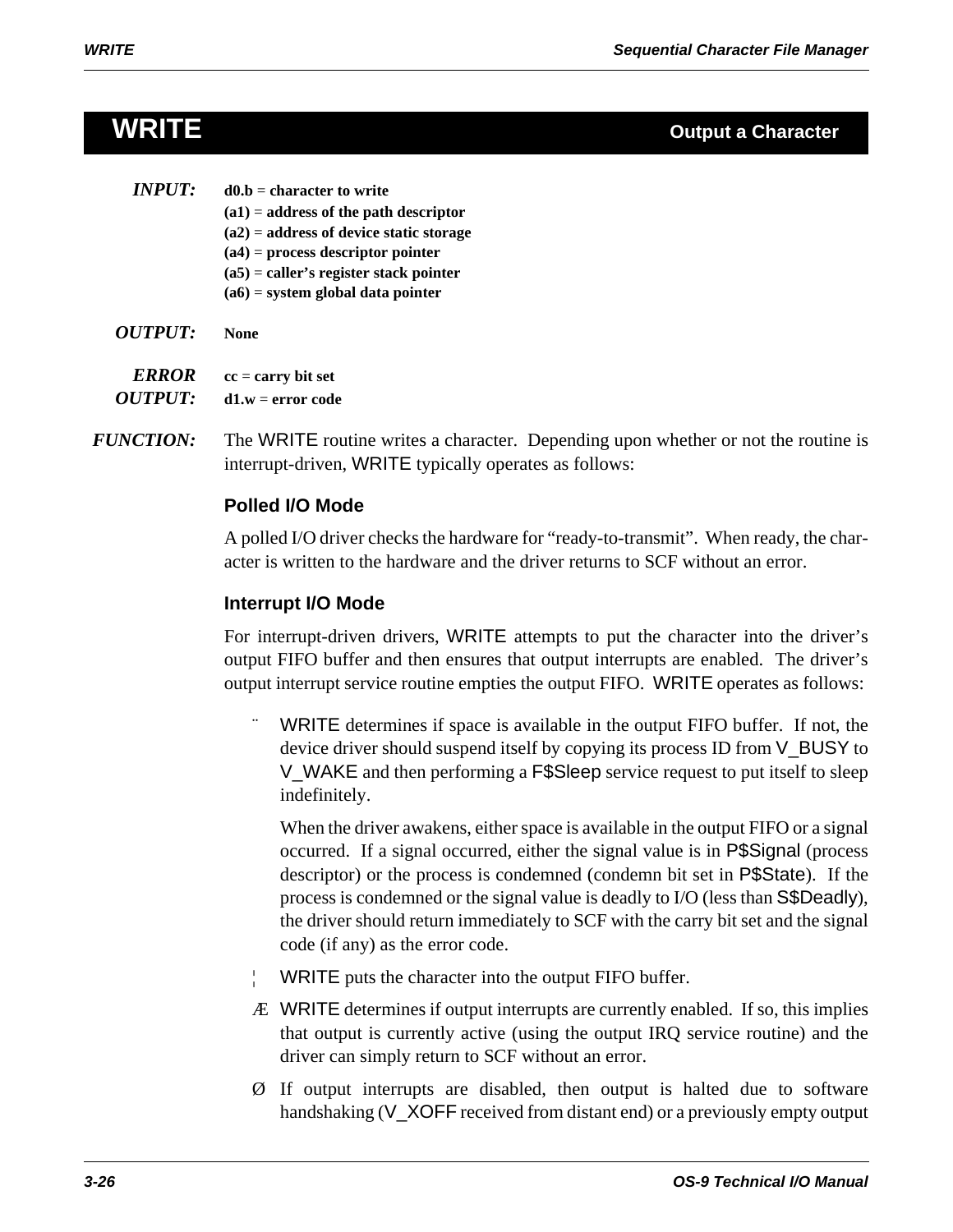# **WRITE Output a Character**

| <i><b>INPUT:</b></i> | $d0.b =$ character to write               |
|----------------------|-------------------------------------------|
|                      | $(a1)$ = address of the path descriptor   |
|                      | $(a2)$ = address of device static storage |
|                      | $(a4)$ = process descriptor pointer       |
|                      | $(a5)$ = caller's register stack pointer  |
|                      | $(a6)$ = system global data pointer       |
|                      |                                           |

*OUTPUT:* **None**

*ERROR* **cc** = **carry bit set**  *OUTPUT:* **d1.w** = **error code**

*FUNCTION:* The WRITE routine writes a character. Depending upon whether or not the routine is interrupt-driven, WRITE typically operates as follows:

# **Polled I/O Mode**

A polled I/O driver checks the hardware for "ready-to-transmit". When ready, the character is written to the hardware and the driver returns to SCF without an error.

# **Interrupt I/O Mode**

For interrupt-driven drivers, WRITE attempts to put the character into the driver's output FIFO buffer and then ensures that output interrupts are enabled. The driver's output interrupt service routine empties the output FIFO. WRITE operates as follows:

WRITE determines if space is available in the output FIFO buffer. If not, the device driver should suspend itself by copying its process ID from V\_BUSY to V\_WAKE and then performing a F\$Sleep service request to put itself to sleep indefinitely.

When the driver awakens, either space is available in the output FIFO or a signal occurred. If a signal occurred, either the signal value is in P\$Signal (process descriptor) or the process is condemned (condemn bit set in P\$State). If the process is condemned or the signal value is deadly to I/O (less than S\$Deadly), the driver should return immediately to SCF with the carry bit set and the signal code (if any) as the error code.

- WRITE puts the character into the output FIFO buffer.
- Æ WRITE determines if output interrupts are currently enabled. If so, this implies that output is currently active (using the output IRQ service routine) and the driver can simply return to SCF without an error.
- Ø If output interrupts are disabled, then output is halted due to software handshaking (V\_XOFF received from distant end) or a previously empty output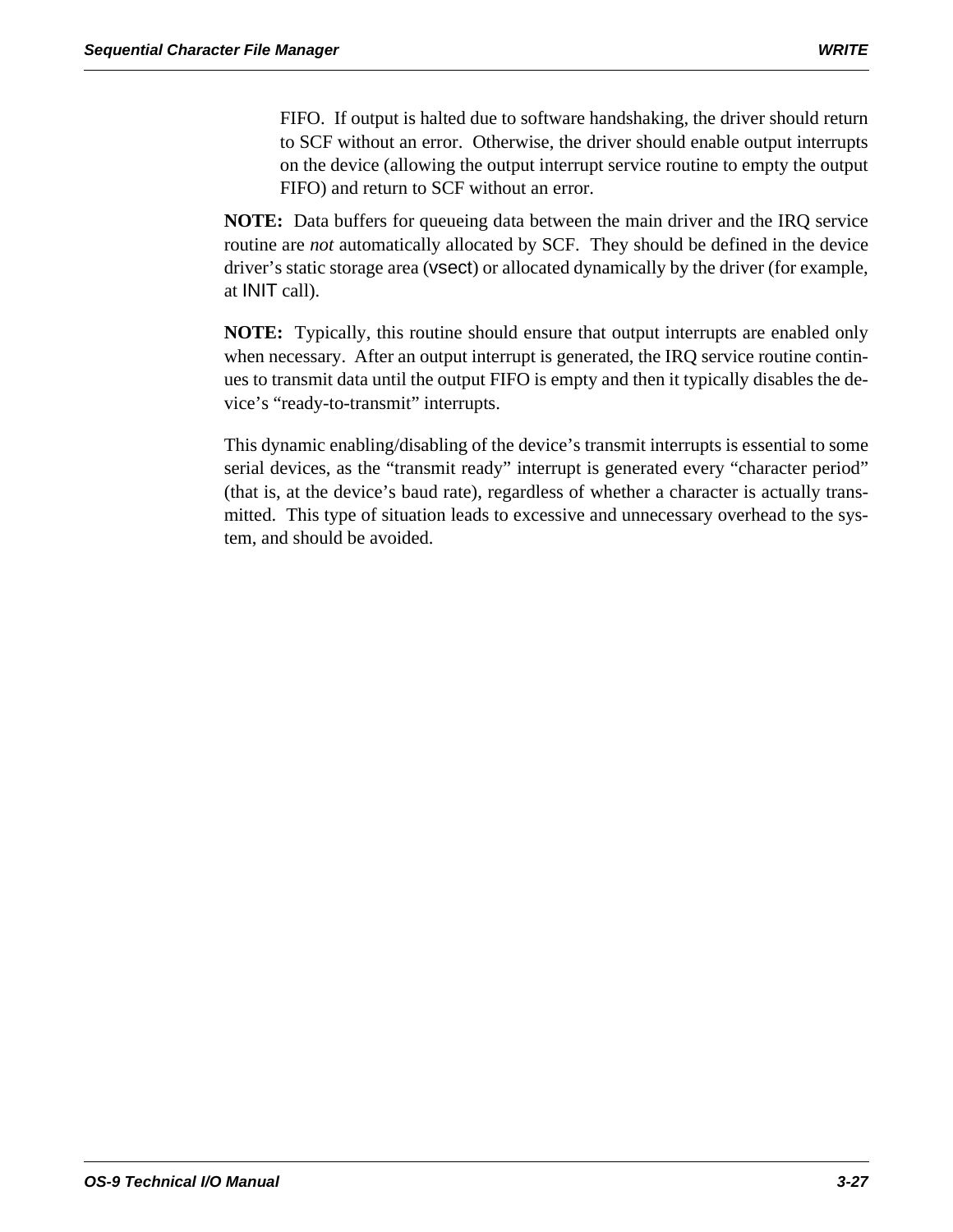FIFO. If output is halted due to software handshaking, the driver should return to SCF without an error. Otherwise, the driver should enable output interrupts on the device (allowing the output interrupt service routine to empty the output FIFO) and return to SCF without an error.

**NOTE:** Data buffers for queueing data between the main driver and the IRQ service routine are *not* automatically allocated by SCF. They should be defined in the device driver's static storage area (vsect) or allocated dynamically by the driver (for example, at INIT call).

**NOTE:** Typically, this routine should ensure that output interrupts are enabled only when necessary. After an output interrupt is generated, the IRQ service routine continues to transmit data until the output FIFO is empty and then it typically disables the device's "ready-to-transmit" interrupts.

This dynamic enabling/disabling of the device's transmit interrupts is essential to some serial devices, as the "transmit ready" interrupt is generated every "character period" (that is, at the device's baud rate), regardless of whether a character is actually transmitted. This type of situation leads to excessive and unnecessary overhead to the system, and should be avoided.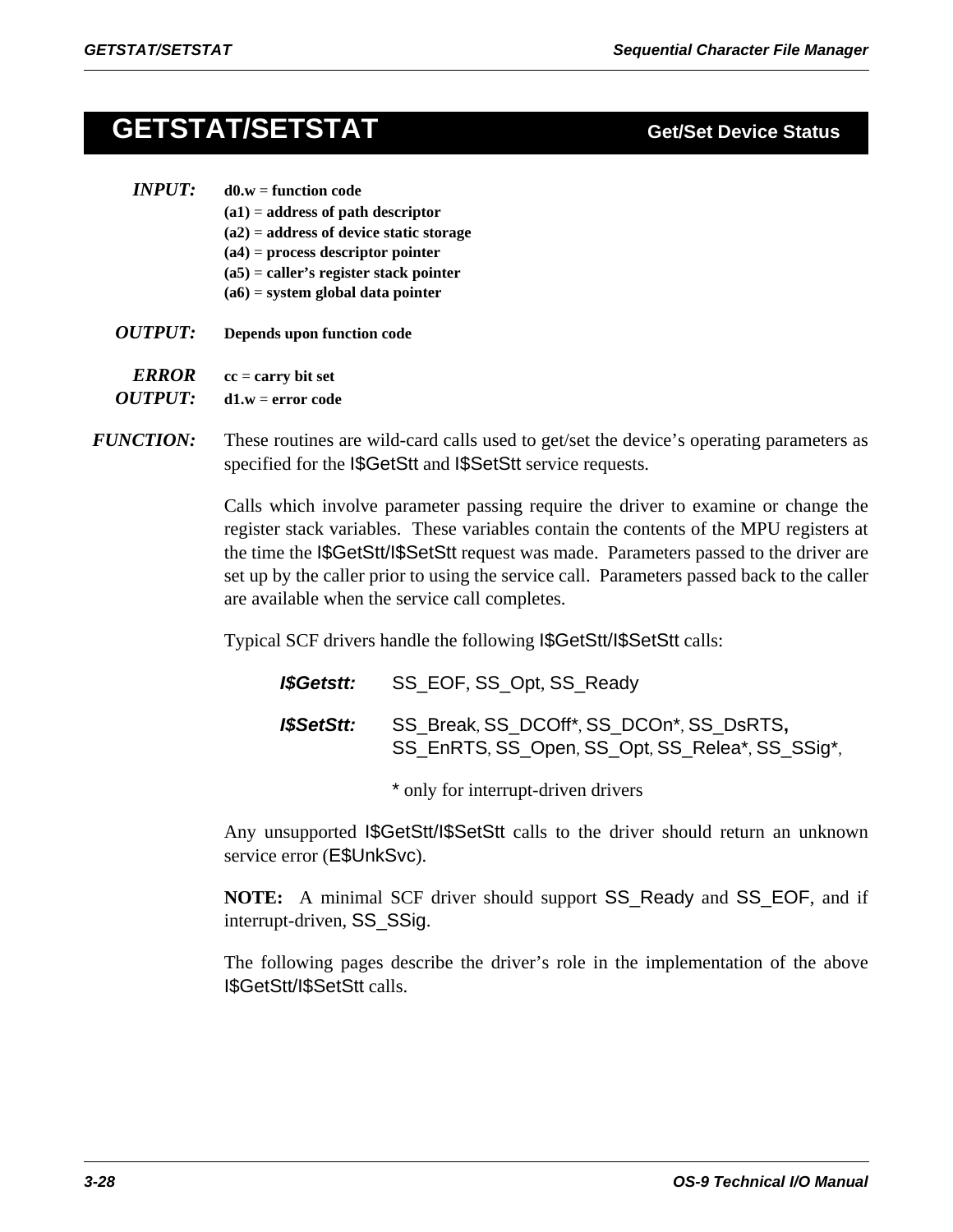# **GETSTAT/SETSTAT Get/Set Device Status**

- *INPUT:* **d0.w** = **function code (a1)** = **address of path descriptor (a2)** = **address of device static storage (a4)** = **process descriptor pointer (a5)** = **caller's register stack pointer (a6)** = **system global data pointer**
- *OUTPUT:* **Depends upon function code**

*ERROR* **cc** = **carry bit set** 

*OUTPUT:* **d1.w** = **error code**

*FUNCTION:* These routines are wild-card calls used to get/set the device's operating parameters as specified for the I\$GetStt and I\$SetStt service requests.

> Calls which involve parameter passing require the driver to examine or change the register stack variables. These variables contain the contents of the MPU registers at the time the I\$GetStt/I\$SetStt request was made. Parameters passed to the driver are set up by the caller prior to using the service call. Parameters passed back to the caller are available when the service call completes.

Typical SCF drivers handle the following I\$GetStt/I\$SetStt calls:

| I\$Getstt: | SS_EOF, SS_Opt, SS_Ready                                                                    |
|------------|---------------------------------------------------------------------------------------------|
| I\$SetStt: | SS Break, SS DCOff*, SS DCOn*, SS DsRTS,<br>SS_EnRTS, SS_Open, SS_Opt, SS_Relea*, SS_SSig*, |

\* only for interrupt-driven drivers

Any unsupported I\$GetStt/I\$SetStt calls to the driver should return an unknown service error (E\$UnkSvc).

**NOTE:** A minimal SCF driver should support SS\_Ready and SS\_EOF, and if interrupt-driven, SS\_SSig.

The following pages describe the driver's role in the implementation of the above I\$GetStt/I\$SetStt calls.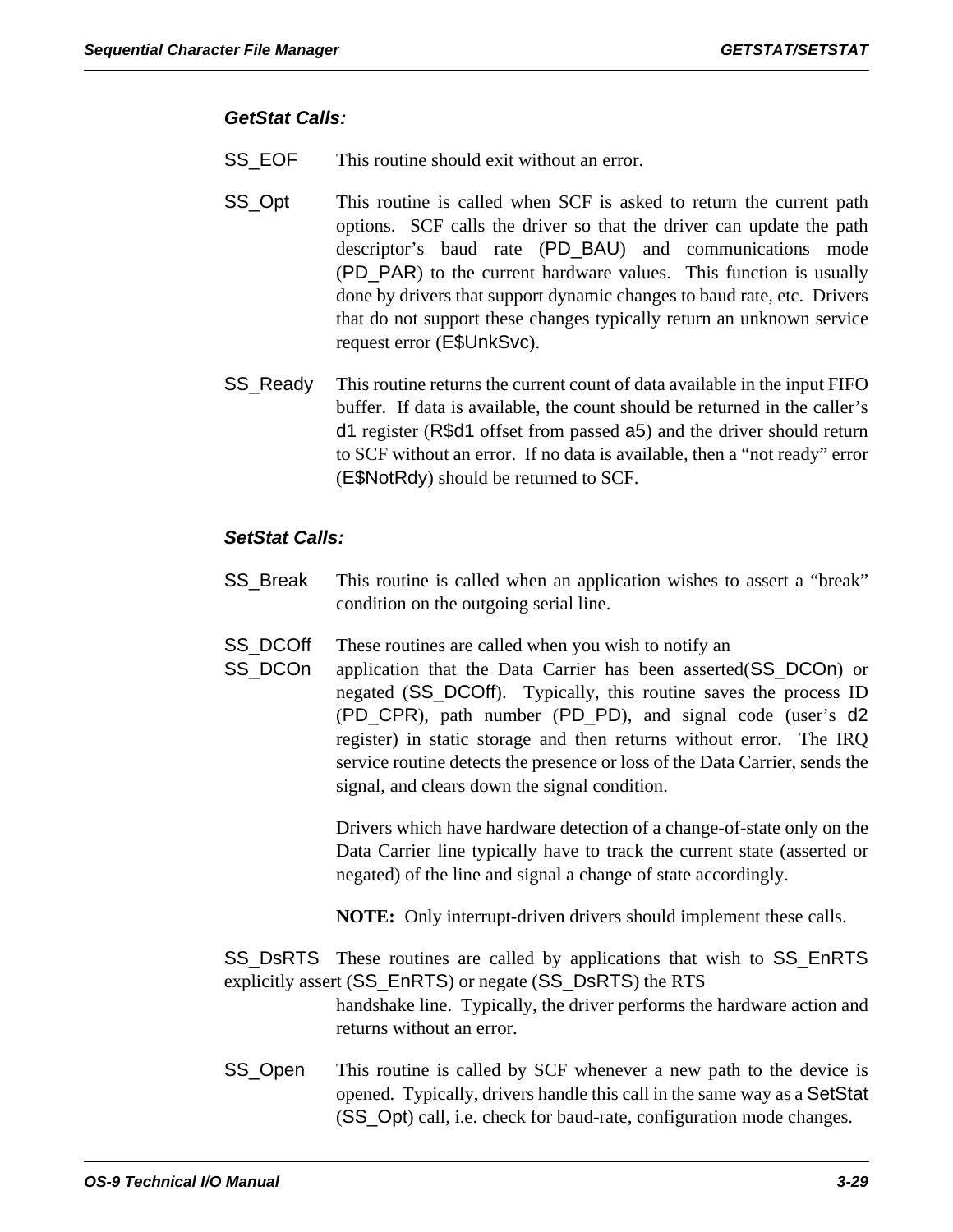### *GetStat Calls:*

- SS\_EOF This routine should exit without an error.
- SS\_Opt This routine is called when SCF is asked to return the current path options. SCF calls the driver so that the driver can update the path descriptor's baud rate (PD\_BAU) and communications mode (PD\_PAR) to the current hardware values. This function is usually done by drivers that support dynamic changes to baud rate, etc. Drivers that do not support these changes typically return an unknown service request error (E\$UnkSvc).
- SS\_Ready This routine returns the current count of data available in the input FIFO buffer. If data is available, the count should be returned in the caller's d1 register (R\$d1 offset from passed a5) and the driver should return to SCF without an error. If no data is available, then a "not ready" error (E\$NotRdy) should be returned to SCF.

### *SetStat Calls:*

- SS\_Break This routine is called when an application wishes to assert a "break" condition on the outgoing serial line.
- SS\_DCOff These routines are called when you wish to notify an
- SS\_DCOn application that the Data Carrier has been asserted(SS\_DCOn) or negated (SS\_DCOff). Typically, this routine saves the process ID (PD\_CPR), path number (PD\_PD), and signal code (user's d2 register) in static storage and then returns without error. The IRQ service routine detects the presence or loss of the Data Carrier, sends the signal, and clears down the signal condition.

Drivers which have hardware detection of a change-of-state only on the Data Carrier line typically have to track the current state (asserted or negated) of the line and signal a change of state accordingly.

**NOTE:** Only interrupt-driven drivers should implement these calls.

- SS\_DsRTS These routines are called by applications that wish to SS\_EnRTS explicitly assert (SS\_EnRTS) or negate (SS\_DsRTS) the RTS handshake line. Typically, the driver performs the hardware action and returns without an error.
- SS\_Open This routine is called by SCF whenever a new path to the device is opened. Typically, drivers handle this call in the same way as a SetStat (SS\_Opt) call, i.e. check for baud-rate, configuration mode changes.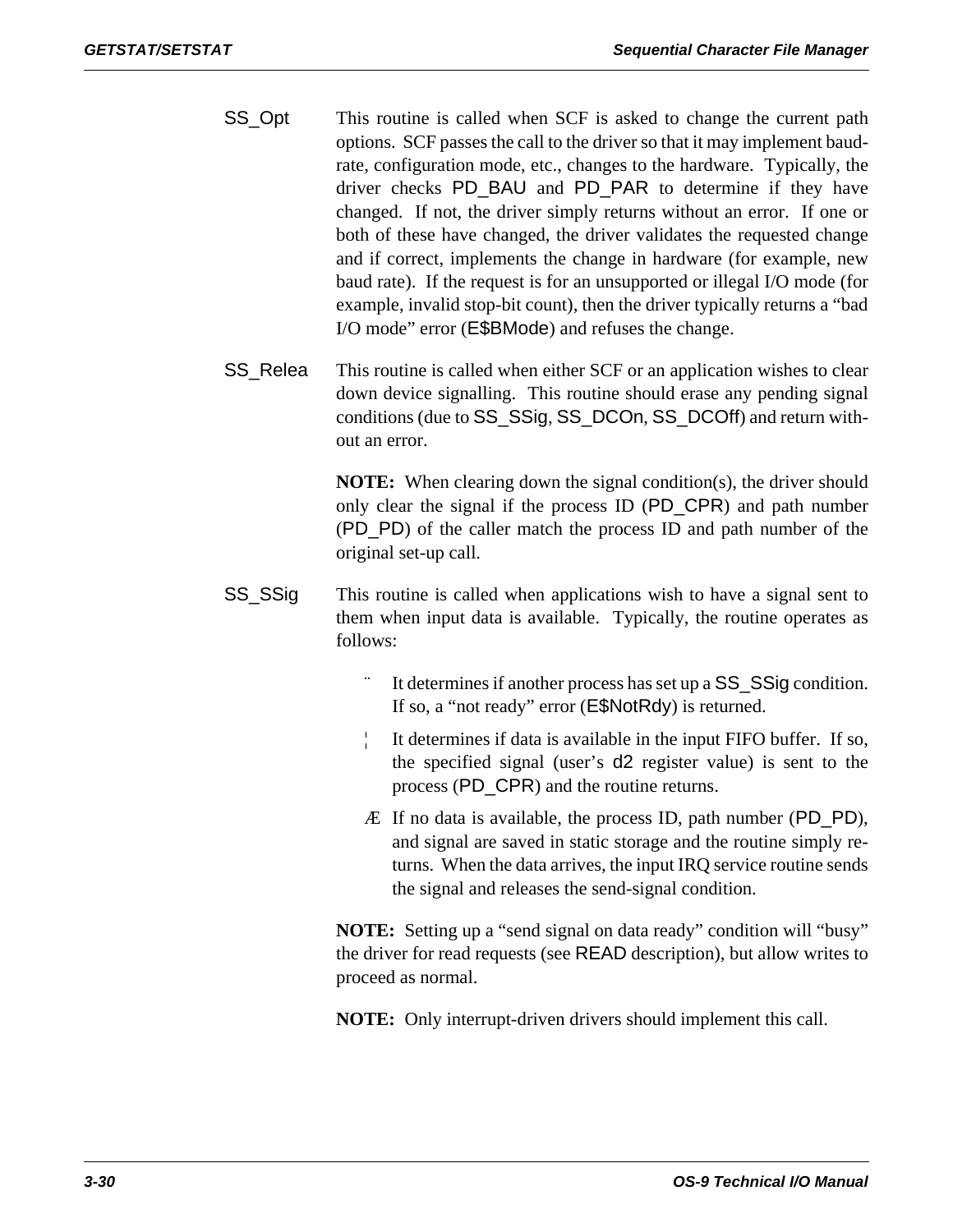- SS\_Opt This routine is called when SCF is asked to change the current path options. SCF passes the call to the driver so that it may implement baudrate, configuration mode, etc., changes to the hardware. Typically, the driver checks PD\_BAU and PD\_PAR to determine if they have changed. If not, the driver simply returns without an error. If one or both of these have changed, the driver validates the requested change and if correct, implements the change in hardware (for example, new baud rate). If the request is for an unsupported or illegal I/O mode (for example, invalid stop-bit count), then the driver typically returns a "bad I/O mode" error (E\$BMode) and refuses the change.
- SS\_Relea This routine is called when either SCF or an application wishes to clear down device signalling. This routine should erase any pending signal conditions (due to SS\_SSig, SS\_DCOn, SS\_DCOff) and return without an error.

**NOTE:** When clearing down the signal condition(s), the driver should only clear the signal if the process ID (PD\_CPR) and path number (PD\_PD) of the caller match the process ID and path number of the original set-up call.

- SS\_SSig This routine is called when applications wish to have a signal sent to them when input data is available. Typically, the routine operates as follows:
	- It determines if another process has set up a  $SS\_SS$ ig condition. If so, a "not ready" error (E\$NotRdy) is returned.
	- ¦ It determines if data is available in the input FIFO buffer. If so, the specified signal (user's d2 register value) is sent to the process (PD\_CPR) and the routine returns.
	- Æ If no data is available, the process ID, path number (PD\_PD), and signal are saved in static storage and the routine simply returns. When the data arrives, the input IRQ service routine sends the signal and releases the send-signal condition.

**NOTE:** Setting up a "send signal on data ready" condition will "busy" the driver for read requests (see READ description), but allow writes to proceed as normal.

**NOTE:** Only interrupt-driven drivers should implement this call.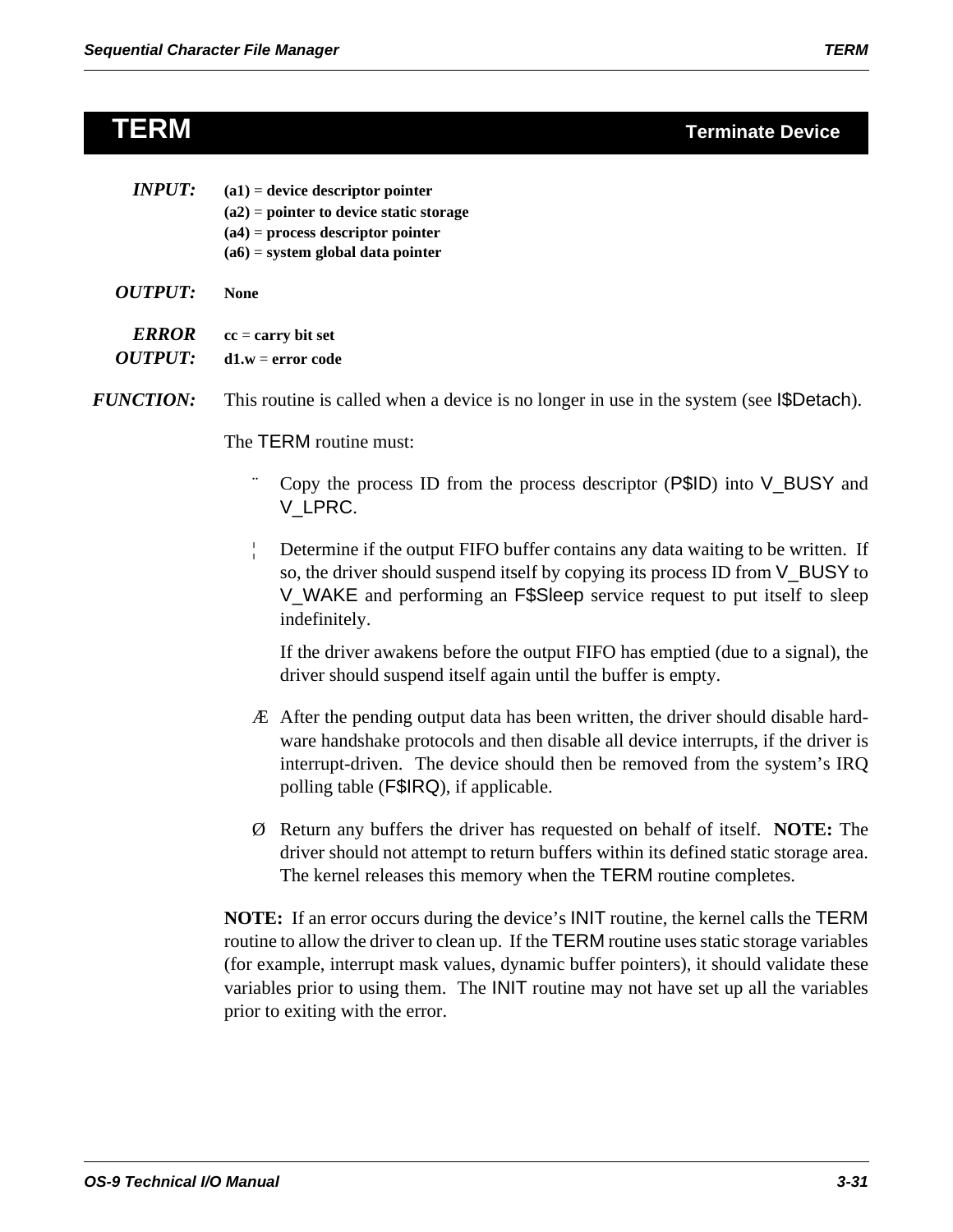# **TERM Terminate Device**

| <i><b>ERROR</b></i>   | $cc = carry bit set$ |
|-----------------------|----------------------|
| <i><b>OUTPUT:</b></i> | $d1.w = error code$  |

*FUNCTION:* This routine is called when a device is no longer in use in the system (see I\$Detach).

The TERM routine must:

- Copy the process ID from the process descriptor  $(P$ID)$  into  $V$ \_BUSY and V\_LPRC.
- ¦ Determine if the output FIFO buffer contains any data waiting to be written. If so, the driver should suspend itself by copying its process ID from V\_BUSY to V\_WAKE and performing an F\$Sleep service request to put itself to sleep indefinitely.

If the driver awakens before the output FIFO has emptied (due to a signal), the driver should suspend itself again until the buffer is empty.

- Æ After the pending output data has been written, the driver should disable hardware handshake protocols and then disable all device interrupts, if the driver is interrupt-driven. The device should then be removed from the system's IRQ polling table (F\$IRQ), if applicable.
- Ø Return any buffers the driver has requested on behalf of itself. **NOTE:** The driver should not attempt to return buffers within its defined static storage area. The kernel releases this memory when the TERM routine completes.

**NOTE:** If an error occurs during the device's INIT routine, the kernel calls the TERM routine to allow the driver to clean up. If the TERM routine uses static storage variables (for example, interrupt mask values, dynamic buffer pointers), it should validate these variables prior to using them. The INIT routine may not have set up all the variables prior to exiting with the error.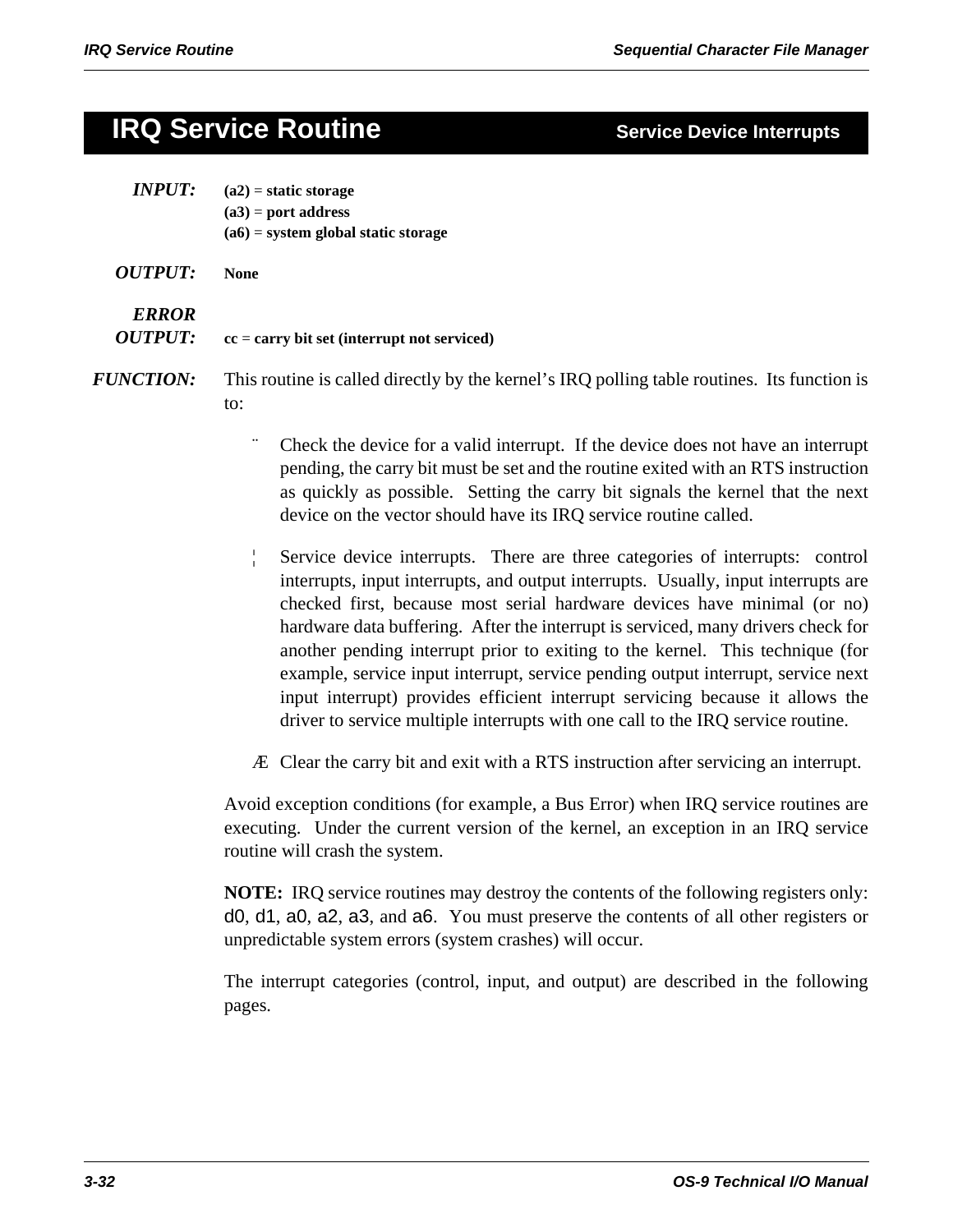# **IRQ Service Routine**

| <b>Service Device Interrupts</b> |  |  |
|----------------------------------|--|--|
|                                  |  |  |

| <b>INPUT:</b>                  | $(a2)$ = static storage<br>$(a3)$ = port address<br>$(a6)$ = system global static storage                                                                                                                                                                                                                                   |  |
|--------------------------------|-----------------------------------------------------------------------------------------------------------------------------------------------------------------------------------------------------------------------------------------------------------------------------------------------------------------------------|--|
| <b>OUTPUT:</b>                 | <b>None</b>                                                                                                                                                                                                                                                                                                                 |  |
| <b>ERROR</b><br><b>OUTPUT:</b> | $cc = carry bit set (interrupt not serviced)$                                                                                                                                                                                                                                                                               |  |
| <i><b>FUNCTION:</b></i>        | This routine is called directly by the kernel's IRQ polling table routines. Its function is<br>to:                                                                                                                                                                                                                          |  |
|                                | Check the device for a valid interrupt. If the device does not have an interrupt<br>pending, the carry bit must be set and the routine exited with an RTS instruction<br>as quickly as possible. Setting the carry bit signals the kernel that the next<br>device on the vector should have its IRQ service routine called. |  |
|                                | Service device interrupts. There are three categories of interrupts: control<br>interrupts, input interrupts, and output interrupts. Usually, input interrupts are                                                                                                                                                          |  |

checked first, because most serial hardware devices have minimal (or no) hardware data buffering. After the interrupt is serviced, many drivers check for another pending interrupt prior to exiting to the kernel. This technique (for example, service input interrupt, service pending output interrupt, service next input interrupt) provides efficient interrupt servicing because it allows the driver to service multiple interrupts with one call to the IRQ service routine.

Æ Clear the carry bit and exit with a RTS instruction after servicing an interrupt.

Avoid exception conditions (for example, a Bus Error) when IRQ service routines are executing. Under the current version of the kernel, an exception in an IRQ service routine will crash the system.

**NOTE:** IRQ service routines may destroy the contents of the following registers only: d0, d1, a0, a2, a3, and a6. You must preserve the contents of all other registers or unpredictable system errors (system crashes) will occur.

The interrupt categories (control, input, and output) are described in the following pages.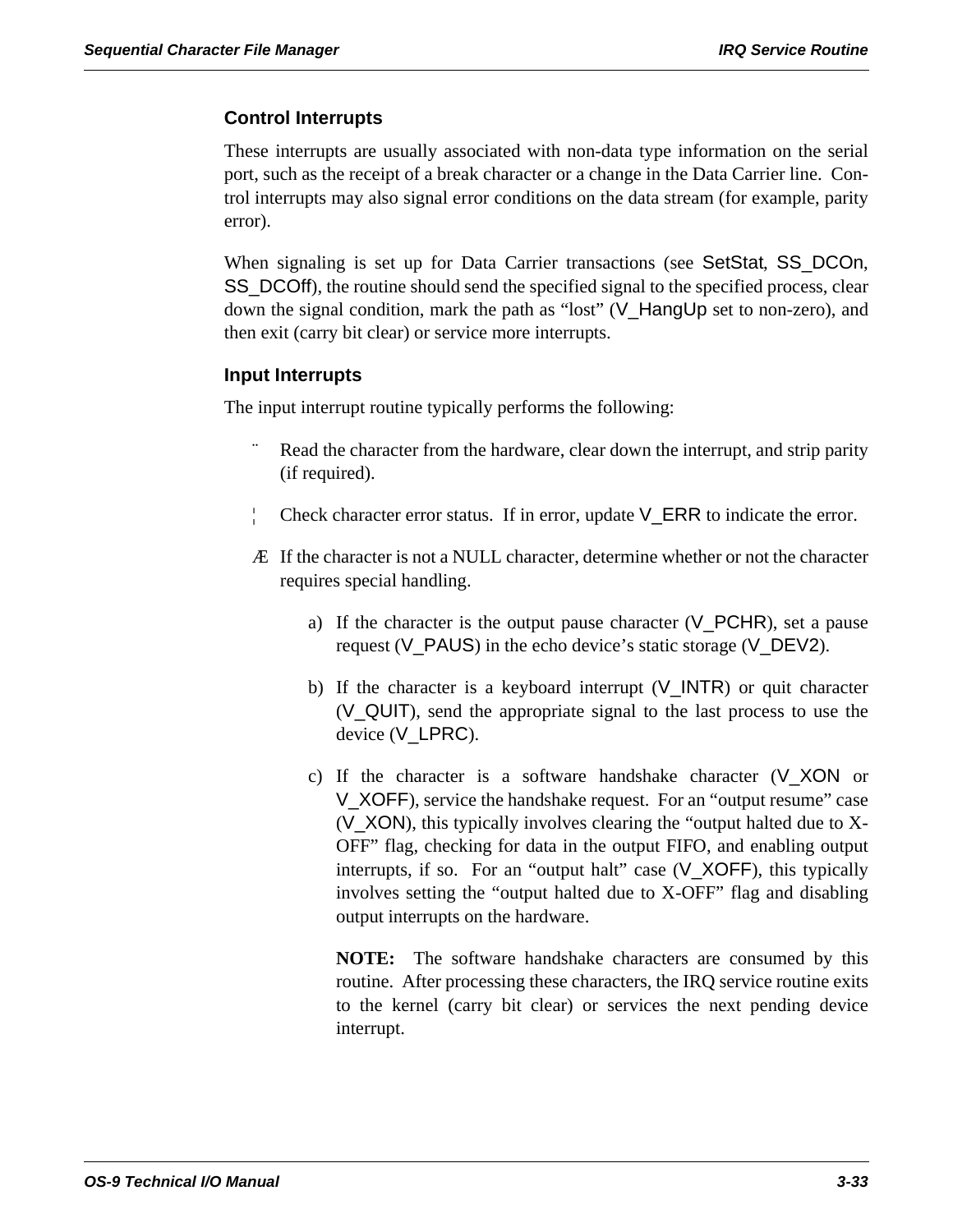### **Control Interrupts**

These interrupts are usually associated with non-data type information on the serial port, such as the receipt of a break character or a change in the Data Carrier line. Control interrupts may also signal error conditions on the data stream (for example, parity error).

When signaling is set up for Data Carrier transactions (see SetStat, SS\_DCOn, SS\_DCOff), the routine should send the specified signal to the specified process, clear down the signal condition, mark the path as "lost" (V\_HangUp set to non-zero), and then exit (carry bit clear) or service more interrupts.

### **Input Interrupts**

The input interrupt routine typically performs the following:

- Read the character from the hardware, clear down the interrupt, and strip parity (if required).
- Check character error status. If in error, update V\_ERR to indicate the error.
- Æ If the character is not a NULL character, determine whether or not the character requires special handling.
	- a) If the character is the output pause character  $(V_PCHR)$ , set a pause request (V\_PAUS) in the echo device's static storage (V\_DEV2).
	- b) If the character is a keyboard interrupt  $(V_{{\text{NTR}}} )$  or quit character (V\_QUIT), send the appropriate signal to the last process to use the device (V\_LPRC).
	- c) If the character is a software handshake character (V\_XON or V\_XOFF), service the handshake request. For an "output resume" case (V\_XON), this typically involves clearing the "output halted due to X-OFF" flag, checking for data in the output FIFO, and enabling output interrupts, if so. For an "output halt" case (V\_XOFF), this typically involves setting the "output halted due to X-OFF" flag and disabling output interrupts on the hardware.

**NOTE:** The software handshake characters are consumed by this routine. After processing these characters, the IRQ service routine exits to the kernel (carry bit clear) or services the next pending device interrupt.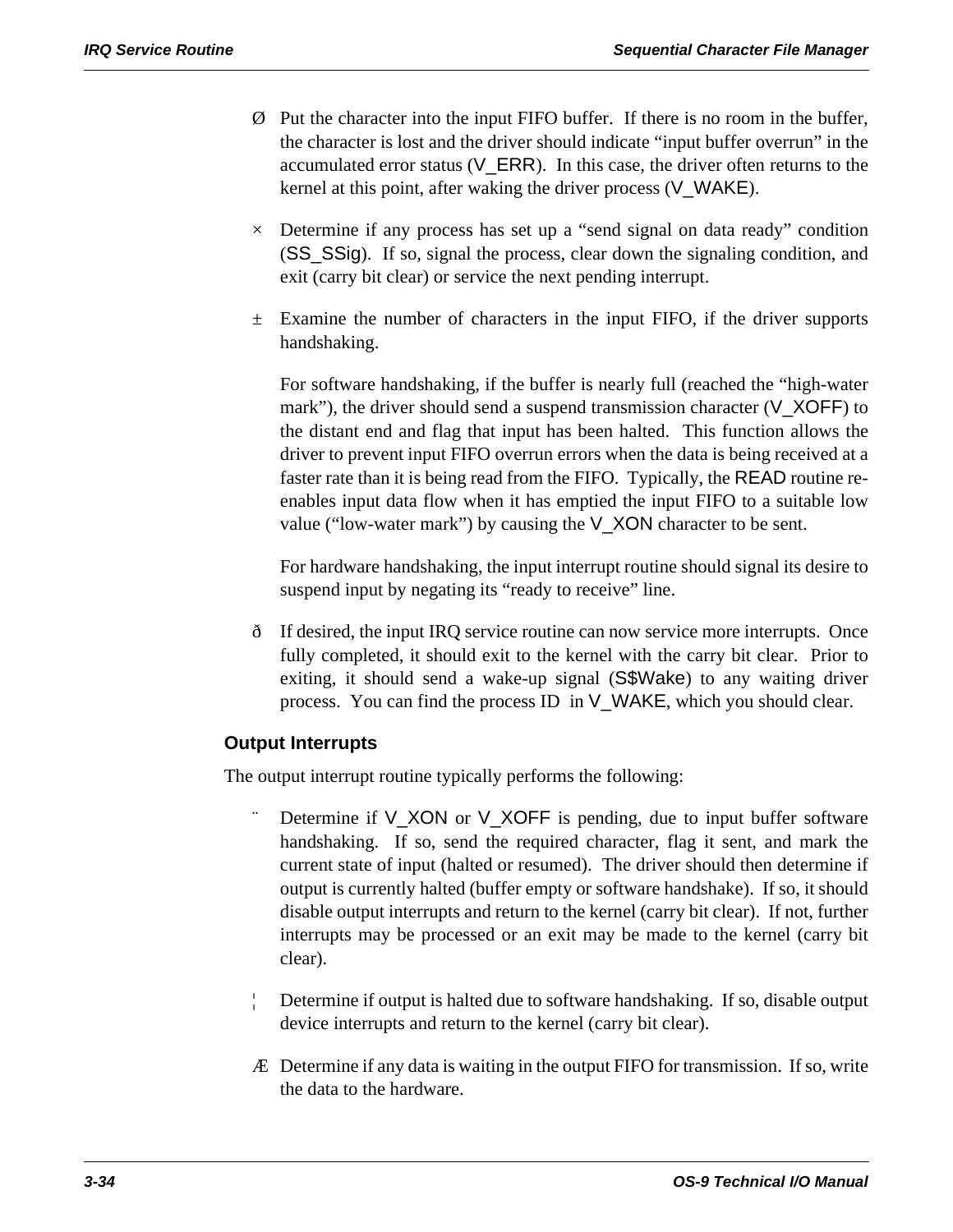- Ø Put the character into the input FIFO buffer. If there is no room in the buffer, the character is lost and the driver should indicate "input buffer overrun" in the accumulated error status (V\_ERR). In this case, the driver often returns to the kernel at this point, after waking the driver process (V\_WAKE).
- $\times$  Determine if any process has set up a "send signal on data ready" condition (SS\_SSig). If so, signal the process, clear down the signaling condition, and exit (carry bit clear) or service the next pending interrupt.
- $\pm$  Examine the number of characters in the input FIFO, if the driver supports handshaking.

For software handshaking, if the buffer is nearly full (reached the "high-water mark"), the driver should send a suspend transmission character (V\_XOFF) to the distant end and flag that input has been halted. This function allows the driver to prevent input FIFO overrun errors when the data is being received at a faster rate than it is being read from the FIFO. Typically, the READ routine reenables input data flow when it has emptied the input FIFO to a suitable low value ("low-water mark") by causing the V\_XON character to be sent.

For hardware handshaking, the input interrupt routine should signal its desire to suspend input by negating its "ready to receive" line.

ð If desired, the input IRQ service routine can now service more interrupts. Once fully completed, it should exit to the kernel with the carry bit clear. Prior to exiting, it should send a wake-up signal (S\$Wake) to any waiting driver process. You can find the process ID in V\_WAKE, which you should clear.

# **Output Interrupts**

The output interrupt routine typically performs the following:

- Determine if  $V_XON$  or  $V_XOFF$  is pending, due to input buffer software handshaking. If so, send the required character, flag it sent, and mark the current state of input (halted or resumed). The driver should then determine if output is currently halted (buffer empty or software handshake). If so, it should disable output interrupts and return to the kernel (carry bit clear). If not, further interrupts may be processed or an exit may be made to the kernel (carry bit clear).
- ¦ Determine if output is halted due to software handshaking. If so, disable output device interrupts and return to the kernel (carry bit clear).
- Æ Determine if any data is waiting in the output FIFO for transmission. If so, write the data to the hardware.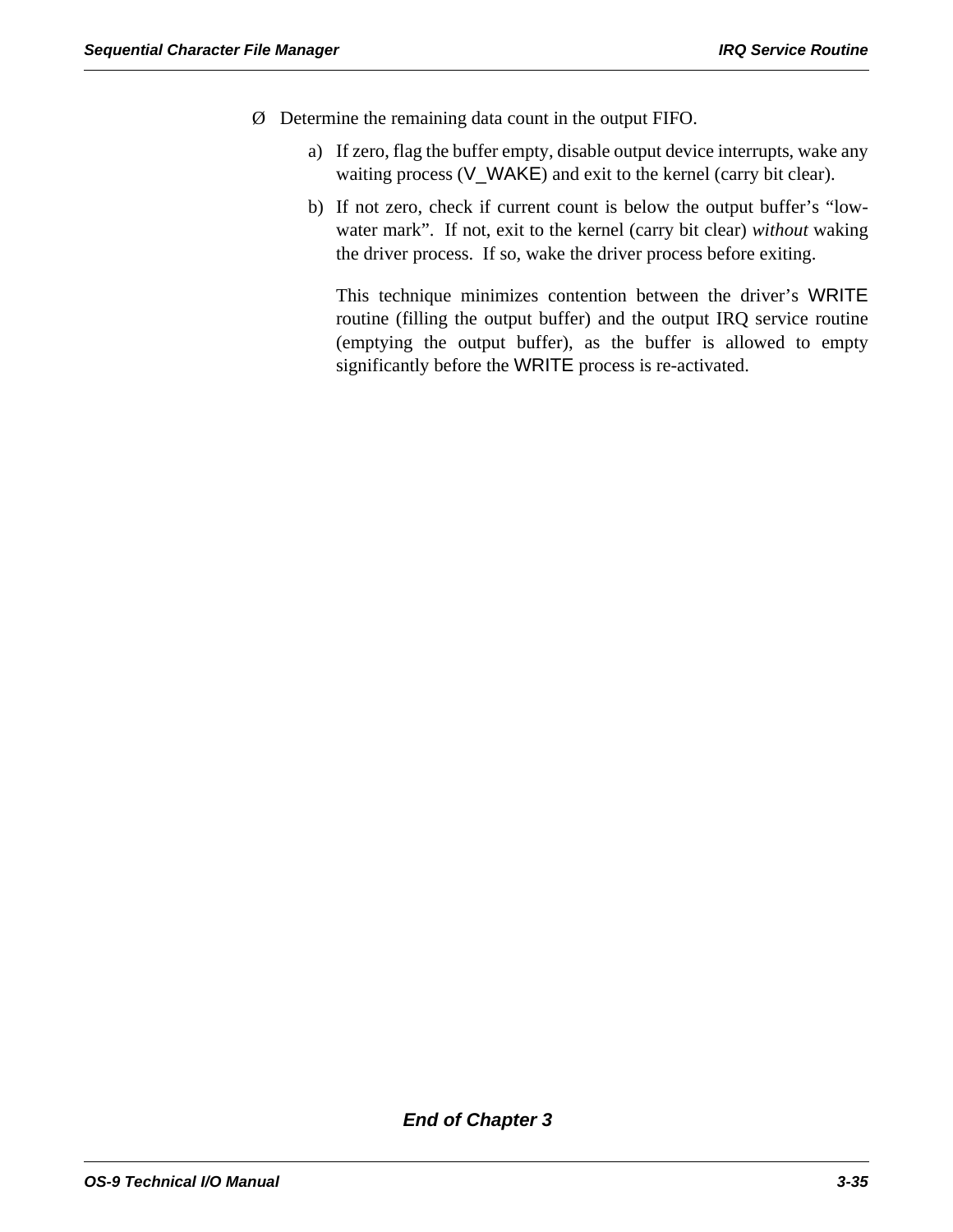- Ø Determine the remaining data count in the output FIFO.
	- a) If zero, flag the buffer empty, disable output device interrupts, wake any waiting process (V\_WAKE) and exit to the kernel (carry bit clear).
	- b) If not zero, check if current count is below the output buffer's "lowwater mark". If not, exit to the kernel (carry bit clear) *without* waking the driver process. If so, wake the driver process before exiting.

This technique minimizes contention between the driver's WRITE routine (filling the output buffer) and the output IRQ service routine (emptying the output buffer), as the buffer is allowed to empty significantly before the WRITE process is re-activated.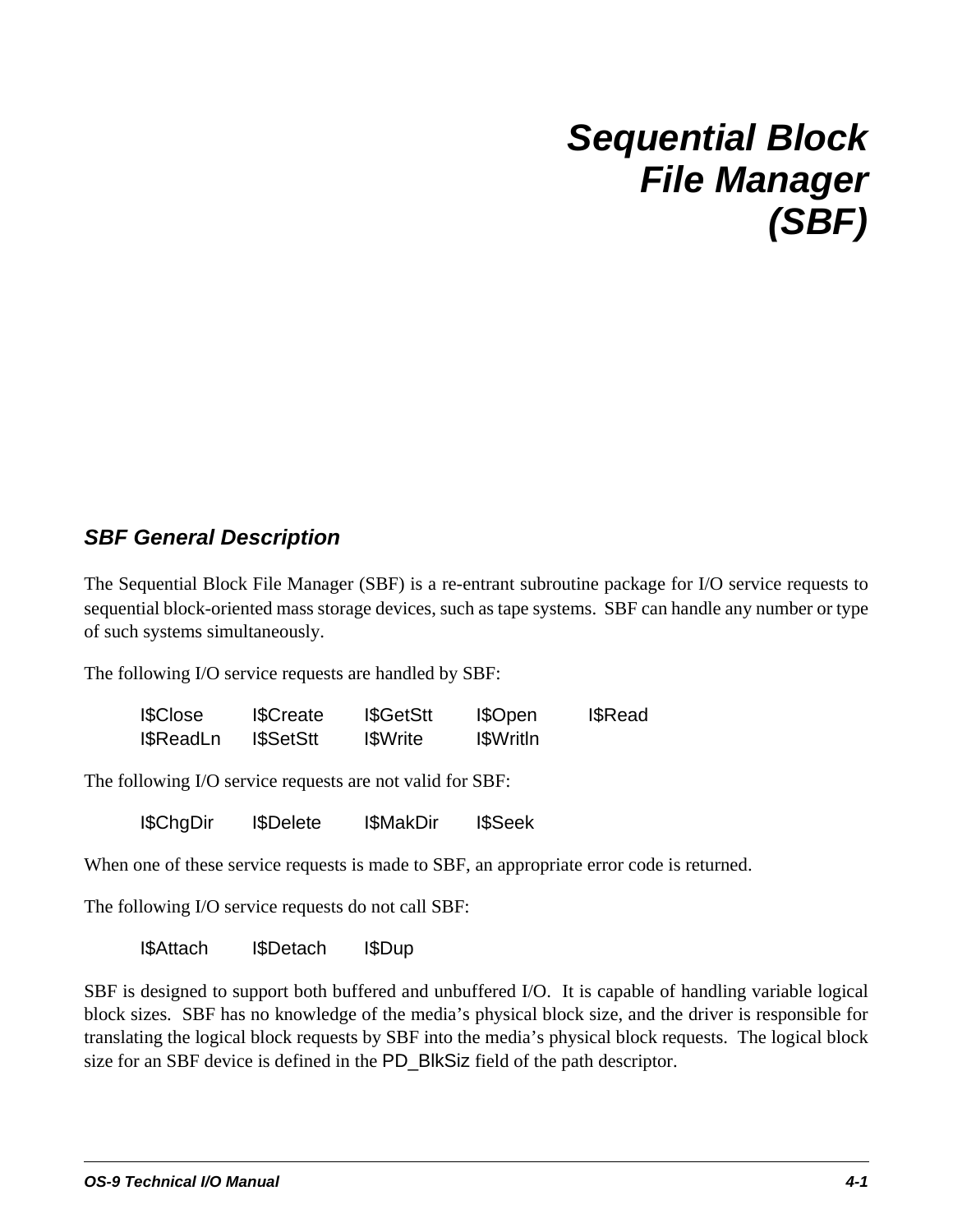# *Sequential Block File Manager (SBF)*

# *SBF General Description*

The Sequential Block File Manager (SBF) is a re-entrant subroutine package for I/O service requests to sequential block-oriented mass storage devices, such as tape systems. SBF can handle any number or type of such systems simultaneously.

The following I/O service requests are handled by SBF:

| <b>I\$Close</b>   | <b>I</b> SCreate | <b>I</b> \$GetStt | I\$Open           | <b>I</b> \$Read |
|-------------------|------------------|-------------------|-------------------|-----------------|
| <b>I</b> \$ReadLn | <b>ISSetStt</b>  | <b>I</b> SWrite   | <b>I</b> \$WritIn |                 |

The following I/O service requests are not valid for SBF:

I\$ChgDir I\$Delete I\$MakDir I\$Seek

When one of these service requests is made to SBF, an appropriate error code is returned.

The following I/O service requests do not call SBF:

I\$Attach I\$Detach I\$Dup

SBF is designed to support both buffered and unbuffered I/O. It is capable of handling variable logical block sizes. SBF has no knowledge of the media's physical block size, and the driver is responsible for translating the logical block requests by SBF into the media's physical block requests. The logical block size for an SBF device is defined in the PD\_BlkSiz field of the path descriptor.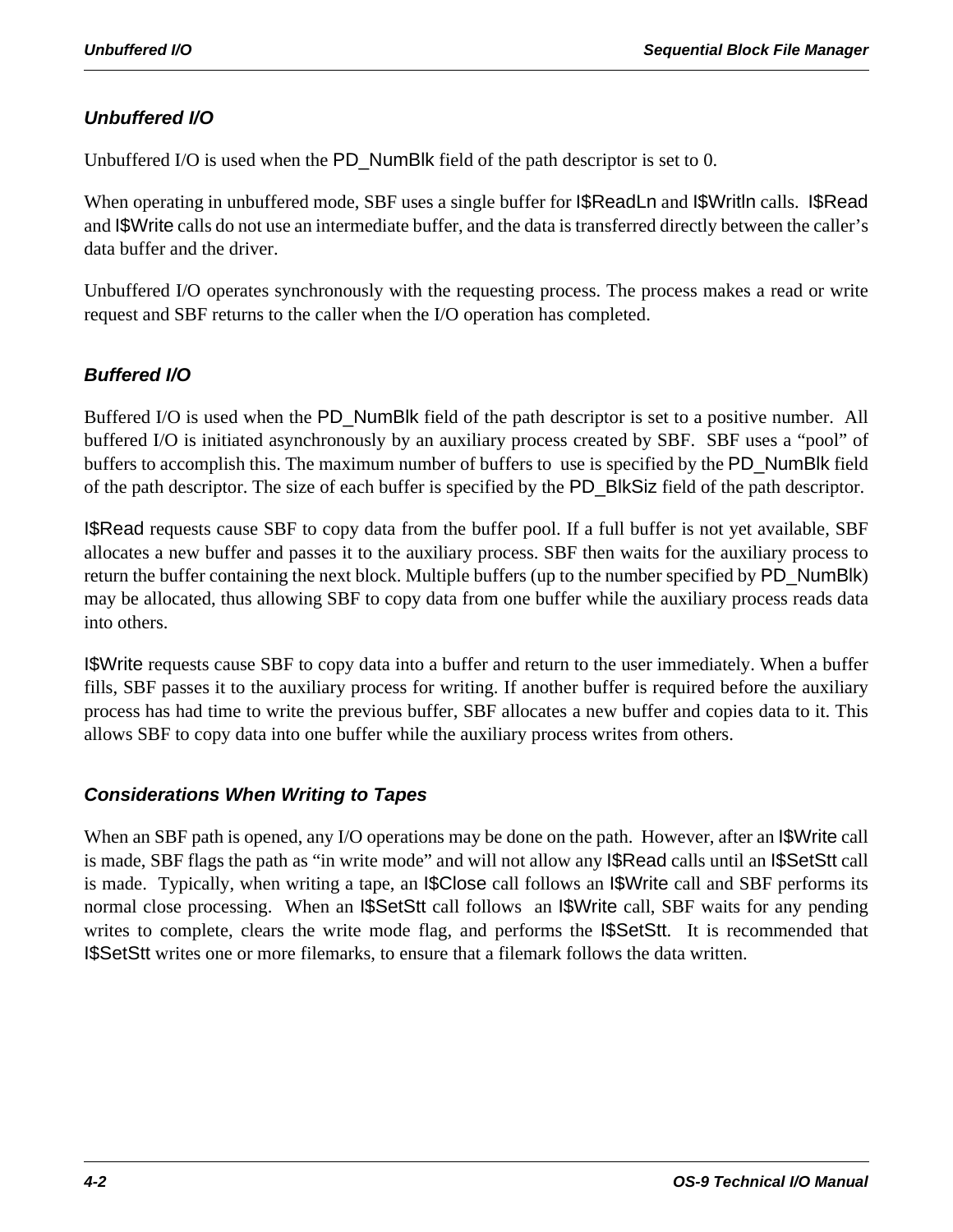# *Unbuffered I/O*

Unbuffered I/O is used when the PD\_NumBlk field of the path descriptor is set to 0.

When operating in unbuffered mode, SBF uses a single buffer for I\$ReadLn and I\$Writln calls. I\$Read and I\$Write calls do not use an intermediate buffer, and the data is transferred directly between the caller's data buffer and the driver.

Unbuffered I/O operates synchronously with the requesting process. The process makes a read or write request and SBF returns to the caller when the I/O operation has completed.

# *Buffered I/O*

Buffered I/O is used when the PD\_NumBlk field of the path descriptor is set to a positive number. All buffered I/O is initiated asynchronously by an auxiliary process created by SBF. SBF uses a "pool" of buffers to accomplish this. The maximum number of buffers to use is specified by the PD\_NumBlk field of the path descriptor. The size of each buffer is specified by the PD\_BlkSiz field of the path descriptor.

I\$Read requests cause SBF to copy data from the buffer pool. If a full buffer is not yet available, SBF allocates a new buffer and passes it to the auxiliary process. SBF then waits for the auxiliary process to return the buffer containing the next block. Multiple buffers (up to the number specified by PD\_NumBlk) may be allocated, thus allowing SBF to copy data from one buffer while the auxiliary process reads data into others.

I\$Write requests cause SBF to copy data into a buffer and return to the user immediately. When a buffer fills, SBF passes it to the auxiliary process for writing. If another buffer is required before the auxiliary process has had time to write the previous buffer, SBF allocates a new buffer and copies data to it. This allows SBF to copy data into one buffer while the auxiliary process writes from others.

# *Considerations When Writing to Tapes*

When an SBF path is opened, any I/O operations may be done on the path. However, after an I\$Write call is made, SBF flags the path as "in write mode" and will not allow any I\$Read calls until an I\$SetStt call is made. Typically, when writing a tape, an I\$Close call follows an I\$Write call and SBF performs its normal close processing. When an I\$SetStt call follows an I\$Write call, SBF waits for any pending writes to complete, clears the write mode flag, and performs the **I\$SetStt**. It is recommended that I\$SetStt writes one or more filemarks, to ensure that a filemark follows the data written.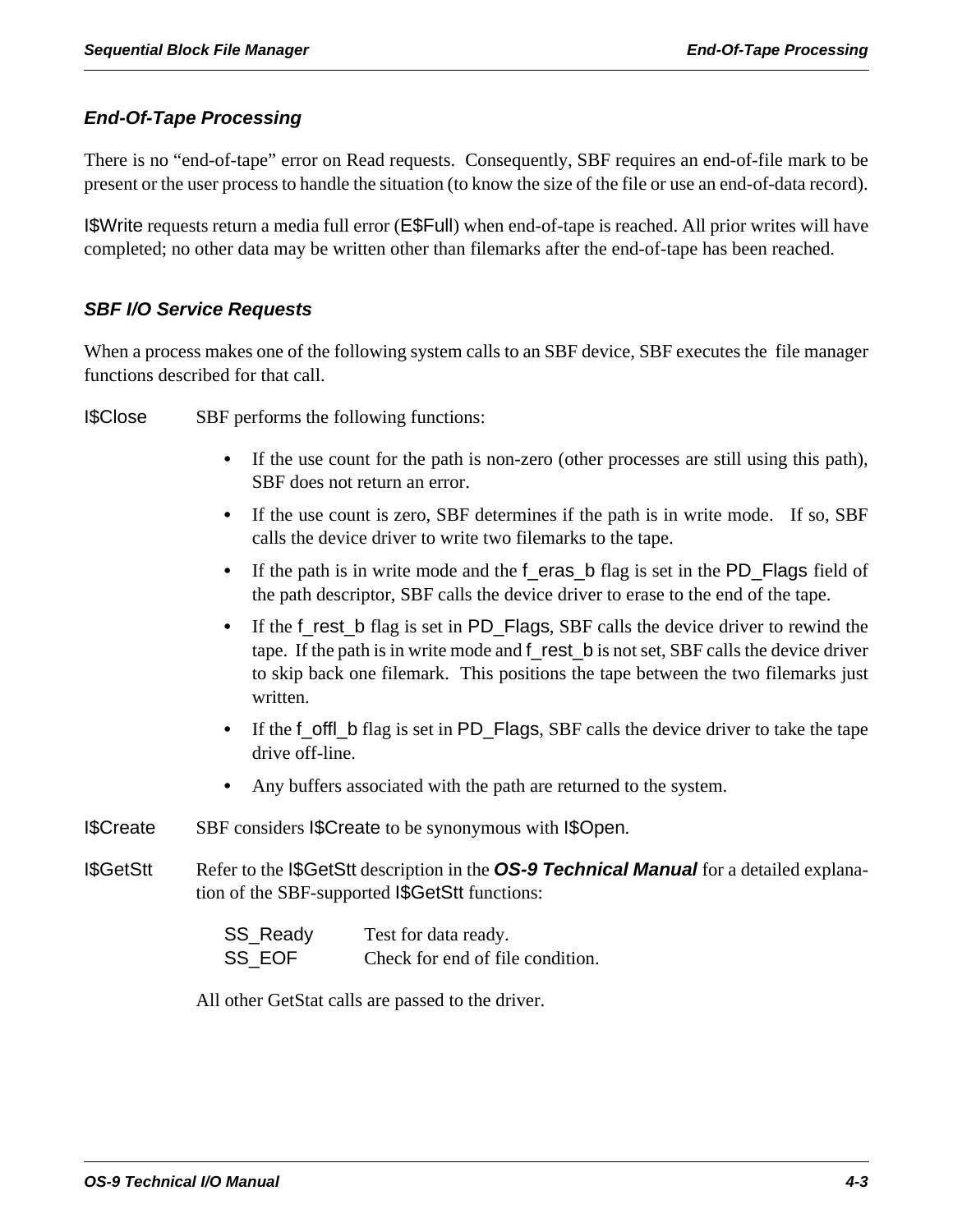# *End-Of-Tape Processing*

There is no "end-of-tape" error on Read requests. Consequently, SBF requires an end-of-file mark to be present or the user process to handle the situation (to know the size of the file or use an end-of-data record).

I\$Write requests return a media full error (E\$Full) when end-of-tape is reached. All prior writes will have completed; no other data may be written other than filemarks after the end-of-tape has been reached.

### *SBF I/O Service Requests*

When a process makes one of the following system calls to an SBF device, SBF executes the file manager functions described for that call.

I\$Close SBF performs the following functions:

- **•** If the use count for the path is non-zero (other processes are still using this path), SBF does not return an error.
- **•** If the use count is zero, SBF determines if the path is in write mode. If so, SBF calls the device driver to write two filemarks to the tape.
- If the path is in write mode and the f\_eras\_b flag is set in the PD\_Flags field of the path descriptor, SBF calls the device driver to erase to the end of the tape.
- If the f\_rest\_b flag is set in PD\_Flags, SBF calls the device driver to rewind the tape. If the path is in write mode and f\_rest\_b is not set, SBF calls the device driver to skip back one filemark. This positions the tape between the two filemarks just written.
- **•** If the f\_offl\_b flag is set in PD\_Flags, SBF calls the device driver to take the tape drive off-line.
- **•** Any buffers associated with the path are returned to the system.
- I\$Create SBF considers I\$Create to be synonymous with I\$Open.
- I\$GetStt Refer to the I\$GetStt description in the *OS-9 Technical Manual* for a detailed explanation of the SBF-supported I\$GetStt functions:

| SS_Ready | Test for data ready.             |
|----------|----------------------------------|
| SS EOF   | Check for end of file condition. |

All other GetStat calls are passed to the driver.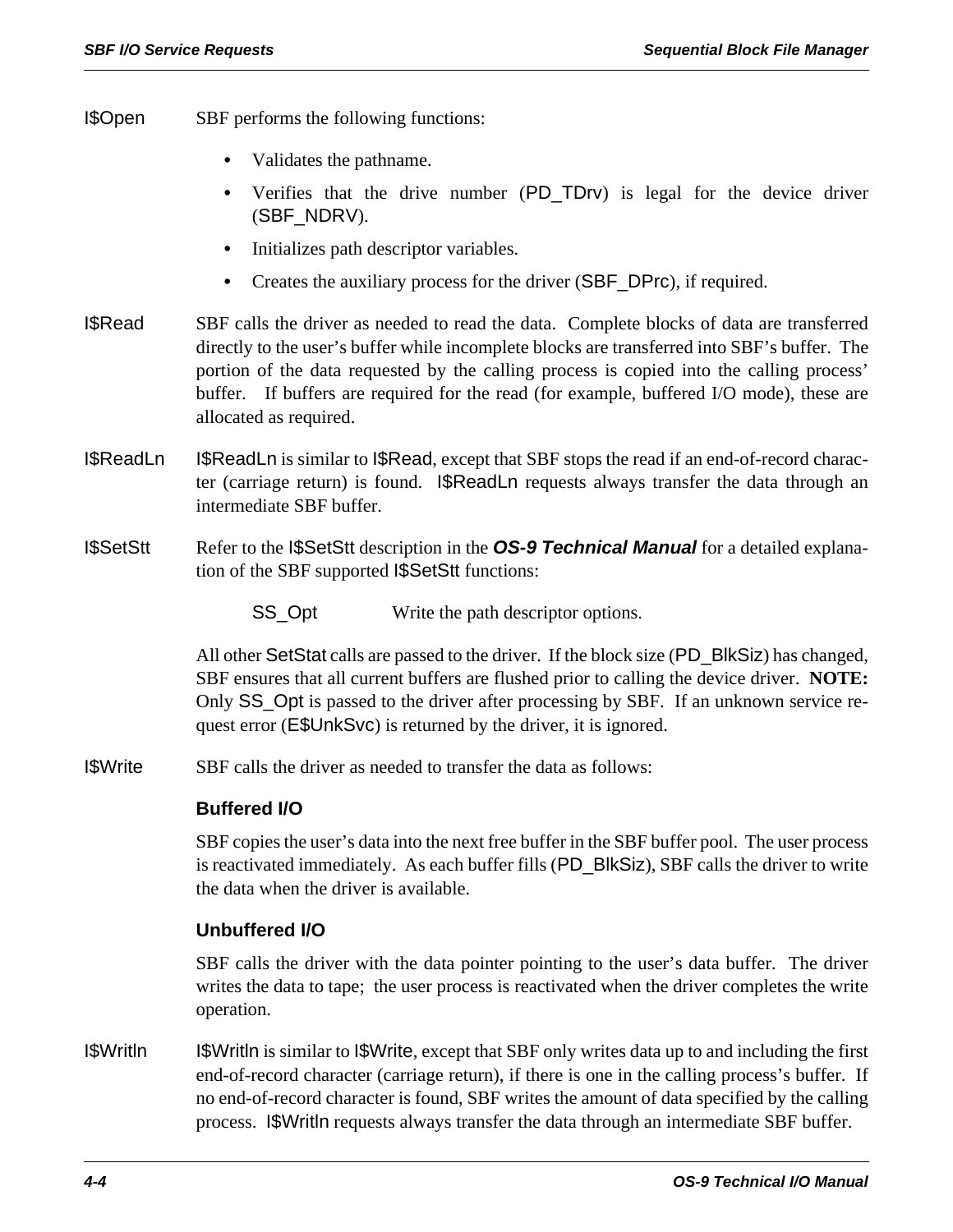- I\$Open SBF performs the following functions:
	- **•** Validates the pathname.
	- Verifies that the drive number (PD\_TDrv) is legal for the device driver (SBF\_NDRV).
	- **•** Initializes path descriptor variables.
	- **•** Creates the auxiliary process for the driver (SBF\_DPrc), if required.
- I\$Read SBF calls the driver as needed to read the data. Complete blocks of data are transferred directly to the user's buffer while incomplete blocks are transferred into SBF's buffer. The portion of the data requested by the calling process is copied into the calling process' buffer. If buffers are required for the read (for example, buffered I/O mode), these are allocated as required.
- I\$ReadLn I\$ReadLn is similar to I\$Read, except that SBF stops the read if an end-of-record character (carriage return) is found. I\$ReadLn requests always transfer the data through an intermediate SBF buffer.
- I\$SetStt Refer to the I\$SetStt description in the *OS-9 Technical Manual* for a detailed explanation of the SBF supported I\$SetStt functions:

SS\_Opt Write the path descriptor options.

All other SetStat calls are passed to the driver. If the block size (PD\_BlkSiz) has changed, SBF ensures that all current buffers are flushed prior to calling the device driver. **NOTE:** Only SS\_Opt is passed to the driver after processing by SBF. If an unknown service request error (E\$UnkSvc) is returned by the driver, it is ignored.

I\$Write SBF calls the driver as needed to transfer the data as follows:

### **Buffered I/O**

SBF copies the user's data into the next free buffer in the SBF buffer pool. The user process is reactivated immediately. As each buffer fills (PD\_BlkSiz), SBF calls the driver to write the data when the driver is available.

### **Unbuffered I/O**

SBF calls the driver with the data pointer pointing to the user's data buffer. The driver writes the data to tape; the user process is reactivated when the driver completes the write operation.

I\$Writln I\$Writln is similar to I\$Write, except that SBF only writes data up to and including the first end-of-record character (carriage return), if there is one in the calling process's buffer. If no end-of-record character is found, SBF writes the amount of data specified by the calling process. I\$Writln requests always transfer the data through an intermediate SBF buffer.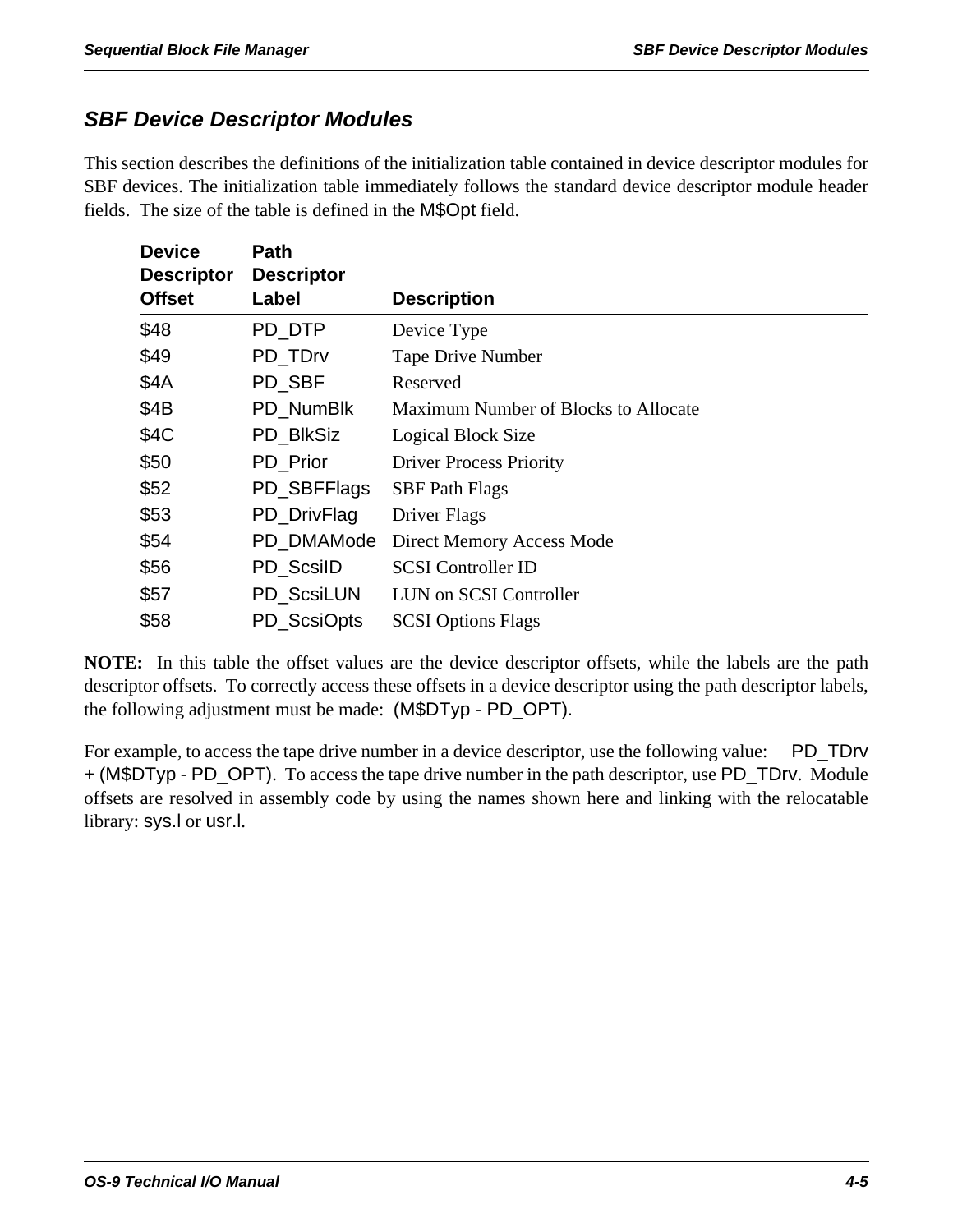# *SBF Device Descriptor Modules*

This section describes the definitions of the initialization table contained in device descriptor modules for SBF devices. The initialization table immediately follows the standard device descriptor module header fields. The size of the table is defined in the M\$Opt field.

| <b>Device</b><br><b>Descriptor</b> | Path<br><b>Descriptor</b> |                                      |
|------------------------------------|---------------------------|--------------------------------------|
| <b>Offset</b>                      | Label                     | <b>Description</b>                   |
| \$48                               | PD_DTP                    | Device Type                          |
| \$49                               | PD TDrv                   | <b>Tape Drive Number</b>             |
| \$4A                               | PD SBF                    | Reserved                             |
| \$4B                               | PD NumBlk                 | Maximum Number of Blocks to Allocate |
| \$4C                               | PD_BIkSiz                 | Logical Block Size                   |
| \$50                               | PD_Prior                  | <b>Driver Process Priority</b>       |
| \$52                               | PD_SBFFlags               | <b>SBF</b> Path Flags                |
| \$53                               | PD_DrivFlag               | Driver Flags                         |
| \$54                               | PD DMAMode                | Direct Memory Access Mode            |
| \$56                               | PD ScsilD                 | <b>SCSI</b> Controller ID            |
| \$57                               | PD ScsiLUN                | LUN on SCSI Controller               |
| \$58                               | PD ScsiOpts               | <b>SCSI Options Flags</b>            |

**NOTE:** In this table the offset values are the device descriptor offsets, while the labels are the path descriptor offsets. To correctly access these offsets in a device descriptor using the path descriptor labels, the following adjustment must be made: (M\$DTyp - PD\_OPT).

For example, to access the tape drive number in a device descriptor, use the following value: PD\_TDrv + (M\$DTyp - PD\_OPT). To access the tape drive number in the path descriptor, use PD\_TDrv. Module offsets are resolved in assembly code by using the names shown here and linking with the relocatable library: sys.l or usr.l.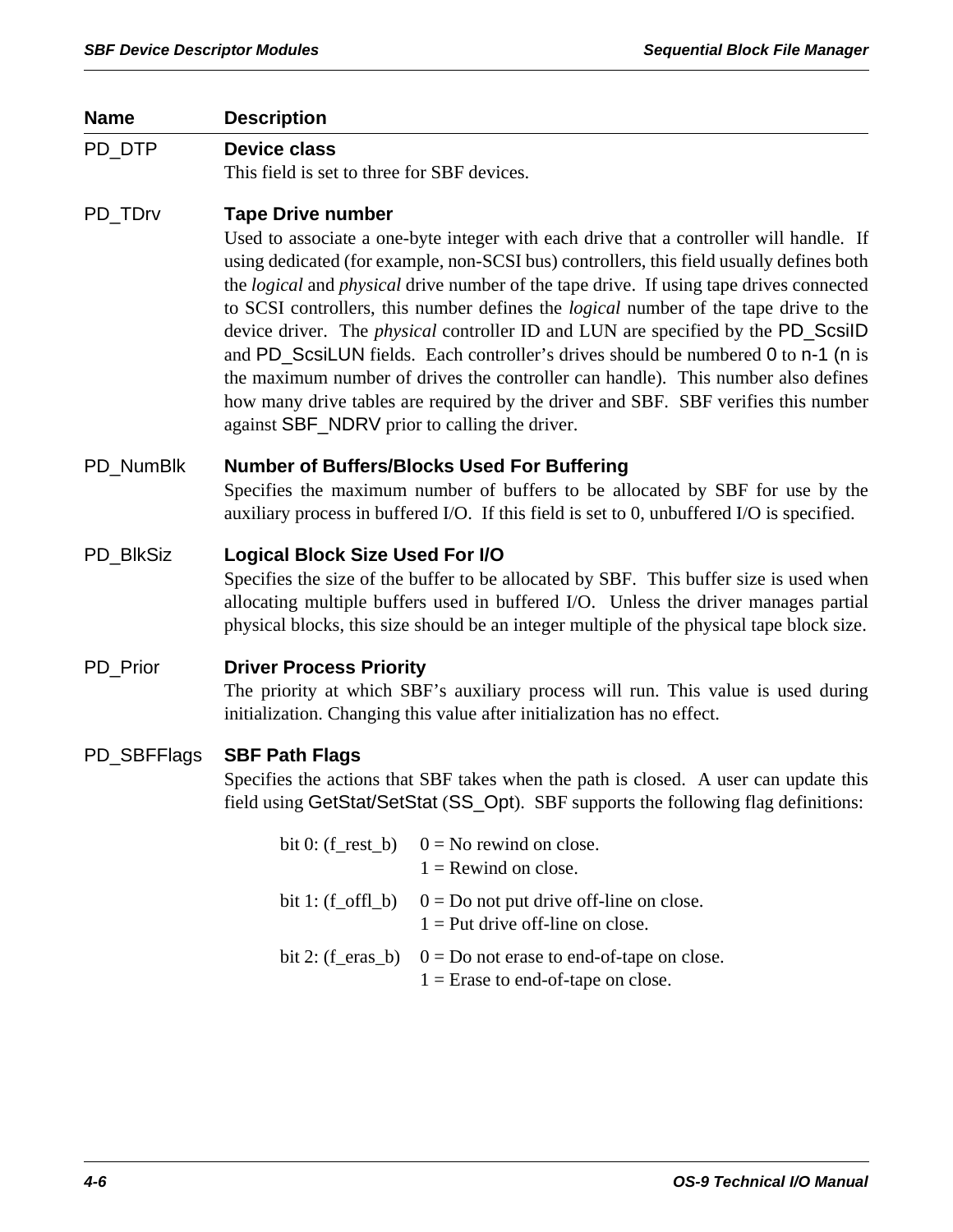# **Name Description**  PD\_DTP **Device class** This field is set to three for SBF devices. PD\_TDrv **Tape Drive number** Used to associate a one-byte integer with each drive that a controller will handle. If using dedicated (for example, non-SCSI bus) controllers, this field usually defines both the *logical* and *physical* drive number of the tape drive. If using tape drives connected to SCSI controllers, this number defines the *logical* number of the tape drive to the device driver. The *physical* controller ID and LUN are specified by the PD\_ScsiID and PD ScsiLUN fields. Each controller's drives should be numbered 0 to n-1 (n is the maximum number of drives the controller can handle). This number also defines how many drive tables are required by the driver and SBF. SBF verifies this number against SBF\_NDRV prior to calling the driver. PD\_NumBlk **Number of Buffers/Blocks Used For Buffering** Specifies the maximum number of buffers to be allocated by SBF for use by the auxiliary process in buffered I/O. If this field is set to 0, unbuffered I/O is specified. PD\_BlkSiz **Logical Block Size Used For I/O** Specifies the size of the buffer to be allocated by SBF. This buffer size is used when allocating multiple buffers used in buffered I/O. Unless the driver manages partial physical blocks, this size should be an integer multiple of the physical tape block size. PD\_Prior **Driver Process Priority** The priority at which SBF's auxiliary process will run. This value is used during initialization. Changing this value after initialization has no effect. PD\_SBFFlags **SBF Path Flags** Specifies the actions that SBF takes when the path is closed. A user can update this field using GetStat/SetStat (SS\_Opt). SBF supports the following flag definitions: bit 0: (f\_rest\_b)  $0 = No$  rewind on close.  $1 =$ Rewind on close. bit 1:  $(f_offL)$   $0 = Do$  not put drive off-line on close.  $1 =$  Put drive off-line on close. bit 2:  $(f_{\text{e}}$  eras\_b)  $0 = Do$  not erase to end-of-tape on close.  $1 =$  Erase to end-of-tape on close.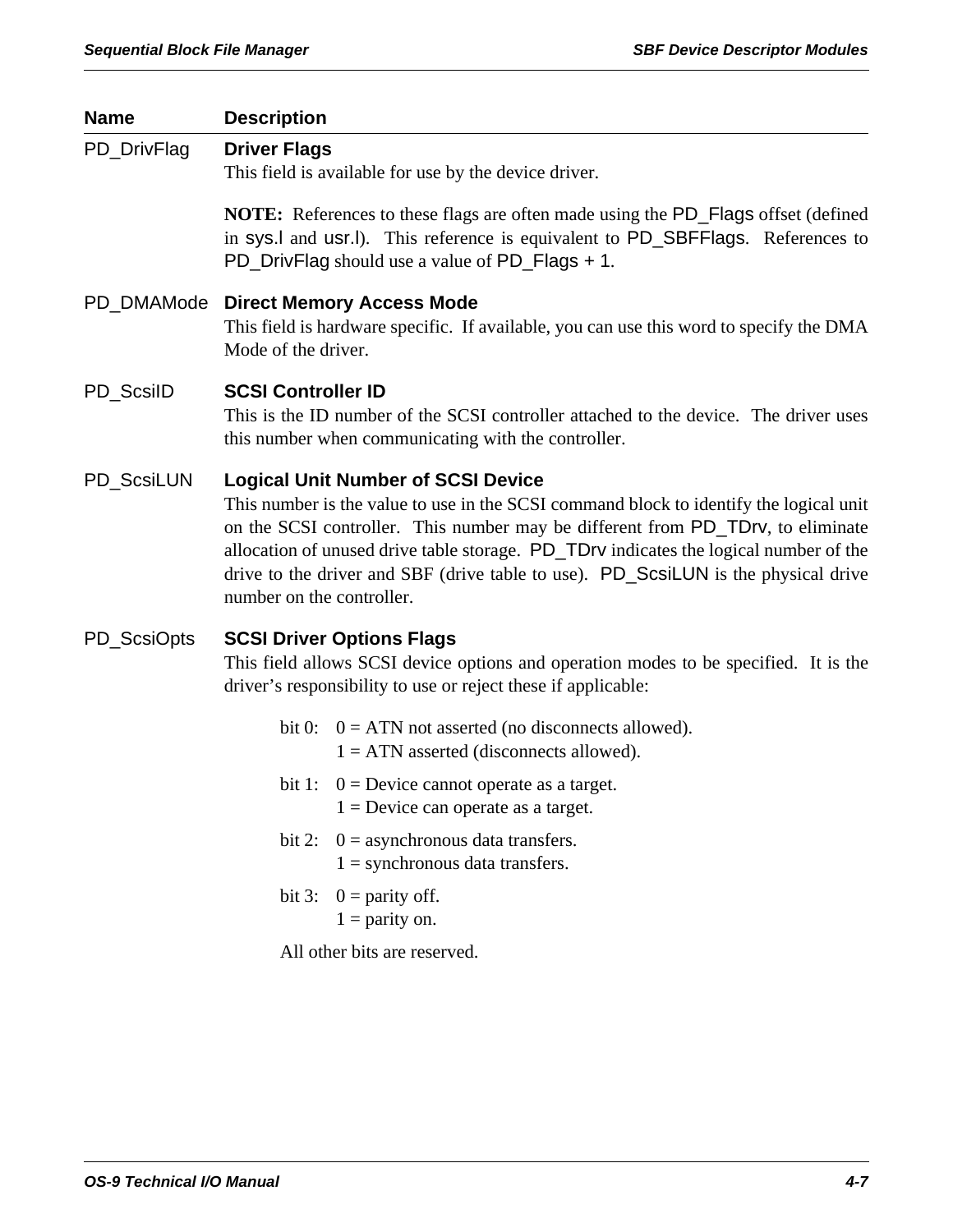| <b>Name</b> | <b>Description</b>                                                                                                                                                                                                                                                                                                                                                                                                                 |  |
|-------------|------------------------------------------------------------------------------------------------------------------------------------------------------------------------------------------------------------------------------------------------------------------------------------------------------------------------------------------------------------------------------------------------------------------------------------|--|
| PD_DrivFlag | <b>Driver Flags</b><br>This field is available for use by the device driver.                                                                                                                                                                                                                                                                                                                                                       |  |
|             | NOTE: References to these flags are often made using the PD_Flags offset (defined<br>in sys.l and usr.l). This reference is equivalent to PD_SBFFlags. References to<br>PD_DrivFlag should use a value of PD_Flags + 1.                                                                                                                                                                                                            |  |
|             | PD_DMAMode Direct Memory Access Mode<br>This field is hardware specific. If available, you can use this word to specify the DMA<br>Mode of the driver.                                                                                                                                                                                                                                                                             |  |
| PD_ScsiID   | <b>SCSI Controller ID</b><br>This is the ID number of the SCSI controller attached to the device. The driver uses<br>this number when communicating with the controller.                                                                                                                                                                                                                                                           |  |
| PD_ScsiLUN  | <b>Logical Unit Number of SCSI Device</b><br>This number is the value to use in the SCSI command block to identify the logical unit<br>on the SCSI controller. This number may be different from PD_TDrv, to eliminate<br>allocation of unused drive table storage. PD_TDrv indicates the logical number of the<br>drive to the driver and SBF (drive table to use). PD_ScsiLUN is the physical drive<br>number on the controller. |  |
| PD_ScsiOpts | <b>SCSI Driver Options Flags</b><br>This field allows SCSI device options and operation modes to be specified. It is the<br>driver's responsibility to use or reject these if applicable:                                                                                                                                                                                                                                          |  |
|             | bit 0: $0 = ATN$ not asserted (no disconnects allowed).<br>$1 = ATN$ asserted (disconnects allowed).                                                                                                                                                                                                                                                                                                                               |  |
|             | bit 1: $0 =$ Device cannot operate as a target.<br>$1 =$ Device can operate as a target.                                                                                                                                                                                                                                                                                                                                           |  |
|             | $0 =$ asynchronous data transfers.<br>bit 2:<br>$1 =$ synchronous data transfers.                                                                                                                                                                                                                                                                                                                                                  |  |
|             | bit 3: $0 =$ parity off.<br>$1 =$ parity on.                                                                                                                                                                                                                                                                                                                                                                                       |  |
|             | All other bits are reserved.                                                                                                                                                                                                                                                                                                                                                                                                       |  |
|             |                                                                                                                                                                                                                                                                                                                                                                                                                                    |  |
|             |                                                                                                                                                                                                                                                                                                                                                                                                                                    |  |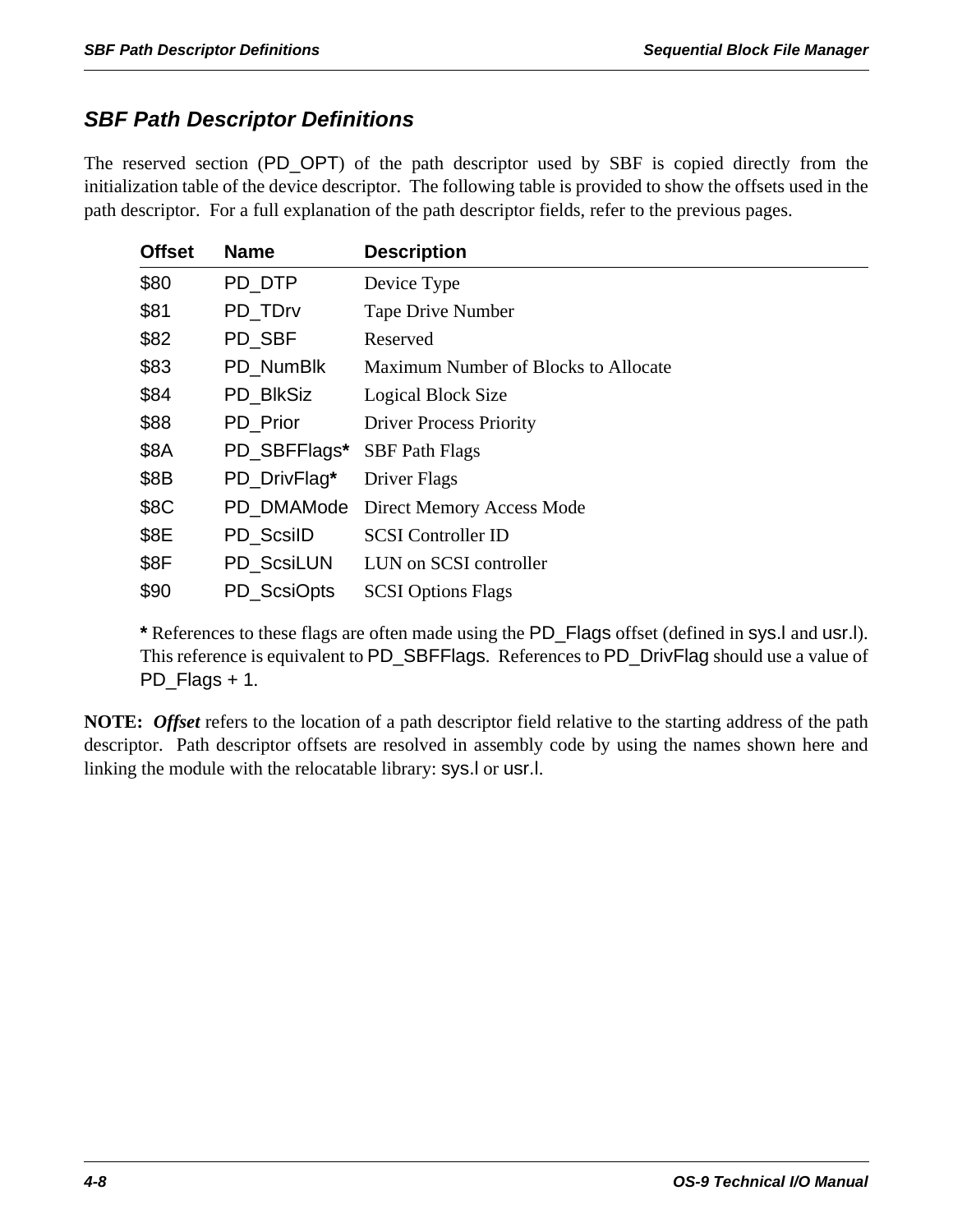# *SBF Path Descriptor Definitions*

The reserved section (PD\_OPT) of the path descriptor used by SBF is copied directly from the initialization table of the device descriptor. The following table is provided to show the offsets used in the path descriptor. For a full explanation of the path descriptor fields, refer to the previous pages.

| <b>Offset</b> | <b>Name</b>      | <b>Description</b>                   |
|---------------|------------------|--------------------------------------|
| \$80          | PD_DTP           | Device Type                          |
| \$81          | PD_TDrv          | <b>Tape Drive Number</b>             |
| \$82          | PD_SBF           | Reserved                             |
| \$83          | PD NumBlk        | Maximum Number of Blocks to Allocate |
| \$84          | <b>PD BlkSiz</b> | Logical Block Size                   |
| \$88          | PD_Prior         | <b>Driver Process Priority</b>       |
| \$8A          | PD_SBFFlags*     | <b>SBF Path Flags</b>                |
| \$8B          | PD_DrivFlag*     | Driver Flags                         |
| \$8C          | PD DMAMode       | <b>Direct Memory Access Mode</b>     |
| \$8E          | PD_ScsilD        | <b>SCSI</b> Controller ID            |
| \$8F          | PD ScsiLUN       | LUN on SCSI controller               |
| \$90          | PD ScsiOpts      | <b>SCSI Options Flags</b>            |

**\*** References to these flags are often made using the PD\_Flags offset (defined in sys.l and usr.l). This reference is equivalent to PD\_SBFFlags. References to PD\_DrivFlag should use a value of PD\_Flags + 1.

**NOTE:** *Offset* refers to the location of a path descriptor field relative to the starting address of the path descriptor. Path descriptor offsets are resolved in assembly code by using the names shown here and linking the module with the relocatable library: sys.l or usr.l.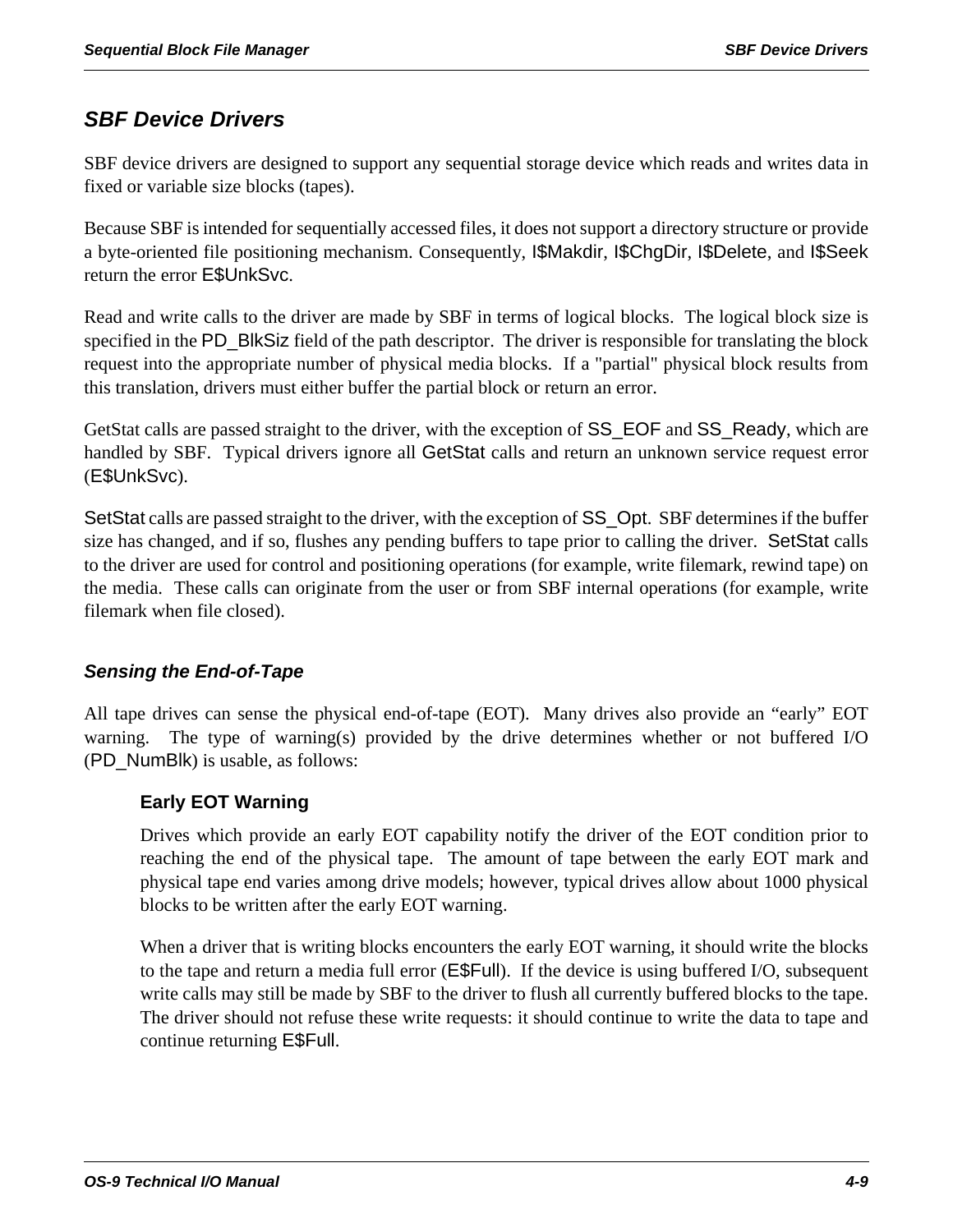# *SBF Device Drivers*

SBF device drivers are designed to support any sequential storage device which reads and writes data in fixed or variable size blocks (tapes).

Because SBF is intended for sequentially accessed files, it does not support a directory structure or provide a byte-oriented file positioning mechanism. Consequently, I\$Makdir, I\$ChgDir, I\$Delete, and I\$Seek return the error E\$UnkSvc.

Read and write calls to the driver are made by SBF in terms of logical blocks. The logical block size is specified in the PD\_BlkSiz field of the path descriptor. The driver is responsible for translating the block request into the appropriate number of physical media blocks. If a "partial" physical block results from this translation, drivers must either buffer the partial block or return an error.

GetStat calls are passed straight to the driver, with the exception of SS\_EOF and SS\_Ready, which are handled by SBF. Typical drivers ignore all GetStat calls and return an unknown service request error (E\$UnkSvc).

SetStat calls are passed straight to the driver, with the exception of SS\_Opt. SBF determines if the buffer size has changed, and if so, flushes any pending buffers to tape prior to calling the driver. SetStat calls to the driver are used for control and positioning operations (for example, write filemark, rewind tape) on the media. These calls can originate from the user or from SBF internal operations (for example, write filemark when file closed).

# *Sensing the End-of-Tape*

All tape drives can sense the physical end-of-tape (EOT). Many drives also provide an "early" EOT warning. The type of warning(s) provided by the drive determines whether or not buffered I/O (PD\_NumBlk) is usable, as follows:

# **Early EOT Warning**

Drives which provide an early EOT capability notify the driver of the EOT condition prior to reaching the end of the physical tape. The amount of tape between the early EOT mark and physical tape end varies among drive models; however, typical drives allow about 1000 physical blocks to be written after the early EOT warning.

When a driver that is writing blocks encounters the early EOT warning, it should write the blocks to the tape and return a media full error (E\$Full). If the device is using buffered I/O, subsequent write calls may still be made by SBF to the driver to flush all currently buffered blocks to the tape. The driver should not refuse these write requests: it should continue to write the data to tape and continue returning E\$Full.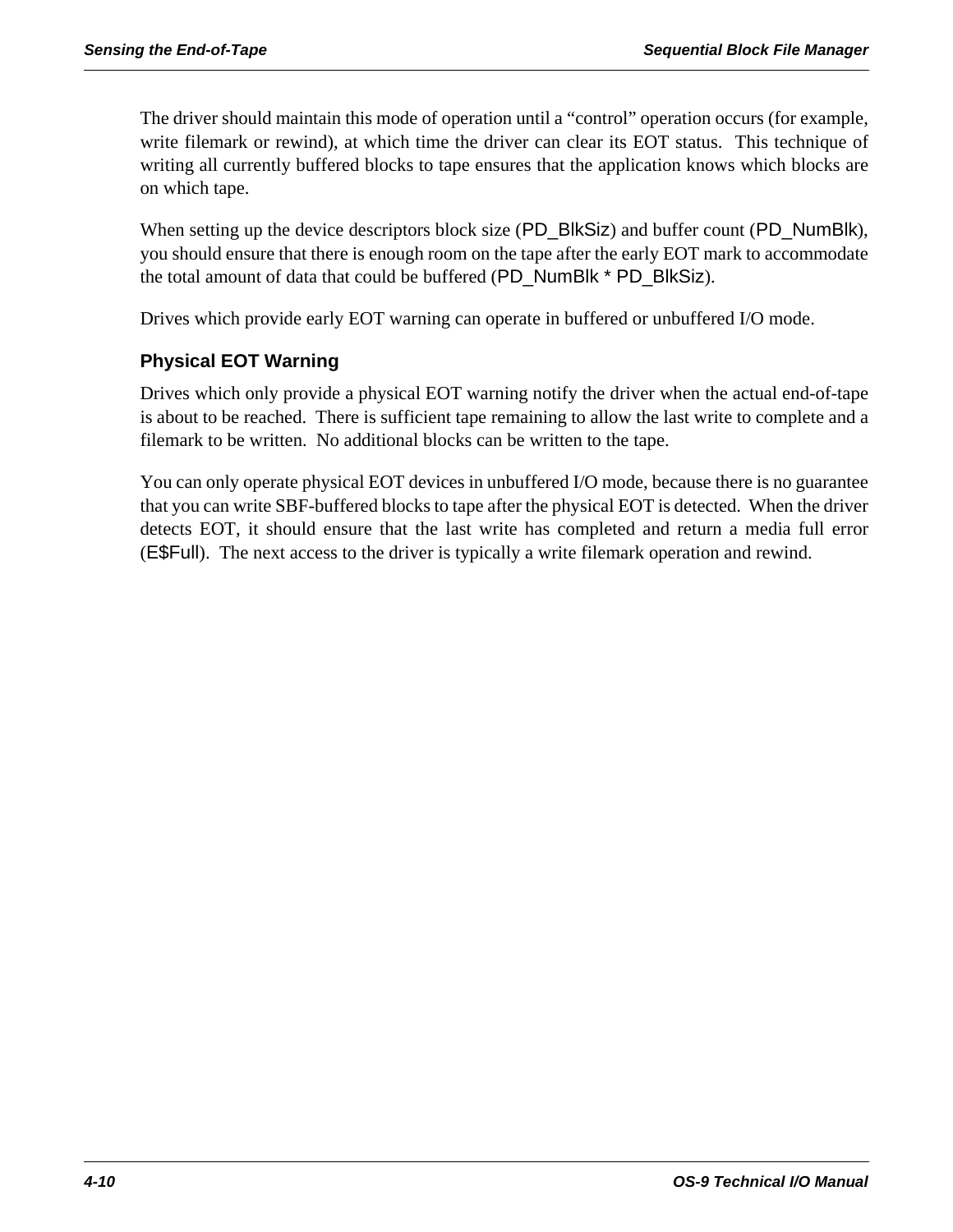The driver should maintain this mode of operation until a "control" operation occurs (for example, write filemark or rewind), at which time the driver can clear its EOT status. This technique of writing all currently buffered blocks to tape ensures that the application knows which blocks are on which tape.

When setting up the device descriptors block size (PD\_BlkSiz) and buffer count (PD\_NumBlk), you should ensure that there is enough room on the tape after the early EOT mark to accommodate the total amount of data that could be buffered (PD\_NumBlk \* PD\_BlkSiz).

Drives which provide early EOT warning can operate in buffered or unbuffered I/O mode.

# **Physical EOT Warning**

Drives which only provide a physical EOT warning notify the driver when the actual end-of-tape is about to be reached. There is sufficient tape remaining to allow the last write to complete and a filemark to be written. No additional blocks can be written to the tape.

You can only operate physical EOT devices in unbuffered I/O mode, because there is no guarantee that you can write SBF-buffered blocks to tape after the physical EOT is detected. When the driver detects EOT, it should ensure that the last write has completed and return a media full error (E\$Full). The next access to the driver is typically a write filemark operation and rewind.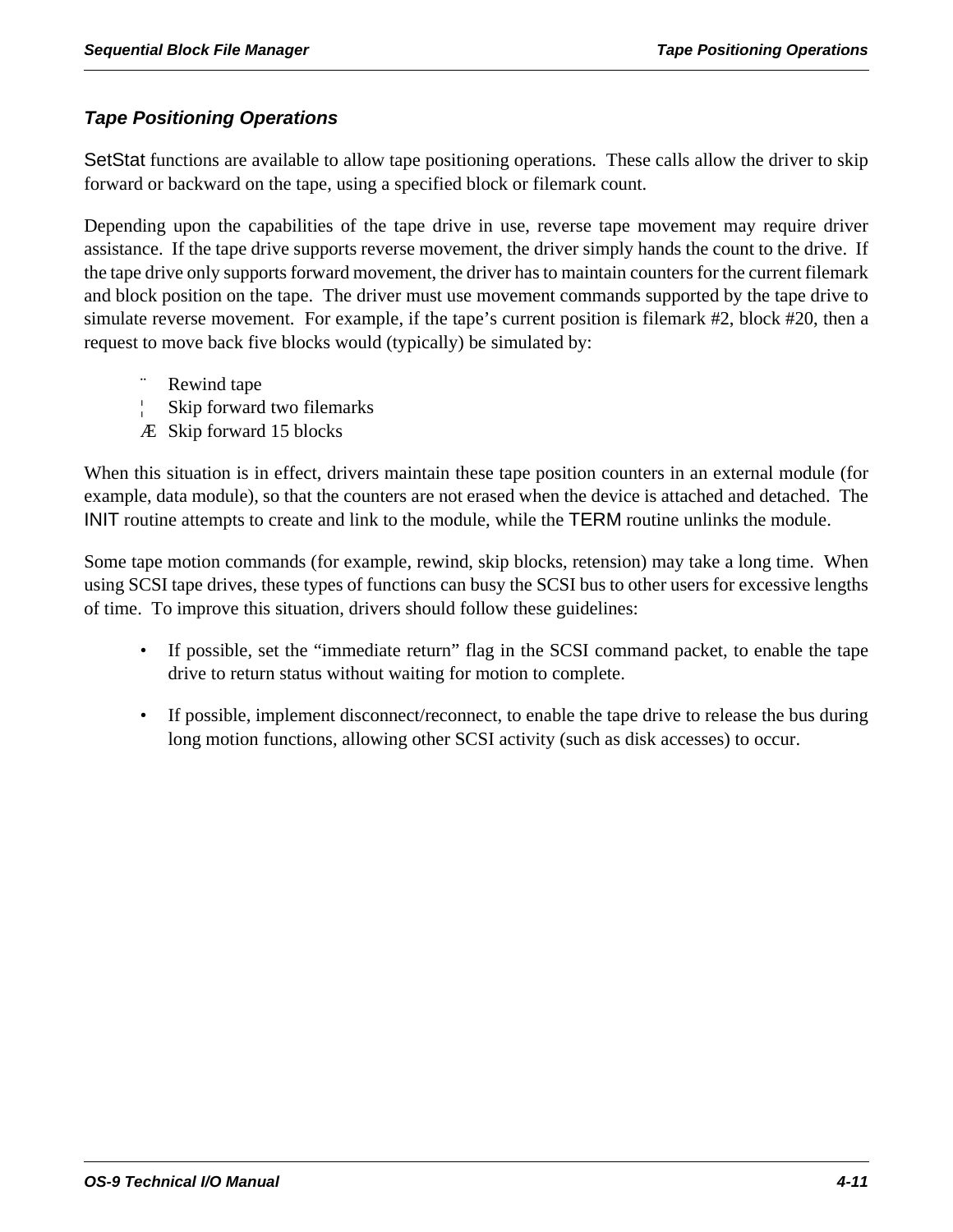## *Tape Positioning Operations*

SetStat functions are available to allow tape positioning operations. These calls allow the driver to skip forward or backward on the tape, using a specified block or filemark count.

Depending upon the capabilities of the tape drive in use, reverse tape movement may require driver assistance. If the tape drive supports reverse movement, the driver simply hands the count to the drive. If the tape drive only supports forward movement, the driver has to maintain counters for the current filemark and block position on the tape. The driver must use movement commands supported by the tape drive to simulate reverse movement. For example, if the tape's current position is filemark #2, block #20, then a request to move back five blocks would (typically) be simulated by:

- Rewind tape
- ¦ Skip forward two filemarks
- Æ Skip forward 15 blocks

When this situation is in effect, drivers maintain these tape position counters in an external module (for example, data module), so that the counters are not erased when the device is attached and detached. The INIT routine attempts to create and link to the module, while the TERM routine unlinks the module.

Some tape motion commands (for example, rewind, skip blocks, retension) may take a long time. When using SCSI tape drives, these types of functions can busy the SCSI bus to other users for excessive lengths of time. To improve this situation, drivers should follow these guidelines:

- If possible, set the "immediate return" flag in the SCSI command packet, to enable the tape drive to return status without waiting for motion to complete.
- If possible, implement disconnect/reconnect, to enable the tape drive to release the bus during long motion functions, allowing other SCSI activity (such as disk accesses) to occur.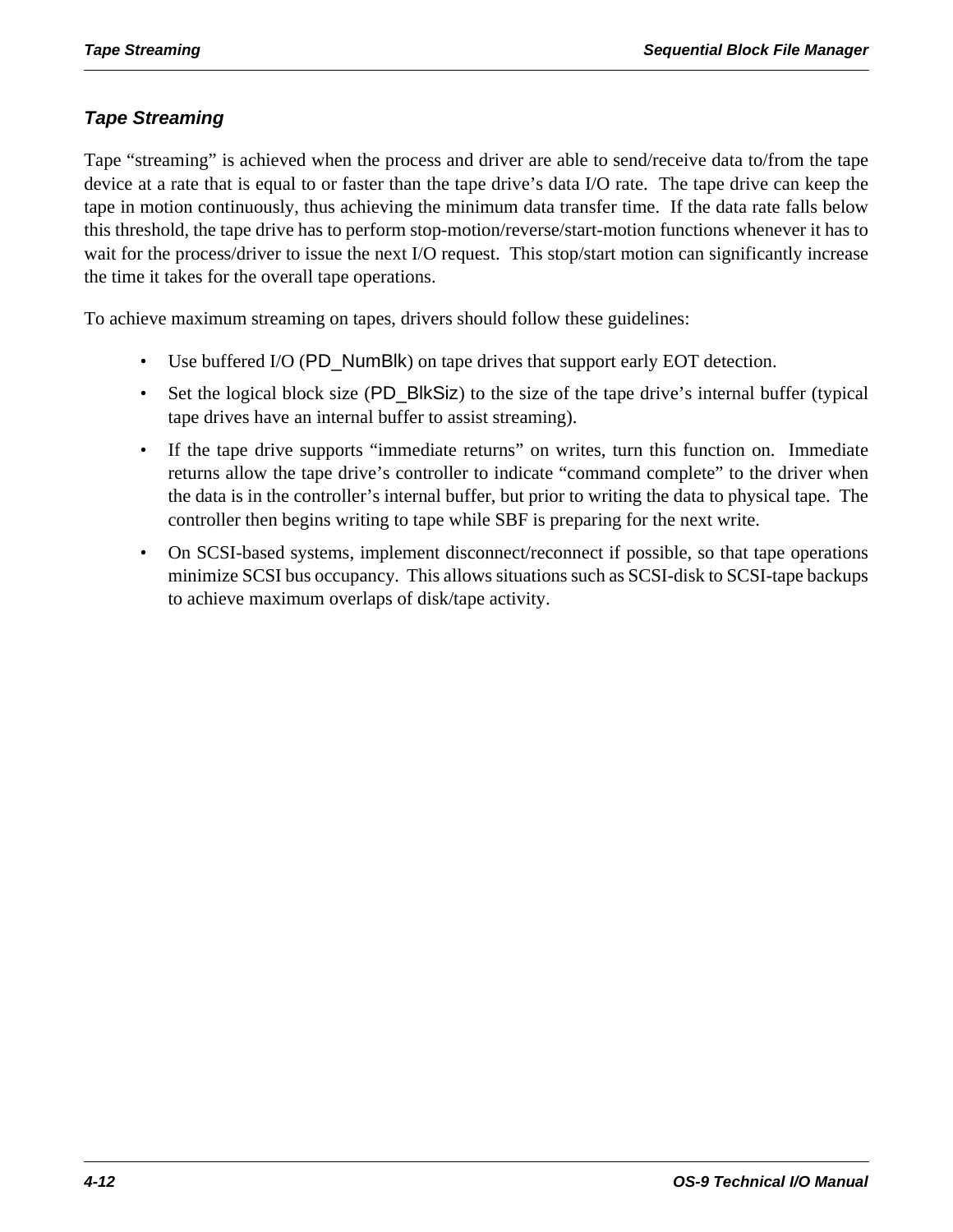## *Tape Streaming*

Tape "streaming" is achieved when the process and driver are able to send/receive data to/from the tape device at a rate that is equal to or faster than the tape drive's data I/O rate. The tape drive can keep the tape in motion continuously, thus achieving the minimum data transfer time. If the data rate falls below this threshold, the tape drive has to perform stop-motion/reverse/start-motion functions whenever it has to wait for the process/driver to issue the next I/O request. This stop/start motion can significantly increase the time it takes for the overall tape operations.

To achieve maximum streaming on tapes, drivers should follow these guidelines:

- Use buffered I/O (PD\_NumBlk) on tape drives that support early EOT detection.
- Set the logical block size (PD\_BlkSiz) to the size of the tape drive's internal buffer (typical tape drives have an internal buffer to assist streaming).
- If the tape drive supports "immediate returns" on writes, turn this function on. Immediate returns allow the tape drive's controller to indicate "command complete" to the driver when the data is in the controller's internal buffer, but prior to writing the data to physical tape. The controller then begins writing to tape while SBF is preparing for the next write.
- On SCSI-based systems, implement disconnect/reconnect if possible, so that tape operations minimize SCSI bus occupancy. This allows situations such as SCSI-disk to SCSI-tape backups to achieve maximum overlaps of disk/tape activity.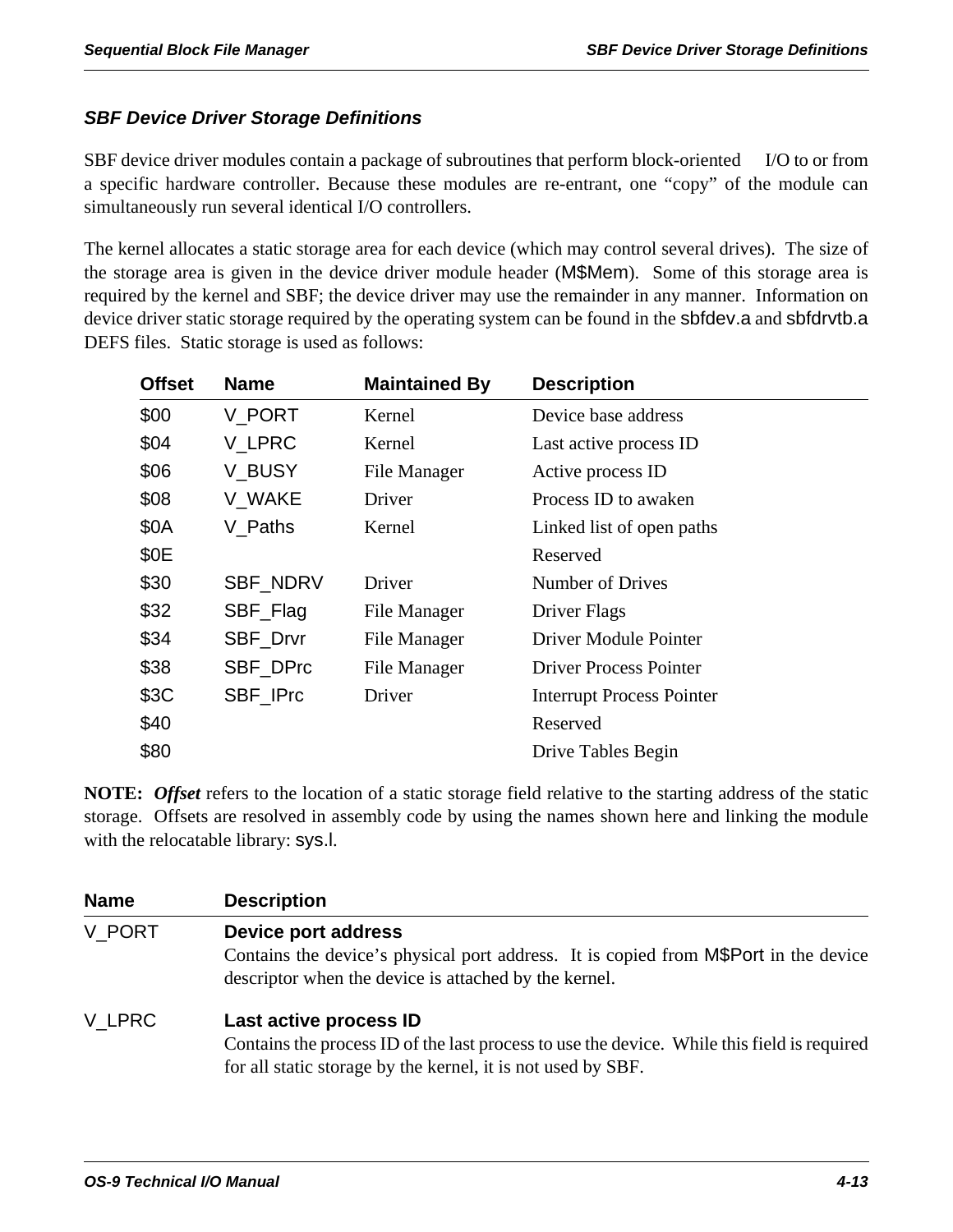## *SBF Device Driver Storage Definitions*

SBF device driver modules contain a package of subroutines that perform block-oriented I/O to or from a specific hardware controller. Because these modules are re-entrant, one "copy" of the module can simultaneously run several identical I/O controllers.

The kernel allocates a static storage area for each device (which may control several drives). The size of the storage area is given in the device driver module header (M\$Mem). Some of this storage area is required by the kernel and SBF; the device driver may use the remainder in any manner. Information on device driver static storage required by the operating system can be found in the sbfdev.a and sbfdrvtb.a DEFS files. Static storage is used as follows:

| <b>Offset</b> | <b>Name</b>     | <b>Maintained By</b> | <b>Description</b>               |
|---------------|-----------------|----------------------|----------------------------------|
| \$00          | V PORT          | Kernel               | Device base address              |
| \$04          | V LPRC          | Kernel               | Last active process ID           |
| \$06          | V_BUSY          | File Manager         | Active process ID                |
| \$08          | V_WAKE          | Driver               | Process ID to awaken             |
| \$0A          | V Paths         | Kernel               | Linked list of open paths        |
| \$0E          |                 |                      | Reserved                         |
| \$30          | <b>SBF NDRV</b> | Driver               | Number of Drives                 |
| \$32          | SBF_Flag        | File Manager         | Driver Flags                     |
| \$34          | SBF_Drvr        | File Manager         | Driver Module Pointer            |
| \$38          | SBF_DPrc        | File Manager         | <b>Driver Process Pointer</b>    |
| \$3C          | SBF_IPrc        | Driver               | <b>Interrupt Process Pointer</b> |
| \$40          |                 |                      | Reserved                         |
| \$80          |                 |                      | Drive Tables Begin               |

**NOTE:** *Offset* refers to the location of a static storage field relative to the starting address of the static storage. Offsets are resolved in assembly code by using the names shown here and linking the module with the relocatable library: sys.l.

| <b>Name</b> | <b>Description</b>                                                                                                                                                                    |
|-------------|---------------------------------------------------------------------------------------------------------------------------------------------------------------------------------------|
| V PORT      | <b>Device port address</b><br>Contains the device's physical port address. It is copied from M\$Port in the device<br>descriptor when the device is attached by the kernel.           |
| V LPRC      | Last active process ID<br>Contains the process ID of the last process to use the device. While this field is required<br>for all static storage by the kernel, it is not used by SBF. |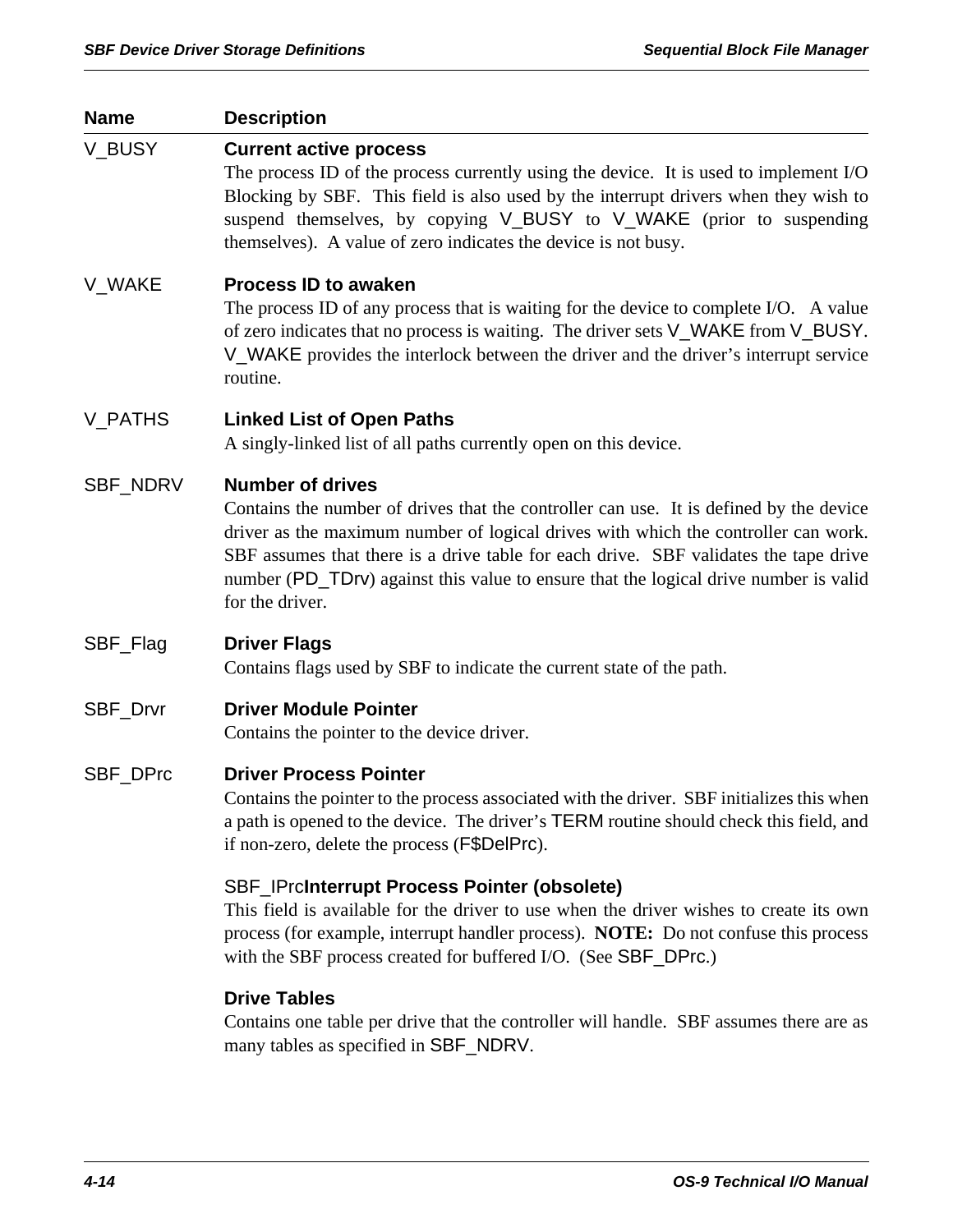| <b>Name</b>    | <b>Description</b>                                                                                                                                                                                                                                                                                                                                                                                         |
|----------------|------------------------------------------------------------------------------------------------------------------------------------------------------------------------------------------------------------------------------------------------------------------------------------------------------------------------------------------------------------------------------------------------------------|
| V_BUSY         | <b>Current active process</b><br>The process ID of the process currently using the device. It is used to implement I/O<br>Blocking by SBF. This field is also used by the interrupt drivers when they wish to<br>suspend themselves, by copying V_BUSY to V_WAKE (prior to suspending<br>themselves). A value of zero indicates the device is not busy.                                                    |
| V_WAKE         | <b>Process ID to awaken</b><br>The process ID of any process that is waiting for the device to complete I/O. A value<br>of zero indicates that no process is waiting. The driver sets V_WAKE from V_BUSY.<br>V_WAKE provides the interlock between the driver and the driver's interrupt service<br>routine.                                                                                               |
| <b>V_PATHS</b> | <b>Linked List of Open Paths</b><br>A singly-linked list of all paths currently open on this device.                                                                                                                                                                                                                                                                                                       |
| SBF_NDRV       | <b>Number of drives</b><br>Contains the number of drives that the controller can use. It is defined by the device<br>driver as the maximum number of logical drives with which the controller can work.<br>SBF assumes that there is a drive table for each drive. SBF validates the tape drive<br>number (PD_TDrv) against this value to ensure that the logical drive number is valid<br>for the driver. |
| SBF_Flag       | <b>Driver Flags</b><br>Contains flags used by SBF to indicate the current state of the path.                                                                                                                                                                                                                                                                                                               |
| SBF_Drvr       | <b>Driver Module Pointer</b><br>Contains the pointer to the device driver.                                                                                                                                                                                                                                                                                                                                 |
| SBF_DPrc       | <b>Driver Process Pointer</b><br>Contains the pointer to the process associated with the driver. SBF initializes this when<br>a path is opened to the device. The driver's TERM routine should check this field, and<br>if non-zero, delete the process (F\$DelPrc).                                                                                                                                       |
|                | <b>SBF_IPrcInterrupt Process Pointer (obsolete)</b><br>This field is available for the driver to use when the driver wishes to create its own<br>process (for example, interrupt handler process). NOTE: Do not confuse this process<br>with the SBF process created for buffered I/O. (See SBF_DPrc.)                                                                                                     |
|                | <b>Drive Tables</b><br>Contains one table per drive that the controller will handle. SBF assumes there are as<br>many tables as specified in SBF_NDRV.                                                                                                                                                                                                                                                     |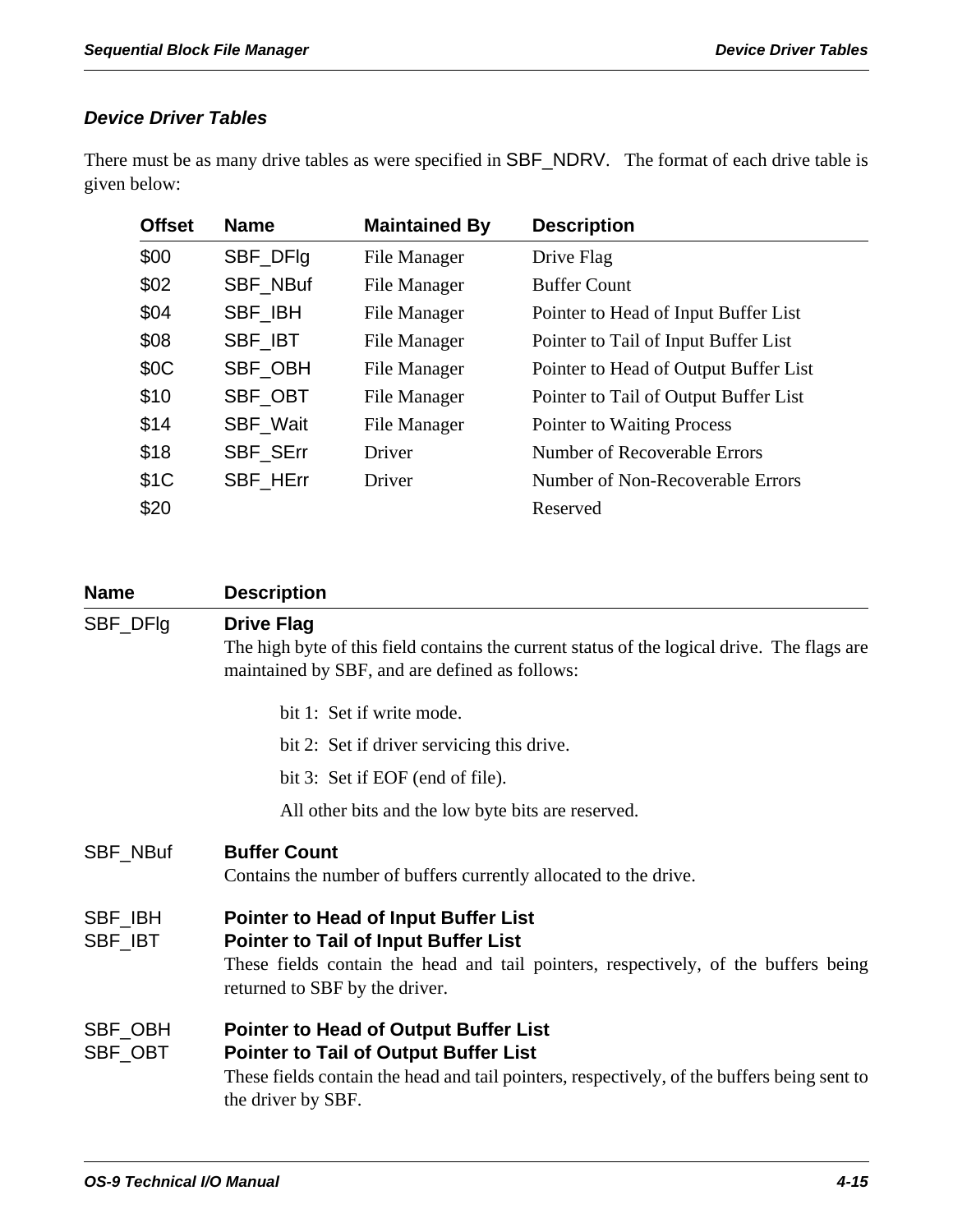## *Device Driver Tables*

There must be as many drive tables as were specified in SBF\_NDRV. The format of each drive table is given below:

| <b>Offset</b> | <b>Name</b> | <b>Maintained By</b> | <b>Description</b>                    |
|---------------|-------------|----------------------|---------------------------------------|
| \$00          | SBF_DFIg    | File Manager         | Drive Flag                            |
| \$02          | SBF_NBuf    | File Manager         | <b>Buffer Count</b>                   |
| \$04          | SBF_IBH     | File Manager         | Pointer to Head of Input Buffer List  |
| \$08          | SBF_IBT     | File Manager         | Pointer to Tail of Input Buffer List  |
| \$0C          | SBF OBH     | File Manager         | Pointer to Head of Output Buffer List |
| \$10          | SBF_OBT     | File Manager         | Pointer to Tail of Output Buffer List |
| \$14          | SBF_Wait    | <b>File Manager</b>  | <b>Pointer to Waiting Process</b>     |
| \$18          | SBF_SErr    | Driver               | Number of Recoverable Errors          |
| \$1C          | SBF_HErr    | Driver               | Number of Non-Recoverable Errors      |
| \$20          |             |                      | Reserved                              |

| <b>Name</b>        | <b>Description</b>                                                                                                                                                                                                  |
|--------------------|---------------------------------------------------------------------------------------------------------------------------------------------------------------------------------------------------------------------|
| SBF_DFIg           | <b>Drive Flag</b><br>The high byte of this field contains the current status of the logical drive. The flags are<br>maintained by SBF, and are defined as follows:                                                  |
|                    | bit 1: Set if write mode.                                                                                                                                                                                           |
|                    | bit 2: Set if driver servicing this drive.                                                                                                                                                                          |
|                    | bit 3: Set if EOF (end of file).                                                                                                                                                                                    |
|                    | All other bits and the low byte bits are reserved.                                                                                                                                                                  |
| SBF_NBuf           | <b>Buffer Count</b><br>Contains the number of buffers currently allocated to the drive.                                                                                                                             |
| SBF_IBH<br>SBF_IBT | <b>Pointer to Head of Input Buffer List</b><br><b>Pointer to Tail of Input Buffer List</b><br>These fields contain the head and tail pointers, respectively, of the buffers being<br>returned to SBF by the driver. |
| SBF_OBH<br>SBF_OBT | <b>Pointer to Head of Output Buffer List</b><br><b>Pointer to Tail of Output Buffer List</b><br>These fields contain the head and tail pointers, respectively, of the buffers being sent to<br>the driver by SBF.   |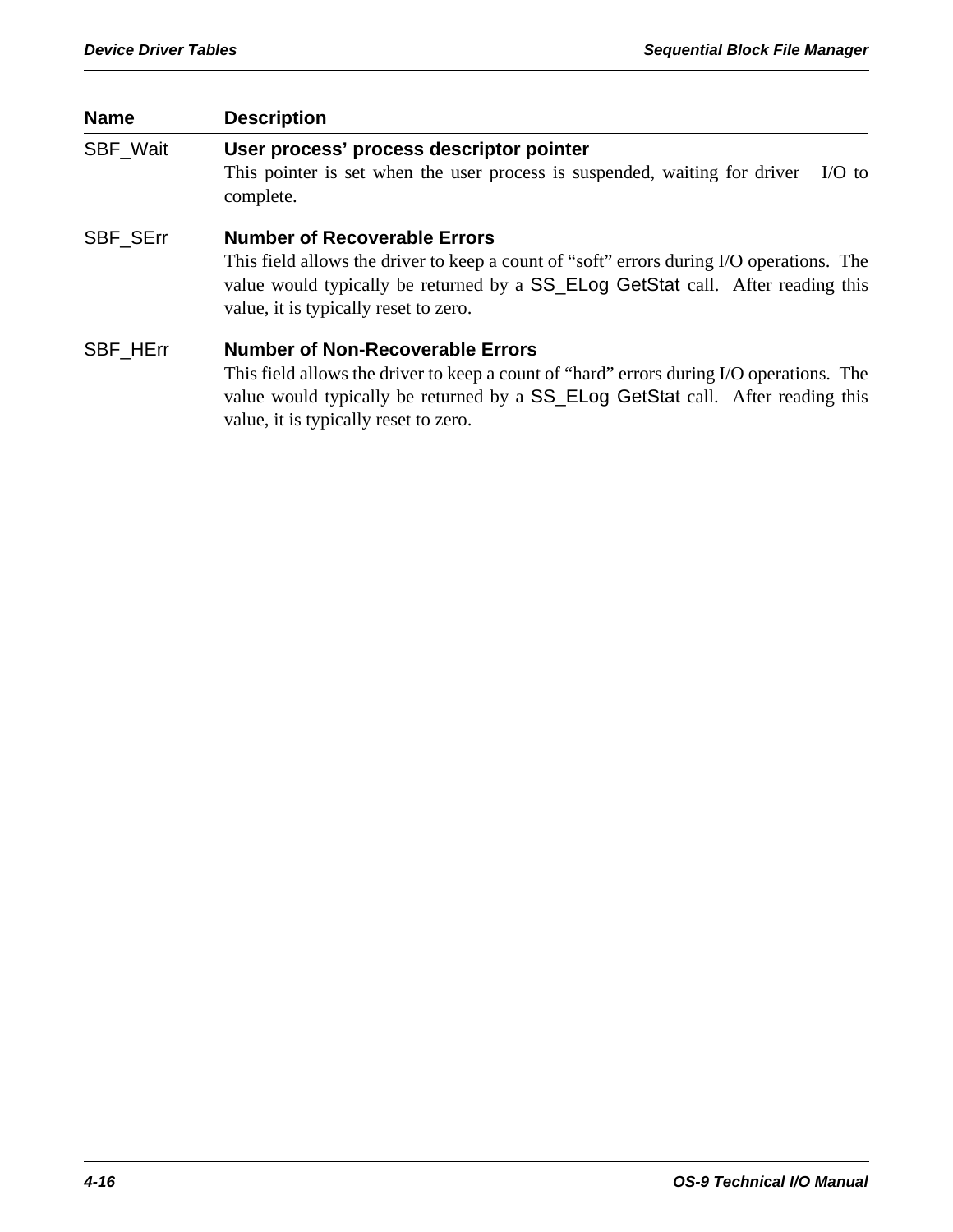| <b>Name</b>     | <b>Description</b>                                                                                                                                                                                                                                              |
|-----------------|-----------------------------------------------------------------------------------------------------------------------------------------------------------------------------------------------------------------------------------------------------------------|
| <b>SBF Wait</b> | User process' process descriptor pointer<br>This pointer is set when the user process is suspended, waiting for driver<br>$IO$ to<br>complete.                                                                                                                  |
| <b>SBF SErr</b> | <b>Number of Recoverable Errors</b><br>This field allows the driver to keep a count of "soft" errors during I/O operations. The<br>value would typically be returned by a SS_ELog GetStat call. After reading this<br>value, it is typically reset to zero.     |
| <b>SBF HErr</b> | <b>Number of Non-Recoverable Errors</b><br>This field allows the driver to keep a count of "hard" errors during I/O operations. The<br>value would typically be returned by a SS_ELog GetStat call. After reading this<br>value, it is typically reset to zero. |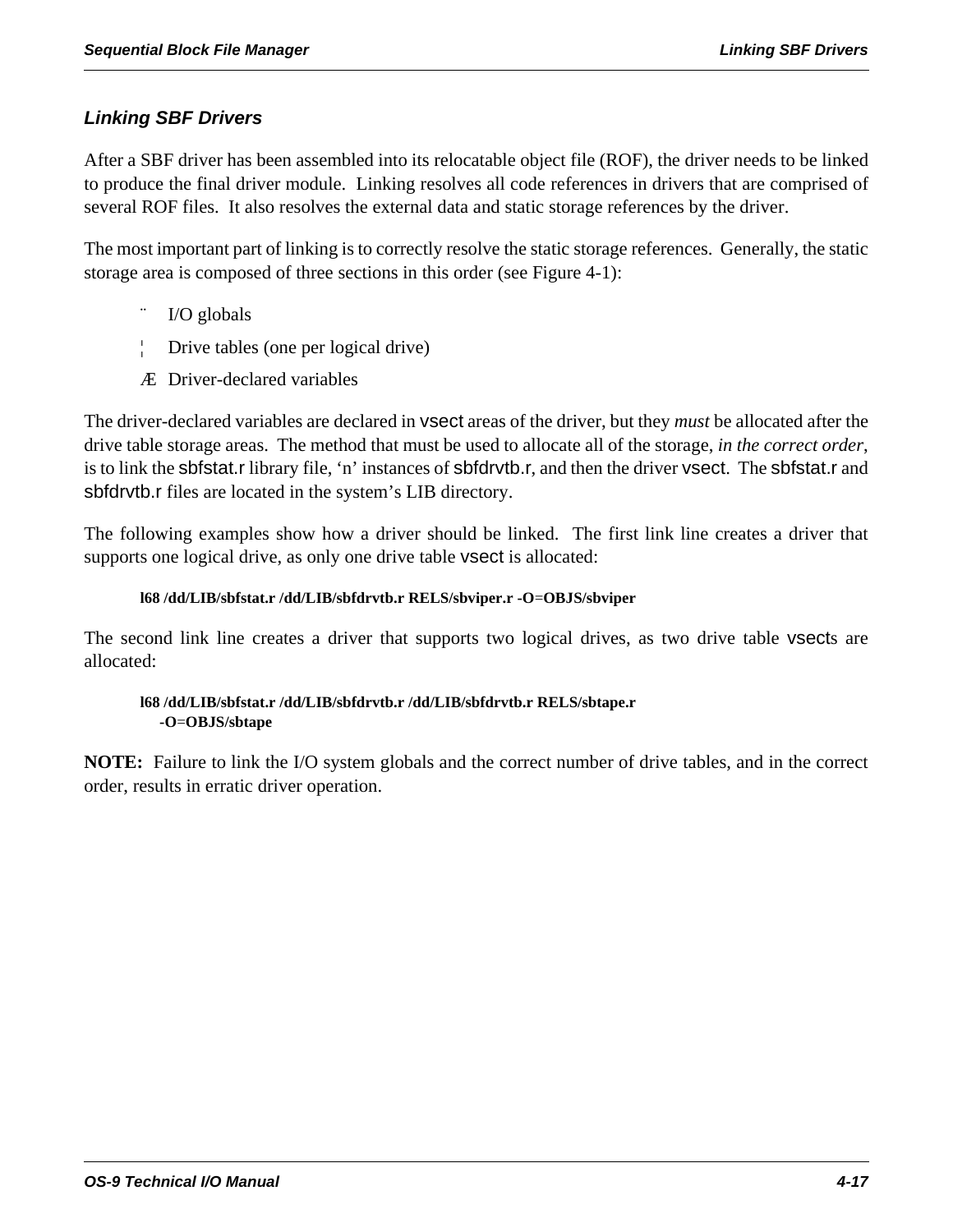## *Linking SBF Drivers*

After a SBF driver has been assembled into its relocatable object file (ROF), the driver needs to be linked to produce the final driver module. Linking resolves all code references in drivers that are comprised of several ROF files. It also resolves the external data and static storage references by the driver.

The most important part of linking is to correctly resolve the static storage references. Generally, the static storage area is composed of three sections in this order (see Figure 4-1):

- I/O globals
- ¦ Drive tables (one per logical drive)
- Æ Driver-declared variables

The driver-declared variables are declared in vsect areas of the driver, but they *must* be allocated after the drive table storage areas. The method that must be used to allocate all of the storage, *in the correct order*, is to link the sbfstat.r library file, 'n' instances of sbfdrvtb.r, and then the driver vsect. The sbfstat.r and sbfdrvtb.r files are located in the system's LIB directory.

The following examples show how a driver should be linked. The first link line creates a driver that supports one logical drive, as only one drive table vsect is allocated:

### **l68 /dd/LIB/sbfstat.r /dd/LIB/sbfdrvtb.r RELS/sbviper.r -O**=**OBJS/sbviper**

The second link line creates a driver that supports two logical drives, as two drive table vsects are allocated:

### **l68 /dd/LIB/sbfstat.r /dd/LIB/sbfdrvtb.r /dd/LIB/sbfdrvtb.r RELS/sbtape.r -O**=**OBJS/sbtape**

**NOTE:** Failure to link the I/O system globals and the correct number of drive tables, and in the correct order, results in erratic driver operation.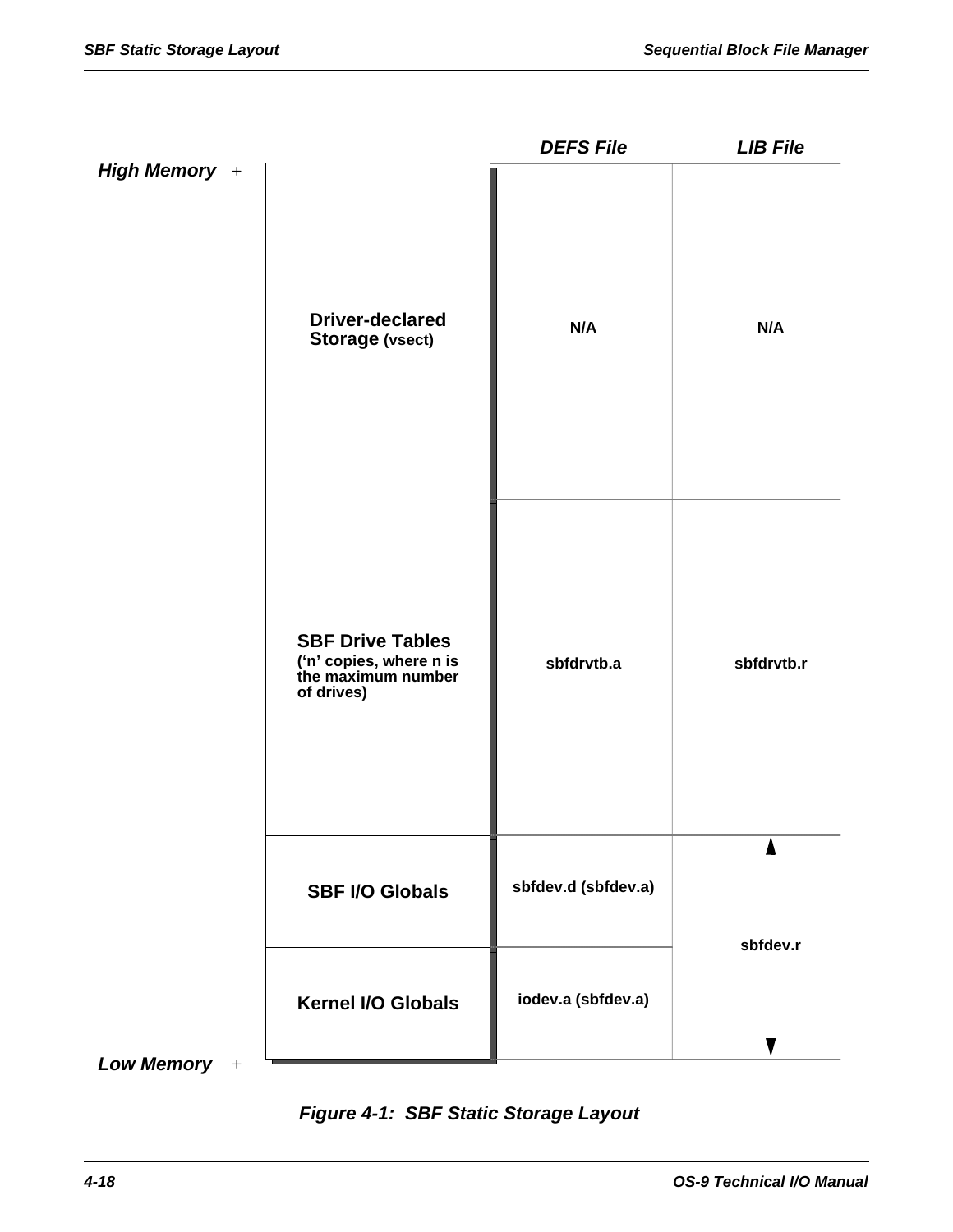|                                                                                        | <b>DEFS File</b>    | <b>LIB File</b> |
|----------------------------------------------------------------------------------------|---------------------|-----------------|
| <b>Driver-declared</b><br><b>Storage (vsect)</b>                                       | N/A                 | N/A             |
| <b>SBF Drive Tables</b><br>('n' copies, where n is<br>the maximum number<br>of drives) | sbfdrvtb.a          | sbfdrvtb.r      |
| <b>SBF I/O Globals</b>                                                                 | sbfdev.d (sbfdev.a) | sbfdev.r        |
| <b>Kernel I/O Globals</b>                                                              | iodev.a (sbfdev.a)  |                 |
|                                                                                        |                     |                 |

*Figure 4-1: SBF Static Storage Layout*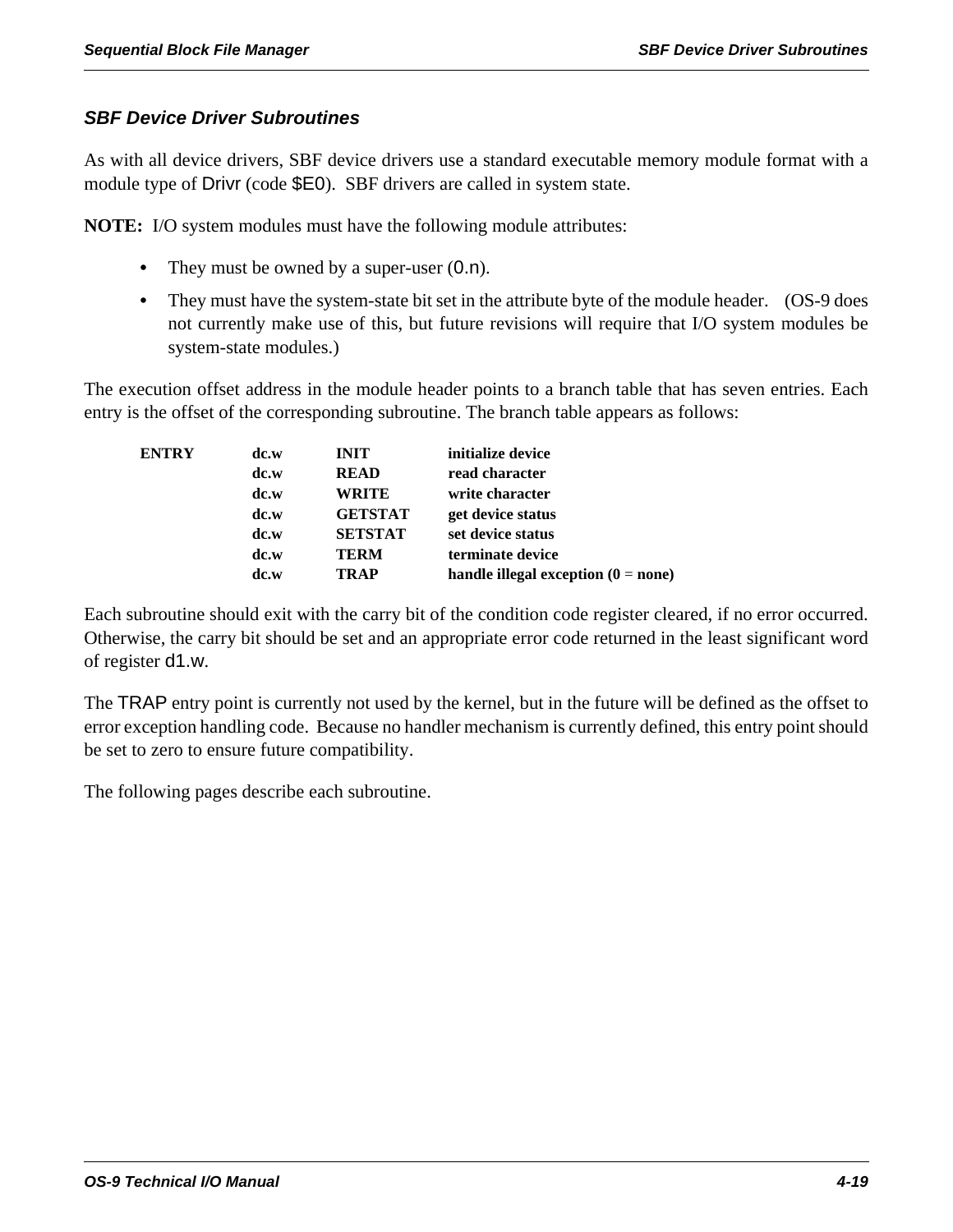## *SBF Device Driver Subroutines*

As with all device drivers, SBF device drivers use a standard executable memory module format with a module type of Drivr (code \$E0). SBF drivers are called in system state.

**NOTE:** I/O system modules must have the following module attributes:

- They must be owned by a super-user  $(0.n)$ .
- They must have the system-state bit set in the attribute byte of the module header. (OS-9 does not currently make use of this, but future revisions will require that I/O system modules be system-state modules.)

The execution offset address in the module header points to a branch table that has seven entries. Each entry is the offset of the corresponding subroutine. The branch table appears as follows:

| <b>ENTRY</b> | dc.w | <b>INIT</b>    | initialize device                     |
|--------------|------|----------------|---------------------------------------|
|              | dc.w | <b>READ</b>    | read character                        |
|              | dc.w | <b>WRITE</b>   | write character                       |
|              | dc.w | <b>GETSTAT</b> | get device status                     |
|              | dc.w | <b>SETSTAT</b> | set device status                     |
|              | dc.w | <b>TERM</b>    | terminate device                      |
|              | dc.w | TRAP           | handle illegal exception $(0 = none)$ |

Each subroutine should exit with the carry bit of the condition code register cleared, if no error occurred. Otherwise, the carry bit should be set and an appropriate error code returned in the least significant word of register d1.w.

The TRAP entry point is currently not used by the kernel, but in the future will be defined as the offset to error exception handling code. Because no handler mechanism is currently defined, this entry point should be set to zero to ensure future compatibility.

The following pages describe each subroutine.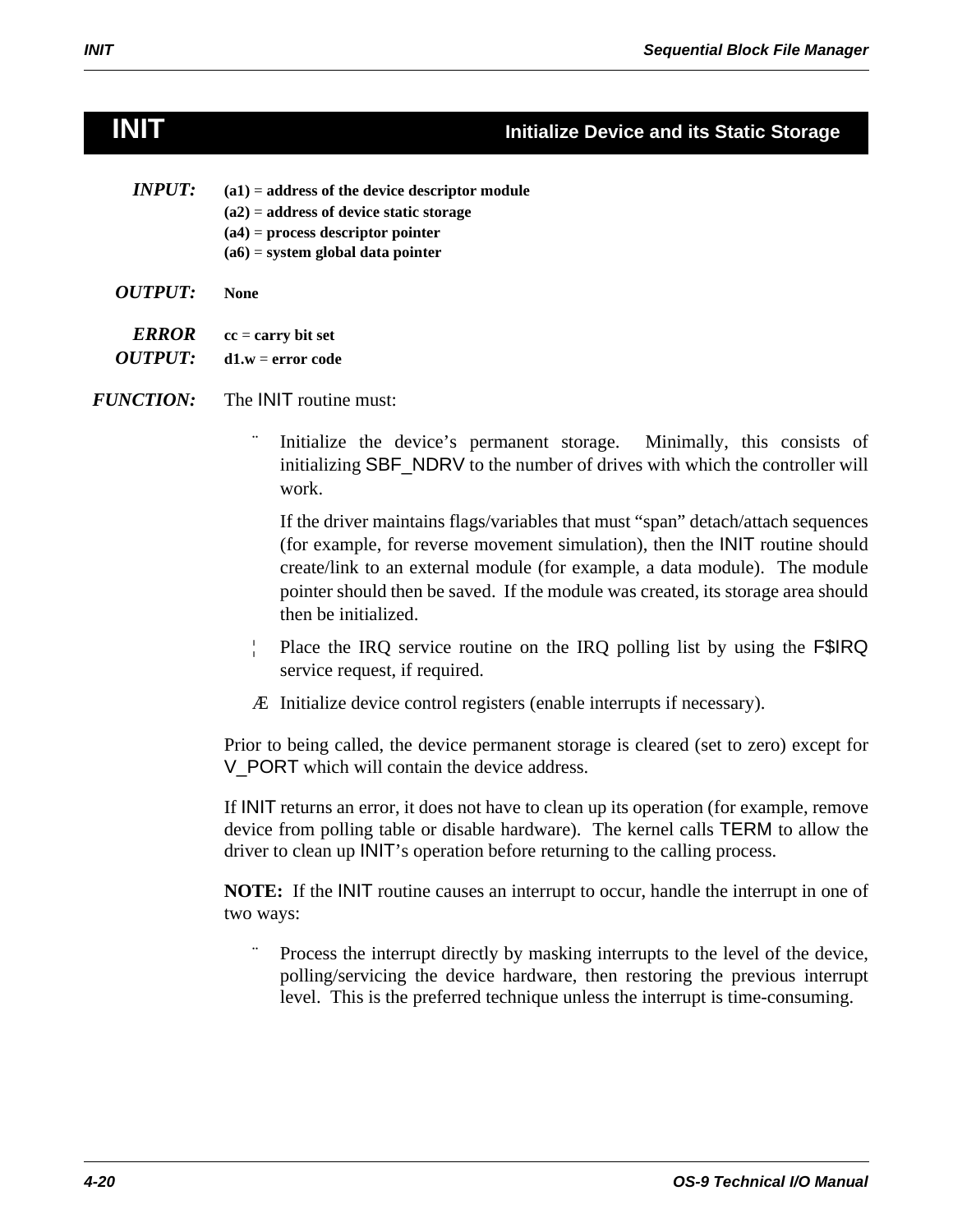## **INIT Initialize Device and its Static Storage**

| <i><b>INPUT:</b></i> | $(a1)$ = address of the device descriptor module<br>$(a2)$ = address of device static storage<br>$(a4)$ = process descriptor pointer<br>$(a6)$ = system global data pointer |
|----------------------|-----------------------------------------------------------------------------------------------------------------------------------------------------------------------------|
| <i>OUTPUT:</i>       | None                                                                                                                                                                        |
| <i><b>ERROR</b></i>  | $cc = carry bit set$                                                                                                                                                        |

*OUTPUT:* **d1.w** = **error code**

*FUNCTION:* The INIT routine must:

Initialize the device's permanent storage. Minimally, this consists of initializing SBF\_NDRV to the number of drives with which the controller will work.

If the driver maintains flags/variables that must "span" detach/attach sequences (for example, for reverse movement simulation), then the INIT routine should create/link to an external module (for example, a data module). The module pointer should then be saved. If the module was created, its storage area should then be initialized.

- ¦ Place the IRQ service routine on the IRQ polling list by using the F\$IRQ service request, if required.
- Æ Initialize device control registers (enable interrupts if necessary).

Prior to being called, the device permanent storage is cleared (set to zero) except for V\_PORT which will contain the device address.

If INIT returns an error, it does not have to clean up its operation (for example, remove device from polling table or disable hardware). The kernel calls TERM to allow the driver to clean up INIT's operation before returning to the calling process.

**NOTE:** If the INIT routine causes an interrupt to occur, handle the interrupt in one of two ways:

Process the interrupt directly by masking interrupts to the level of the device, polling/servicing the device hardware, then restoring the previous interrupt level. This is the preferred technique unless the interrupt is time-consuming.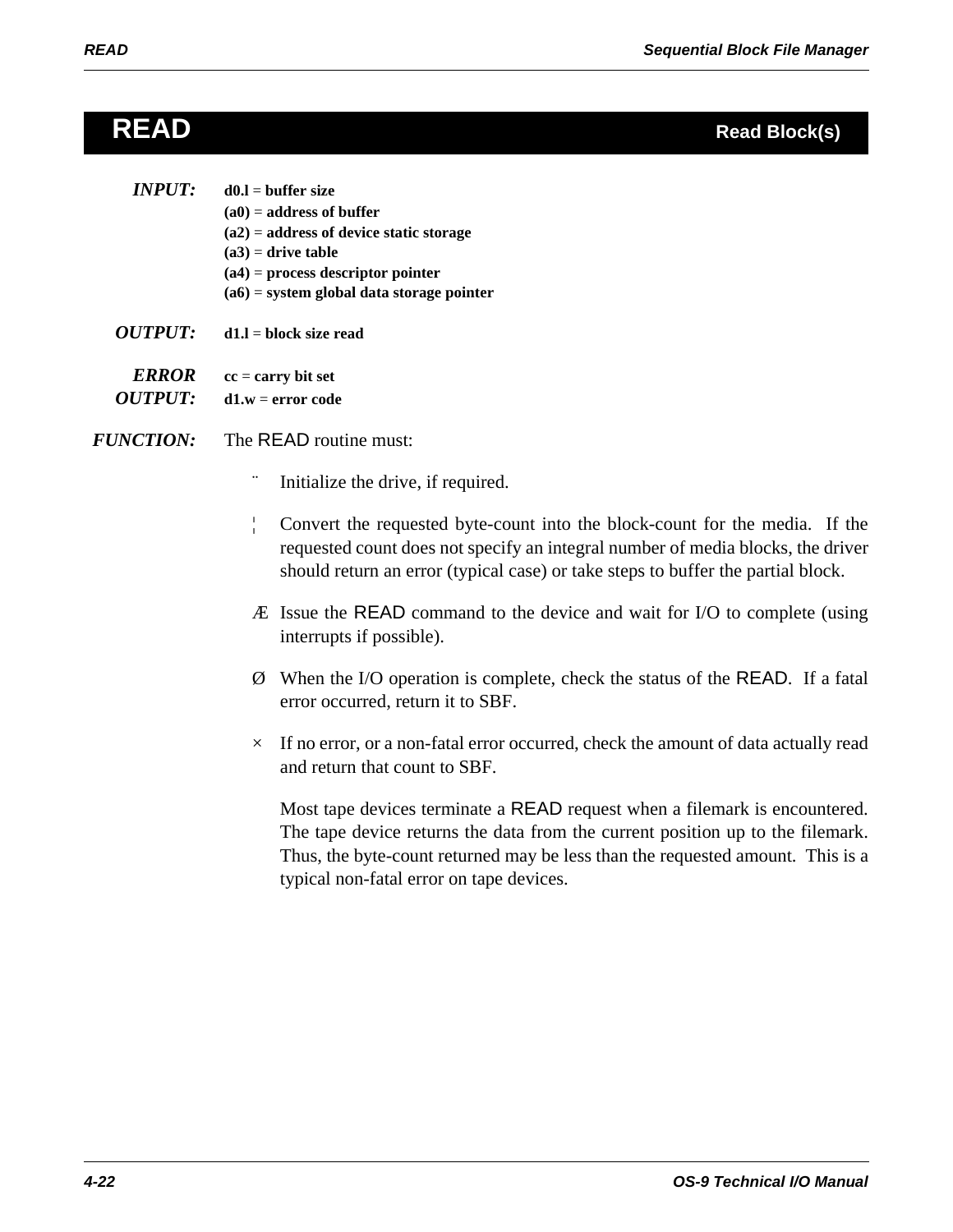# **READ Read Block(s)**

| INPUT: I | $d0.l = buffer size$                        |
|----------|---------------------------------------------|
|          | $(a0)$ = address of buffer                  |
|          | $(a2)$ = address of device static storage   |
|          | $(a3)$ = drive table                        |
|          | $(a4)$ = process descriptor pointer         |
|          | $(a6)$ = system global data storage pointer |
|          |                                             |

*OUTPUT:* **d1.l** = **block size read**

*ERROR* **cc** = **carry bit set**  *OUTPUT:* **d1.w** = **error code**

- *FUNCTION:* The READ routine must:
	- Initialize the drive, if required.
	- ¦ Convert the requested byte-count into the block-count for the media. If the requested count does not specify an integral number of media blocks, the driver should return an error (typical case) or take steps to buffer the partial block.
	- Æ Issue the READ command to the device and wait for I/O to complete (using interrupts if possible).
	- Ø When the I/O operation is complete, check the status of the READ. If a fatal error occurred, return it to SBF.
	- $\times$  If no error, or a non-fatal error occurred, check the amount of data actually read and return that count to SBF.

Most tape devices terminate a READ request when a filemark is encountered. The tape device returns the data from the current position up to the filemark. Thus, the byte-count returned may be less than the requested amount. This is a typical non-fatal error on tape devices.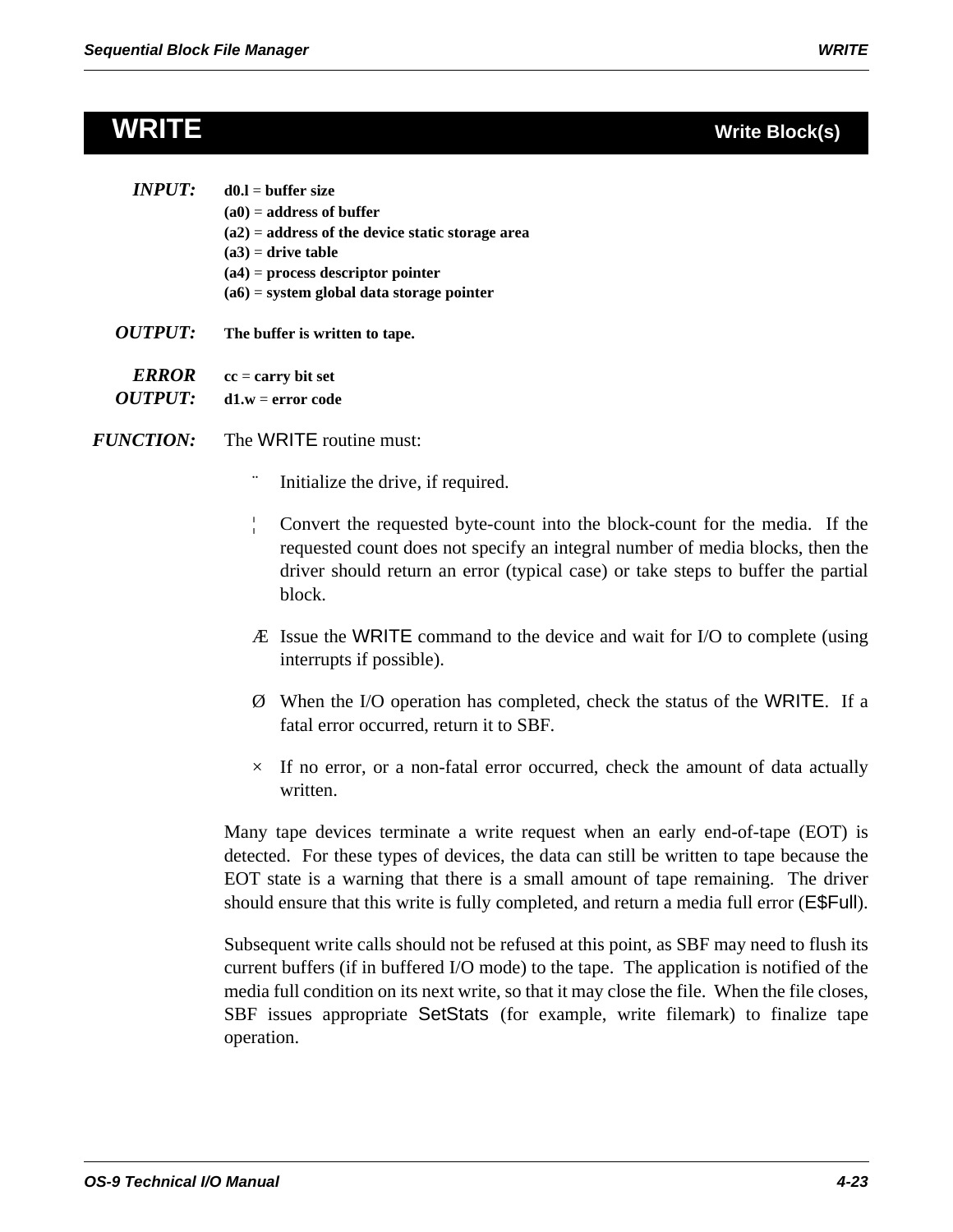| <i>INPUT:</i> | $d0.I = buffer size$                               |
|---------------|----------------------------------------------------|
|               | $(a0)$ = address of buffer                         |
|               | $(a2)$ = address of the device static storage area |
|               | $(a3)$ = drive table                               |
|               | $(a4)$ = process descriptor pointer                |
|               | $(a6)$ = system global data storage pointer        |
|               |                                                    |

*OUTPUT:* **The buffer is written to tape.**

*ERROR* **cc** = **carry bit set**  *OUTPUT:* **d1.w** = **error code**

- *FUNCTION:* The WRITE routine must:
	- Initialize the drive, if required.
	- ¦ Convert the requested byte-count into the block-count for the media. If the requested count does not specify an integral number of media blocks, then the driver should return an error (typical case) or take steps to buffer the partial block.
	- Æ Issue the WRITE command to the device and wait for I/O to complete (using interrupts if possible).
	- Ø When the I/O operation has completed, check the status of the WRITE. If a fatal error occurred, return it to SBF.
	- $\times$  If no error, or a non-fatal error occurred, check the amount of data actually written.

Many tape devices terminate a write request when an early end-of-tape (EOT) is detected. For these types of devices, the data can still be written to tape because the EOT state is a warning that there is a small amount of tape remaining. The driver should ensure that this write is fully completed, and return a media full error (E\$Full).

Subsequent write calls should not be refused at this point, as SBF may need to flush its current buffers (if in buffered I/O mode) to the tape. The application is notified of the media full condition on its next write, so that it may close the file. When the file closes, SBF issues appropriate SetStats (for example, write filemark) to finalize tape operation.

## **WRITE Write Block(s)**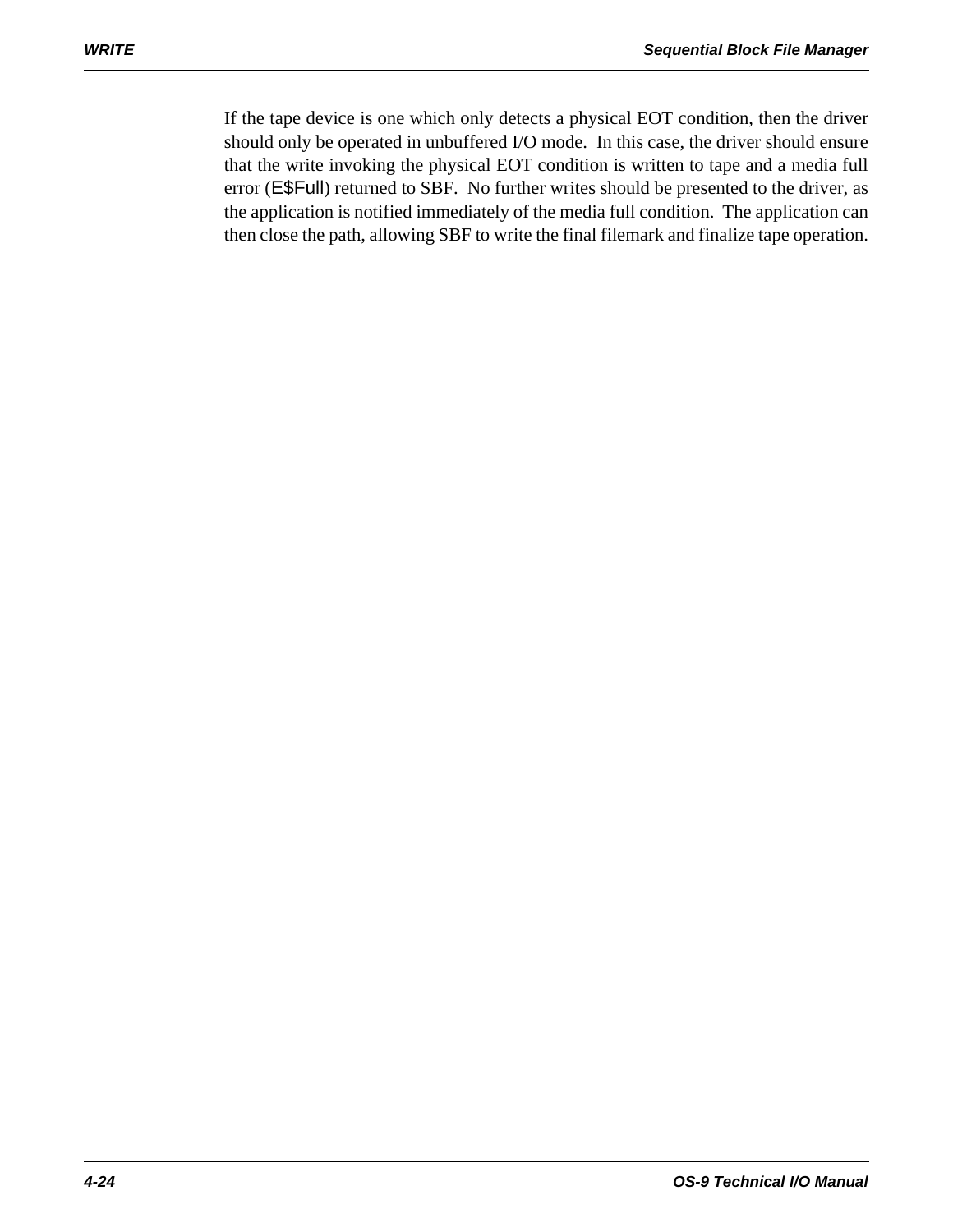If the tape device is one which only detects a physical EOT condition, then the driver should only be operated in unbuffered I/O mode. In this case, the driver should ensure that the write invoking the physical EOT condition is written to tape and a media full error (E\$Full) returned to SBF. No further writes should be presented to the driver, as the application is notified immediately of the media full condition. The application can then close the path, allowing SBF to write the final filemark and finalize tape operation.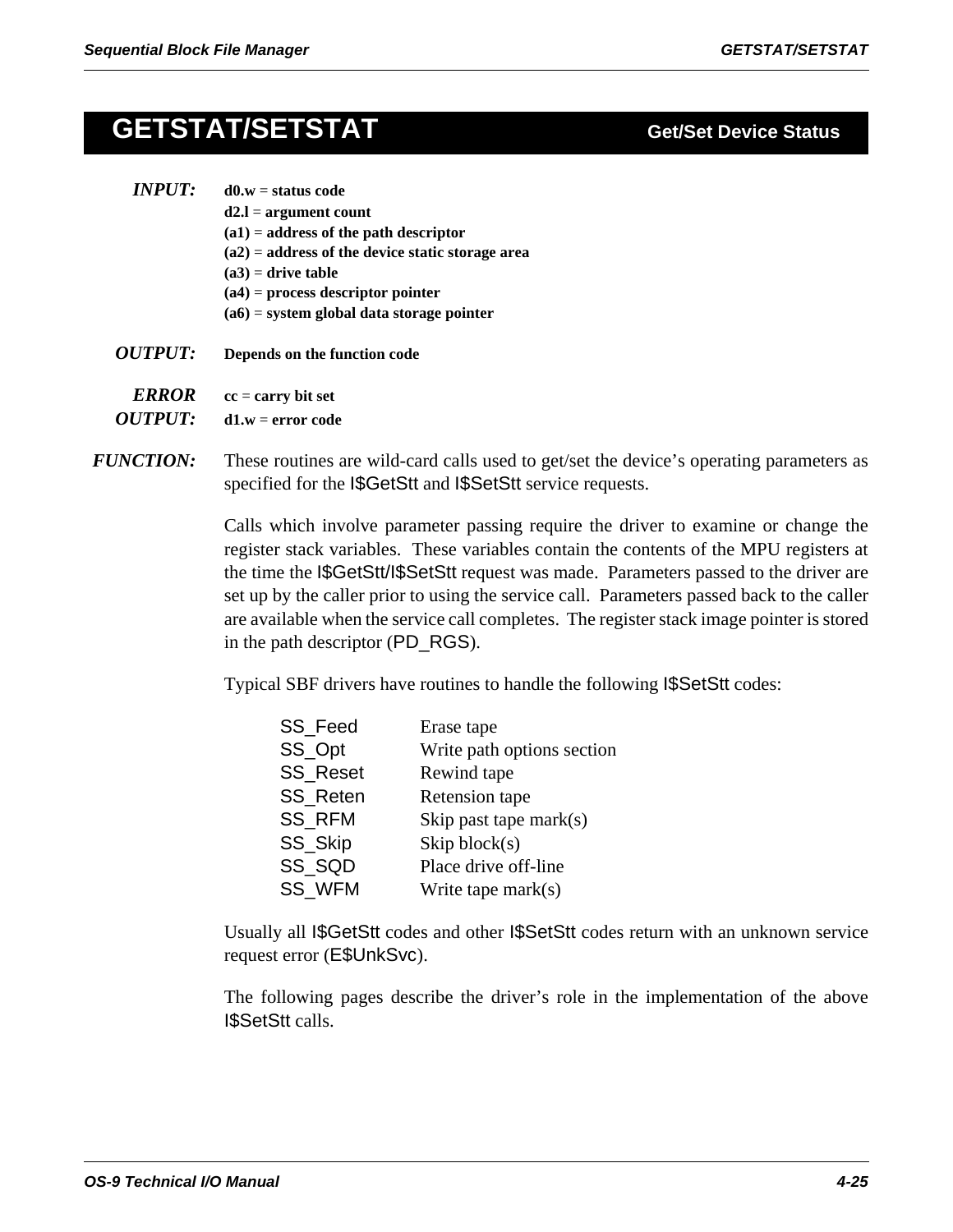# **GETSTAT/SETSTAT Get/Set Device Status**

| <i><b>INPUT:</b></i>  | $d0.w =$ status code                               |
|-----------------------|----------------------------------------------------|
|                       | $d2.l = argument count$                            |
|                       | $(a1)$ = address of the path descriptor            |
|                       | $(a2)$ = address of the device static storage area |
|                       | $(a3)$ = drive table                               |
|                       | $(a4)$ = process descriptor pointer                |
|                       | $(a6)$ = system global data storage pointer        |
| <i><b>OUTPUT:</b></i> | Depends on the function code                       |

- *ERROR* **cc** = **carry bit set**
- *OUTPUT:* **d1.w** = **error code**
- *FUNCTION:* These routines are wild-card calls used to get/set the device's operating parameters as specified for the I\$GetStt and I\$SetStt service requests.

Calls which involve parameter passing require the driver to examine or change the register stack variables. These variables contain the contents of the MPU registers at the time the I\$GetStt/I\$SetStt request was made. Parameters passed to the driver are set up by the caller prior to using the service call. Parameters passed back to the caller are available when the service call completes. The register stack image pointer is stored in the path descriptor (PD\_RGS).

Typical SBF drivers have routines to handle the following I\$SetStt codes:

| <b>SS Feed</b>  | Erase tape                 |
|-----------------|----------------------------|
| SS_Opt          | Write path options section |
| <b>SS Reset</b> | Rewind tape                |
| <b>SS Reten</b> | Retension tape             |
| <b>SS RFM</b>   | Skip past tape $mark(s)$   |
| SS_Skip         | $\chi$ skip block $(s)$    |
| SS SQD          | Place drive off-line       |
| <b>SS WFM</b>   | Write tape $mark(s)$       |

Usually all I\$GetStt codes and other I\$SetStt codes return with an unknown service request error (E\$UnkSvc).

The following pages describe the driver's role in the implementation of the above I\$SetStt calls.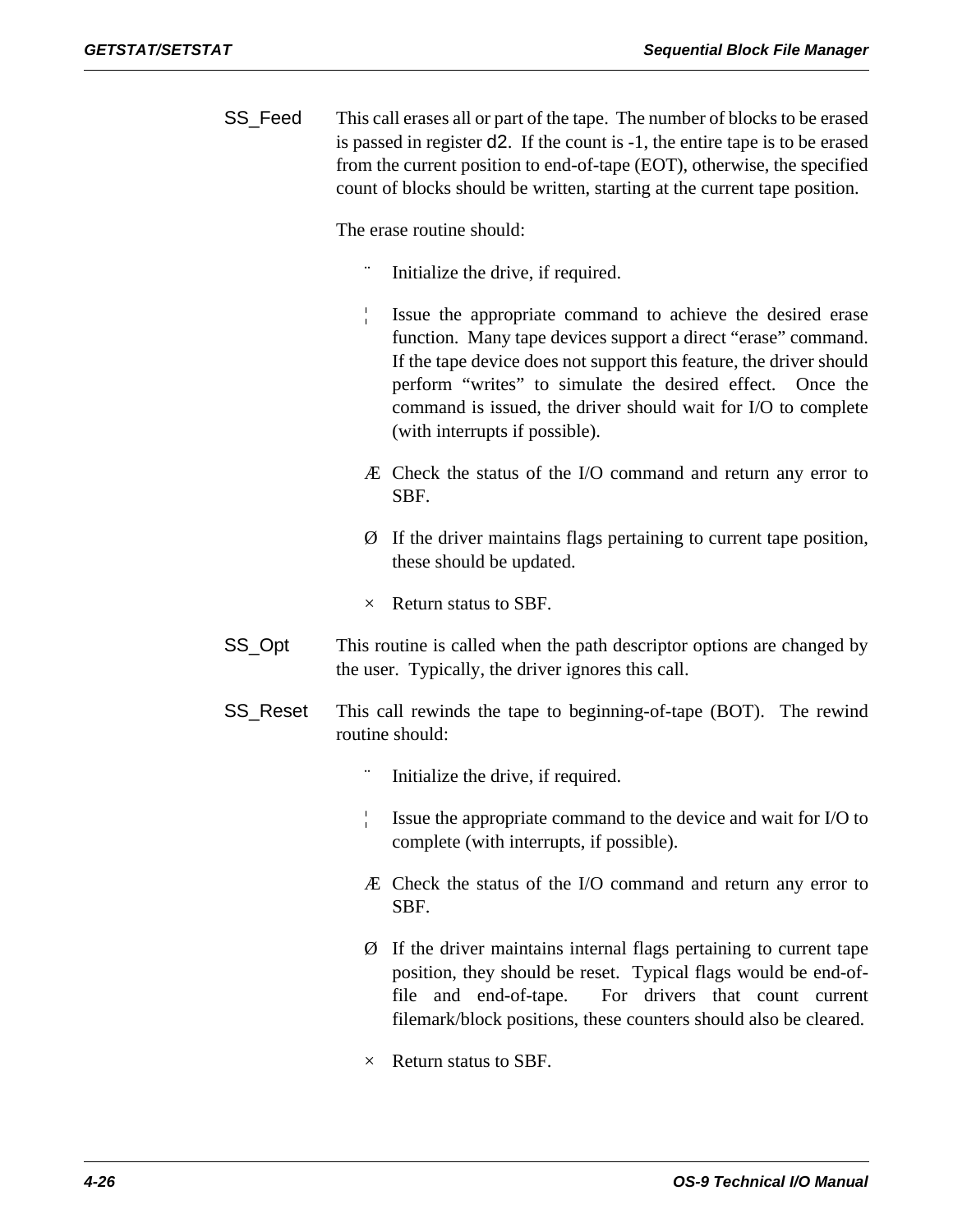SS\_Feed This call erases all or part of the tape. The number of blocks to be erased is passed in register d2. If the count is -1, the entire tape is to be erased from the current position to end-of-tape (EOT), otherwise, the specified count of blocks should be written, starting at the current tape position.

The erase routine should:

- Initialize the drive, if required.
- ¦ Issue the appropriate command to achieve the desired erase function. Many tape devices support a direct "erase" command. If the tape device does not support this feature, the driver should perform "writes" to simulate the desired effect. Once the command is issued, the driver should wait for I/O to complete (with interrupts if possible).
- Æ Check the status of the I/O command and return any error to SBF.
- Ø If the driver maintains flags pertaining to current tape position, these should be updated.
- $\times$  Return status to SBF.
- SS\_Opt This routine is called when the path descriptor options are changed by the user. Typically, the driver ignores this call.
- SS\_Reset This call rewinds the tape to beginning-of-tape (BOT). The rewind routine should:
	- Initialize the drive, if required.
	- ¦ Issue the appropriate command to the device and wait for I/O to complete (with interrupts, if possible).
	- Æ Check the status of the I/O command and return any error to SBF.
	- Ø If the driver maintains internal flags pertaining to current tape position, they should be reset. Typical flags would be end-offile and end-of-tape. For drivers that count current filemark/block positions, these counters should also be cleared.
	- $\times$  Return status to SBF.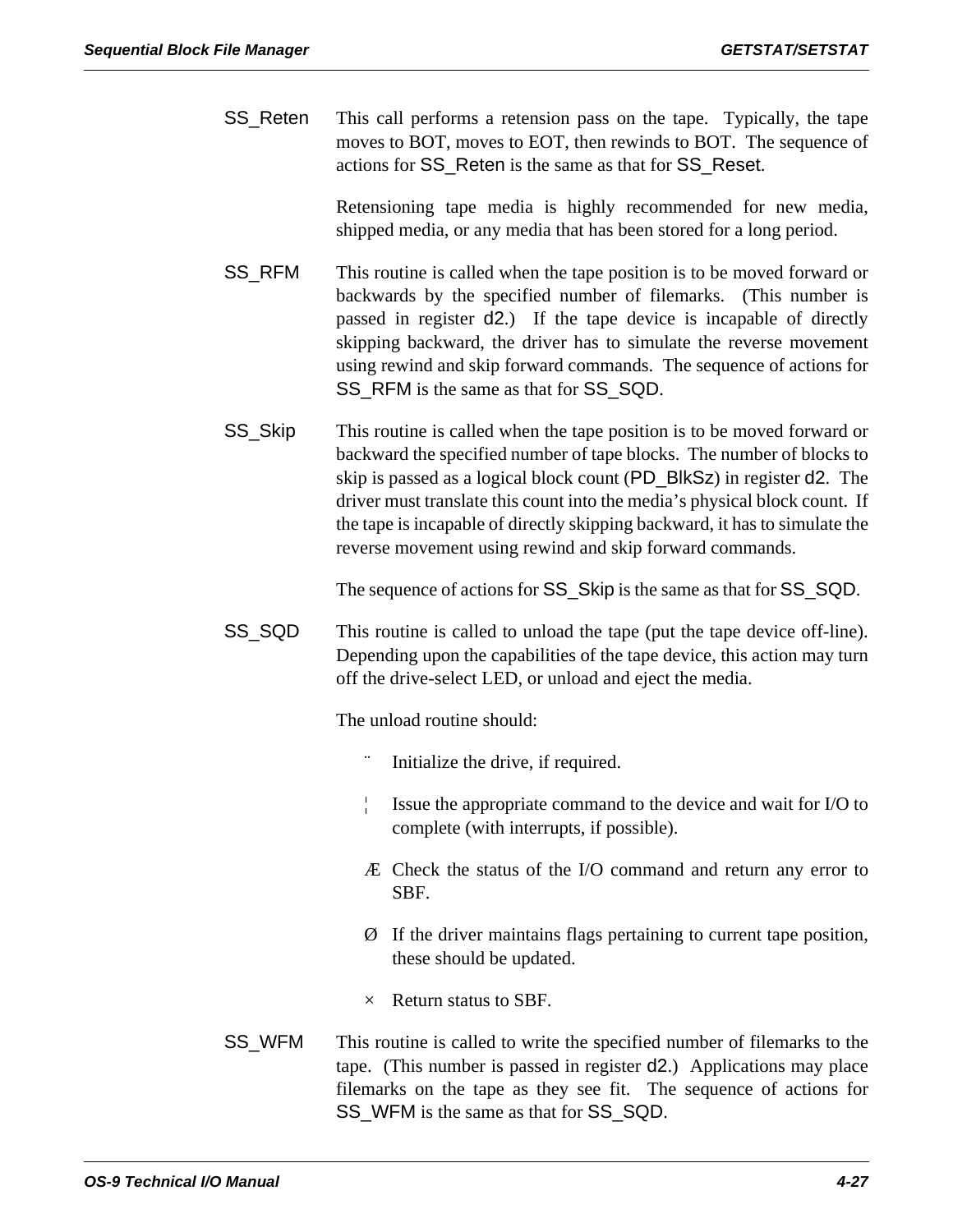SS\_Reten This call performs a retension pass on the tape. Typically, the tape moves to BOT, moves to EOT, then rewinds to BOT. The sequence of actions for SS\_Reten is the same as that for SS\_Reset.

> Retensioning tape media is highly recommended for new media, shipped media, or any media that has been stored for a long period.

- SS\_RFM This routine is called when the tape position is to be moved forward or backwards by the specified number of filemarks. (This number is passed in register d2.) If the tape device is incapable of directly skipping backward, the driver has to simulate the reverse movement using rewind and skip forward commands. The sequence of actions for SS\_RFM is the same as that for SS\_SQD.
- SS\_Skip This routine is called when the tape position is to be moved forward or backward the specified number of tape blocks. The number of blocks to skip is passed as a logical block count (PD\_BlkSz) in register d2. The driver must translate this count into the media's physical block count. If the tape is incapable of directly skipping backward, it has to simulate the reverse movement using rewind and skip forward commands.

The sequence of actions for SS\_Skip is the same as that for SS\_SQD.

SS\_SQD This routine is called to unload the tape (put the tape device off-line). Depending upon the capabilities of the tape device, this action may turn off the drive-select LED, or unload and eject the media.

The unload routine should:

- Initialize the drive, if required.
- ¦ Issue the appropriate command to the device and wait for I/O to complete (with interrupts, if possible).
- Æ Check the status of the I/O command and return any error to SBF.
- Ø If the driver maintains flags pertaining to current tape position, these should be updated.
- $\times$  Return status to SBF.
- SS\_WFM This routine is called to write the specified number of filemarks to the tape. (This number is passed in register d2.) Applications may place filemarks on the tape as they see fit. The sequence of actions for SS\_WFM is the same as that for SS\_SQD.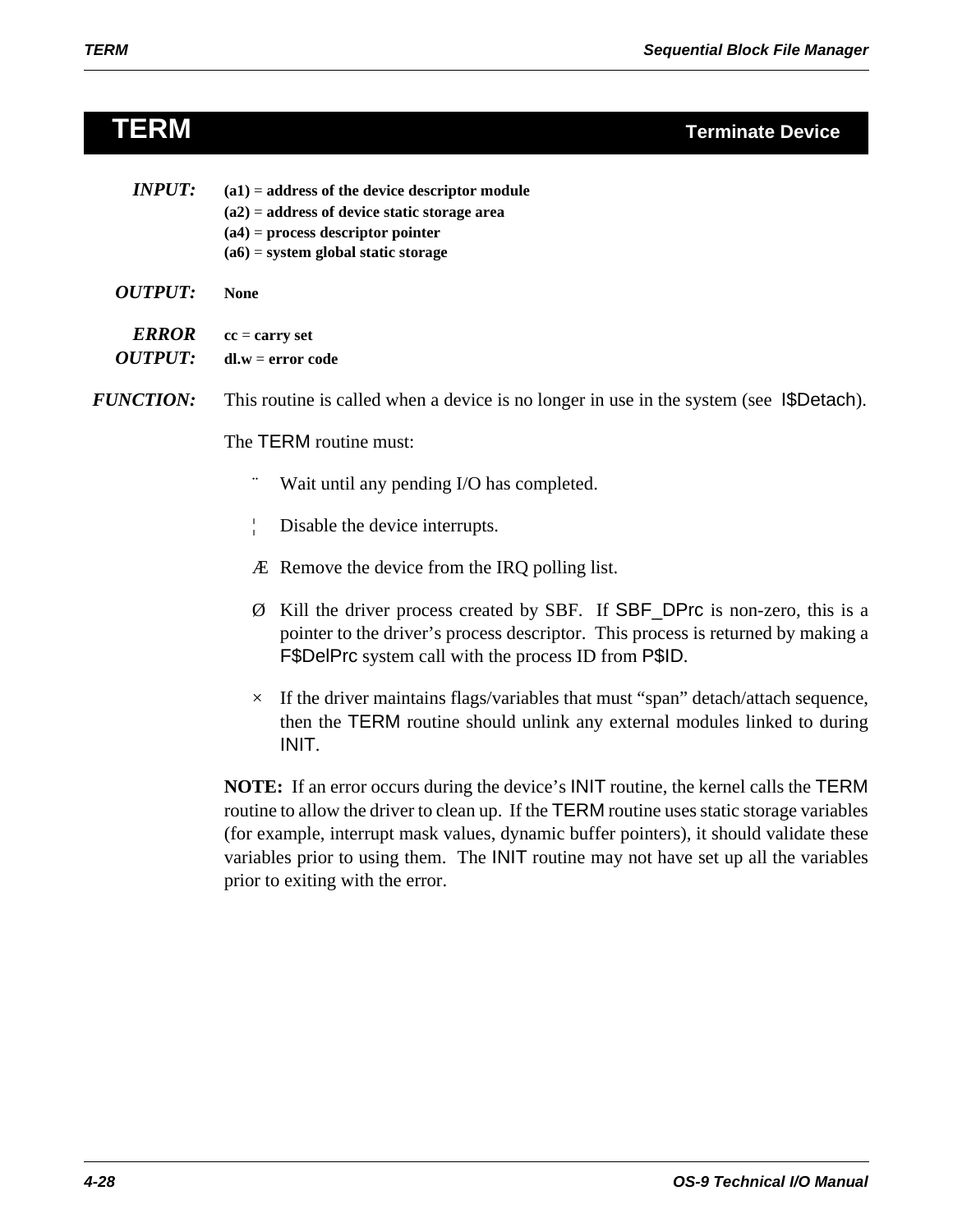| <b>TERM</b> |  | <b>Terminate Device</b> |
|-------------|--|-------------------------|
|             |  |                         |

| <b>INPUT:</b>                  | $(a1)$ = address of the device descriptor module<br>$(a2)$ = address of device static storage area<br>$(a4)$ = process descriptor pointer<br>$(a6)$ = system global static storage                                                   |  |  |
|--------------------------------|--------------------------------------------------------------------------------------------------------------------------------------------------------------------------------------------------------------------------------------|--|--|
| <b>OUTPUT:</b>                 | <b>None</b>                                                                                                                                                                                                                          |  |  |
| <b>ERROR</b><br><b>OUTPUT:</b> | $cc = carry set$<br>$dl.w = error code$                                                                                                                                                                                              |  |  |
| <b>FUNCTION:</b>               | This routine is called when a device is no longer in use in the system (see I\$Detach).                                                                                                                                              |  |  |
|                                | The TERM routine must:                                                                                                                                                                                                               |  |  |
|                                | Wait until any pending I/O has completed.                                                                                                                                                                                            |  |  |
|                                | Disable the device interrupts.                                                                                                                                                                                                       |  |  |
|                                | Æ Remove the device from the IRQ polling list.                                                                                                                                                                                       |  |  |
|                                | Kill the driver process created by SBF. If SBF_DPrc is non-zero, this is a<br>Ø<br>pointer to the driver's process descriptor. This process is returned by making a<br><b>F</b> \$DelPrc system call with the process ID from P\$ID. |  |  |

 $\times$  If the driver maintains flags/variables that must "span" detach/attach sequence, then the TERM routine should unlink any external modules linked to during INIT.

**NOTE:** If an error occurs during the device's INIT routine, the kernel calls the TERM routine to allow the driver to clean up. If the TERM routine uses static storage variables (for example, interrupt mask values, dynamic buffer pointers), it should validate these variables prior to using them. The INIT routine may not have set up all the variables prior to exiting with the error.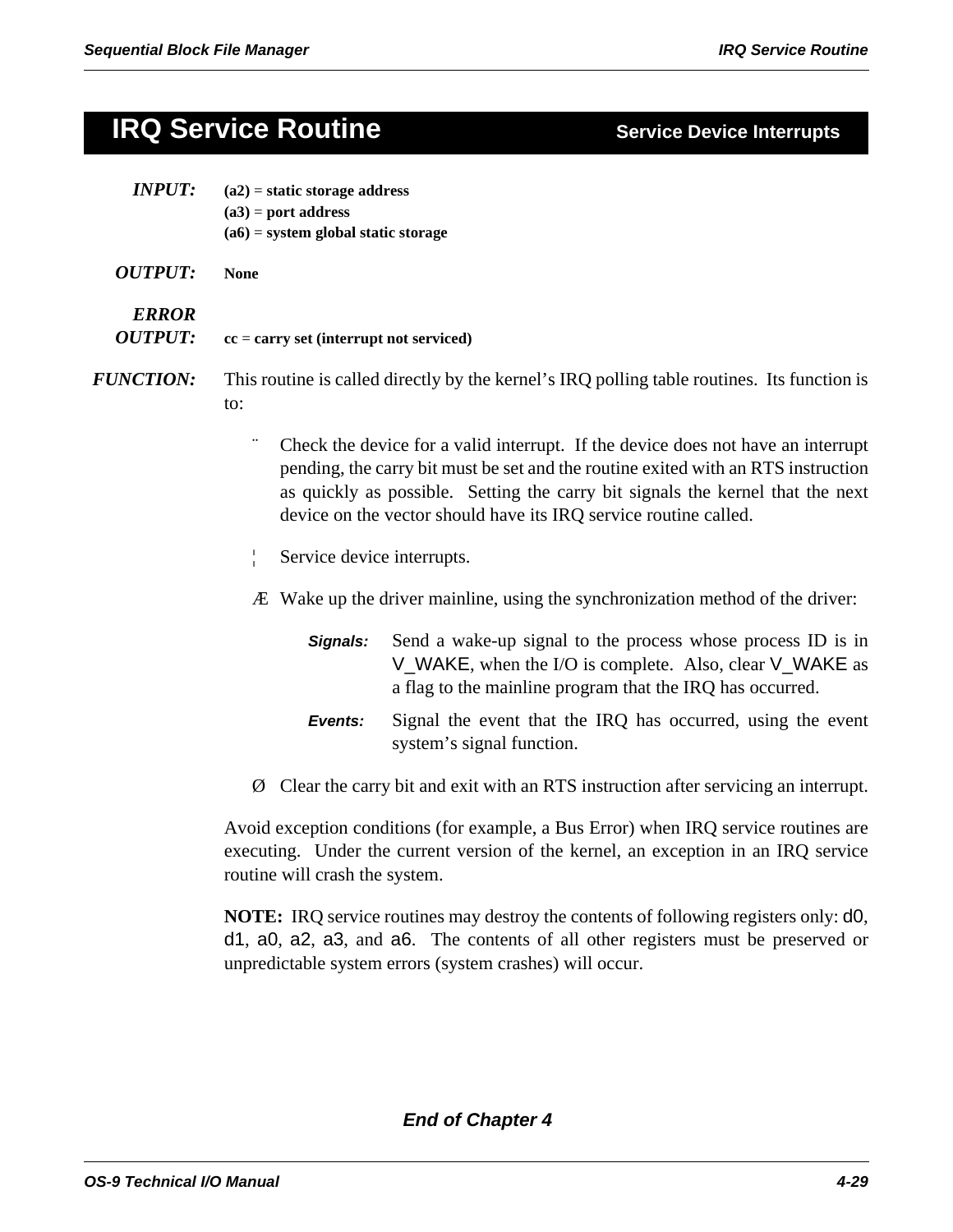# **IRQ Service Routine Service Device Interrupts**

| <b>INPUT:</b>                  | $(a2)$ = static storage address<br>$(a3)$ = port address<br>$(a6)$ = system global static storage                                                                                                                                                                                                                           |                                                                                                                                                                                     |  |  |
|--------------------------------|-----------------------------------------------------------------------------------------------------------------------------------------------------------------------------------------------------------------------------------------------------------------------------------------------------------------------------|-------------------------------------------------------------------------------------------------------------------------------------------------------------------------------------|--|--|
| <b>OUTPUT:</b>                 | <b>None</b>                                                                                                                                                                                                                                                                                                                 |                                                                                                                                                                                     |  |  |
| <b>ERROR</b><br><b>OUTPUT:</b> | $cc = carry set (interrupt not serviced)$                                                                                                                                                                                                                                                                                   |                                                                                                                                                                                     |  |  |
| <i><b>FUNCTION:</b></i>        | This routine is called directly by the kernel's IRQ polling table routines. Its function is<br>to:                                                                                                                                                                                                                          |                                                                                                                                                                                     |  |  |
|                                | Check the device for a valid interrupt. If the device does not have an interrupt<br>pending, the carry bit must be set and the routine exited with an RTS instruction<br>as quickly as possible. Setting the carry bit signals the kernel that the next<br>device on the vector should have its IRQ service routine called. |                                                                                                                                                                                     |  |  |
|                                | Service device interrupts.                                                                                                                                                                                                                                                                                                  |                                                                                                                                                                                     |  |  |
|                                |                                                                                                                                                                                                                                                                                                                             | Æ Wake up the driver mainline, using the synchronization method of the driver:                                                                                                      |  |  |
|                                | Signals:                                                                                                                                                                                                                                                                                                                    | Send a wake-up signal to the process whose process ID is in<br>V_WAKE, when the I/O is complete. Also, clear V_WAKE as<br>a flag to the mainline program that the IRQ has occurred. |  |  |
|                                | Events:                                                                                                                                                                                                                                                                                                                     | Signal the event that the IRQ has occurred, using the event                                                                                                                         |  |  |

system's signal function.

Ø Clear the carry bit and exit with an RTS instruction after servicing an interrupt.

Avoid exception conditions (for example, a Bus Error) when IRQ service routines are executing. Under the current version of the kernel, an exception in an IRQ service routine will crash the system.

**NOTE:** IRQ service routines may destroy the contents of following registers only: d0, d1, a0, a2, a3, and a6. The contents of all other registers must be preserved or unpredictable system errors (system crashes) will occur.

## *End of Chapter 4*